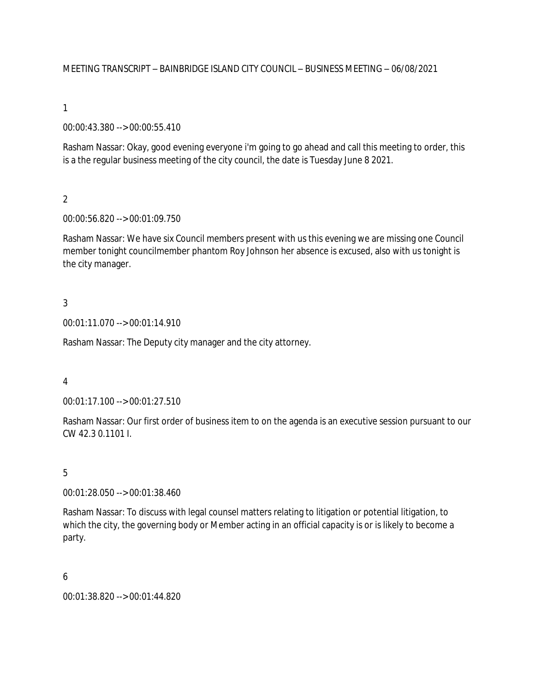MEETING TRANSCRIPT – BAINBRIDGE ISLAND CITY COUNCIL – BUSINESS MEETING – 06/08/2021

1

00:00:43.380 --> 00:00:55.410

Rasham Nassar: Okay, good evening everyone i'm going to go ahead and call this meeting to order, this is a the regular business meeting of the city council, the date is Tuesday June 8 2021.

 $\overline{2}$ 

00:00:56.820 --> 00:01:09.750

Rasham Nassar: We have six Council members present with us this evening we are missing one Council member tonight councilmember phantom Roy Johnson her absence is excused, also with us tonight is the city manager.

3

00:01:11.070 --> 00:01:14.910

Rasham Nassar: The Deputy city manager and the city attorney.

4

00:01:17.100 --> 00:01:27.510

Rasham Nassar: Our first order of business item to on the agenda is an executive session pursuant to our CW 42.3 0.1101 I.

5

00:01:28.050 --> 00:01:38.460

Rasham Nassar: To discuss with legal counsel matters relating to litigation or potential litigation, to which the city, the governing body or Member acting in an official capacity is or is likely to become a party.

6

00:01:38.820 --> 00:01:44.820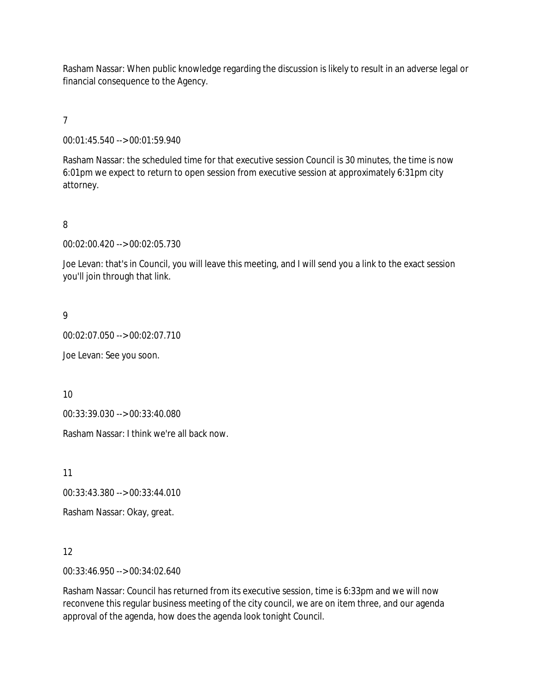Rasham Nassar: When public knowledge regarding the discussion is likely to result in an adverse legal or financial consequence to the Agency.

7

00:01:45.540 --> 00:01:59.940

Rasham Nassar: the scheduled time for that executive session Council is 30 minutes, the time is now 6:01pm we expect to return to open session from executive session at approximately 6:31pm city attorney.

8

00:02:00.420 --> 00:02:05.730

Joe Levan: that's in Council, you will leave this meeting, and I will send you a link to the exact session you'll join through that link.

9

00:02:07.050 --> 00:02:07.710

Joe Levan: See you soon.

10

00:33:39.030 --> 00:33:40.080

Rasham Nassar: I think we're all back now.

11

00:33:43.380 --> 00:33:44.010

Rasham Nassar: Okay, great.

12

00:33:46.950 --> 00:34:02.640

Rasham Nassar: Council has returned from its executive session, time is 6:33pm and we will now reconvene this regular business meeting of the city council, we are on item three, and our agenda approval of the agenda, how does the agenda look tonight Council.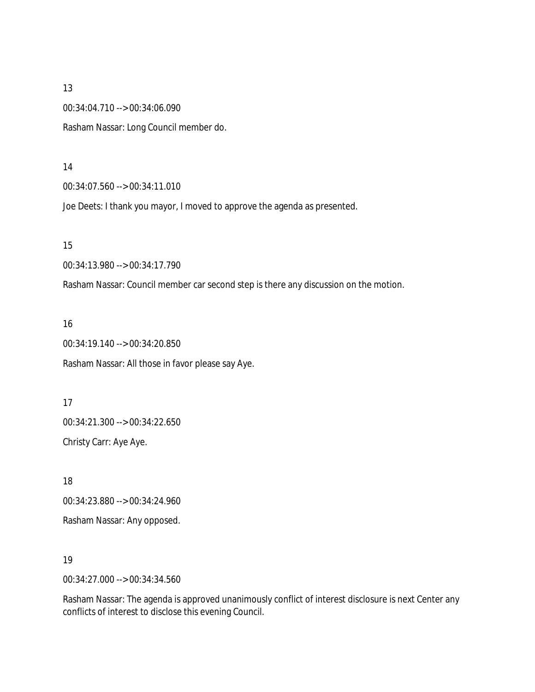00:34:04.710 --> 00:34:06.090

Rasham Nassar: Long Council member do.

#### 14

00:34:07.560 --> 00:34:11.010

Joe Deets: I thank you mayor, I moved to approve the agenda as presented.

15

00:34:13.980 --> 00:34:17.790

Rasham Nassar: Council member car second step is there any discussion on the motion.

### 16

00:34:19.140 --> 00:34:20.850

Rasham Nassar: All those in favor please say Aye.

## 17

00:34:21.300 --> 00:34:22.650 Christy Carr: Aye Aye.

18

00:34:23.880 --> 00:34:24.960

Rasham Nassar: Any opposed.

### 19

00:34:27.000 --> 00:34:34.560

Rasham Nassar: The agenda is approved unanimously conflict of interest disclosure is next Center any conflicts of interest to disclose this evening Council.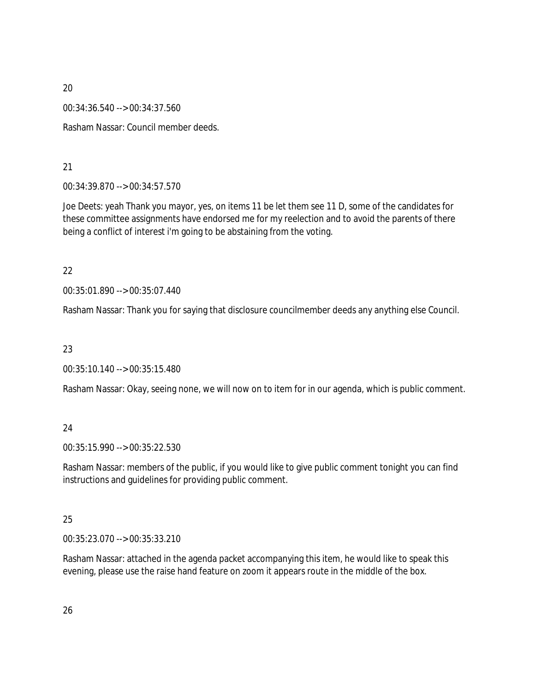00:34:36.540 --> 00:34:37.560

Rasham Nassar: Council member deeds.

21

00:34:39.870 --> 00:34:57.570

Joe Deets: yeah Thank you mayor, yes, on items 11 be let them see 11 D, some of the candidates for these committee assignments have endorsed me for my reelection and to avoid the parents of there being a conflict of interest i'm going to be abstaining from the voting.

22

00:35:01.890 --> 00:35:07.440

Rasham Nassar: Thank you for saying that disclosure councilmember deeds any anything else Council.

23

00:35:10.140 --> 00:35:15.480

Rasham Nassar: Okay, seeing none, we will now on to item for in our agenda, which is public comment.

# 24

00:35:15.990 --> 00:35:22.530

Rasham Nassar: members of the public, if you would like to give public comment tonight you can find instructions and guidelines for providing public comment.

# 25

00:35:23.070 --> 00:35:33.210

Rasham Nassar: attached in the agenda packet accompanying this item, he would like to speak this evening, please use the raise hand feature on zoom it appears route in the middle of the box.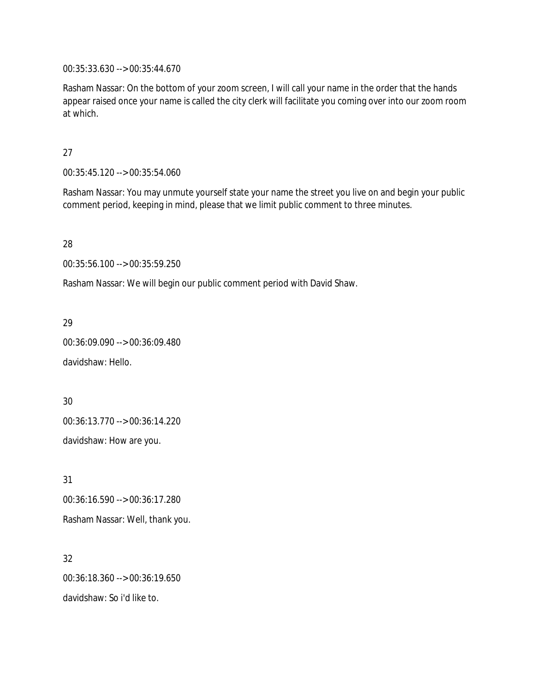00:35:33.630 --> 00:35:44.670

Rasham Nassar: On the bottom of your zoom screen, I will call your name in the order that the hands appear raised once your name is called the city clerk will facilitate you coming over into our zoom room at which.

### 27

00:35:45.120 --> 00:35:54.060

Rasham Nassar: You may unmute yourself state your name the street you live on and begin your public comment period, keeping in mind, please that we limit public comment to three minutes.

28

00:35:56.100 --> 00:35:59.250

Rasham Nassar: We will begin our public comment period with David Shaw.

29

00:36:09.090 --> 00:36:09.480

davidshaw: Hello.

30 00:36:13.770 --> 00:36:14.220 davidshaw: How are you.

31 00:36:16.590 --> 00:36:17.280 Rasham Nassar: Well, thank you.

32 00:36:18.360 --> 00:36:19.650 davidshaw: So i'd like to.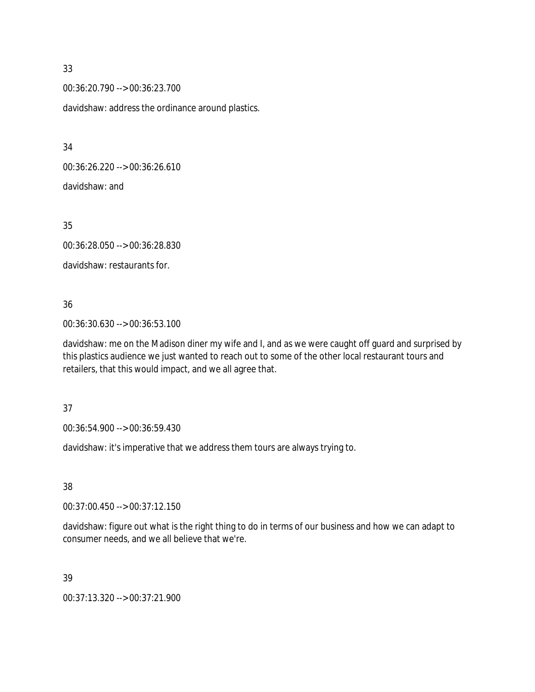00:36:20.790 --> 00:36:23.700 davidshaw: address the ordinance around plastics.

34

00:36:26.220 --> 00:36:26.610 davidshaw: and

35

00:36:28.050 --> 00:36:28.830

davidshaw: restaurants for.

## 36

00:36:30.630 --> 00:36:53.100

davidshaw: me on the Madison diner my wife and I, and as we were caught off guard and surprised by this plastics audience we just wanted to reach out to some of the other local restaurant tours and retailers, that this would impact, and we all agree that.

37

00:36:54.900 --> 00:36:59.430

davidshaw: it's imperative that we address them tours are always trying to.

38

00:37:00.450 --> 00:37:12.150

davidshaw: figure out what is the right thing to do in terms of our business and how we can adapt to consumer needs, and we all believe that we're.

39

00:37:13.320 --> 00:37:21.900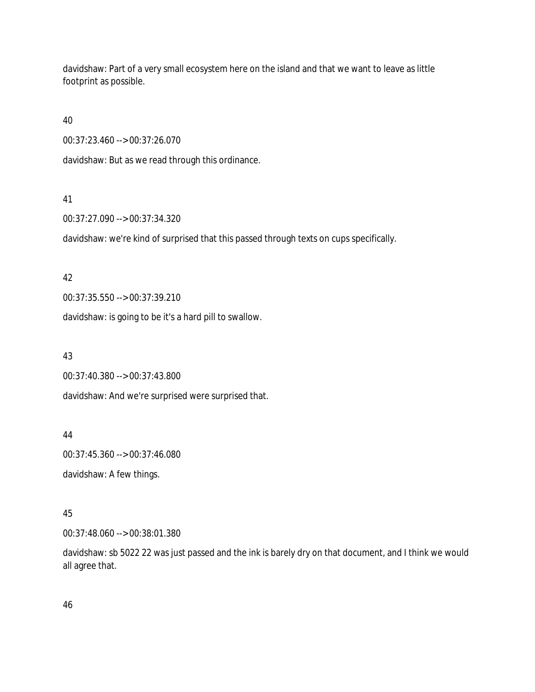davidshaw: Part of a very small ecosystem here on the island and that we want to leave as little footprint as possible.

40

00:37:23.460 --> 00:37:26.070

davidshaw: But as we read through this ordinance.

### 41

00:37:27.090 --> 00:37:34.320

davidshaw: we're kind of surprised that this passed through texts on cups specifically.

### 42

00:37:35.550 --> 00:37:39.210

davidshaw: is going to be it's a hard pill to swallow.

### 43

00:37:40.380 --> 00:37:43.800

davidshaw: And we're surprised were surprised that.

## 44

00:37:45.360 --> 00:37:46.080

davidshaw: A few things.

## 45

00:37:48.060 --> 00:38:01.380

davidshaw: sb 5022 22 was just passed and the ink is barely dry on that document, and I think we would all agree that.

46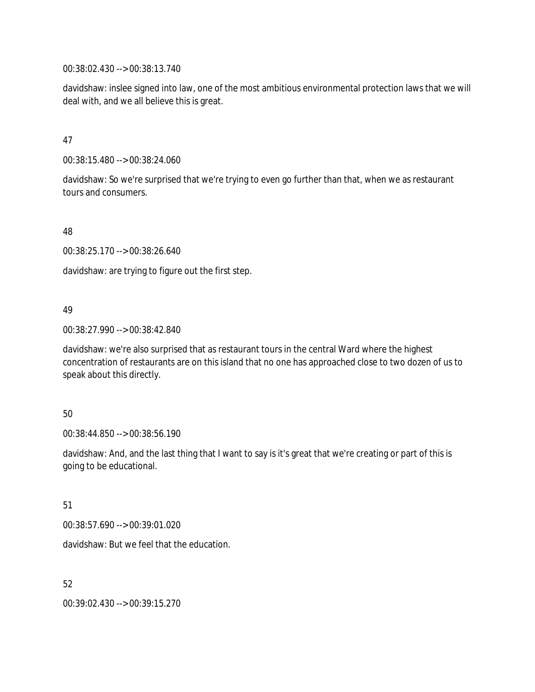00:38:02.430 --> 00:38:13.740

davidshaw: inslee signed into law, one of the most ambitious environmental protection laws that we will deal with, and we all believe this is great.

### 47

00:38:15.480 --> 00:38:24.060

davidshaw: So we're surprised that we're trying to even go further than that, when we as restaurant tours and consumers.

48

00:38:25.170 --> 00:38:26.640

davidshaw: are trying to figure out the first step.

### 49

00:38:27.990 --> 00:38:42.840

davidshaw: we're also surprised that as restaurant tours in the central Ward where the highest concentration of restaurants are on this island that no one has approached close to two dozen of us to speak about this directly.

### 50

00:38:44.850 --> 00:38:56.190

davidshaw: And, and the last thing that I want to say is it's great that we're creating or part of this is going to be educational.

### 51

00:38:57.690 --> 00:39:01.020

davidshaw: But we feel that the education.

52

00:39:02.430 --> 00:39:15.270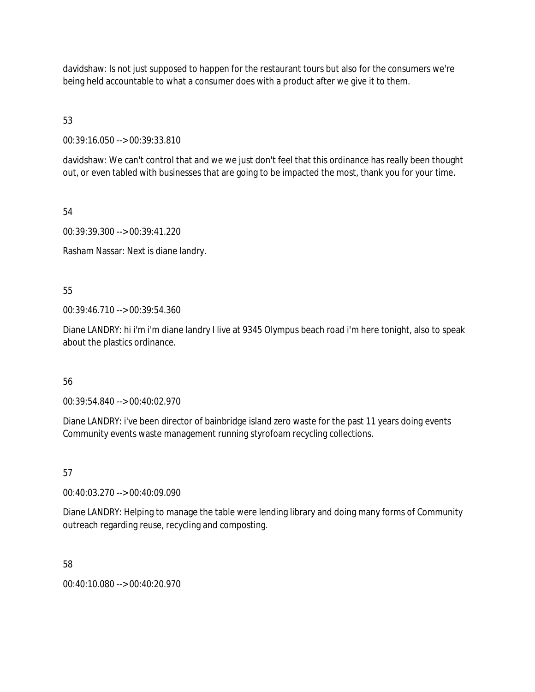davidshaw: Is not just supposed to happen for the restaurant tours but also for the consumers we're being held accountable to what a consumer does with a product after we give it to them.

53

00:39:16.050 --> 00:39:33.810

davidshaw: We can't control that and we we just don't feel that this ordinance has really been thought out, or even tabled with businesses that are going to be impacted the most, thank you for your time.

54

00:39:39.300 --> 00:39:41.220

Rasham Nassar: Next is diane landry.

55

00:39:46.710 --> 00:39:54.360

Diane LANDRY: hi i'm i'm diane landry I live at 9345 Olympus beach road i'm here tonight, also to speak about the plastics ordinance.

## 56

00:39:54.840 --> 00:40:02.970

Diane LANDRY: i've been director of bainbridge island zero waste for the past 11 years doing events Community events waste management running styrofoam recycling collections.

## 57

00:40:03.270 --> 00:40:09.090

Diane LANDRY: Helping to manage the table were lending library and doing many forms of Community outreach regarding reuse, recycling and composting.

58

00:40:10.080 --> 00:40:20.970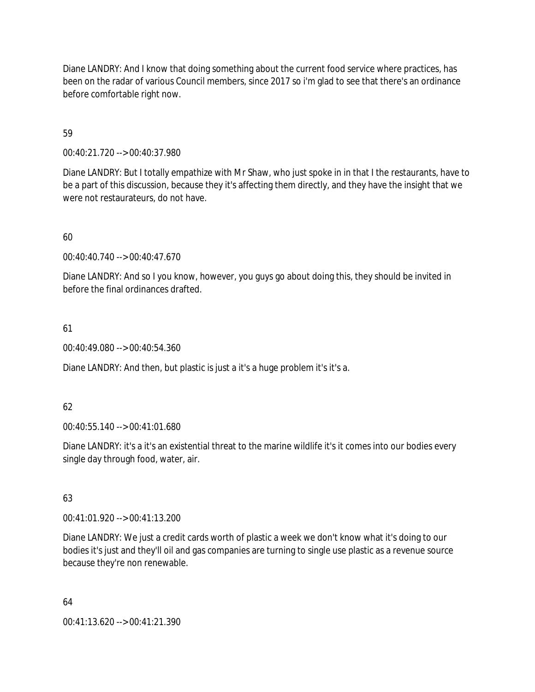Diane LANDRY: And I know that doing something about the current food service where practices, has been on the radar of various Council members, since 2017 so i'm glad to see that there's an ordinance before comfortable right now.

59

00:40:21.720 --> 00:40:37.980

Diane LANDRY: But I totally empathize with Mr Shaw, who just spoke in in that I the restaurants, have to be a part of this discussion, because they it's affecting them directly, and they have the insight that we were not restaurateurs, do not have.

60

00:40:40.740 --> 00:40:47.670

Diane LANDRY: And so I you know, however, you guys go about doing this, they should be invited in before the final ordinances drafted.

61

00:40:49.080 --> 00:40:54.360

Diane LANDRY: And then, but plastic is just a it's a huge problem it's it's a.

62

00:40:55.140 --> 00:41:01.680

Diane LANDRY: it's a it's an existential threat to the marine wildlife it's it comes into our bodies every single day through food, water, air.

63

00:41:01.920 --> 00:41:13.200

Diane LANDRY: We just a credit cards worth of plastic a week we don't know what it's doing to our bodies it's just and they'll oil and gas companies are turning to single use plastic as a revenue source because they're non renewable.

64

00:41:13.620 --> 00:41:21.390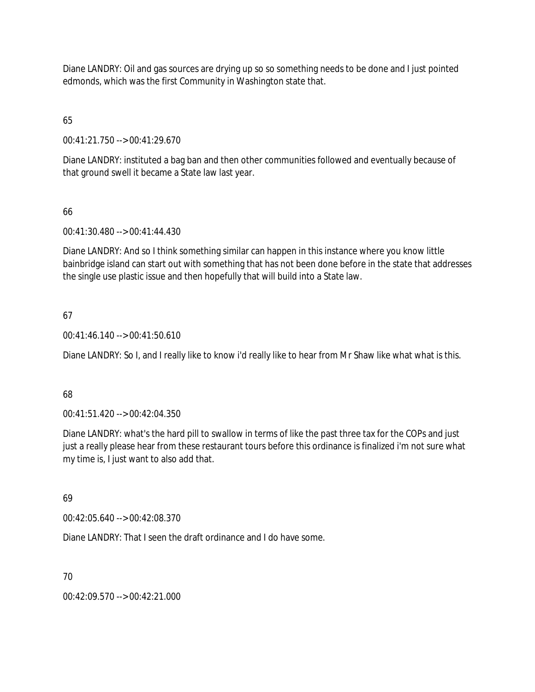Diane LANDRY: Oil and gas sources are drying up so so something needs to be done and I just pointed edmonds, which was the first Community in Washington state that.

# 65

00:41:21.750 --> 00:41:29.670

Diane LANDRY: instituted a bag ban and then other communities followed and eventually because of that ground swell it became a State law last year.

# 66

00:41:30.480 --> 00:41:44.430

Diane LANDRY: And so I think something similar can happen in this instance where you know little bainbridge island can start out with something that has not been done before in the state that addresses the single use plastic issue and then hopefully that will build into a State law.

# 67

00:41:46.140 --> 00:41:50.610

Diane LANDRY: So I, and I really like to know i'd really like to hear from Mr Shaw like what what is this.

## 68

00:41:51.420 --> 00:42:04.350

Diane LANDRY: what's the hard pill to swallow in terms of like the past three tax for the COPs and just just a really please hear from these restaurant tours before this ordinance is finalized i'm not sure what my time is, I just want to also add that.

## 69

00:42:05.640 --> 00:42:08.370

Diane LANDRY: That I seen the draft ordinance and I do have some.

# 70

00:42:09.570 --> 00:42:21.000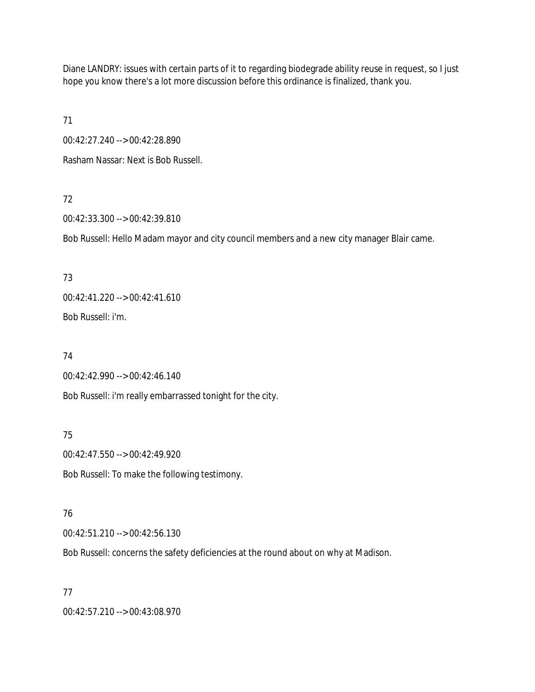Diane LANDRY: issues with certain parts of it to regarding biodegrade ability reuse in request, so I just hope you know there's a lot more discussion before this ordinance is finalized, thank you.

71

00:42:27.240 --> 00:42:28.890

Rasham Nassar: Next is Bob Russell.

## 72

00:42:33.300 --> 00:42:39.810

Bob Russell: Hello Madam mayor and city council members and a new city manager Blair came.

## 73

00:42:41.220 --> 00:42:41.610 Bob Russell: i'm.

## 74

00:42:42.990 --> 00:42:46.140

Bob Russell: i'm really embarrassed tonight for the city.

## 75

00:42:47.550 --> 00:42:49.920

Bob Russell: To make the following testimony.

### 76

00:42:51.210 --> 00:42:56.130

Bob Russell: concerns the safety deficiencies at the round about on why at Madison.

### 77

00:42:57.210 --> 00:43:08.970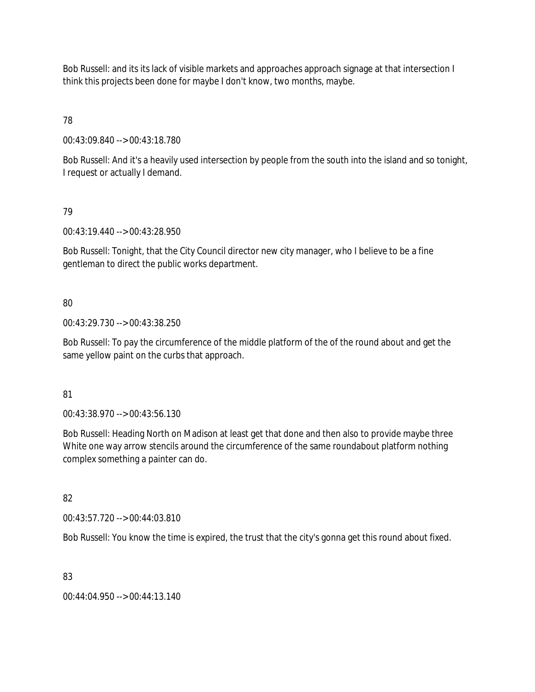Bob Russell: and its its lack of visible markets and approaches approach signage at that intersection I think this projects been done for maybe I don't know, two months, maybe.

78

00:43:09.840 --> 00:43:18.780

Bob Russell: And it's a heavily used intersection by people from the south into the island and so tonight, I request or actually I demand.

## 79

00:43:19.440 --> 00:43:28.950

Bob Russell: Tonight, that the City Council director new city manager, who I believe to be a fine gentleman to direct the public works department.

# 80

00:43:29.730 --> 00:43:38.250

Bob Russell: To pay the circumference of the middle platform of the of the round about and get the same yellow paint on the curbs that approach.

## 81

00:43:38.970 --> 00:43:56.130

Bob Russell: Heading North on Madison at least get that done and then also to provide maybe three White one way arrow stencils around the circumference of the same roundabout platform nothing complex something a painter can do.

# 82

00:43:57.720 --> 00:44:03.810

Bob Russell: You know the time is expired, the trust that the city's gonna get this round about fixed.

# 83

00:44:04.950 --> 00:44:13.140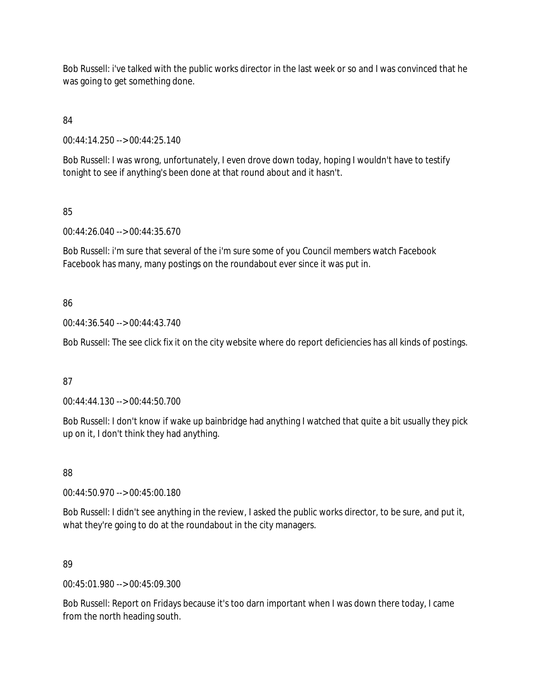Bob Russell: i've talked with the public works director in the last week or so and I was convinced that he was going to get something done.

84

00:44:14.250 --> 00:44:25.140

Bob Russell: I was wrong, unfortunately, I even drove down today, hoping I wouldn't have to testify tonight to see if anything's been done at that round about and it hasn't.

85

00:44:26.040 --> 00:44:35.670

Bob Russell: i'm sure that several of the i'm sure some of you Council members watch Facebook Facebook has many, many postings on the roundabout ever since it was put in.

86

00:44:36.540 --> 00:44:43.740

Bob Russell: The see click fix it on the city website where do report deficiencies has all kinds of postings.

87

00:44:44.130 --> 00:44:50.700

Bob Russell: I don't know if wake up bainbridge had anything I watched that quite a bit usually they pick up on it, I don't think they had anything.

88

00:44:50.970 --> 00:45:00.180

Bob Russell: I didn't see anything in the review, I asked the public works director, to be sure, and put it, what they're going to do at the roundabout in the city managers.

89

00:45:01.980 --> 00:45:09.300

Bob Russell: Report on Fridays because it's too darn important when I was down there today, I came from the north heading south.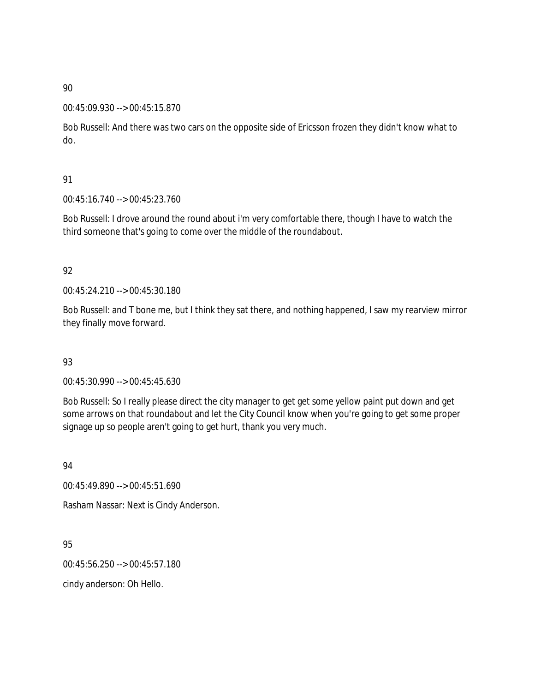### 00:45:09.930 --> 00:45:15.870

Bob Russell: And there was two cars on the opposite side of Ericsson frozen they didn't know what to do.

### 91

00:45:16.740 --> 00:45:23.760

Bob Russell: I drove around the round about i'm very comfortable there, though I have to watch the third someone that's going to come over the middle of the roundabout.

### 92

00:45:24.210 --> 00:45:30.180

Bob Russell: and T bone me, but I think they sat there, and nothing happened, I saw my rearview mirror they finally move forward.

## 93

00:45:30.990 --> 00:45:45.630

Bob Russell: So I really please direct the city manager to get get some yellow paint put down and get some arrows on that roundabout and let the City Council know when you're going to get some proper signage up so people aren't going to get hurt, thank you very much.

### 94

00:45:49.890 --> 00:45:51.690

Rasham Nassar: Next is Cindy Anderson.

95

00:45:56.250 --> 00:45:57.180

cindy anderson: Oh Hello.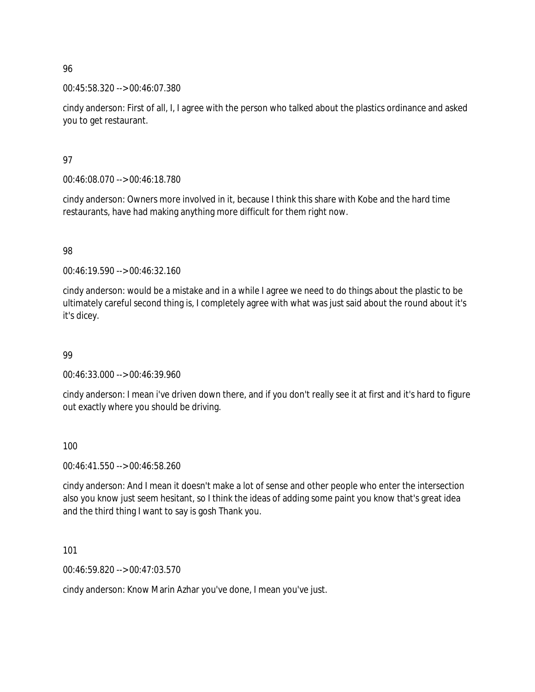00:45:58.320 --> 00:46:07.380

cindy anderson: First of all, I, I agree with the person who talked about the plastics ordinance and asked you to get restaurant.

97

00:46:08.070 --> 00:46:18.780

cindy anderson: Owners more involved in it, because I think this share with Kobe and the hard time restaurants, have had making anything more difficult for them right now.

98

00:46:19.590 --> 00:46:32.160

cindy anderson: would be a mistake and in a while I agree we need to do things about the plastic to be ultimately careful second thing is, I completely agree with what was just said about the round about it's it's dicey.

99

00:46:33.000 --> 00:46:39.960

cindy anderson: I mean i've driven down there, and if you don't really see it at first and it's hard to figure out exactly where you should be driving.

100

00:46:41.550 --> 00:46:58.260

cindy anderson: And I mean it doesn't make a lot of sense and other people who enter the intersection also you know just seem hesitant, so I think the ideas of adding some paint you know that's great idea and the third thing I want to say is gosh Thank you.

101

00:46:59.820 --> 00:47:03.570

cindy anderson: Know Marin Azhar you've done, I mean you've just.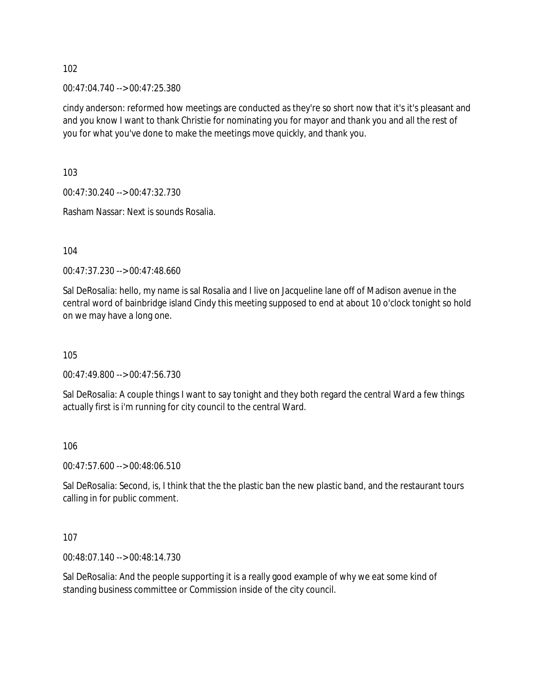00:47:04.740 --> 00:47:25.380

cindy anderson: reformed how meetings are conducted as they're so short now that it's it's pleasant and and you know I want to thank Christie for nominating you for mayor and thank you and all the rest of you for what you've done to make the meetings move quickly, and thank you.

103

00:47:30.240 --> 00:47:32.730

Rasham Nassar: Next is sounds Rosalia.

104

00:47:37.230 --> 00:47:48.660

Sal DeRosalia: hello, my name is sal Rosalia and I live on Jacqueline lane off of Madison avenue in the central word of bainbridge island Cindy this meeting supposed to end at about 10 o'clock tonight so hold on we may have a long one.

105

00:47:49.800 --> 00:47:56.730

Sal DeRosalia: A couple things I want to say tonight and they both regard the central Ward a few things actually first is i'm running for city council to the central Ward.

106

00:47:57.600 --> 00:48:06.510

Sal DeRosalia: Second, is, I think that the the plastic ban the new plastic band, and the restaurant tours calling in for public comment.

107

00:48:07.140 --> 00:48:14.730

Sal DeRosalia: And the people supporting it is a really good example of why we eat some kind of standing business committee or Commission inside of the city council.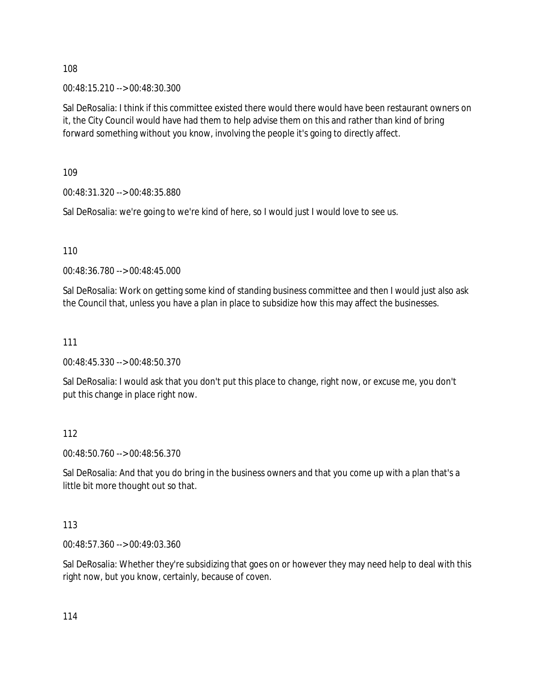00:48:15.210 --> 00:48:30.300

Sal DeRosalia: I think if this committee existed there would there would have been restaurant owners on it, the City Council would have had them to help advise them on this and rather than kind of bring forward something without you know, involving the people it's going to directly affect.

109

00:48:31.320 --> 00:48:35.880

Sal DeRosalia: we're going to we're kind of here, so I would just I would love to see us.

110

00:48:36.780 --> 00:48:45.000

Sal DeRosalia: Work on getting some kind of standing business committee and then I would just also ask the Council that, unless you have a plan in place to subsidize how this may affect the businesses.

### 111

00:48:45.330 --> 00:48:50.370

Sal DeRosalia: I would ask that you don't put this place to change, right now, or excuse me, you don't put this change in place right now.

### 112

00:48:50.760 --> 00:48:56.370

Sal DeRosalia: And that you do bring in the business owners and that you come up with a plan that's a little bit more thought out so that.

### 113

00:48:57.360 --> 00:49:03.360

Sal DeRosalia: Whether they're subsidizing that goes on or however they may need help to deal with this right now, but you know, certainly, because of coven.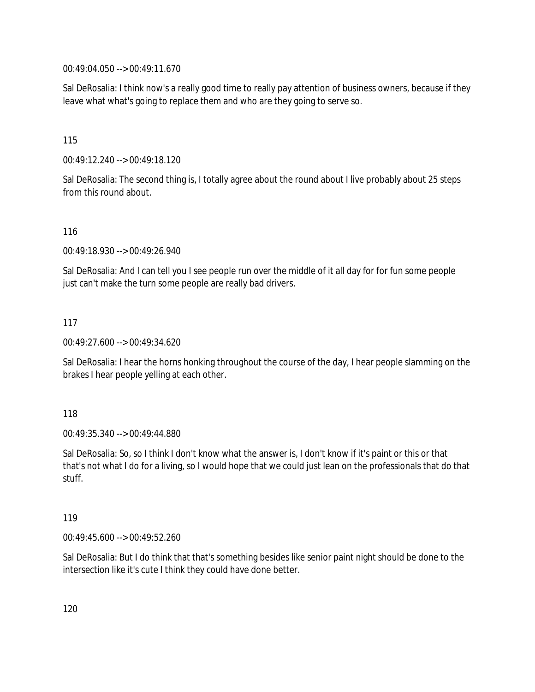00:49:04.050 --> 00:49:11.670

Sal DeRosalia: I think now's a really good time to really pay attention of business owners, because if they leave what what's going to replace them and who are they going to serve so.

115

00:49:12.240 --> 00:49:18.120

Sal DeRosalia: The second thing is, I totally agree about the round about I live probably about 25 steps from this round about.

116

00:49:18.930 --> 00:49:26.940

Sal DeRosalia: And I can tell you I see people run over the middle of it all day for for fun some people just can't make the turn some people are really bad drivers.

117

00:49:27.600 --> 00:49:34.620

Sal DeRosalia: I hear the horns honking throughout the course of the day, I hear people slamming on the brakes I hear people yelling at each other.

118

00:49:35.340 --> 00:49:44.880

Sal DeRosalia: So, so I think I don't know what the answer is, I don't know if it's paint or this or that that's not what I do for a living, so I would hope that we could just lean on the professionals that do that stuff.

119

00:49:45.600 --> 00:49:52.260

Sal DeRosalia: But I do think that that's something besides like senior paint night should be done to the intersection like it's cute I think they could have done better.

120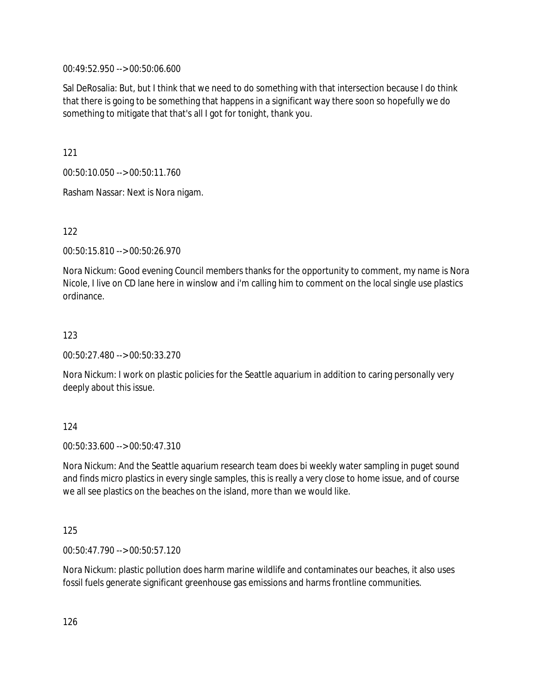00:49:52.950 --> 00:50:06.600

Sal DeRosalia: But, but I think that we need to do something with that intersection because I do think that there is going to be something that happens in a significant way there soon so hopefully we do something to mitigate that that's all I got for tonight, thank you.

121

00:50:10.050 --> 00:50:11.760

Rasham Nassar: Next is Nora nigam.

122

00:50:15.810 --> 00:50:26.970

Nora Nickum: Good evening Council members thanks for the opportunity to comment, my name is Nora Nicole, I live on CD lane here in winslow and i'm calling him to comment on the local single use plastics ordinance.

123

00:50:27.480 --> 00:50:33.270

Nora Nickum: I work on plastic policies for the Seattle aquarium in addition to caring personally very deeply about this issue.

124

00:50:33.600 --> 00:50:47.310

Nora Nickum: And the Seattle aquarium research team does bi weekly water sampling in puget sound and finds micro plastics in every single samples, this is really a very close to home issue, and of course we all see plastics on the beaches on the island, more than we would like.

125

00:50:47.790 --> 00:50:57.120

Nora Nickum: plastic pollution does harm marine wildlife and contaminates our beaches, it also uses fossil fuels generate significant greenhouse gas emissions and harms frontline communities.

126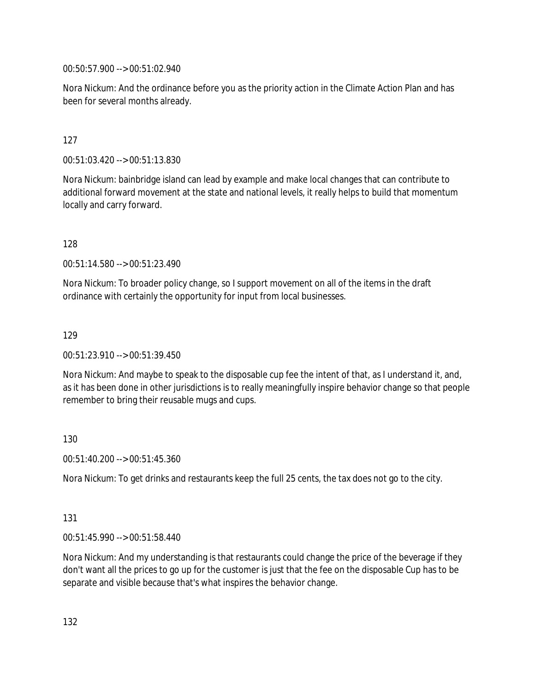00:50:57.900 --> 00:51:02.940

Nora Nickum: And the ordinance before you as the priority action in the Climate Action Plan and has been for several months already.

### 127

00:51:03.420 --> 00:51:13.830

Nora Nickum: bainbridge island can lead by example and make local changes that can contribute to additional forward movement at the state and national levels, it really helps to build that momentum locally and carry forward.

128

00:51:14.580 --> 00:51:23.490

Nora Nickum: To broader policy change, so I support movement on all of the items in the draft ordinance with certainly the opportunity for input from local businesses.

129

00:51:23.910 --> 00:51:39.450

Nora Nickum: And maybe to speak to the disposable cup fee the intent of that, as I understand it, and, as it has been done in other jurisdictions is to really meaningfully inspire behavior change so that people remember to bring their reusable mugs and cups.

130

00:51:40.200 --> 00:51:45.360

Nora Nickum: To get drinks and restaurants keep the full 25 cents, the tax does not go to the city.

### 131

00:51:45.990 --> 00:51:58.440

Nora Nickum: And my understanding is that restaurants could change the price of the beverage if they don't want all the prices to go up for the customer is just that the fee on the disposable Cup has to be separate and visible because that's what inspires the behavior change.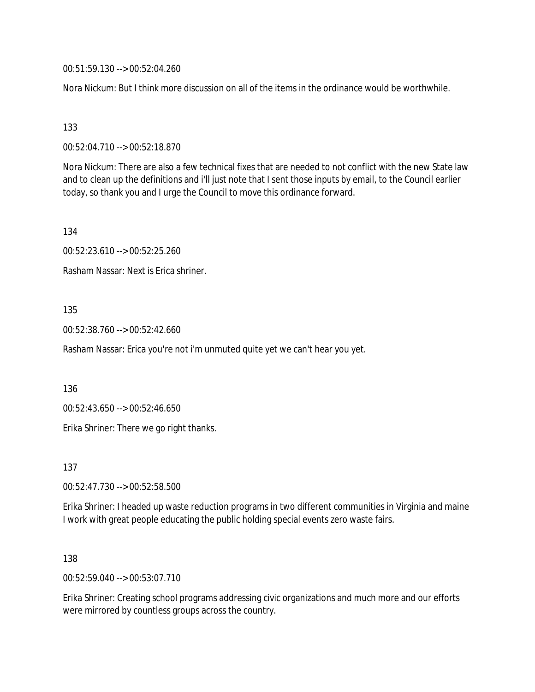00:51:59.130 --> 00:52:04.260

Nora Nickum: But I think more discussion on all of the items in the ordinance would be worthwhile.

### 133

00:52:04.710 --> 00:52:18.870

Nora Nickum: There are also a few technical fixes that are needed to not conflict with the new State law and to clean up the definitions and i'll just note that I sent those inputs by email, to the Council earlier today, so thank you and I urge the Council to move this ordinance forward.

134

00:52:23.610 --> 00:52:25.260

Rasham Nassar: Next is Erica shriner.

### 135

00:52:38.760 --> 00:52:42.660

Rasham Nassar: Erica you're not i'm unmuted quite yet we can't hear you yet.

136

00:52:43.650 --> 00:52:46.650

Erika Shriner: There we go right thanks.

137

00:52:47.730 --> 00:52:58.500

Erika Shriner: I headed up waste reduction programs in two different communities in Virginia and maine I work with great people educating the public holding special events zero waste fairs.

138

00:52:59.040 --> 00:53:07.710

Erika Shriner: Creating school programs addressing civic organizations and much more and our efforts were mirrored by countless groups across the country.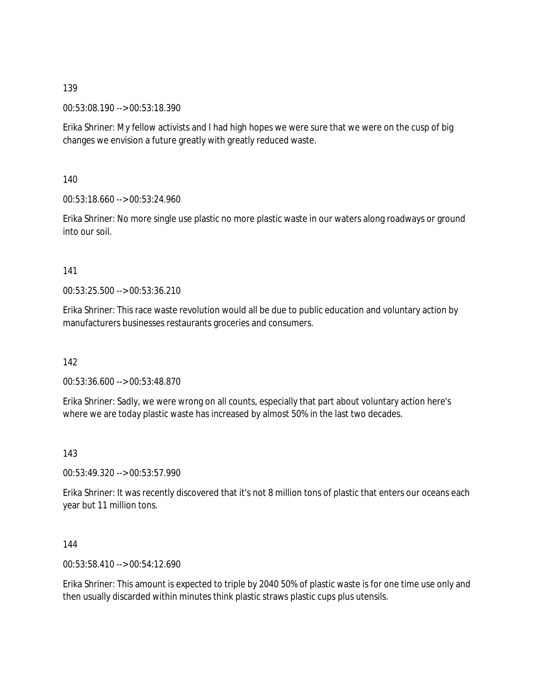00:53:08.190 --> 00:53:18.390

Erika Shriner: My fellow activists and I had high hopes we were sure that we were on the cusp of big changes we envision a future greatly with greatly reduced waste.

140

00:53:18.660 --> 00:53:24.960

Erika Shriner: No more single use plastic no more plastic waste in our waters along roadways or ground into our soil.

141

00:53:25.500 --> 00:53:36.210

Erika Shriner: This race waste revolution would all be due to public education and voluntary action by manufacturers businesses restaurants groceries and consumers.

142

00:53:36.600 --> 00:53:48.870

Erika Shriner: Sadly, we were wrong on all counts, especially that part about voluntary action here's where we are today plastic waste has increased by almost 50% in the last two decades.

143

00:53:49.320 --> 00:53:57.990

Erika Shriner: It was recently discovered that it's not 8 million tons of plastic that enters our oceans each year but 11 million tons.

144

00:53:58.410 --> 00:54:12.690

Erika Shriner: This amount is expected to triple by 2040 50% of plastic waste is for one time use only and then usually discarded within minutes think plastic straws plastic cups plus utensils.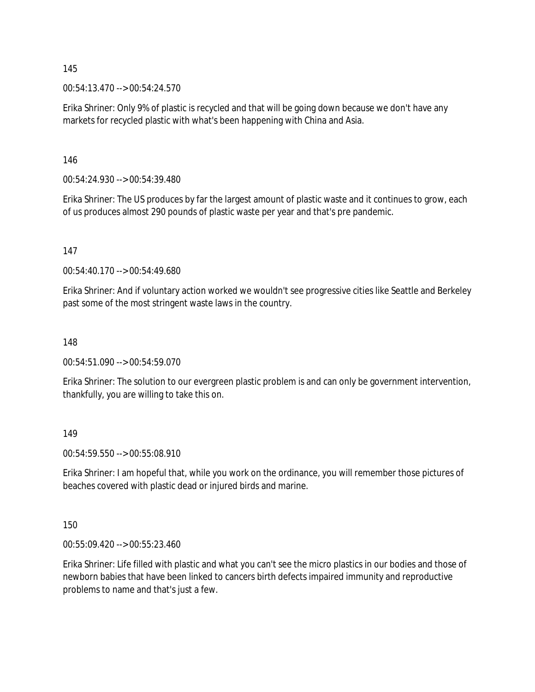00:54:13.470 --> 00:54:24.570

Erika Shriner: Only 9% of plastic is recycled and that will be going down because we don't have any markets for recycled plastic with what's been happening with China and Asia.

146

00:54:24.930 --> 00:54:39.480

Erika Shriner: The US produces by far the largest amount of plastic waste and it continues to grow, each of us produces almost 290 pounds of plastic waste per year and that's pre pandemic.

147

00:54:40.170 --> 00:54:49.680

Erika Shriner: And if voluntary action worked we wouldn't see progressive cities like Seattle and Berkeley past some of the most stringent waste laws in the country.

148

00:54:51.090 --> 00:54:59.070

Erika Shriner: The solution to our evergreen plastic problem is and can only be government intervention, thankfully, you are willing to take this on.

149

00:54:59.550 --> 00:55:08.910

Erika Shriner: I am hopeful that, while you work on the ordinance, you will remember those pictures of beaches covered with plastic dead or injured birds and marine.

150

00:55:09.420 --> 00:55:23.460

Erika Shriner: Life filled with plastic and what you can't see the micro plastics in our bodies and those of newborn babies that have been linked to cancers birth defects impaired immunity and reproductive problems to name and that's just a few.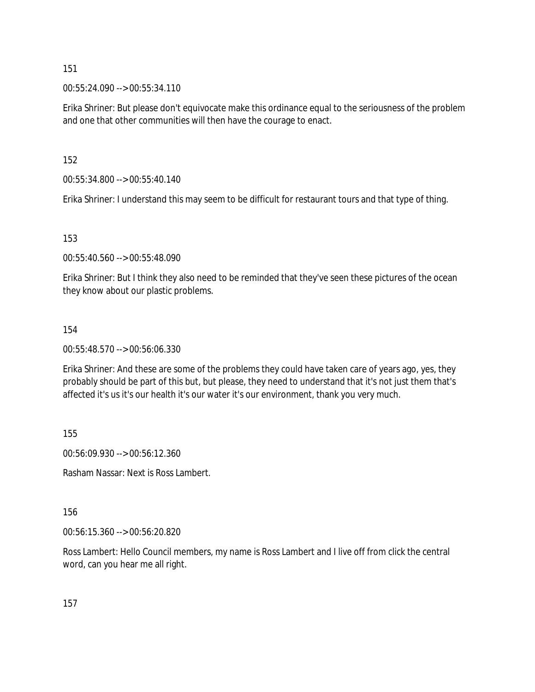00:55:24.090 --> 00:55:34.110

Erika Shriner: But please don't equivocate make this ordinance equal to the seriousness of the problem and one that other communities will then have the courage to enact.

152

00:55:34.800 --> 00:55:40.140

Erika Shriner: I understand this may seem to be difficult for restaurant tours and that type of thing.

153

00:55:40.560 --> 00:55:48.090

Erika Shriner: But I think they also need to be reminded that they've seen these pictures of the ocean they know about our plastic problems.

### 154

00:55:48.570 --> 00:56:06.330

Erika Shriner: And these are some of the problems they could have taken care of years ago, yes, they probably should be part of this but, but please, they need to understand that it's not just them that's affected it's us it's our health it's our water it's our environment, thank you very much.

155

00:56:09.930 --> 00:56:12.360

Rasham Nassar: Next is Ross Lambert.

156

00:56:15.360 --> 00:56:20.820

Ross Lambert: Hello Council members, my name is Ross Lambert and I live off from click the central word, can you hear me all right.

157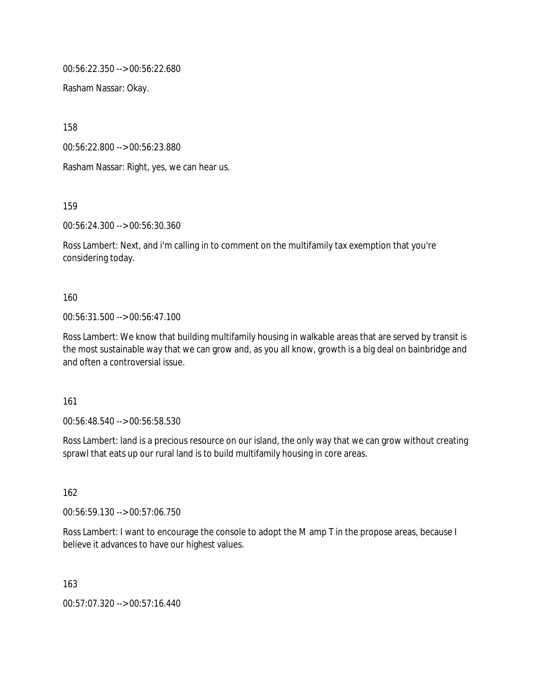00:56:22.350 --> 00:56:22.680

Rasham Nassar: Okay.

158

00:56:22.800 --> 00:56:23.880

Rasham Nassar: Right, yes, we can hear us.

159

00:56:24.300 --> 00:56:30.360

Ross Lambert: Next, and i'm calling in to comment on the multifamily tax exemption that you're considering today.

### 160

00:56:31.500 --> 00:56:47.100

Ross Lambert: We know that building multifamily housing in walkable areas that are served by transit is the most sustainable way that we can grow and, as you all know, growth is a big deal on bainbridge and and often a controversial issue.

161

00:56:48.540 --> 00:56:58.530

Ross Lambert: land is a precious resource on our island, the only way that we can grow without creating sprawl that eats up our rural land is to build multifamily housing in core areas.

162

00:56:59.130 --> 00:57:06.750

Ross Lambert: I want to encourage the console to adopt the M amp T in the propose areas, because I believe it advances to have our highest values.

163

00:57:07.320 --> 00:57:16.440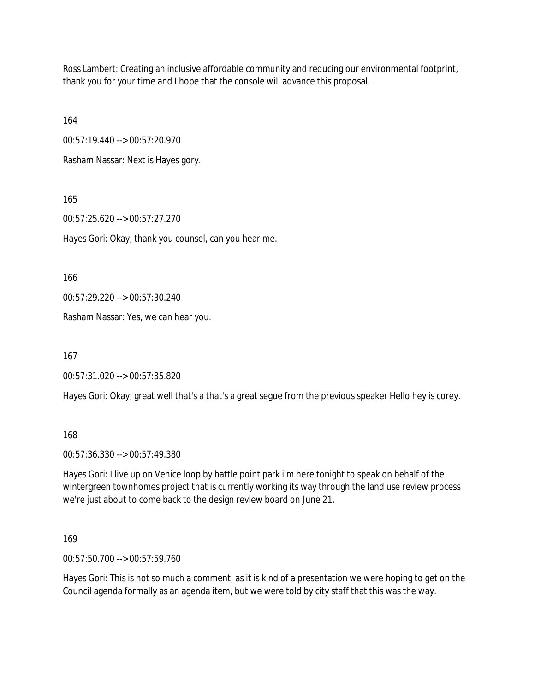Ross Lambert: Creating an inclusive affordable community and reducing our environmental footprint, thank you for your time and I hope that the console will advance this proposal.

164

00:57:19.440 --> 00:57:20.970

Rasham Nassar: Next is Hayes gory.

165

00:57:25.620 --> 00:57:27.270

Hayes Gori: Okay, thank you counsel, can you hear me.

166

00:57:29.220 --> 00:57:30.240

Rasham Nassar: Yes, we can hear you.

167

00:57:31.020 --> 00:57:35.820

Hayes Gori: Okay, great well that's a that's a great segue from the previous speaker Hello hey is corey.

168

00:57:36.330 --> 00:57:49.380

Hayes Gori: I live up on Venice loop by battle point park i'm here tonight to speak on behalf of the wintergreen townhomes project that is currently working its way through the land use review process we're just about to come back to the design review board on June 21.

169

00:57:50.700 --> 00:57:59.760

Hayes Gori: This is not so much a comment, as it is kind of a presentation we were hoping to get on the Council agenda formally as an agenda item, but we were told by city staff that this was the way.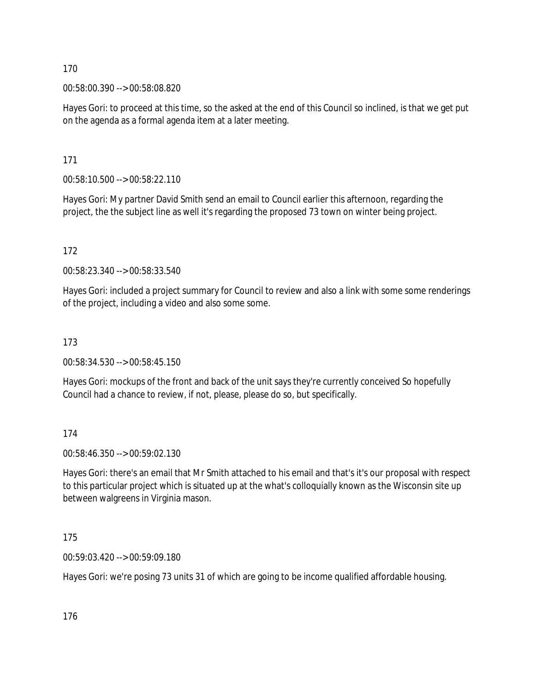00:58:00.390 --> 00:58:08.820

Hayes Gori: to proceed at this time, so the asked at the end of this Council so inclined, is that we get put on the agenda as a formal agenda item at a later meeting.

171

00:58:10.500 --> 00:58:22.110

Hayes Gori: My partner David Smith send an email to Council earlier this afternoon, regarding the project, the the subject line as well it's regarding the proposed 73 town on winter being project.

172

00:58:23.340 --> 00:58:33.540

Hayes Gori: included a project summary for Council to review and also a link with some some renderings of the project, including a video and also some some.

173

00:58:34.530 --> 00:58:45.150

Hayes Gori: mockups of the front and back of the unit says they're currently conceived So hopefully Council had a chance to review, if not, please, please do so, but specifically.

174

00:58:46.350 --> 00:59:02.130

Hayes Gori: there's an email that Mr Smith attached to his email and that's it's our proposal with respect to this particular project which is situated up at the what's colloquially known as the Wisconsin site up between walgreens in Virginia mason.

175

00:59:03.420 --> 00:59:09.180

Hayes Gori: we're posing 73 units 31 of which are going to be income qualified affordable housing.

176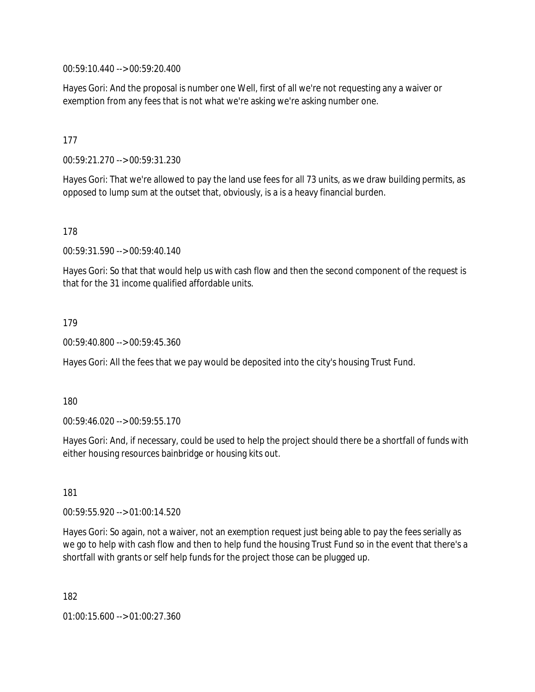00:59:10.440 --> 00:59:20.400

Hayes Gori: And the proposal is number one Well, first of all we're not requesting any a waiver or exemption from any fees that is not what we're asking we're asking number one.

### 177

00:59:21.270 --> 00:59:31.230

Hayes Gori: That we're allowed to pay the land use fees for all 73 units, as we draw building permits, as opposed to lump sum at the outset that, obviously, is a is a heavy financial burden.

178

00:59:31.590 --> 00:59:40.140

Hayes Gori: So that that would help us with cash flow and then the second component of the request is that for the 31 income qualified affordable units.

#### 179

00:59:40.800 --> 00:59:45.360

Hayes Gori: All the fees that we pay would be deposited into the city's housing Trust Fund.

180

00:59:46.020 --> 00:59:55.170

Hayes Gori: And, if necessary, could be used to help the project should there be a shortfall of funds with either housing resources bainbridge or housing kits out.

181

00:59:55.920 --> 01:00:14.520

Hayes Gori: So again, not a waiver, not an exemption request just being able to pay the fees serially as we go to help with cash flow and then to help fund the housing Trust Fund so in the event that there's a shortfall with grants or self help funds for the project those can be plugged up.

182

01:00:15.600 --> 01:00:27.360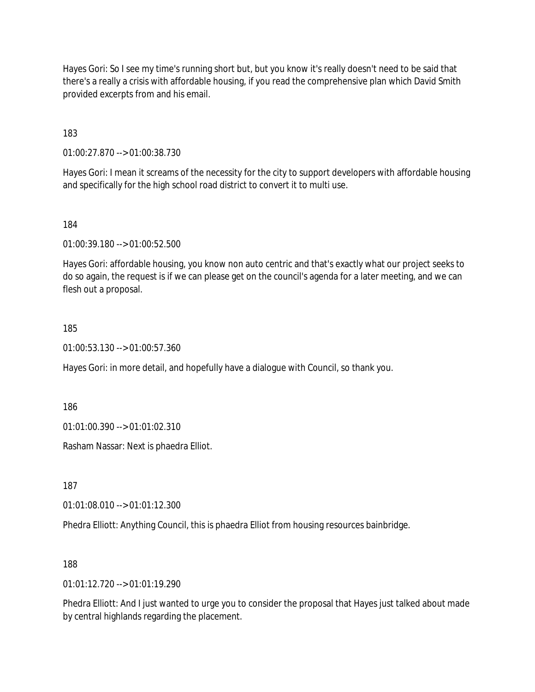Hayes Gori: So I see my time's running short but, but you know it's really doesn't need to be said that there's a really a crisis with affordable housing, if you read the comprehensive plan which David Smith provided excerpts from and his email.

183

01:00:27.870 --> 01:00:38.730

Hayes Gori: I mean it screams of the necessity for the city to support developers with affordable housing and specifically for the high school road district to convert it to multi use.

184

01:00:39.180 --> 01:00:52.500

Hayes Gori: affordable housing, you know non auto centric and that's exactly what our project seeks to do so again, the request is if we can please get on the council's agenda for a later meeting, and we can flesh out a proposal.

### 185

01:00:53.130 --> 01:00:57.360

Hayes Gori: in more detail, and hopefully have a dialogue with Council, so thank you.

186

01:01:00.390 --> 01:01:02.310

Rasham Nassar: Next is phaedra Elliot.

187

01:01:08.010 --> 01:01:12.300

Phedra Elliott: Anything Council, this is phaedra Elliot from housing resources bainbridge.

188

01:01:12.720 --> 01:01:19.290

Phedra Elliott: And I just wanted to urge you to consider the proposal that Hayes just talked about made by central highlands regarding the placement.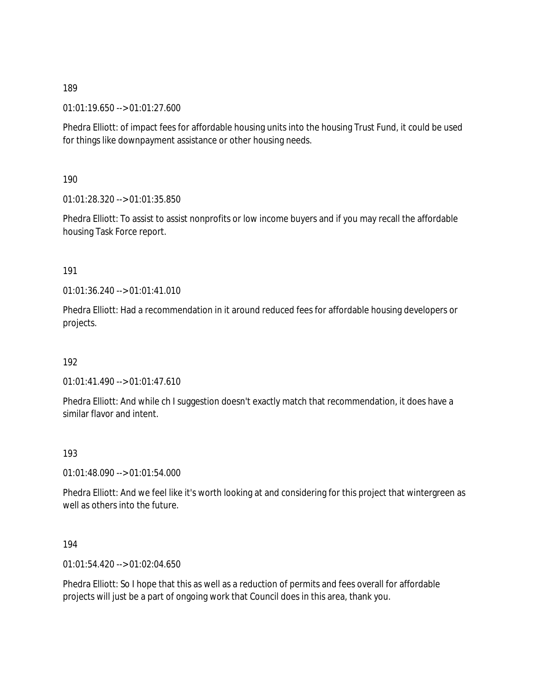01:01:19.650 --> 01:01:27.600

Phedra Elliott: of impact fees for affordable housing units into the housing Trust Fund, it could be used for things like downpayment assistance or other housing needs.

190

01:01:28.320 --> 01:01:35.850

Phedra Elliott: To assist to assist nonprofits or low income buyers and if you may recall the affordable housing Task Force report.

191

01:01:36.240 --> 01:01:41.010

Phedra Elliott: Had a recommendation in it around reduced fees for affordable housing developers or projects.

192

01:01:41.490 --> 01:01:47.610

Phedra Elliott: And while ch I suggestion doesn't exactly match that recommendation, it does have a similar flavor and intent.

193

01:01:48.090 --> 01:01:54.000

Phedra Elliott: And we feel like it's worth looking at and considering for this project that wintergreen as well as others into the future.

194

01:01:54.420 --> 01:02:04.650

Phedra Elliott: So I hope that this as well as a reduction of permits and fees overall for affordable projects will just be a part of ongoing work that Council does in this area, thank you.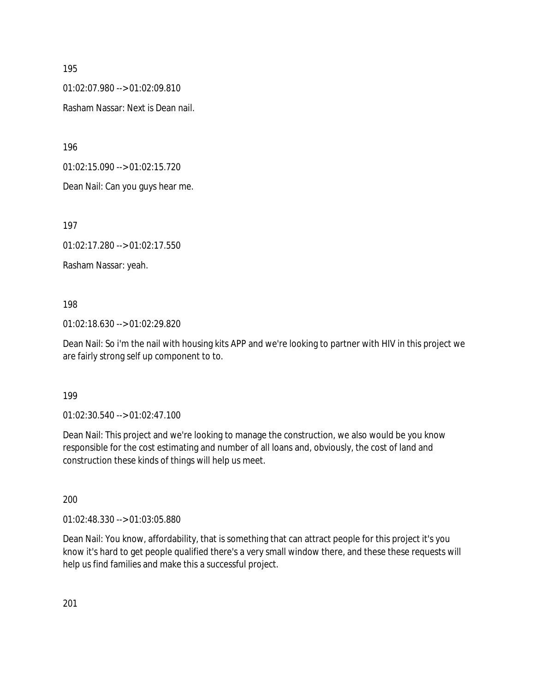01:02:07.980 --> 01:02:09.810

Rasham Nassar: Next is Dean nail.

196

01:02:15.090 --> 01:02:15.720

Dean Nail: Can you guys hear me.

197

01:02:17.280 --> 01:02:17.550

Rasham Nassar: yeah.

198

01:02:18.630 --> 01:02:29.820

Dean Nail: So i'm the nail with housing kits APP and we're looking to partner with HIV in this project we are fairly strong self up component to to.

199

01:02:30.540 --> 01:02:47.100

Dean Nail: This project and we're looking to manage the construction, we also would be you know responsible for the cost estimating and number of all loans and, obviously, the cost of land and construction these kinds of things will help us meet.

200

01:02:48.330 --> 01:03:05.880

Dean Nail: You know, affordability, that is something that can attract people for this project it's you know it's hard to get people qualified there's a very small window there, and these these requests will help us find families and make this a successful project.

201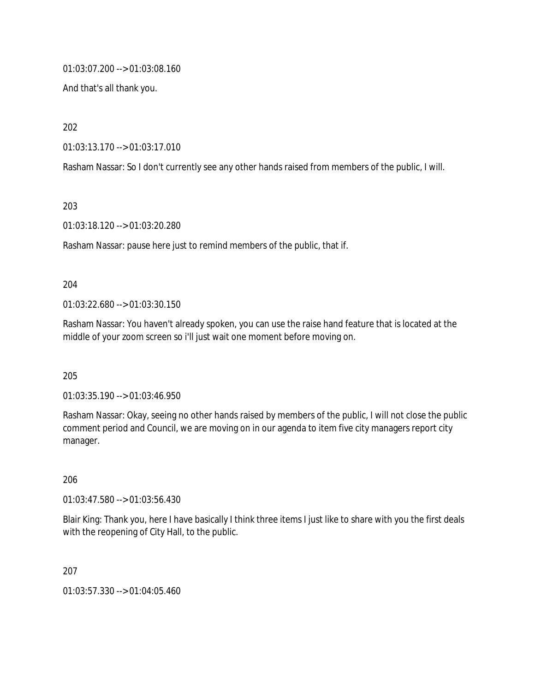01:03:07.200 --> 01:03:08.160

And that's all thank you.

202

01:03:13.170 --> 01:03:17.010

Rasham Nassar: So I don't currently see any other hands raised from members of the public, I will.

203

01:03:18.120 --> 01:03:20.280

Rasham Nassar: pause here just to remind members of the public, that if.

#### 204

01:03:22.680 --> 01:03:30.150

Rasham Nassar: You haven't already spoken, you can use the raise hand feature that is located at the middle of your zoom screen so i'll just wait one moment before moving on.

205

01:03:35.190 --> 01:03:46.950

Rasham Nassar: Okay, seeing no other hands raised by members of the public, I will not close the public comment period and Council, we are moving on in our agenda to item five city managers report city manager.

206

01:03:47.580 --> 01:03:56.430

Blair King: Thank you, here I have basically I think three items I just like to share with you the first deals with the reopening of City Hall, to the public.

207

01:03:57.330 --> 01:04:05.460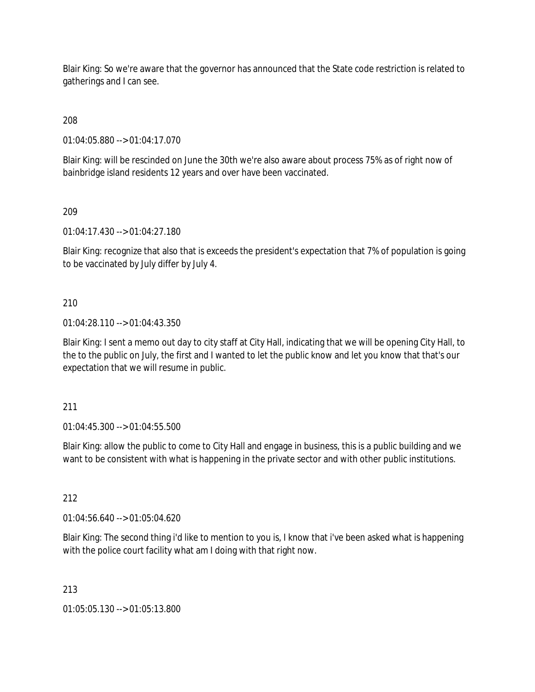Blair King: So we're aware that the governor has announced that the State code restriction is related to gatherings and I can see.

208

01:04:05.880 --> 01:04:17.070

Blair King: will be rescinded on June the 30th we're also aware about process 75% as of right now of bainbridge island residents 12 years and over have been vaccinated.

209

01:04:17.430 --> 01:04:27.180

Blair King: recognize that also that is exceeds the president's expectation that 7% of population is going to be vaccinated by July differ by July 4.

210

01:04:28.110 --> 01:04:43.350

Blair King: I sent a memo out day to city staff at City Hall, indicating that we will be opening City Hall, to the to the public on July, the first and I wanted to let the public know and let you know that that's our expectation that we will resume in public.

211

01:04:45.300 --> 01:04:55.500

Blair King: allow the public to come to City Hall and engage in business, this is a public building and we want to be consistent with what is happening in the private sector and with other public institutions.

212

01:04:56.640 --> 01:05:04.620

Blair King: The second thing i'd like to mention to you is, I know that i've been asked what is happening with the police court facility what am I doing with that right now.

213

01:05:05.130 --> 01:05:13.800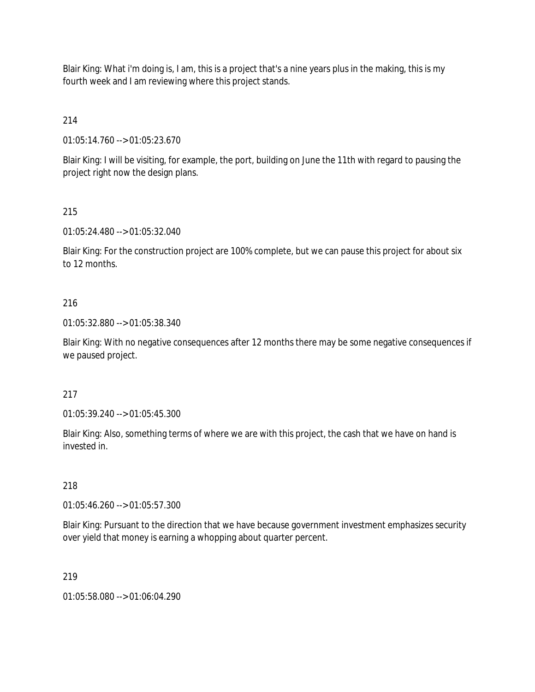Blair King: What i'm doing is, I am, this is a project that's a nine years plus in the making, this is my fourth week and I am reviewing where this project stands.

214

01:05:14.760 --> 01:05:23.670

Blair King: I will be visiting, for example, the port, building on June the 11th with regard to pausing the project right now the design plans.

## 215

01:05:24.480 --> 01:05:32.040

Blair King: For the construction project are 100% complete, but we can pause this project for about six to 12 months.

## 216

01:05:32.880 --> 01:05:38.340

Blair King: With no negative consequences after 12 months there may be some negative consequences if we paused project.

### 217

01:05:39.240 --> 01:05:45.300

Blair King: Also, something terms of where we are with this project, the cash that we have on hand is invested in.

### 218

01:05:46.260 --> 01:05:57.300

Blair King: Pursuant to the direction that we have because government investment emphasizes security over yield that money is earning a whopping about quarter percent.

## 219

01:05:58.080 --> 01:06:04.290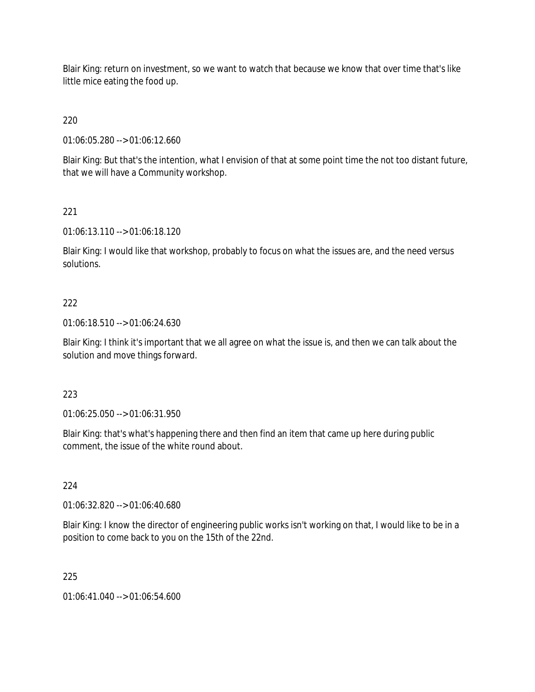Blair King: return on investment, so we want to watch that because we know that over time that's like little mice eating the food up.

220

01:06:05.280 --> 01:06:12.660

Blair King: But that's the intention, what I envision of that at some point time the not too distant future, that we will have a Community workshop.

# 221

01:06:13.110 --> 01:06:18.120

Blair King: I would like that workshop, probably to focus on what the issues are, and the need versus solutions.

## 222

01:06:18.510 --> 01:06:24.630

Blair King: I think it's important that we all agree on what the issue is, and then we can talk about the solution and move things forward.

## 223

01:06:25.050 --> 01:06:31.950

Blair King: that's what's happening there and then find an item that came up here during public comment, the issue of the white round about.

## 224

01:06:32.820 --> 01:06:40.680

Blair King: I know the director of engineering public works isn't working on that, I would like to be in a position to come back to you on the 15th of the 22nd.

## 225

01:06:41.040 --> 01:06:54.600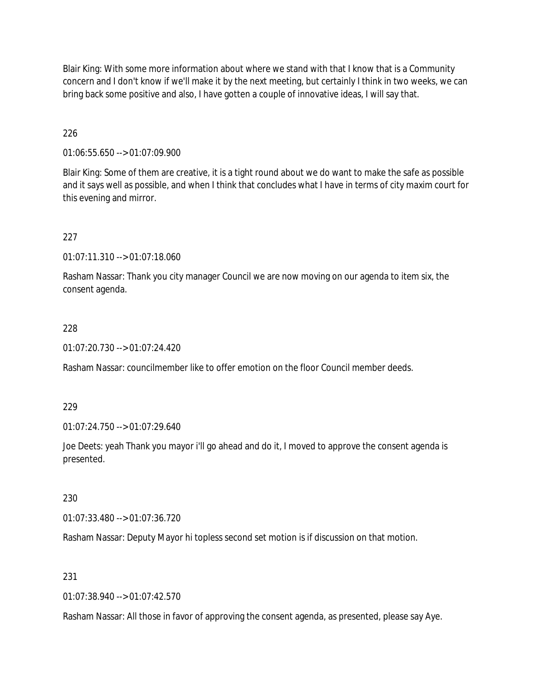Blair King: With some more information about where we stand with that I know that is a Community concern and I don't know if we'll make it by the next meeting, but certainly I think in two weeks, we can bring back some positive and also, I have gotten a couple of innovative ideas, I will say that.

## 226

01:06:55.650 --> 01:07:09.900

Blair King: Some of them are creative, it is a tight round about we do want to make the safe as possible and it says well as possible, and when I think that concludes what I have in terms of city maxim court for this evening and mirror.

## 227

01:07:11.310 --> 01:07:18.060

Rasham Nassar: Thank you city manager Council we are now moving on our agenda to item six, the consent agenda.

### 228

01:07:20.730 --> 01:07:24.420

Rasham Nassar: councilmember like to offer emotion on the floor Council member deeds.

### 229

01:07:24.750 --> 01:07:29.640

Joe Deets: yeah Thank you mayor i'll go ahead and do it, I moved to approve the consent agenda is presented.

# 230

01:07:33.480 --> 01:07:36.720

Rasham Nassar: Deputy Mayor hi topless second set motion is if discussion on that motion.

## 231

01:07:38.940 --> 01:07:42.570

Rasham Nassar: All those in favor of approving the consent agenda, as presented, please say Aye.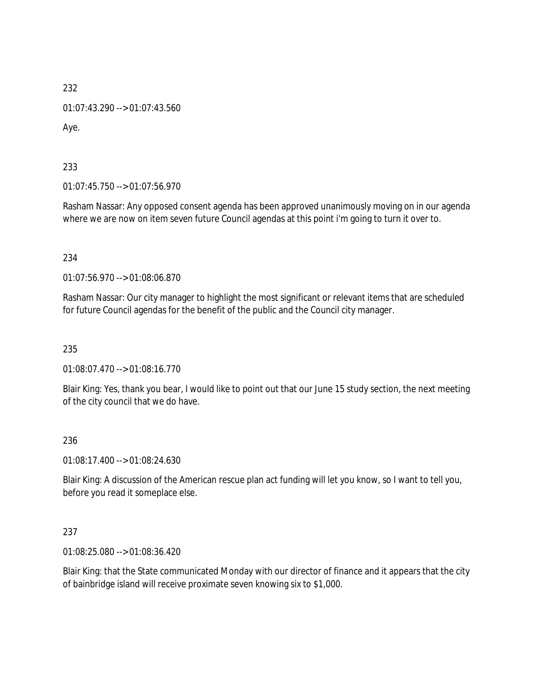01:07:43.290 --> 01:07:43.560

Aye.

233

01:07:45.750 --> 01:07:56.970

Rasham Nassar: Any opposed consent agenda has been approved unanimously moving on in our agenda where we are now on item seven future Council agendas at this point i'm going to turn it over to.

234

01:07:56.970 --> 01:08:06.870

Rasham Nassar: Our city manager to highlight the most significant or relevant items that are scheduled for future Council agendas for the benefit of the public and the Council city manager.

235

01:08:07.470 --> 01:08:16.770

Blair King: Yes, thank you bear, I would like to point out that our June 15 study section, the next meeting of the city council that we do have.

236

01:08:17.400 --> 01:08:24.630

Blair King: A discussion of the American rescue plan act funding will let you know, so I want to tell you, before you read it someplace else.

237

01:08:25.080 --> 01:08:36.420

Blair King: that the State communicated Monday with our director of finance and it appears that the city of bainbridge island will receive proximate seven knowing six to \$1,000.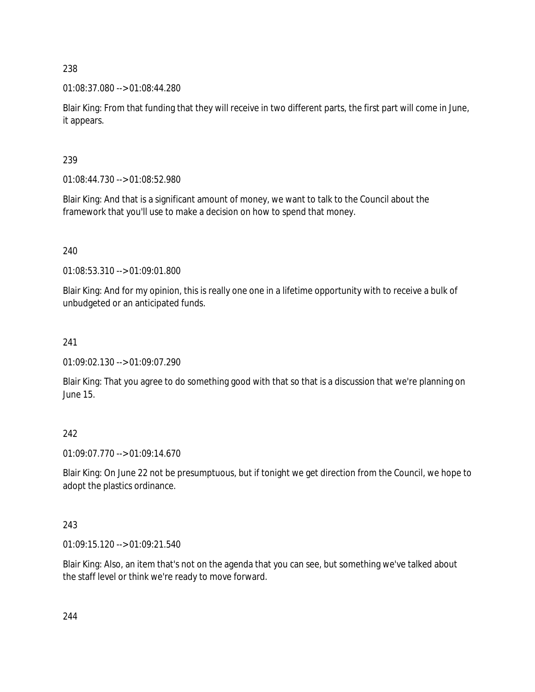01:08:37.080 --> 01:08:44.280

Blair King: From that funding that they will receive in two different parts, the first part will come in June, it appears.

# 239

01:08:44.730 --> 01:08:52.980

Blair King: And that is a significant amount of money, we want to talk to the Council about the framework that you'll use to make a decision on how to spend that money.

# 240

01:08:53.310 --> 01:09:01.800

Blair King: And for my opinion, this is really one one in a lifetime opportunity with to receive a bulk of unbudgeted or an anticipated funds.

# 241

01:09:02.130 --> 01:09:07.290

Blair King: That you agree to do something good with that so that is a discussion that we're planning on June 15.

## 242

01:09:07.770 --> 01:09:14.670

Blair King: On June 22 not be presumptuous, but if tonight we get direction from the Council, we hope to adopt the plastics ordinance.

## 243

01:09:15.120 --> 01:09:21.540

Blair King: Also, an item that's not on the agenda that you can see, but something we've talked about the staff level or think we're ready to move forward.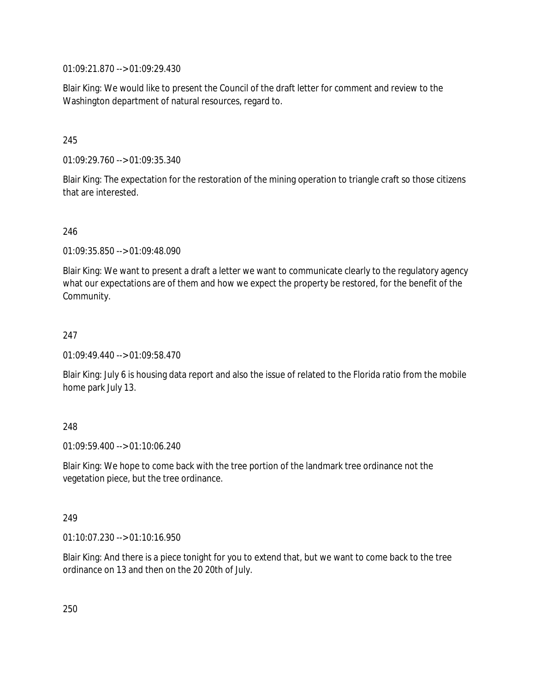01:09:21.870 --> 01:09:29.430

Blair King: We would like to present the Council of the draft letter for comment and review to the Washington department of natural resources, regard to.

### 245

01:09:29.760 --> 01:09:35.340

Blair King: The expectation for the restoration of the mining operation to triangle craft so those citizens that are interested.

### 246

01:09:35.850 --> 01:09:48.090

Blair King: We want to present a draft a letter we want to communicate clearly to the regulatory agency what our expectations are of them and how we expect the property be restored, for the benefit of the Community.

### 247

01:09:49.440 --> 01:09:58.470

Blair King: July 6 is housing data report and also the issue of related to the Florida ratio from the mobile home park July 13.

### 248

01:09:59.400 --> 01:10:06.240

Blair King: We hope to come back with the tree portion of the landmark tree ordinance not the vegetation piece, but the tree ordinance.

### 249

01:10:07.230 --> 01:10:16.950

Blair King: And there is a piece tonight for you to extend that, but we want to come back to the tree ordinance on 13 and then on the 20 20th of July.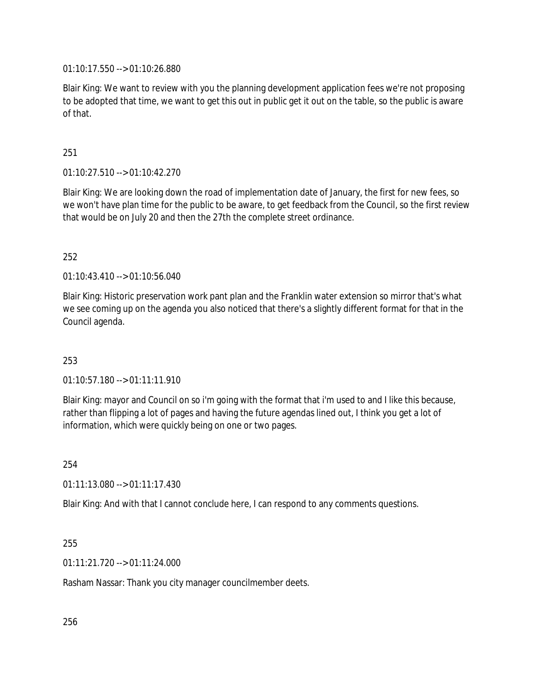01:10:17.550 --> 01:10:26.880

Blair King: We want to review with you the planning development application fees we're not proposing to be adopted that time, we want to get this out in public get it out on the table, so the public is aware of that.

251

01:10:27.510 --> 01:10:42.270

Blair King: We are looking down the road of implementation date of January, the first for new fees, so we won't have plan time for the public to be aware, to get feedback from the Council, so the first review that would be on July 20 and then the 27th the complete street ordinance.

252

01:10:43.410 --> 01:10:56.040

Blair King: Historic preservation work pant plan and the Franklin water extension so mirror that's what we see coming up on the agenda you also noticed that there's a slightly different format for that in the Council agenda.

253

01:10:57.180 --> 01:11:11.910

Blair King: mayor and Council on so i'm going with the format that i'm used to and I like this because, rather than flipping a lot of pages and having the future agendas lined out, I think you get a lot of information, which were quickly being on one or two pages.

254

01:11:13.080 --> 01:11:17.430

Blair King: And with that I cannot conclude here, I can respond to any comments questions.

255

01:11:21.720 --> 01:11:24.000

Rasham Nassar: Thank you city manager councilmember deets.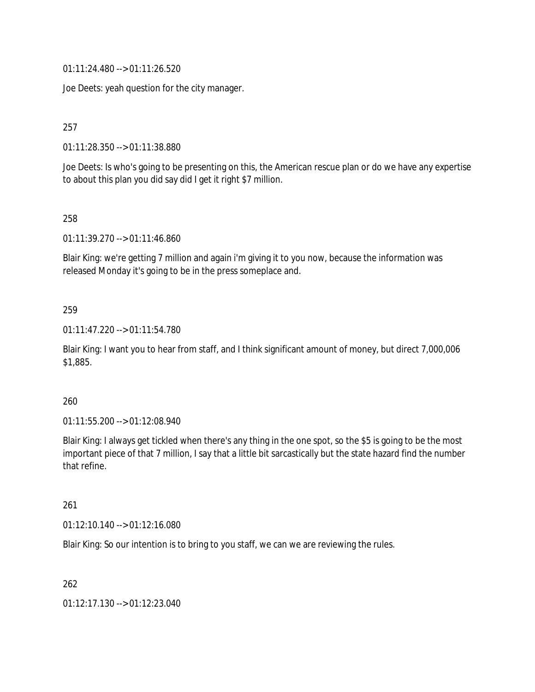01:11:24.480 --> 01:11:26.520

Joe Deets: yeah question for the city manager.

257

01:11:28.350 --> 01:11:38.880

Joe Deets: Is who's going to be presenting on this, the American rescue plan or do we have any expertise to about this plan you did say did I get it right \$7 million.

258

01:11:39.270 --> 01:11:46.860

Blair King: we're getting 7 million and again i'm giving it to you now, because the information was released Monday it's going to be in the press someplace and.

#### 259

01:11:47.220 --> 01:11:54.780

Blair King: I want you to hear from staff, and I think significant amount of money, but direct 7,000,006 \$1,885.

#### 260

01:11:55.200 --> 01:12:08.940

Blair King: I always get tickled when there's any thing in the one spot, so the \$5 is going to be the most important piece of that 7 million, I say that a little bit sarcastically but the state hazard find the number that refine.

#### 261

01:12:10.140 --> 01:12:16.080

Blair King: So our intention is to bring to you staff, we can we are reviewing the rules.

262

01:12:17.130 --> 01:12:23.040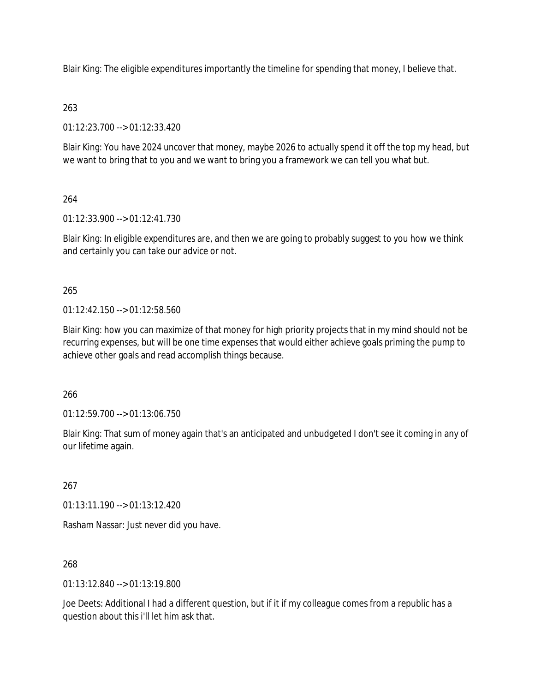Blair King: The eligible expenditures importantly the timeline for spending that money, I believe that.

## 263

01:12:23.700 --> 01:12:33.420

Blair King: You have 2024 uncover that money, maybe 2026 to actually spend it off the top my head, but we want to bring that to you and we want to bring you a framework we can tell you what but.

# 264

01:12:33.900 --> 01:12:41.730

Blair King: In eligible expenditures are, and then we are going to probably suggest to you how we think and certainly you can take our advice or not.

## 265

01:12:42.150 --> 01:12:58.560

Blair King: how you can maximize of that money for high priority projects that in my mind should not be recurring expenses, but will be one time expenses that would either achieve goals priming the pump to achieve other goals and read accomplish things because.

266

01:12:59.700 --> 01:13:06.750

Blair King: That sum of money again that's an anticipated and unbudgeted I don't see it coming in any of our lifetime again.

## 267

01:13:11.190 --> 01:13:12.420

Rasham Nassar: Just never did you have.

## 268

01:13:12.840 --> 01:13:19.800

Joe Deets: Additional I had a different question, but if it if my colleague comes from a republic has a question about this i'll let him ask that.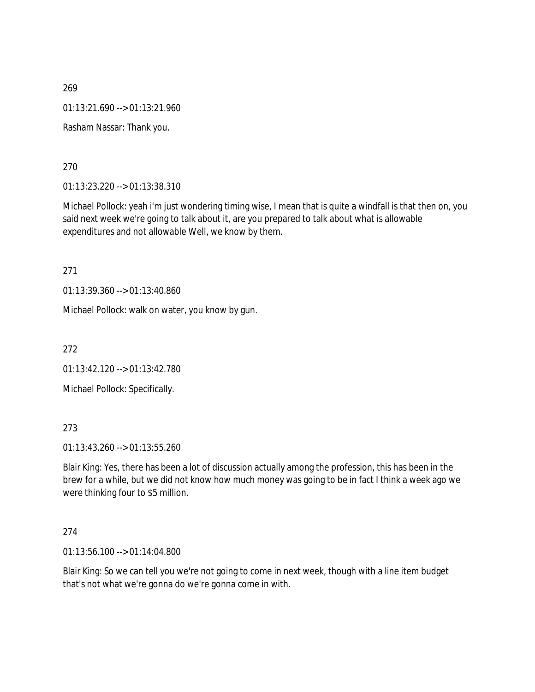01:13:21.690 --> 01:13:21.960

Rasham Nassar: Thank you.

270

01:13:23.220 --> 01:13:38.310

Michael Pollock: yeah i'm just wondering timing wise, I mean that is quite a windfall is that then on, you said next week we're going to talk about it, are you prepared to talk about what is allowable expenditures and not allowable Well, we know by them.

271

01:13:39.360 --> 01:13:40.860

Michael Pollock: walk on water, you know by gun.

272

01:13:42.120 --> 01:13:42.780

Michael Pollock: Specifically.

### 273

01:13:43.260 --> 01:13:55.260

Blair King: Yes, there has been a lot of discussion actually among the profession, this has been in the brew for a while, but we did not know how much money was going to be in fact I think a week ago we were thinking four to \$5 million.

#### 274

01:13:56.100 --> 01:14:04.800

Blair King: So we can tell you we're not going to come in next week, though with a line item budget that's not what we're gonna do we're gonna come in with.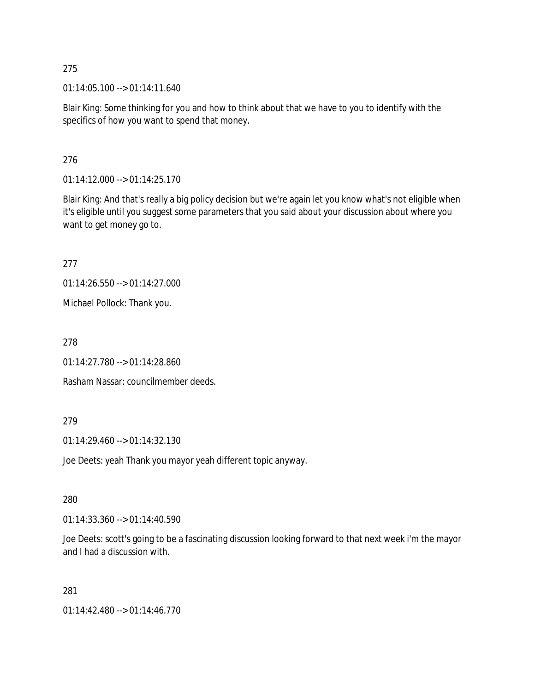01:14:05.100 --> 01:14:11.640

Blair King: Some thinking for you and how to think about that we have to you to identify with the specifics of how you want to spend that money.

276

01:14:12.000 --> 01:14:25.170

Blair King: And that's really a big policy decision but we're again let you know what's not eligible when it's eligible until you suggest some parameters that you said about your discussion about where you want to get money go to.

277

01:14:26.550 --> 01:14:27.000

Michael Pollock: Thank you.

278

01:14:27.780 --> 01:14:28.860

Rasham Nassar: councilmember deeds.

### 279

01:14:29.460 --> 01:14:32.130

Joe Deets: yeah Thank you mayor yeah different topic anyway.

280

01:14:33.360 --> 01:14:40.590

Joe Deets: scott's going to be a fascinating discussion looking forward to that next week i'm the mayor and I had a discussion with.

281

01:14:42.480 --> 01:14:46.770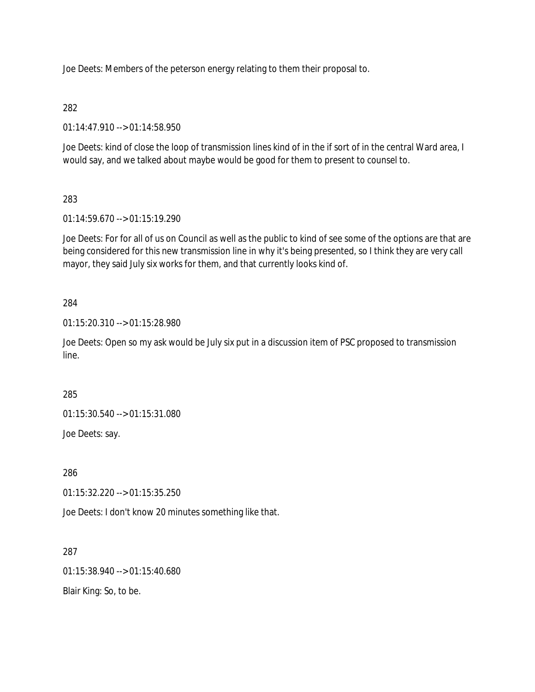Joe Deets: Members of the peterson energy relating to them their proposal to.

# 282

01:14:47.910 --> 01:14:58.950

Joe Deets: kind of close the loop of transmission lines kind of in the if sort of in the central Ward area, I would say, and we talked about maybe would be good for them to present to counsel to.

# 283

01:14:59.670 --> 01:15:19.290

Joe Deets: For for all of us on Council as well as the public to kind of see some of the options are that are being considered for this new transmission line in why it's being presented, so I think they are very call mayor, they said July six works for them, and that currently looks kind of.

# 284

01:15:20.310 --> 01:15:28.980

Joe Deets: Open so my ask would be July six put in a discussion item of PSC proposed to transmission line.

## 285

01:15:30.540 --> 01:15:31.080

Joe Deets: say.

## 286

01:15:32.220 --> 01:15:35.250

Joe Deets: I don't know 20 minutes something like that.

287

01:15:38.940 --> 01:15:40.680

Blair King: So, to be.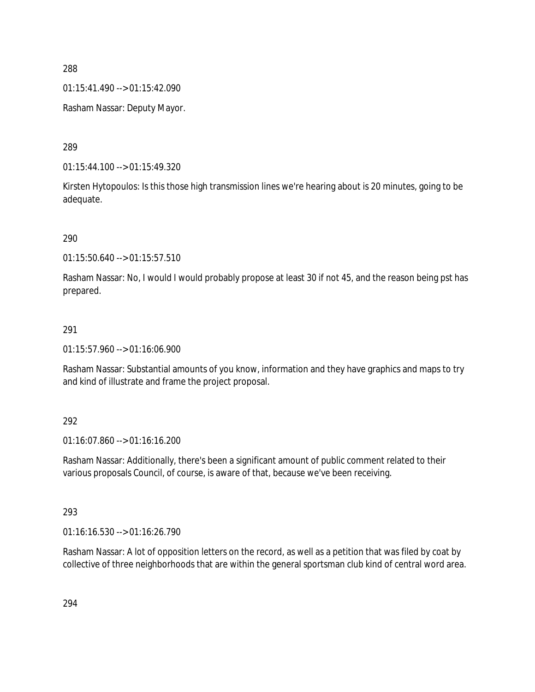01:15:41.490 --> 01:15:42.090

Rasham Nassar: Deputy Mayor.

289

01:15:44.100 --> 01:15:49.320

Kirsten Hytopoulos: Is this those high transmission lines we're hearing about is 20 minutes, going to be adequate.

290

01:15:50.640 --> 01:15:57.510

Rasham Nassar: No, I would I would probably propose at least 30 if not 45, and the reason being pst has prepared.

#### 291

01:15:57.960 --> 01:16:06.900

Rasham Nassar: Substantial amounts of you know, information and they have graphics and maps to try and kind of illustrate and frame the project proposal.

### 292

01:16:07.860 --> 01:16:16.200

Rasham Nassar: Additionally, there's been a significant amount of public comment related to their various proposals Council, of course, is aware of that, because we've been receiving.

### 293

01:16:16.530 --> 01:16:26.790

Rasham Nassar: A lot of opposition letters on the record, as well as a petition that was filed by coat by collective of three neighborhoods that are within the general sportsman club kind of central word area.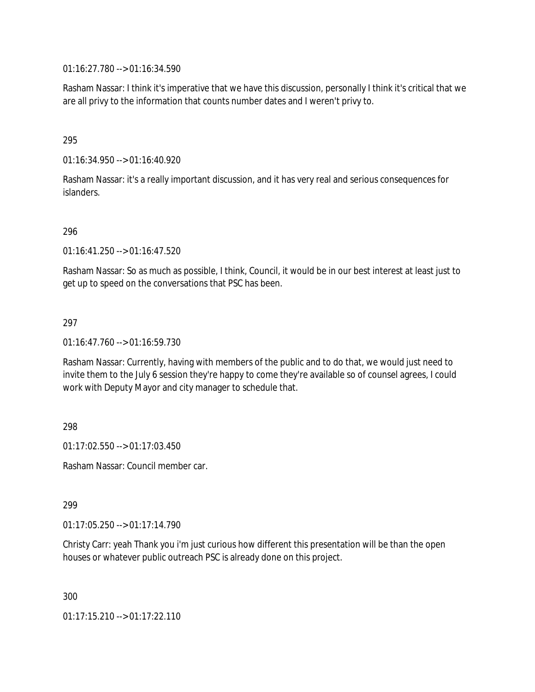01:16:27.780 --> 01:16:34.590

Rasham Nassar: I think it's imperative that we have this discussion, personally I think it's critical that we are all privy to the information that counts number dates and I weren't privy to.

### 295

01:16:34.950 --> 01:16:40.920

Rasham Nassar: it's a really important discussion, and it has very real and serious consequences for islanders.

### 296

01:16:41.250 --> 01:16:47.520

Rasham Nassar: So as much as possible, I think, Council, it would be in our best interest at least just to get up to speed on the conversations that PSC has been.

#### 297

01:16:47.760 --> 01:16:59.730

Rasham Nassar: Currently, having with members of the public and to do that, we would just need to invite them to the July 6 session they're happy to come they're available so of counsel agrees, I could work with Deputy Mayor and city manager to schedule that.

298

01:17:02.550 --> 01:17:03.450

Rasham Nassar: Council member car.

299

01:17:05.250 --> 01:17:14.790

Christy Carr: yeah Thank you i'm just curious how different this presentation will be than the open houses or whatever public outreach PSC is already done on this project.

300

01:17:15.210 --> 01:17:22.110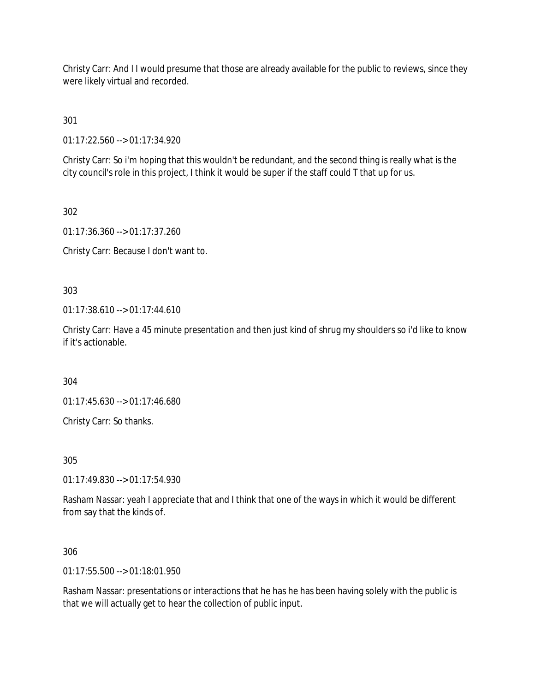Christy Carr: And I I would presume that those are already available for the public to reviews, since they were likely virtual and recorded.

301

01:17:22.560 --> 01:17:34.920

Christy Carr: So i'm hoping that this wouldn't be redundant, and the second thing is really what is the city council's role in this project, I think it would be super if the staff could T that up for us.

302

01:17:36.360 --> 01:17:37.260

Christy Carr: Because I don't want to.

303

01:17:38.610 --> 01:17:44.610

Christy Carr: Have a 45 minute presentation and then just kind of shrug my shoulders so i'd like to know if it's actionable.

304

01:17:45.630 --> 01:17:46.680

Christy Carr: So thanks.

305

01:17:49.830 --> 01:17:54.930

Rasham Nassar: yeah I appreciate that and I think that one of the ways in which it would be different from say that the kinds of.

306

01:17:55.500 --> 01:18:01.950

Rasham Nassar: presentations or interactions that he has he has been having solely with the public is that we will actually get to hear the collection of public input.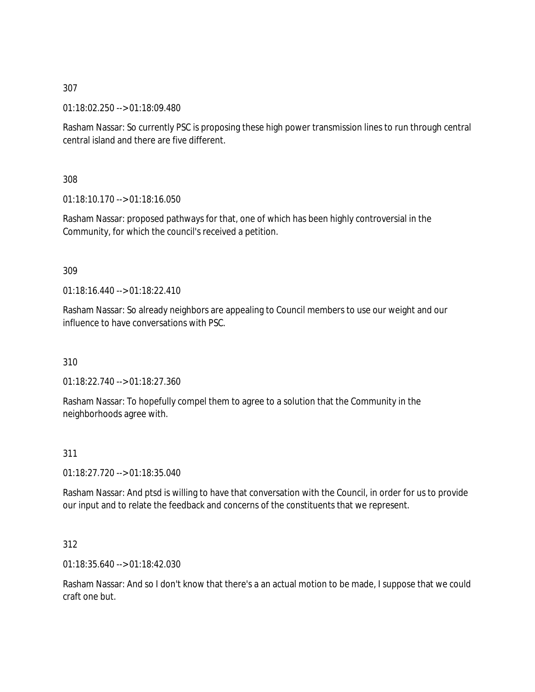01:18:02.250 --> 01:18:09.480

Rasham Nassar: So currently PSC is proposing these high power transmission lines to run through central central island and there are five different.

308

01:18:10.170 --> 01:18:16.050

Rasham Nassar: proposed pathways for that, one of which has been highly controversial in the Community, for which the council's received a petition.

309

01:18:16.440 --> 01:18:22.410

Rasham Nassar: So already neighbors are appealing to Council members to use our weight and our influence to have conversations with PSC.

310

01:18:22.740 --> 01:18:27.360

Rasham Nassar: To hopefully compel them to agree to a solution that the Community in the neighborhoods agree with.

311

01:18:27.720 --> 01:18:35.040

Rasham Nassar: And ptsd is willing to have that conversation with the Council, in order for us to provide our input and to relate the feedback and concerns of the constituents that we represent.

312

01:18:35.640 --> 01:18:42.030

Rasham Nassar: And so I don't know that there's a an actual motion to be made, I suppose that we could craft one but.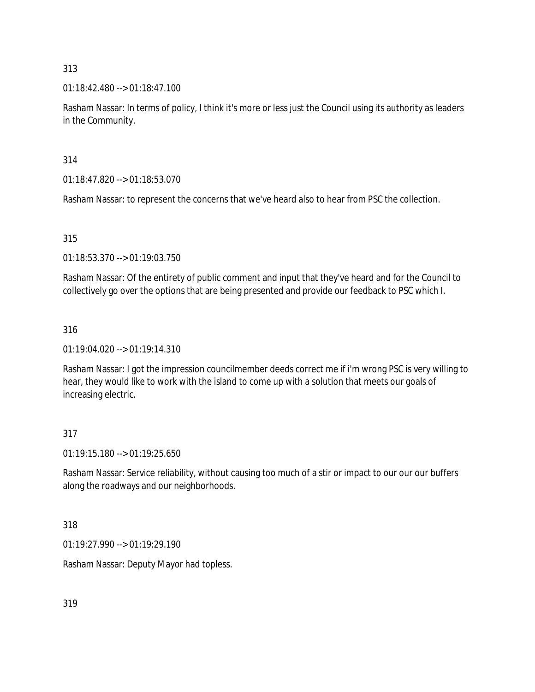01:18:42.480 --> 01:18:47.100

Rasham Nassar: In terms of policy, I think it's more or less just the Council using its authority as leaders in the Community.

314

01:18:47.820 --> 01:18:53.070

Rasham Nassar: to represent the concerns that we've heard also to hear from PSC the collection.

315

01:18:53.370 --> 01:19:03.750

Rasham Nassar: Of the entirety of public comment and input that they've heard and for the Council to collectively go over the options that are being presented and provide our feedback to PSC which I.

### 316

01:19:04.020 --> 01:19:14.310

Rasham Nassar: I got the impression councilmember deeds correct me if i'm wrong PSC is very willing to hear, they would like to work with the island to come up with a solution that meets our goals of increasing electric.

## 317

01:19:15.180 --> 01:19:25.650

Rasham Nassar: Service reliability, without causing too much of a stir or impact to our our our buffers along the roadways and our neighborhoods.

318

01:19:27.990 --> 01:19:29.190

Rasham Nassar: Deputy Mayor had topless.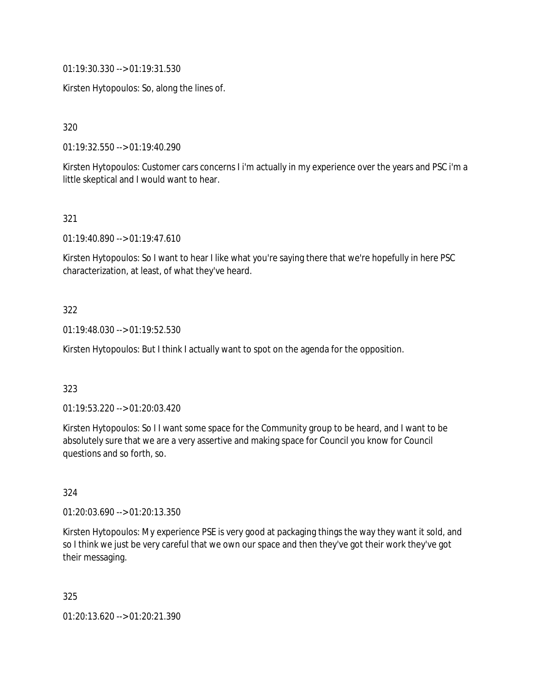01:19:30.330 --> 01:19:31.530

Kirsten Hytopoulos: So, along the lines of.

320

01:19:32.550 --> 01:19:40.290

Kirsten Hytopoulos: Customer cars concerns I i'm actually in my experience over the years and PSC i'm a little skeptical and I would want to hear.

### 321

01:19:40.890 --> 01:19:47.610

Kirsten Hytopoulos: So I want to hear I like what you're saying there that we're hopefully in here PSC characterization, at least, of what they've heard.

### 322

01:19:48.030 --> 01:19:52.530

Kirsten Hytopoulos: But I think I actually want to spot on the agenda for the opposition.

### 323

01:19:53.220 --> 01:20:03.420

Kirsten Hytopoulos: So I I want some space for the Community group to be heard, and I want to be absolutely sure that we are a very assertive and making space for Council you know for Council questions and so forth, so.

### 324

01:20:03.690 --> 01:20:13.350

Kirsten Hytopoulos: My experience PSE is very good at packaging things the way they want it sold, and so I think we just be very careful that we own our space and then they've got their work they've got their messaging.

325

01:20:13.620 --> 01:20:21.390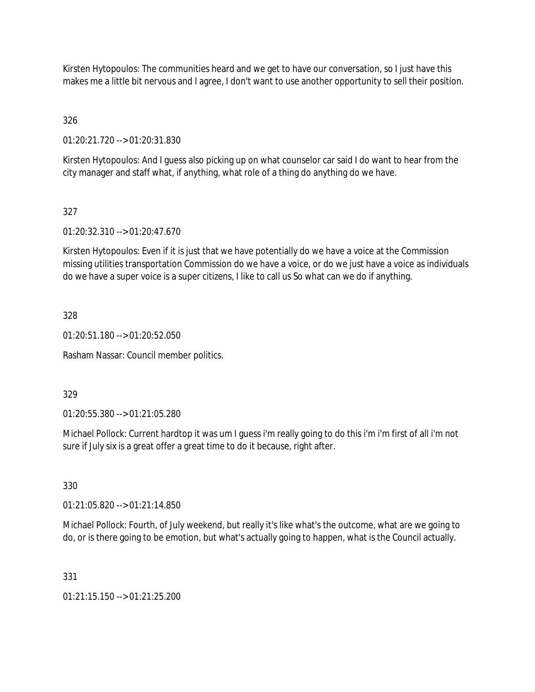Kirsten Hytopoulos: The communities heard and we get to have our conversation, so I just have this makes me a little bit nervous and I agree, I don't want to use another opportunity to sell their position.

326

01:20:21.720 --> 01:20:31.830

Kirsten Hytopoulos: And I guess also picking up on what counselor car said I do want to hear from the city manager and staff what, if anything, what role of a thing do anything do we have.

## 327

01:20:32.310 --> 01:20:47.670

Kirsten Hytopoulos: Even if it is just that we have potentially do we have a voice at the Commission missing utilities transportation Commission do we have a voice, or do we just have a voice as individuals do we have a super voice is a super citizens, I like to call us So what can we do if anything.

328

01:20:51.180 --> 01:20:52.050

Rasham Nassar: Council member politics.

329

01:20:55.380 --> 01:21:05.280

Michael Pollock: Current hardtop it was um I guess i'm really going to do this i'm i'm first of all i'm not sure if July six is a great offer a great time to do it because, right after.

330

01:21:05.820 --> 01:21:14.850

Michael Pollock: Fourth, of July weekend, but really it's like what's the outcome, what are we going to do, or is there going to be emotion, but what's actually going to happen, what is the Council actually.

331

01:21:15.150 --> 01:21:25.200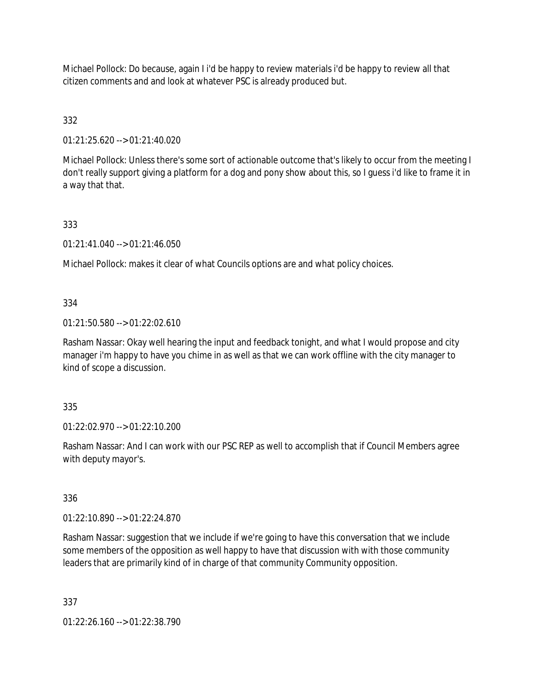Michael Pollock: Do because, again I i'd be happy to review materials i'd be happy to review all that citizen comments and and look at whatever PSC is already produced but.

# 332

01:21:25.620 --> 01:21:40.020

Michael Pollock: Unless there's some sort of actionable outcome that's likely to occur from the meeting I don't really support giving a platform for a dog and pony show about this, so I guess i'd like to frame it in a way that that.

## 333

01:21:41.040 --> 01:21:46.050

Michael Pollock: makes it clear of what Councils options are and what policy choices.

### 334

01:21:50.580 --> 01:22:02.610

Rasham Nassar: Okay well hearing the input and feedback tonight, and what I would propose and city manager i'm happy to have you chime in as well as that we can work offline with the city manager to kind of scope a discussion.

### 335

01:22:02.970 --> 01:22:10.200

Rasham Nassar: And I can work with our PSC REP as well to accomplish that if Council Members agree with deputy mayor's.

# 336

01:22:10.890 --> 01:22:24.870

Rasham Nassar: suggestion that we include if we're going to have this conversation that we include some members of the opposition as well happy to have that discussion with with those community leaders that are primarily kind of in charge of that community Community opposition.

337

01:22:26.160 --> 01:22:38.790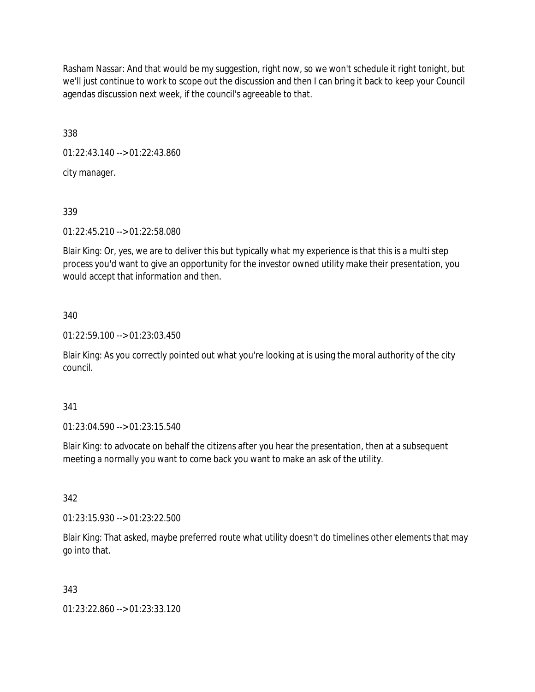Rasham Nassar: And that would be my suggestion, right now, so we won't schedule it right tonight, but we'll just continue to work to scope out the discussion and then I can bring it back to keep your Council agendas discussion next week, if the council's agreeable to that.

338

01:22:43.140 --> 01:22:43.860

city manager.

339

01:22:45.210 --> 01:22:58.080

Blair King: Or, yes, we are to deliver this but typically what my experience is that this is a multi step process you'd want to give an opportunity for the investor owned utility make their presentation, you would accept that information and then.

### 340

01:22:59.100 --> 01:23:03.450

Blair King: As you correctly pointed out what you're looking at is using the moral authority of the city council.

### 341

01:23:04.590 --> 01:23:15.540

Blair King: to advocate on behalf the citizens after you hear the presentation, then at a subsequent meeting a normally you want to come back you want to make an ask of the utility.

342

01:23:15.930 --> 01:23:22.500

Blair King: That asked, maybe preferred route what utility doesn't do timelines other elements that may go into that.

## 343

01:23:22.860 --> 01:23:33.120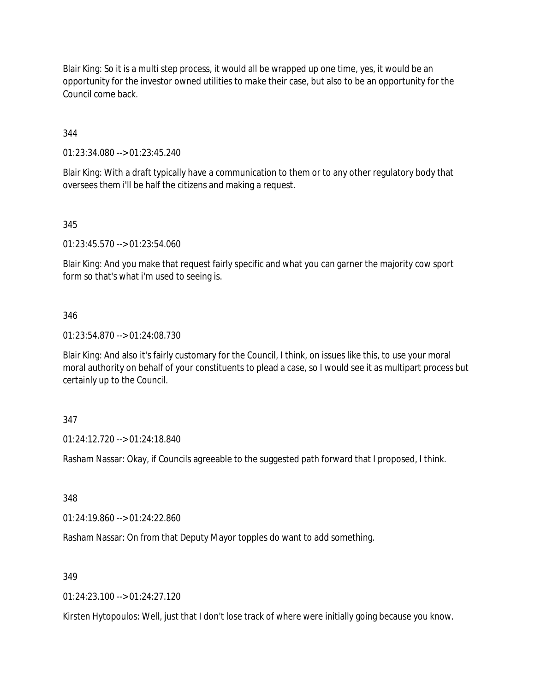Blair King: So it is a multi step process, it would all be wrapped up one time, yes, it would be an opportunity for the investor owned utilities to make their case, but also to be an opportunity for the Council come back.

344

01:23:34.080 --> 01:23:45.240

Blair King: With a draft typically have a communication to them or to any other regulatory body that oversees them i'll be half the citizens and making a request.

345

01:23:45.570 --> 01:23:54.060

Blair King: And you make that request fairly specific and what you can garner the majority cow sport form so that's what i'm used to seeing is.

### 346

01:23:54.870 --> 01:24:08.730

Blair King: And also it's fairly customary for the Council, I think, on issues like this, to use your moral moral authority on behalf of your constituents to plead a case, so I would see it as multipart process but certainly up to the Council.

### 347

01:24:12.720 --> 01:24:18.840

Rasham Nassar: Okay, if Councils agreeable to the suggested path forward that I proposed, I think.

348

01:24:19.860 --> 01:24:22.860

Rasham Nassar: On from that Deputy Mayor topples do want to add something.

349

01:24:23.100 --> 01:24:27.120

Kirsten Hytopoulos: Well, just that I don't lose track of where were initially going because you know.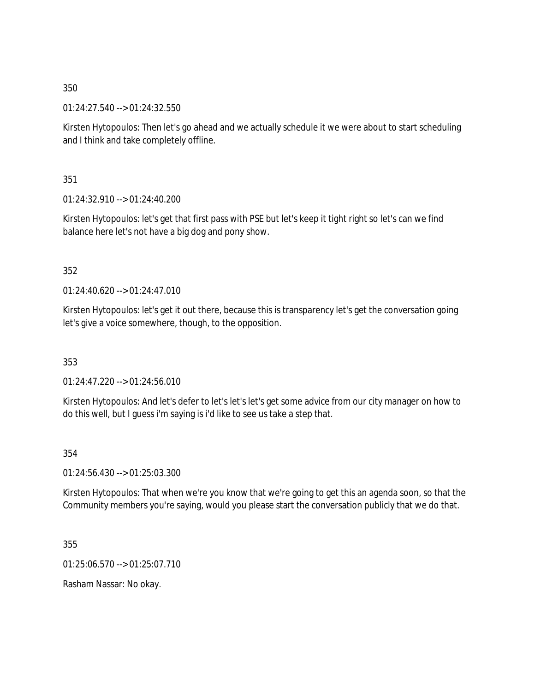01:24:27.540 --> 01:24:32.550

Kirsten Hytopoulos: Then let's go ahead and we actually schedule it we were about to start scheduling and I think and take completely offline.

351

01:24:32.910 --> 01:24:40.200

Kirsten Hytopoulos: let's get that first pass with PSE but let's keep it tight right so let's can we find balance here let's not have a big dog and pony show.

### 352

01:24:40.620 --> 01:24:47.010

Kirsten Hytopoulos: let's get it out there, because this is transparency let's get the conversation going let's give a voice somewhere, though, to the opposition.

353

01:24:47.220 --> 01:24:56.010

Kirsten Hytopoulos: And let's defer to let's let's let's get some advice from our city manager on how to do this well, but I guess i'm saying is i'd like to see us take a step that.

354

01:24:56.430 --> 01:25:03.300

Kirsten Hytopoulos: That when we're you know that we're going to get this an agenda soon, so that the Community members you're saying, would you please start the conversation publicly that we do that.

355

01:25:06.570 --> 01:25:07.710

Rasham Nassar: No okay.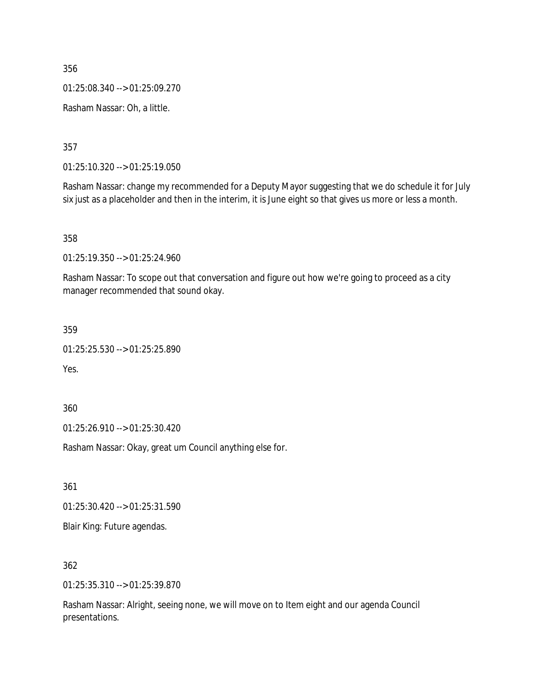01:25:08.340 --> 01:25:09.270

Rasham Nassar: Oh, a little.

357

01:25:10.320 --> 01:25:19.050

Rasham Nassar: change my recommended for a Deputy Mayor suggesting that we do schedule it for July six just as a placeholder and then in the interim, it is June eight so that gives us more or less a month.

358

01:25:19.350 --> 01:25:24.960

Rasham Nassar: To scope out that conversation and figure out how we're going to proceed as a city manager recommended that sound okay.

359

01:25:25.530 --> 01:25:25.890

Yes.

360

01:25:26.910 --> 01:25:30.420

Rasham Nassar: Okay, great um Council anything else for.

361

01:25:30.420 --> 01:25:31.590

Blair King: Future agendas.

362

01:25:35.310 --> 01:25:39.870

Rasham Nassar: Alright, seeing none, we will move on to Item eight and our agenda Council presentations.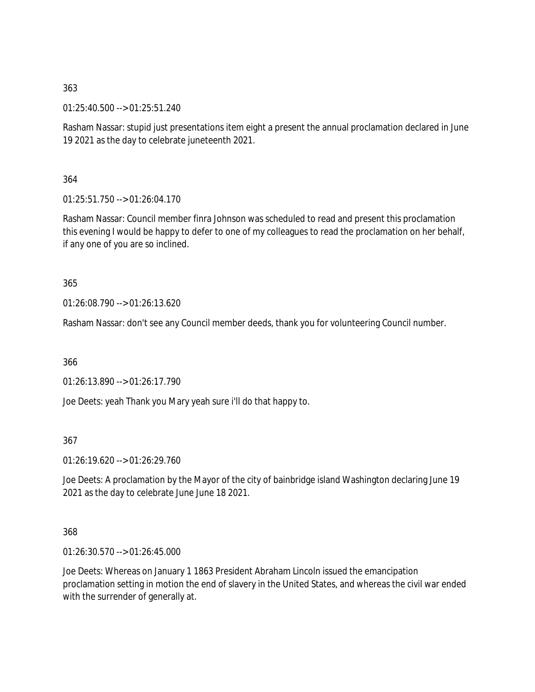01:25:40.500 --> 01:25:51.240

Rasham Nassar: stupid just presentations item eight a present the annual proclamation declared in June 19 2021 as the day to celebrate juneteenth 2021.

364

01:25:51.750 --> 01:26:04.170

Rasham Nassar: Council member finra Johnson was scheduled to read and present this proclamation this evening I would be happy to defer to one of my colleagues to read the proclamation on her behalf, if any one of you are so inclined.

365

01:26:08.790 --> 01:26:13.620

Rasham Nassar: don't see any Council member deeds, thank you for volunteering Council number.

366

01:26:13.890 --> 01:26:17.790

Joe Deets: yeah Thank you Mary yeah sure i'll do that happy to.

367

01:26:19.620 --> 01:26:29.760

Joe Deets: A proclamation by the Mayor of the city of bainbridge island Washington declaring June 19 2021 as the day to celebrate June June 18 2021.

368

01:26:30.570 --> 01:26:45.000

Joe Deets: Whereas on January 1 1863 President Abraham Lincoln issued the emancipation proclamation setting in motion the end of slavery in the United States, and whereas the civil war ended with the surrender of generally at.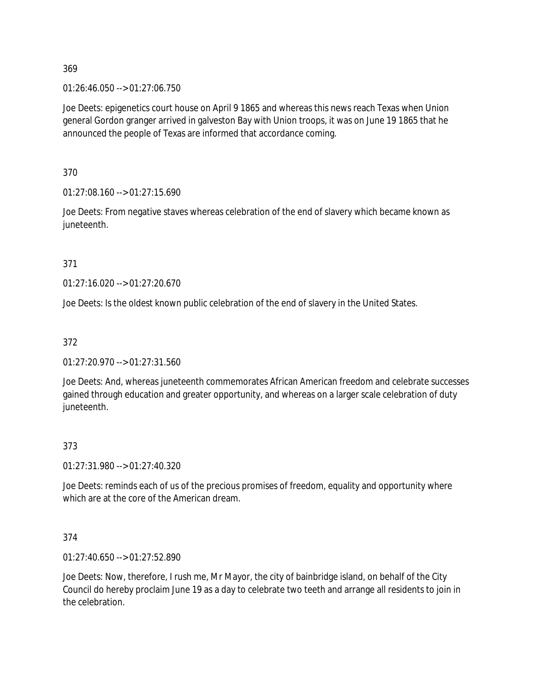01:26:46.050 --> 01:27:06.750

Joe Deets: epigenetics court house on April 9 1865 and whereas this news reach Texas when Union general Gordon granger arrived in galveston Bay with Union troops, it was on June 19 1865 that he announced the people of Texas are informed that accordance coming.

370

01:27:08.160 --> 01:27:15.690

Joe Deets: From negative staves whereas celebration of the end of slavery which became known as juneteenth.

371

01:27:16.020 --> 01:27:20.670

Joe Deets: Is the oldest known public celebration of the end of slavery in the United States.

### 372

01:27:20.970 --> 01:27:31.560

Joe Deets: And, whereas juneteenth commemorates African American freedom and celebrate successes gained through education and greater opportunity, and whereas on a larger scale celebration of duty juneteenth.

### 373

01:27:31.980 --> 01:27:40.320

Joe Deets: reminds each of us of the precious promises of freedom, equality and opportunity where which are at the core of the American dream.

### 374

01:27:40.650 --> 01:27:52.890

Joe Deets: Now, therefore, I rush me, Mr Mayor, the city of bainbridge island, on behalf of the City Council do hereby proclaim June 19 as a day to celebrate two teeth and arrange all residents to join in the celebration.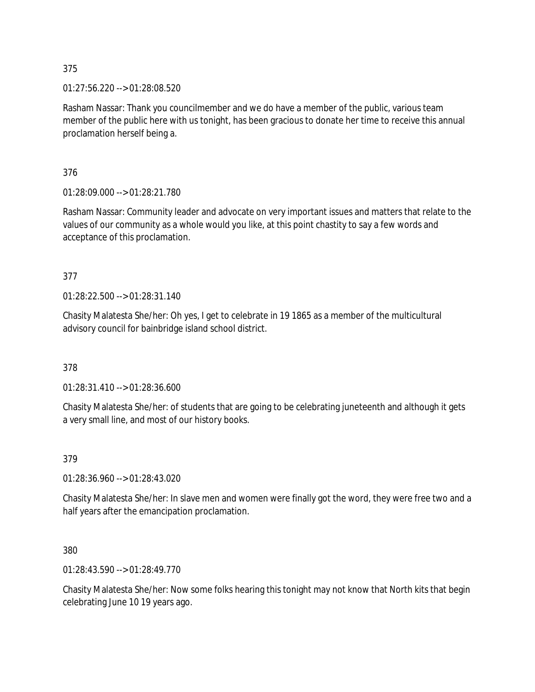01:27:56.220 --> 01:28:08.520

Rasham Nassar: Thank you councilmember and we do have a member of the public, various team member of the public here with us tonight, has been gracious to donate her time to receive this annual proclamation herself being a.

376

01:28:09.000 --> 01:28:21.780

Rasham Nassar: Community leader and advocate on very important issues and matters that relate to the values of our community as a whole would you like, at this point chastity to say a few words and acceptance of this proclamation.

377

01:28:22.500 --> 01:28:31.140

Chasity Malatesta She/her: Oh yes, I get to celebrate in 19 1865 as a member of the multicultural advisory council for bainbridge island school district.

378

01:28:31.410 --> 01:28:36.600

Chasity Malatesta She/her: of students that are going to be celebrating juneteenth and although it gets a very small line, and most of our history books.

379

01:28:36.960 --> 01:28:43.020

Chasity Malatesta She/her: In slave men and women were finally got the word, they were free two and a half years after the emancipation proclamation.

380

01:28:43.590 --> 01:28:49.770

Chasity Malatesta She/her: Now some folks hearing this tonight may not know that North kits that begin celebrating June 10 19 years ago.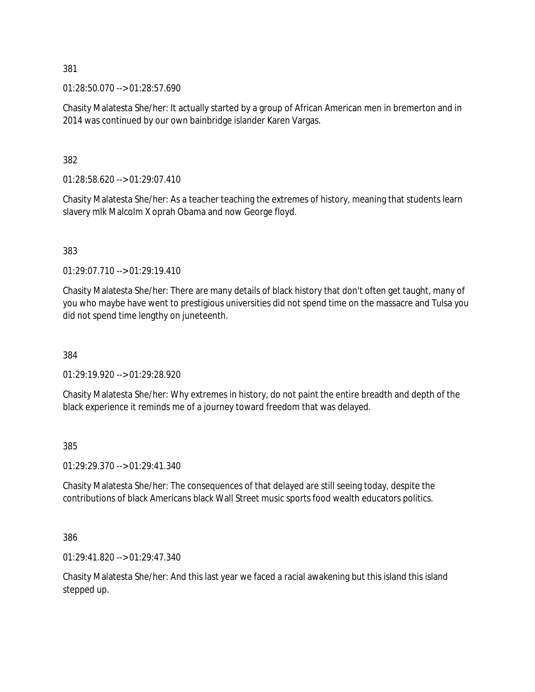01:28:50.070 --> 01:28:57.690

Chasity Malatesta She/her: It actually started by a group of African American men in bremerton and in 2014 was continued by our own bainbridge islander Karen Vargas.

382

01:28:58.620 --> 01:29:07.410

Chasity Malatesta She/her: As a teacher teaching the extremes of history, meaning that students learn slavery mlk Malcolm X oprah Obama and now George floyd.

383

01:29:07.710 --> 01:29:19.410

Chasity Malatesta She/her: There are many details of black history that don't often get taught, many of you who maybe have went to prestigious universities did not spend time on the massacre and Tulsa you did not spend time lengthy on juneteenth.

384

01:29:19.920 --> 01:29:28.920

Chasity Malatesta She/her: Why extremes in history, do not paint the entire breadth and depth of the black experience it reminds me of a journey toward freedom that was delayed.

385

01:29:29.370 --> 01:29:41.340

Chasity Malatesta She/her: The consequences of that delayed are still seeing today, despite the contributions of black Americans black Wall Street music sports food wealth educators politics.

386

01:29:41.820 --> 01:29:47.340

Chasity Malatesta She/her: And this last year we faced a racial awakening but this island this island stepped up.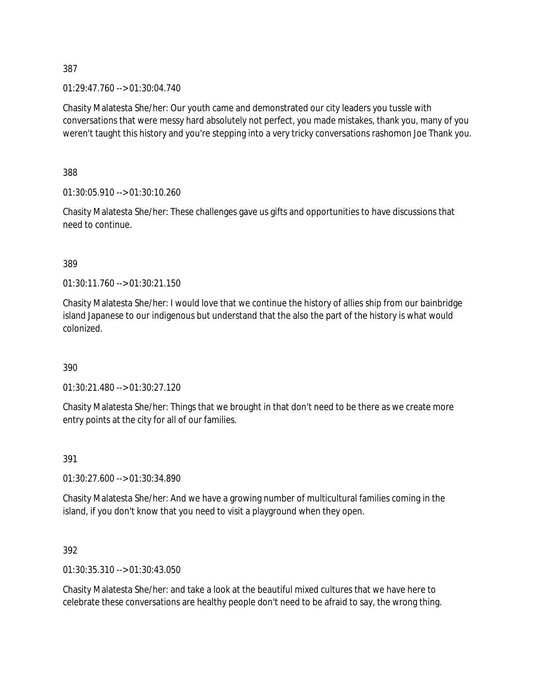01:29:47.760 --> 01:30:04.740

Chasity Malatesta She/her: Our youth came and demonstrated our city leaders you tussle with conversations that were messy hard absolutely not perfect, you made mistakes, thank you, many of you weren't taught this history and you're stepping into a very tricky conversations rashomon Joe Thank you.

388

01:30:05.910 --> 01:30:10.260

Chasity Malatesta She/her: These challenges gave us gifts and opportunities to have discussions that need to continue.

389

01:30:11.760 --> 01:30:21.150

Chasity Malatesta She/her: I would love that we continue the history of allies ship from our bainbridge island Japanese to our indigenous but understand that the also the part of the history is what would colonized.

390

01:30:21.480 --> 01:30:27.120

Chasity Malatesta She/her: Things that we brought in that don't need to be there as we create more entry points at the city for all of our families.

391

01:30:27.600 --> 01:30:34.890

Chasity Malatesta She/her: And we have a growing number of multicultural families coming in the island, if you don't know that you need to visit a playground when they open.

392

01:30:35.310 --> 01:30:43.050

Chasity Malatesta She/her: and take a look at the beautiful mixed cultures that we have here to celebrate these conversations are healthy people don't need to be afraid to say, the wrong thing.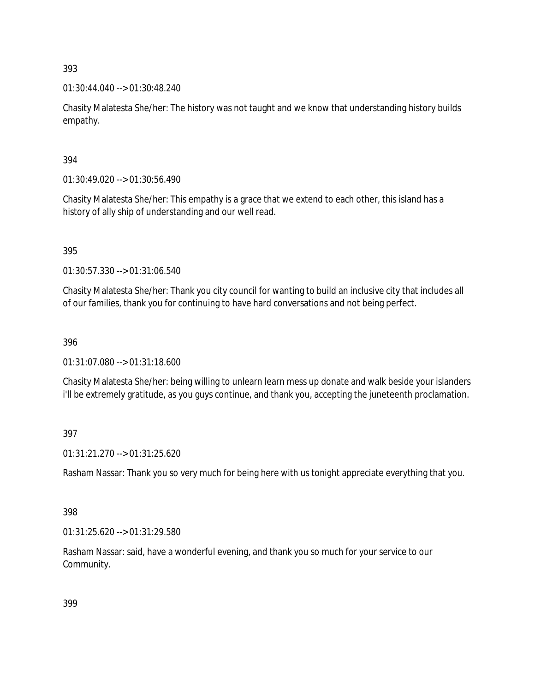01:30:44.040 --> 01:30:48.240

Chasity Malatesta She/her: The history was not taught and we know that understanding history builds empathy.

## 394

01:30:49.020 --> 01:30:56.490

Chasity Malatesta She/her: This empathy is a grace that we extend to each other, this island has a history of ally ship of understanding and our well read.

395

01:30:57.330 --> 01:31:06.540

Chasity Malatesta She/her: Thank you city council for wanting to build an inclusive city that includes all of our families, thank you for continuing to have hard conversations and not being perfect.

### 396

01:31:07.080 --> 01:31:18.600

Chasity Malatesta She/her: being willing to unlearn learn mess up donate and walk beside your islanders i'll be extremely gratitude, as you guys continue, and thank you, accepting the juneteenth proclamation.

## 397

01:31:21.270 --> 01:31:25.620

Rasham Nassar: Thank you so very much for being here with us tonight appreciate everything that you.

### 398

01:31:25.620 --> 01:31:29.580

Rasham Nassar: said, have a wonderful evening, and thank you so much for your service to our Community.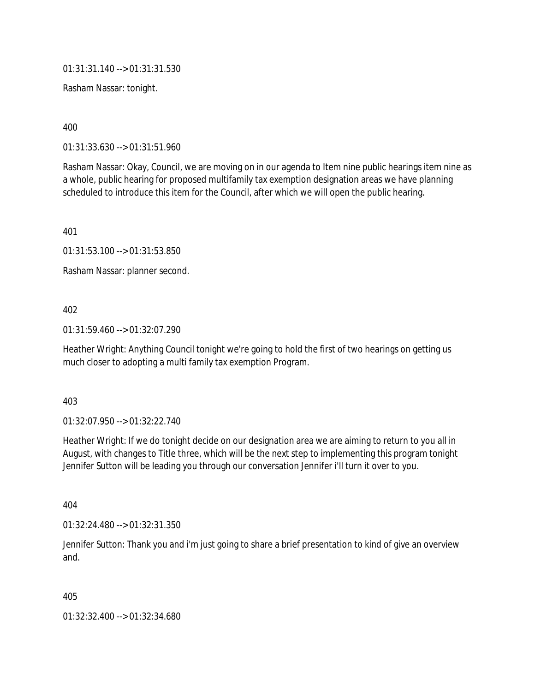01:31:31.140 --> 01:31:31.530

Rasham Nassar: tonight.

400

01:31:33.630 --> 01:31:51.960

Rasham Nassar: Okay, Council, we are moving on in our agenda to Item nine public hearings item nine as a whole, public hearing for proposed multifamily tax exemption designation areas we have planning scheduled to introduce this item for the Council, after which we will open the public hearing.

401

01:31:53.100 --> 01:31:53.850

Rasham Nassar: planner second.

402

01:31:59.460 --> 01:32:07.290

Heather Wright: Anything Council tonight we're going to hold the first of two hearings on getting us much closer to adopting a multi family tax exemption Program.

403

01:32:07.950 --> 01:32:22.740

Heather Wright: If we do tonight decide on our designation area we are aiming to return to you all in August, with changes to Title three, which will be the next step to implementing this program tonight Jennifer Sutton will be leading you through our conversation Jennifer i'll turn it over to you.

404

01:32:24.480 --> 01:32:31.350

Jennifer Sutton: Thank you and i'm just going to share a brief presentation to kind of give an overview and.

405

01:32:32.400 --> 01:32:34.680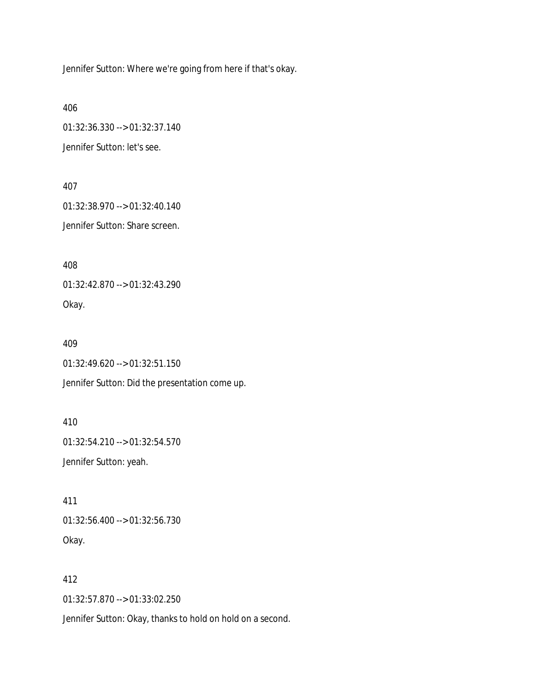Jennifer Sutton: Where we're going from here if that's okay.

406

01:32:36.330 --> 01:32:37.140

Jennifer Sutton: let's see.

407

01:32:38.970 --> 01:32:40.140 Jennifer Sutton: Share screen.

408

01:32:42.870 --> 01:32:43.290 Okay.

409

01:32:49.620 --> 01:32:51.150

Jennifer Sutton: Did the presentation come up.

410 01:32:54.210 --> 01:32:54.570 Jennifer Sutton: yeah.

411 01:32:56.400 --> 01:32:56.730 Okay.

412

01:32:57.870 --> 01:33:02.250

Jennifer Sutton: Okay, thanks to hold on hold on a second.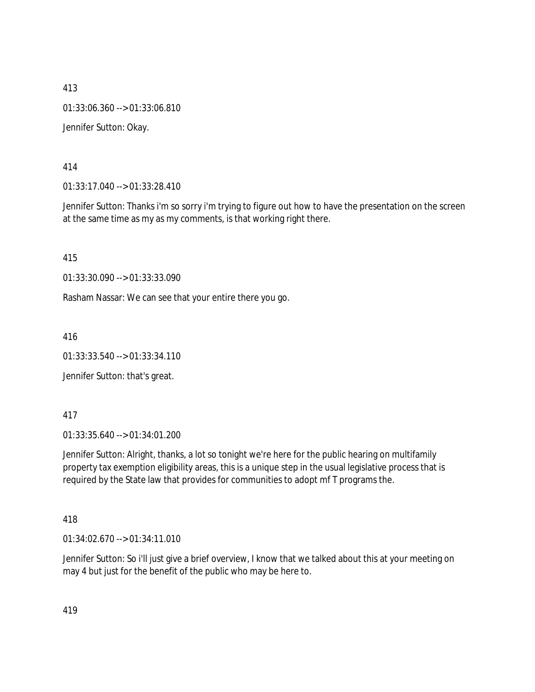413 01:33:06.360 --> 01:33:06.810 Jennifer Sutton: Okay.

414

01:33:17.040 --> 01:33:28.410

Jennifer Sutton: Thanks i'm so sorry i'm trying to figure out how to have the presentation on the screen at the same time as my as my comments, is that working right there.

415

01:33:30.090 --> 01:33:33.090

Rasham Nassar: We can see that your entire there you go.

416

01:33:33.540 --> 01:33:34.110

Jennifer Sutton: that's great.

417

01:33:35.640 --> 01:34:01.200

Jennifer Sutton: Alright, thanks, a lot so tonight we're here for the public hearing on multifamily property tax exemption eligibility areas, this is a unique step in the usual legislative process that is required by the State law that provides for communities to adopt mf T programs the.

418

01:34:02.670 --> 01:34:11.010

Jennifer Sutton: So i'll just give a brief overview, I know that we talked about this at your meeting on may 4 but just for the benefit of the public who may be here to.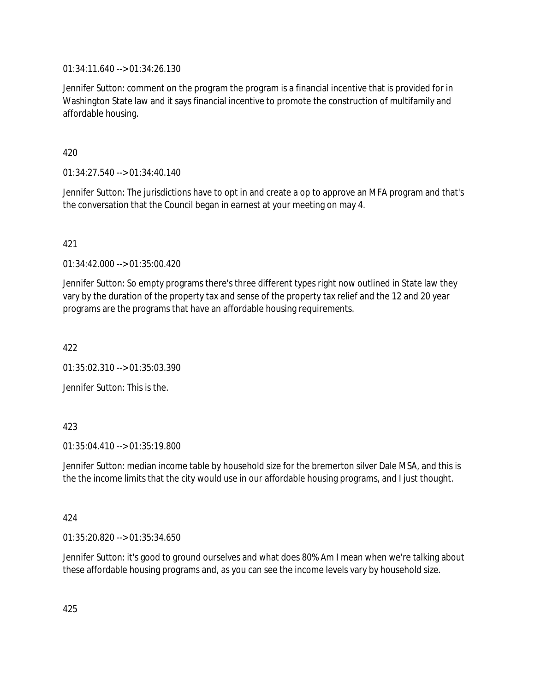01:34:11.640 --> 01:34:26.130

Jennifer Sutton: comment on the program the program is a financial incentive that is provided for in Washington State law and it says financial incentive to promote the construction of multifamily and affordable housing.

420

01:34:27.540 --> 01:34:40.140

Jennifer Sutton: The jurisdictions have to opt in and create a op to approve an MFA program and that's the conversation that the Council began in earnest at your meeting on may 4.

421

01:34:42.000 --> 01:35:00.420

Jennifer Sutton: So empty programs there's three different types right now outlined in State law they vary by the duration of the property tax and sense of the property tax relief and the 12 and 20 year programs are the programs that have an affordable housing requirements.

422

01:35:02.310 --> 01:35:03.390

Jennifer Sutton: This is the.

### 423

 $01:35:04.410 \rightarrow 01:35:19.800$ 

Jennifer Sutton: median income table by household size for the bremerton silver Dale MSA, and this is the the income limits that the city would use in our affordable housing programs, and I just thought.

### 424

01:35:20.820 --> 01:35:34.650

Jennifer Sutton: it's good to ground ourselves and what does 80% Am I mean when we're talking about these affordable housing programs and, as you can see the income levels vary by household size.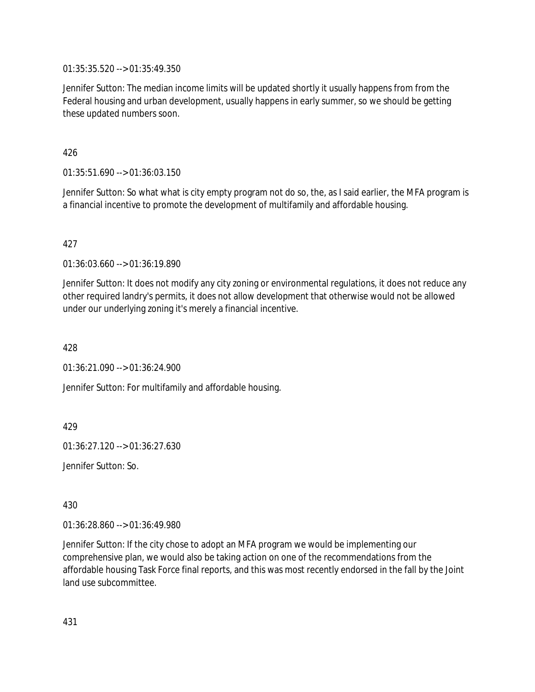01:35:35.520 --> 01:35:49.350

Jennifer Sutton: The median income limits will be updated shortly it usually happens from from the Federal housing and urban development, usually happens in early summer, so we should be getting these updated numbers soon.

426

01:35:51.690 --> 01:36:03.150

Jennifer Sutton: So what what is city empty program not do so, the, as I said earlier, the MFA program is a financial incentive to promote the development of multifamily and affordable housing.

427

01:36:03.660 --> 01:36:19.890

Jennifer Sutton: It does not modify any city zoning or environmental regulations, it does not reduce any other required landry's permits, it does not allow development that otherwise would not be allowed under our underlying zoning it's merely a financial incentive.

428

01:36:21.090 --> 01:36:24.900

Jennifer Sutton: For multifamily and affordable housing.

429

01:36:27.120 --> 01:36:27.630

Jennifer Sutton: So.

430

01:36:28.860 --> 01:36:49.980

Jennifer Sutton: If the city chose to adopt an MFA program we would be implementing our comprehensive plan, we would also be taking action on one of the recommendations from the affordable housing Task Force final reports, and this was most recently endorsed in the fall by the Joint land use subcommittee.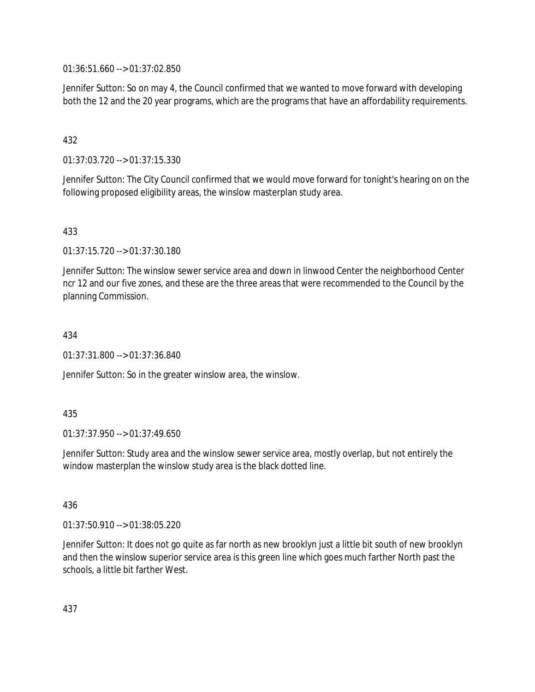01:36:51.660 --> 01:37:02.850

Jennifer Sutton: So on may 4, the Council confirmed that we wanted to move forward with developing both the 12 and the 20 year programs, which are the programs that have an affordability requirements.

### 432

01:37:03.720 --> 01:37:15.330

Jennifer Sutton: The City Council confirmed that we would move forward for tonight's hearing on on the following proposed eligibility areas, the winslow masterplan study area.

### 433

01:37:15.720 --> 01:37:30.180

Jennifer Sutton: The winslow sewer service area and down in linwood Center the neighborhood Center ncr 12 and our five zones, and these are the three areas that were recommended to the Council by the planning Commission.

#### 434

01:37:31.800 --> 01:37:36.840

Jennifer Sutton: So in the greater winslow area, the winslow.

### 435

01:37:37.950 --> 01:37:49.650

Jennifer Sutton: Study area and the winslow sewer service area, mostly overlap, but not entirely the window masterplan the winslow study area is the black dotted line.

#### 436

01:37:50.910 --> 01:38:05.220

Jennifer Sutton: It does not go quite as far north as new brooklyn just a little bit south of new brooklyn and then the winslow superior service area is this green line which goes much farther North past the schools, a little bit farther West.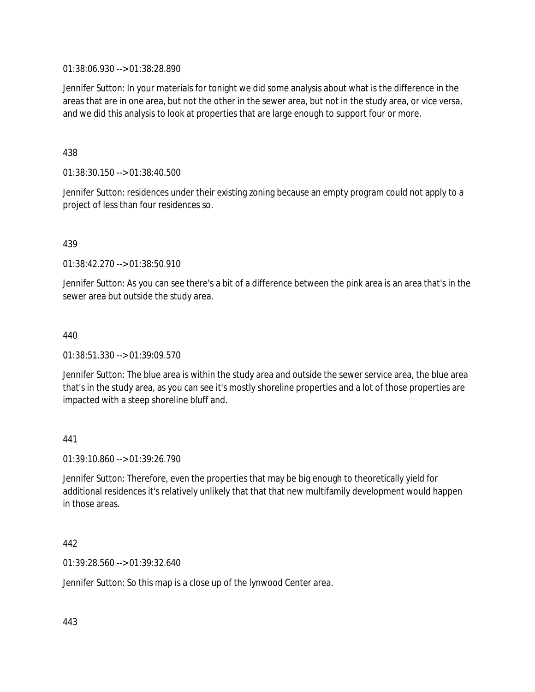01:38:06.930 --> 01:38:28.890

Jennifer Sutton: In your materials for tonight we did some analysis about what is the difference in the areas that are in one area, but not the other in the sewer area, but not in the study area, or vice versa, and we did this analysis to look at properties that are large enough to support four or more.

438

01:38:30.150 --> 01:38:40.500

Jennifer Sutton: residences under their existing zoning because an empty program could not apply to a project of less than four residences so.

439

01:38:42.270 --> 01:38:50.910

Jennifer Sutton: As you can see there's a bit of a difference between the pink area is an area that's in the sewer area but outside the study area.

440

01:38:51.330 --> 01:39:09.570

Jennifer Sutton: The blue area is within the study area and outside the sewer service area, the blue area that's in the study area, as you can see it's mostly shoreline properties and a lot of those properties are impacted with a steep shoreline bluff and.

441

01:39:10.860 --> 01:39:26.790

Jennifer Sutton: Therefore, even the properties that may be big enough to theoretically yield for additional residences it's relatively unlikely that that that new multifamily development would happen in those areas.

442

01:39:28.560 --> 01:39:32.640

Jennifer Sutton: So this map is a close up of the lynwood Center area.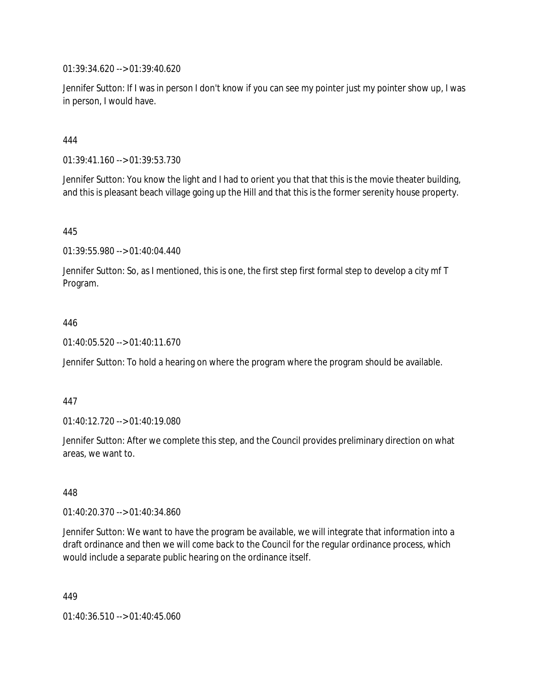01:39:34.620 --> 01:39:40.620

Jennifer Sutton: If I was in person I don't know if you can see my pointer just my pointer show up, I was in person, I would have.

444

01:39:41.160 --> 01:39:53.730

Jennifer Sutton: You know the light and I had to orient you that that this is the movie theater building, and this is pleasant beach village going up the Hill and that this is the former serenity house property.

445

01:39:55.980 --> 01:40:04.440

Jennifer Sutton: So, as I mentioned, this is one, the first step first formal step to develop a city mf T Program.

#### 446

01:40:05.520 --> 01:40:11.670

Jennifer Sutton: To hold a hearing on where the program where the program should be available.

#### 447

01:40:12.720 --> 01:40:19.080

Jennifer Sutton: After we complete this step, and the Council provides preliminary direction on what areas, we want to.

448

01:40:20.370 --> 01:40:34.860

Jennifer Sutton: We want to have the program be available, we will integrate that information into a draft ordinance and then we will come back to the Council for the regular ordinance process, which would include a separate public hearing on the ordinance itself.

449

01:40:36.510 --> 01:40:45.060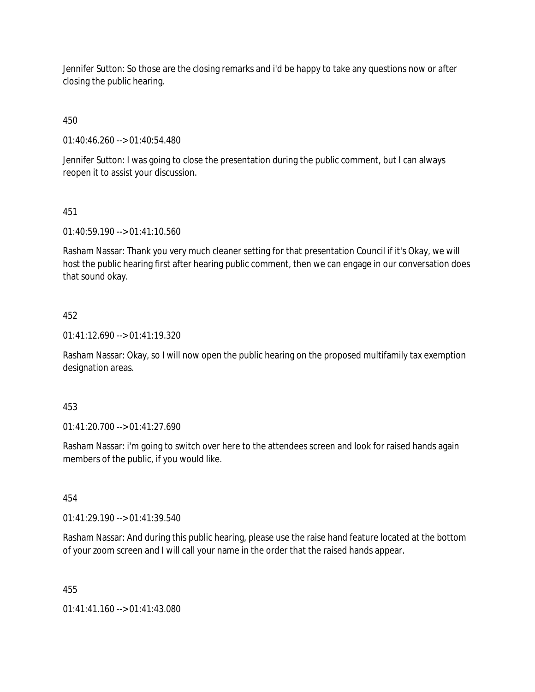Jennifer Sutton: So those are the closing remarks and i'd be happy to take any questions now or after closing the public hearing.

450

01:40:46.260 --> 01:40:54.480

Jennifer Sutton: I was going to close the presentation during the public comment, but I can always reopen it to assist your discussion.

451

01:40:59.190 --> 01:41:10.560

Rasham Nassar: Thank you very much cleaner setting for that presentation Council if it's Okay, we will host the public hearing first after hearing public comment, then we can engage in our conversation does that sound okay.

## 452

01:41:12.690 --> 01:41:19.320

Rasham Nassar: Okay, so I will now open the public hearing on the proposed multifamily tax exemption designation areas.

#### 453

01:41:20.700 --> 01:41:27.690

Rasham Nassar: i'm going to switch over here to the attendees screen and look for raised hands again members of the public, if you would like.

454

01:41:29.190 --> 01:41:39.540

Rasham Nassar: And during this public hearing, please use the raise hand feature located at the bottom of your zoom screen and I will call your name in the order that the raised hands appear.

455

01:41:41.160 --> 01:41:43.080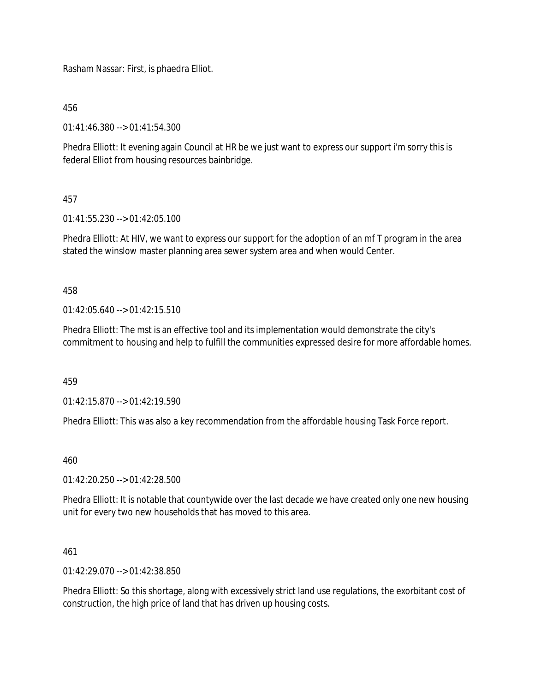Rasham Nassar: First, is phaedra Elliot.

456

01:41:46.380 --> 01:41:54.300

Phedra Elliott: It evening again Council at HR be we just want to express our support i'm sorry this is federal Elliot from housing resources bainbridge.

## 457

01:41:55.230 --> 01:42:05.100

Phedra Elliott: At HIV, we want to express our support for the adoption of an mf T program in the area stated the winslow master planning area sewer system area and when would Center.

458

 $01:42:05.640 \rightarrow 01:42:15.510$ 

Phedra Elliott: The mst is an effective tool and its implementation would demonstrate the city's commitment to housing and help to fulfill the communities expressed desire for more affordable homes.

459

01:42:15.870 --> 01:42:19.590

Phedra Elliott: This was also a key recommendation from the affordable housing Task Force report.

460

01:42:20.250 --> 01:42:28.500

Phedra Elliott: It is notable that countywide over the last decade we have created only one new housing unit for every two new households that has moved to this area.

461

01:42:29.070 --> 01:42:38.850

Phedra Elliott: So this shortage, along with excessively strict land use regulations, the exorbitant cost of construction, the high price of land that has driven up housing costs.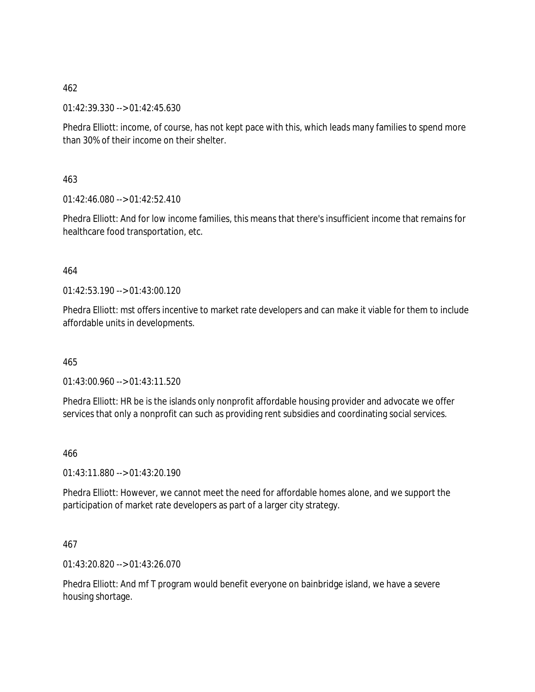01:42:39.330 --> 01:42:45.630

Phedra Elliott: income, of course, has not kept pace with this, which leads many families to spend more than 30% of their income on their shelter.

463

 $01:42:46.080 \rightarrow 01:42:52.410$ 

Phedra Elliott: And for low income families, this means that there's insufficient income that remains for healthcare food transportation, etc.

#### 464

 $01:42:53.190 \rightarrow 01:43:00.120$ 

Phedra Elliott: mst offers incentive to market rate developers and can make it viable for them to include affordable units in developments.

465

01:43:00.960 --> 01:43:11.520

Phedra Elliott: HR be is the islands only nonprofit affordable housing provider and advocate we offer services that only a nonprofit can such as providing rent subsidies and coordinating social services.

466

01:43:11.880 --> 01:43:20.190

Phedra Elliott: However, we cannot meet the need for affordable homes alone, and we support the participation of market rate developers as part of a larger city strategy.

#### 467

01:43:20.820 --> 01:43:26.070

Phedra Elliott: And mf T program would benefit everyone on bainbridge island, we have a severe housing shortage.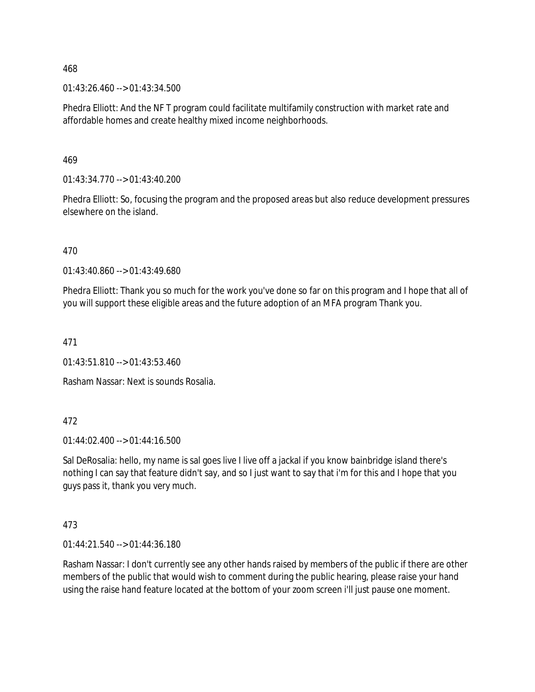01:43:26.460 --> 01:43:34.500

Phedra Elliott: And the NF T program could facilitate multifamily construction with market rate and affordable homes and create healthy mixed income neighborhoods.

469

01:43:34.770 --> 01:43:40.200

Phedra Elliott: So, focusing the program and the proposed areas but also reduce development pressures elsewhere on the island.

470

01:43:40.860 --> 01:43:49.680

Phedra Elliott: Thank you so much for the work you've done so far on this program and I hope that all of you will support these eligible areas and the future adoption of an MFA program Thank you.

471

 $01:43:51.810 \rightarrow 01:43:53.460$ 

Rasham Nassar: Next is sounds Rosalia.

#### 472

01:44:02.400 --> 01:44:16.500

Sal DeRosalia: hello, my name is sal goes live I live off a jackal if you know bainbridge island there's nothing I can say that feature didn't say, and so I just want to say that i'm for this and I hope that you guys pass it, thank you very much.

473

01:44:21.540 --> 01:44:36.180

Rasham Nassar: I don't currently see any other hands raised by members of the public if there are other members of the public that would wish to comment during the public hearing, please raise your hand using the raise hand feature located at the bottom of your zoom screen i'll just pause one moment.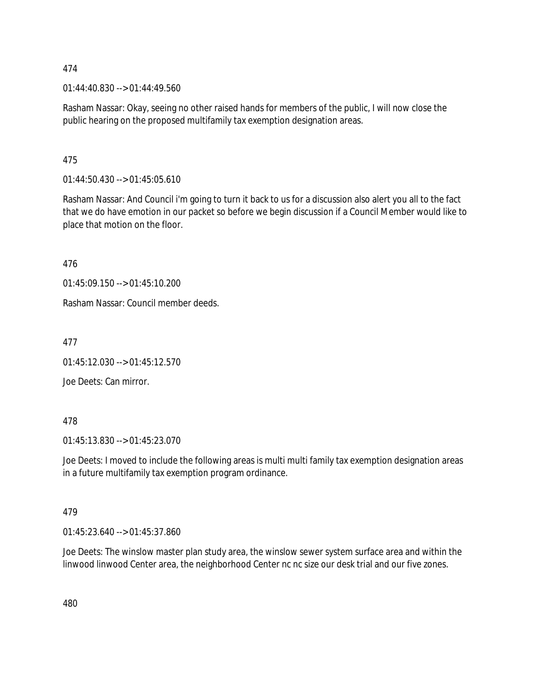01:44:40.830 --> 01:44:49.560

Rasham Nassar: Okay, seeing no other raised hands for members of the public, I will now close the public hearing on the proposed multifamily tax exemption designation areas.

475

01:44:50.430 --> 01:45:05.610

Rasham Nassar: And Council i'm going to turn it back to us for a discussion also alert you all to the fact that we do have emotion in our packet so before we begin discussion if a Council Member would like to place that motion on the floor.

476

01:45:09.150 --> 01:45:10.200

Rasham Nassar: Council member deeds.

477

01:45:12.030 --> 01:45:12.570

Joe Deets: Can mirror.

478

01:45:13.830 --> 01:45:23.070

Joe Deets: I moved to include the following areas is multi multi family tax exemption designation areas in a future multifamily tax exemption program ordinance.

#### 479

01:45:23.640 --> 01:45:37.860

Joe Deets: The winslow master plan study area, the winslow sewer system surface area and within the linwood linwood Center area, the neighborhood Center nc nc size our desk trial and our five zones.

480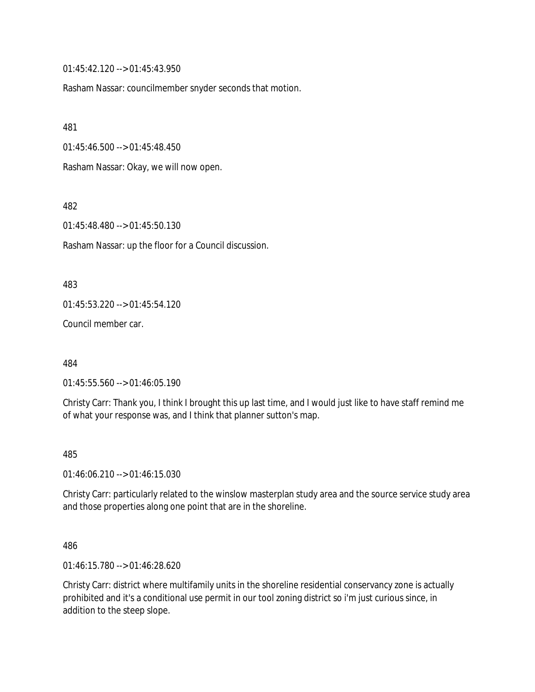01:45:42.120 --> 01:45:43.950

Rasham Nassar: councilmember snyder seconds that motion.

481

01:45:46.500 --> 01:45:48.450

Rasham Nassar: Okay, we will now open.

482

01:45:48.480 --> 01:45:50.130

Rasham Nassar: up the floor for a Council discussion.

483

01:45:53.220 --> 01:45:54.120

Council member car.

484

01:45:55.560 --> 01:46:05.190

Christy Carr: Thank you, I think I brought this up last time, and I would just like to have staff remind me of what your response was, and I think that planner sutton's map.

485

01:46:06.210 --> 01:46:15.030

Christy Carr: particularly related to the winslow masterplan study area and the source service study area and those properties along one point that are in the shoreline.

486

01:46:15.780 --> 01:46:28.620

Christy Carr: district where multifamily units in the shoreline residential conservancy zone is actually prohibited and it's a conditional use permit in our tool zoning district so i'm just curious since, in addition to the steep slope.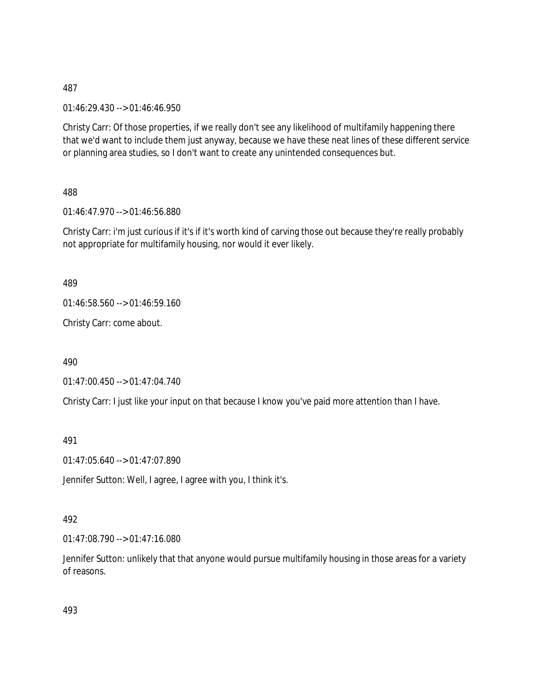01:46:29.430 --> 01:46:46.950

Christy Carr: Of those properties, if we really don't see any likelihood of multifamily happening there that we'd want to include them just anyway, because we have these neat lines of these different service or planning area studies, so I don't want to create any unintended consequences but.

488

01:46:47.970 --> 01:46:56.880

Christy Carr: i'm just curious if it's if it's worth kind of carving those out because they're really probably not appropriate for multifamily housing, nor would it ever likely.

489

01:46:58.560 --> 01:46:59.160

Christy Carr: come about.

490

01:47:00.450 --> 01:47:04.740

Christy Carr: I just like your input on that because I know you've paid more attention than I have.

491

01:47:05.640 --> 01:47:07.890

Jennifer Sutton: Well, I agree, I agree with you, I think it's.

#### 492

01:47:08.790 --> 01:47:16.080

Jennifer Sutton: unlikely that that anyone would pursue multifamily housing in those areas for a variety of reasons.

493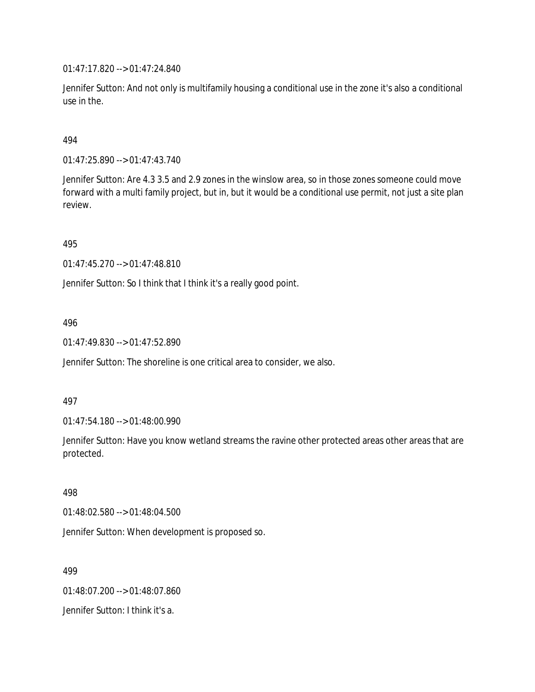01:47:17.820 --> 01:47:24.840

Jennifer Sutton: And not only is multifamily housing a conditional use in the zone it's also a conditional use in the.

### 494

01:47:25.890 --> 01:47:43.740

Jennifer Sutton: Are 4.3 3.5 and 2.9 zones in the winslow area, so in those zones someone could move forward with a multi family project, but in, but it would be a conditional use permit, not just a site plan review.

495

01:47:45.270 --> 01:47:48.810

Jennifer Sutton: So I think that I think it's a really good point.

#### 496

01:47:49.830 --> 01:47:52.890

Jennifer Sutton: The shoreline is one critical area to consider, we also.

#### 497

01:47:54.180 --> 01:48:00.990

Jennifer Sutton: Have you know wetland streams the ravine other protected areas other areas that are protected.

#### 498

01:48:02.580 --> 01:48:04.500

Jennifer Sutton: When development is proposed so.

#### 499

01:48:07.200 --> 01:48:07.860

Jennifer Sutton: I think it's a.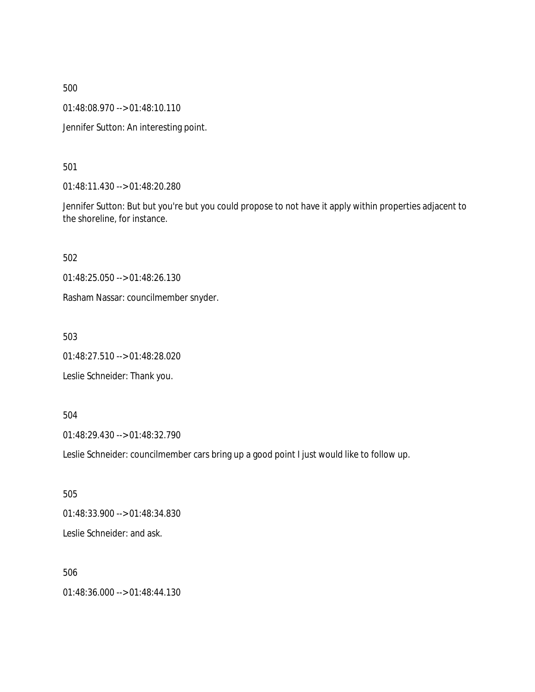01:48:08.970 --> 01:48:10.110

Jennifer Sutton: An interesting point.

501

01:48:11.430 --> 01:48:20.280

Jennifer Sutton: But but you're but you could propose to not have it apply within properties adjacent to the shoreline, for instance.

502

01:48:25.050 --> 01:48:26.130

Rasham Nassar: councilmember snyder.

503

01:48:27.510 --> 01:48:28.020

Leslie Schneider: Thank you.

504

01:48:29.430 --> 01:48:32.790

Leslie Schneider: councilmember cars bring up a good point I just would like to follow up.

505 01:48:33.900 --> 01:48:34.830 Leslie Schneider: and ask.

506 01:48:36.000 --> 01:48:44.130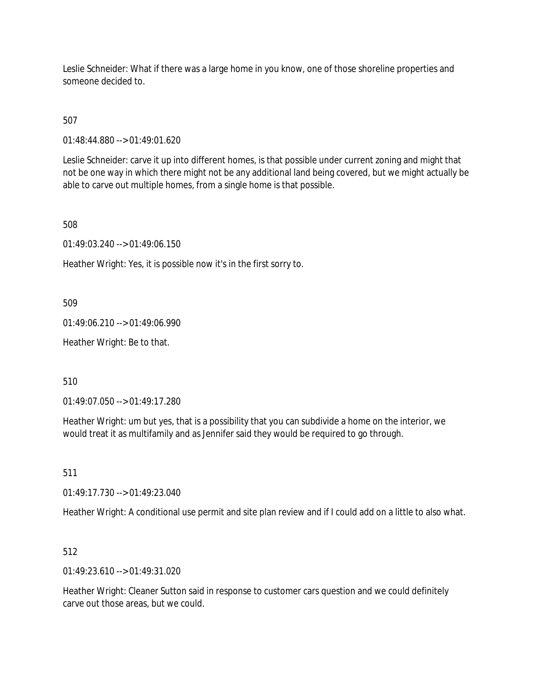Leslie Schneider: What if there was a large home in you know, one of those shoreline properties and someone decided to.

507

01:48:44.880 --> 01:49:01.620

Leslie Schneider: carve it up into different homes, is that possible under current zoning and might that not be one way in which there might not be any additional land being covered, but we might actually be able to carve out multiple homes, from a single home is that possible.

508

01:49:03.240 --> 01:49:06.150

Heather Wright: Yes, it is possible now it's in the first sorry to.

509

01:49:06.210 --> 01:49:06.990

Heather Wright: Be to that.

510

01:49:07.050 --> 01:49:17.280

Heather Wright: um but yes, that is a possibility that you can subdivide a home on the interior, we would treat it as multifamily and as Jennifer said they would be required to go through.

511

01:49:17.730 --> 01:49:23.040

Heather Wright: A conditional use permit and site plan review and if I could add on a little to also what.

512

01:49:23.610 --> 01:49:31.020

Heather Wright: Cleaner Sutton said in response to customer cars question and we could definitely carve out those areas, but we could.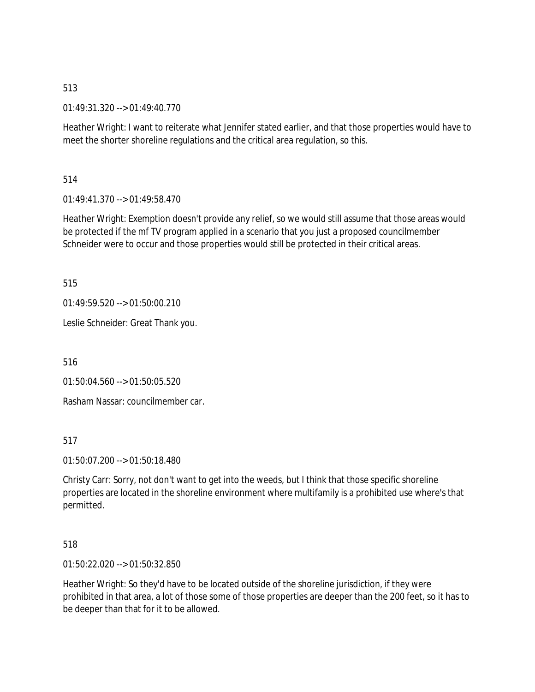01:49:31.320 --> 01:49:40.770

Heather Wright: I want to reiterate what Jennifer stated earlier, and that those properties would have to meet the shorter shoreline regulations and the critical area regulation, so this.

514

01:49:41.370 --> 01:49:58.470

Heather Wright: Exemption doesn't provide any relief, so we would still assume that those areas would be protected if the mf TV program applied in a scenario that you just a proposed councilmember Schneider were to occur and those properties would still be protected in their critical areas.

515

01:49:59.520 --> 01:50:00.210

Leslie Schneider: Great Thank you.

516

01:50:04.560 --> 01:50:05.520

Rasham Nassar: councilmember car.

517

01:50:07.200 --> 01:50:18.480

Christy Carr: Sorry, not don't want to get into the weeds, but I think that those specific shoreline properties are located in the shoreline environment where multifamily is a prohibited use where's that permitted.

#### 518

01:50:22.020 --> 01:50:32.850

Heather Wright: So they'd have to be located outside of the shoreline jurisdiction, if they were prohibited in that area, a lot of those some of those properties are deeper than the 200 feet, so it has to be deeper than that for it to be allowed.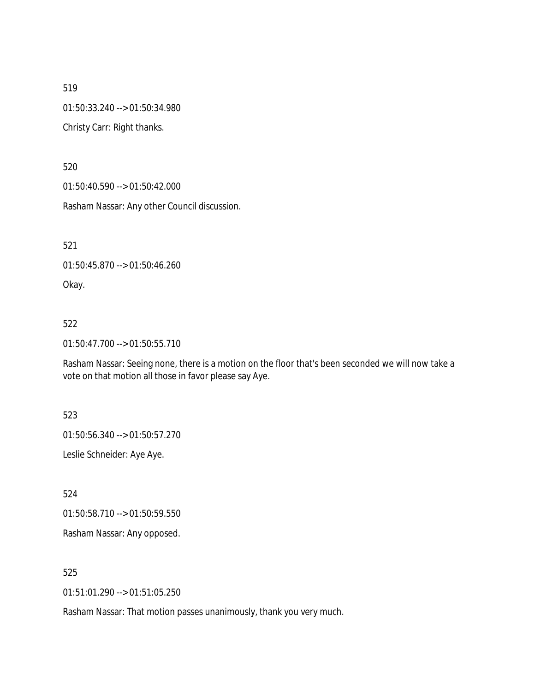01:50:33.240 --> 01:50:34.980

Christy Carr: Right thanks.

520

01:50:40.590 --> 01:50:42.000

Rasham Nassar: Any other Council discussion.

521

01:50:45.870 --> 01:50:46.260

Okay.

#### 522

01:50:47.700 --> 01:50:55.710

Rasham Nassar: Seeing none, there is a motion on the floor that's been seconded we will now take a vote on that motion all those in favor please say Aye.

523

01:50:56.340 --> 01:50:57.270

Leslie Schneider: Aye Aye.

524

01:50:58.710 --> 01:50:59.550

Rasham Nassar: Any opposed.

525

01:51:01.290 --> 01:51:05.250

Rasham Nassar: That motion passes unanimously, thank you very much.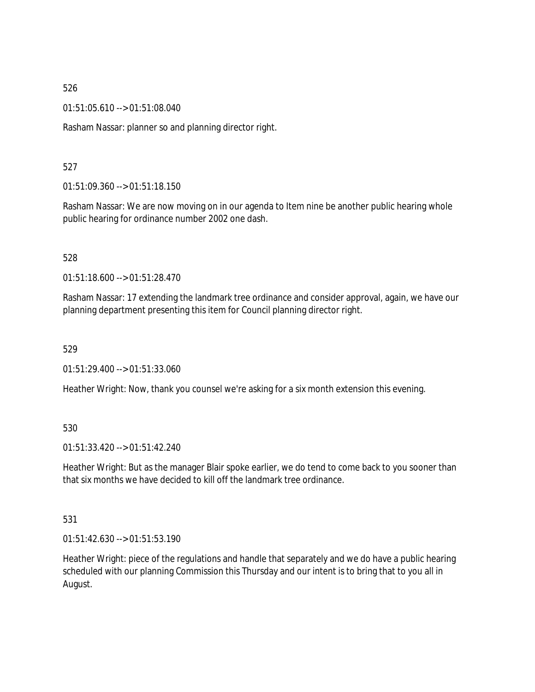01:51:05.610 --> 01:51:08.040

Rasham Nassar: planner so and planning director right.

### 527

01:51:09.360 --> 01:51:18.150

Rasham Nassar: We are now moving on in our agenda to Item nine be another public hearing whole public hearing for ordinance number 2002 one dash.

#### 528

01:51:18.600 --> 01:51:28.470

Rasham Nassar: 17 extending the landmark tree ordinance and consider approval, again, we have our planning department presenting this item for Council planning director right.

#### 529

01:51:29.400 --> 01:51:33.060

Heather Wright: Now, thank you counsel we're asking for a six month extension this evening.

### 530

01:51:33.420 --> 01:51:42.240

Heather Wright: But as the manager Blair spoke earlier, we do tend to come back to you sooner than that six months we have decided to kill off the landmark tree ordinance.

#### 531

01:51:42.630 --> 01:51:53.190

Heather Wright: piece of the regulations and handle that separately and we do have a public hearing scheduled with our planning Commission this Thursday and our intent is to bring that to you all in August.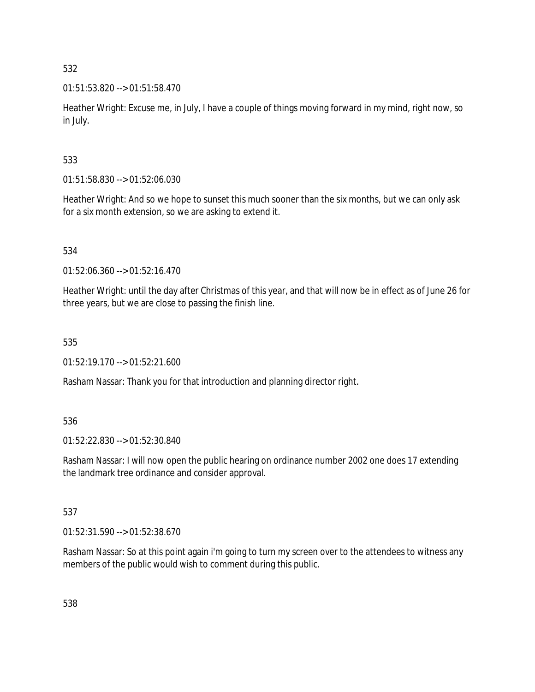01:51:53.820 --> 01:51:58.470

Heather Wright: Excuse me, in July, I have a couple of things moving forward in my mind, right now, so in July.

# 533

01:51:58.830 --> 01:52:06.030

Heather Wright: And so we hope to sunset this much sooner than the six months, but we can only ask for a six month extension, so we are asking to extend it.

# 534

01:52:06.360 --> 01:52:16.470

Heather Wright: until the day after Christmas of this year, and that will now be in effect as of June 26 for three years, but we are close to passing the finish line.

# 535

01:52:19.170 --> 01:52:21.600

Rasham Nassar: Thank you for that introduction and planning director right.

# 536

01:52:22.830 --> 01:52:30.840

Rasham Nassar: I will now open the public hearing on ordinance number 2002 one does 17 extending the landmark tree ordinance and consider approval.

# 537

01:52:31.590 --> 01:52:38.670

Rasham Nassar: So at this point again i'm going to turn my screen over to the attendees to witness any members of the public would wish to comment during this public.

538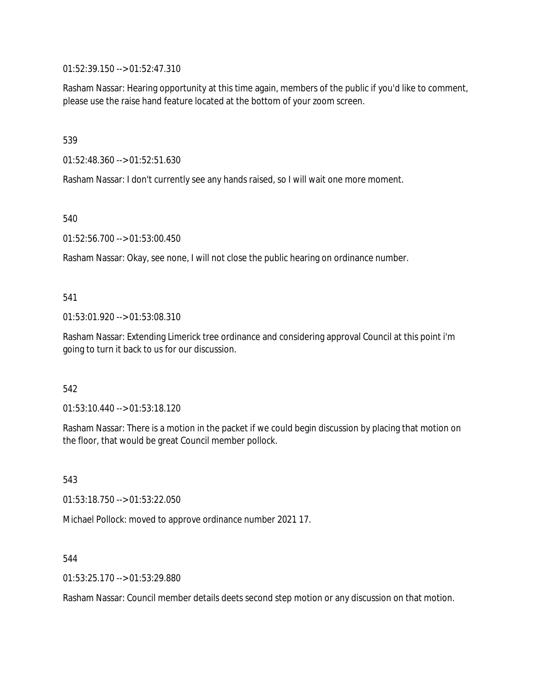01:52:39.150 --> 01:52:47.310

Rasham Nassar: Hearing opportunity at this time again, members of the public if you'd like to comment, please use the raise hand feature located at the bottom of your zoom screen.

539

01:52:48.360 --> 01:52:51.630

Rasham Nassar: I don't currently see any hands raised, so I will wait one more moment.

540

01:52:56.700 --> 01:53:00.450

Rasham Nassar: Okay, see none, I will not close the public hearing on ordinance number.

541

01:53:01.920 --> 01:53:08.310

Rasham Nassar: Extending Limerick tree ordinance and considering approval Council at this point i'm going to turn it back to us for our discussion.

542

01:53:10.440 --> 01:53:18.120

Rasham Nassar: There is a motion in the packet if we could begin discussion by placing that motion on the floor, that would be great Council member pollock.

543

01:53:18.750 --> 01:53:22.050

Michael Pollock: moved to approve ordinance number 2021 17.

544

01:53:25.170 --> 01:53:29.880

Rasham Nassar: Council member details deets second step motion or any discussion on that motion.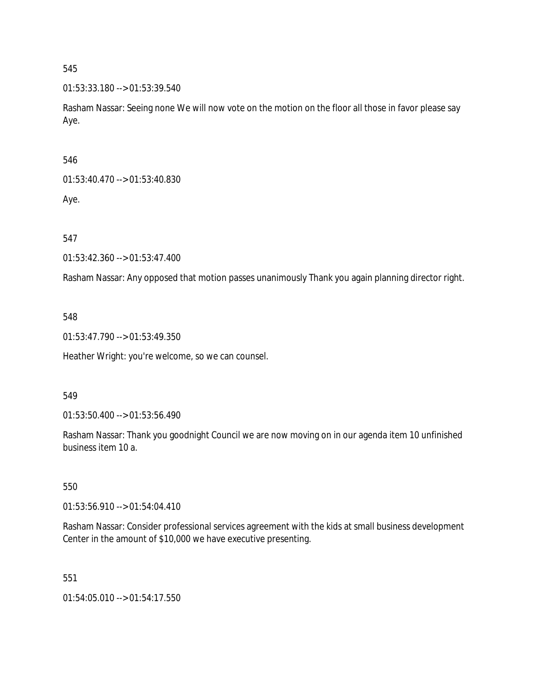01:53:33.180 --> 01:53:39.540

Rasham Nassar: Seeing none We will now vote on the motion on the floor all those in favor please say Aye.

546

01:53:40.470 --> 01:53:40.830

Aye.

547

01:53:42.360 --> 01:53:47.400

Rasham Nassar: Any opposed that motion passes unanimously Thank you again planning director right.

548

01:53:47.790 --> 01:53:49.350

Heather Wright: you're welcome, so we can counsel.

#### 549

01:53:50.400 --> 01:53:56.490

Rasham Nassar: Thank you goodnight Council we are now moving on in our agenda item 10 unfinished business item 10 a.

### 550

01:53:56.910 --> 01:54:04.410

Rasham Nassar: Consider professional services agreement with the kids at small business development Center in the amount of \$10,000 we have executive presenting.

551

01:54:05.010 --> 01:54:17.550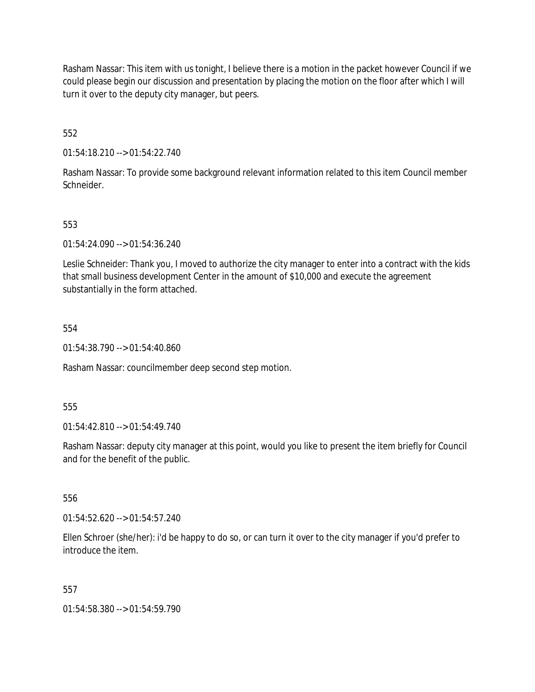Rasham Nassar: This item with us tonight, I believe there is a motion in the packet however Council if we could please begin our discussion and presentation by placing the motion on the floor after which I will turn it over to the deputy city manager, but peers.

552

01:54:18.210 --> 01:54:22.740

Rasham Nassar: To provide some background relevant information related to this item Council member Schneider.

# 553

01:54:24.090 --> 01:54:36.240

Leslie Schneider: Thank you, I moved to authorize the city manager to enter into a contract with the kids that small business development Center in the amount of \$10,000 and execute the agreement substantially in the form attached.

#### 554

01:54:38.790 --> 01:54:40.860

Rasham Nassar: councilmember deep second step motion.

#### 555

01:54:42.810 --> 01:54:49.740

Rasham Nassar: deputy city manager at this point, would you like to present the item briefly for Council and for the benefit of the public.

#### 556

01:54:52.620 --> 01:54:57.240

Ellen Schroer (she/her): i'd be happy to do so, or can turn it over to the city manager if you'd prefer to introduce the item.

#### 557

01:54:58.380 --> 01:54:59.790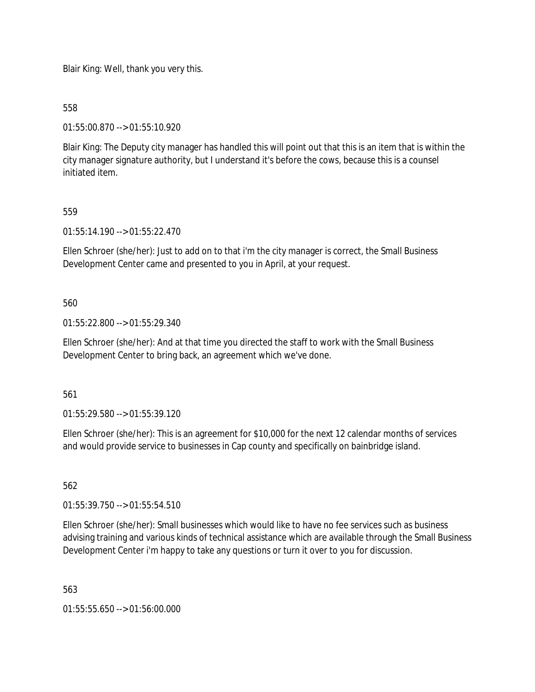Blair King: Well, thank you very this.

558

01:55:00.870 --> 01:55:10.920

Blair King: The Deputy city manager has handled this will point out that this is an item that is within the city manager signature authority, but I understand it's before the cows, because this is a counsel initiated item.

## 559

01:55:14.190 --> 01:55:22.470

Ellen Schroer (she/her): Just to add on to that i'm the city manager is correct, the Small Business Development Center came and presented to you in April, at your request.

#### 560

01:55:22.800 --> 01:55:29.340

Ellen Schroer (she/her): And at that time you directed the staff to work with the Small Business Development Center to bring back, an agreement which we've done.

561

01:55:29.580 --> 01:55:39.120

Ellen Schroer (she/her): This is an agreement for \$10,000 for the next 12 calendar months of services and would provide service to businesses in Cap county and specifically on bainbridge island.

### 562

01:55:39.750 --> 01:55:54.510

Ellen Schroer (she/her): Small businesses which would like to have no fee services such as business advising training and various kinds of technical assistance which are available through the Small Business Development Center i'm happy to take any questions or turn it over to you for discussion.

563

01:55:55.650 --> 01:56:00.000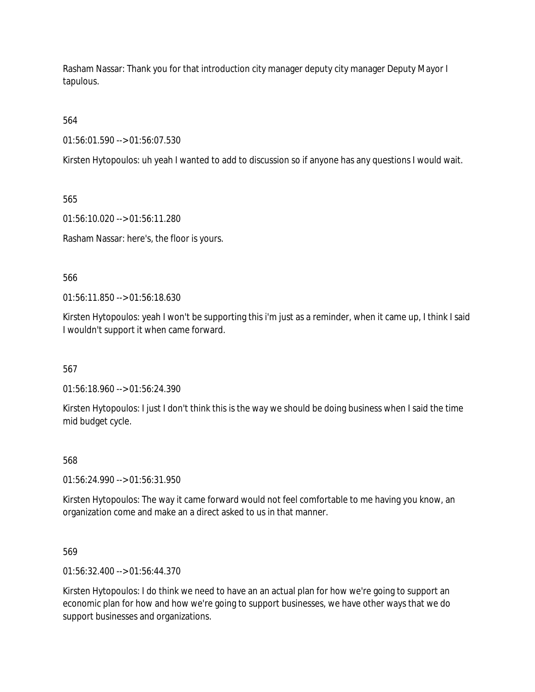Rasham Nassar: Thank you for that introduction city manager deputy city manager Deputy Mayor I tapulous.

564

01:56:01.590 --> 01:56:07.530

Kirsten Hytopoulos: uh yeah I wanted to add to discussion so if anyone has any questions I would wait.

565

01:56:10.020 --> 01:56:11.280

Rasham Nassar: here's, the floor is yours.

566

01:56:11.850 --> 01:56:18.630

Kirsten Hytopoulos: yeah I won't be supporting this i'm just as a reminder, when it came up, I think I said I wouldn't support it when came forward.

567

01:56:18.960 --> 01:56:24.390

Kirsten Hytopoulos: I just I don't think this is the way we should be doing business when I said the time mid budget cycle.

568

01:56:24.990 --> 01:56:31.950

Kirsten Hytopoulos: The way it came forward would not feel comfortable to me having you know, an organization come and make an a direct asked to us in that manner.

569

01:56:32.400 --> 01:56:44.370

Kirsten Hytopoulos: I do think we need to have an an actual plan for how we're going to support an economic plan for how and how we're going to support businesses, we have other ways that we do support businesses and organizations.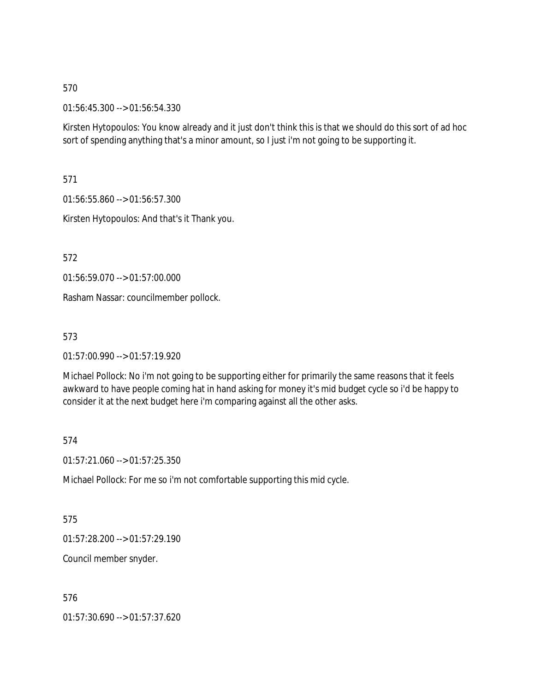01:56:45.300 --> 01:56:54.330

Kirsten Hytopoulos: You know already and it just don't think this is that we should do this sort of ad hoc sort of spending anything that's a minor amount, so I just i'm not going to be supporting it.

571

01:56:55.860 --> 01:56:57.300

Kirsten Hytopoulos: And that's it Thank you.

572

01:56:59.070 --> 01:57:00.000

Rasham Nassar: councilmember pollock.

573

01:57:00.990 --> 01:57:19.920

Michael Pollock: No i'm not going to be supporting either for primarily the same reasons that it feels awkward to have people coming hat in hand asking for money it's mid budget cycle so i'd be happy to consider it at the next budget here i'm comparing against all the other asks.

574

01:57:21.060 --> 01:57:25.350

Michael Pollock: For me so i'm not comfortable supporting this mid cycle.

575

01:57:28.200 --> 01:57:29.190

Council member snyder.

576

01:57:30.690 --> 01:57:37.620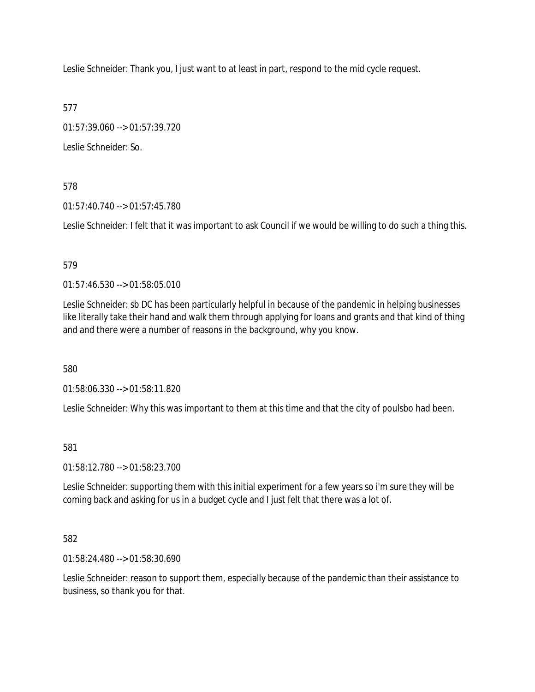Leslie Schneider: Thank you, I just want to at least in part, respond to the mid cycle request.

577

01:57:39.060 --> 01:57:39.720

Leslie Schneider: So.

578

01:57:40.740 --> 01:57:45.780

Leslie Schneider: I felt that it was important to ask Council if we would be willing to do such a thing this.

## 579

01:57:46.530 --> 01:58:05.010

Leslie Schneider: sb DC has been particularly helpful in because of the pandemic in helping businesses like literally take their hand and walk them through applying for loans and grants and that kind of thing and and there were a number of reasons in the background, why you know.

580

01:58:06.330 --> 01:58:11.820

Leslie Schneider: Why this was important to them at this time and that the city of poulsbo had been.

581

01:58:12.780 --> 01:58:23.700

Leslie Schneider: supporting them with this initial experiment for a few years so i'm sure they will be coming back and asking for us in a budget cycle and I just felt that there was a lot of.

# 582

01:58:24.480 --> 01:58:30.690

Leslie Schneider: reason to support them, especially because of the pandemic than their assistance to business, so thank you for that.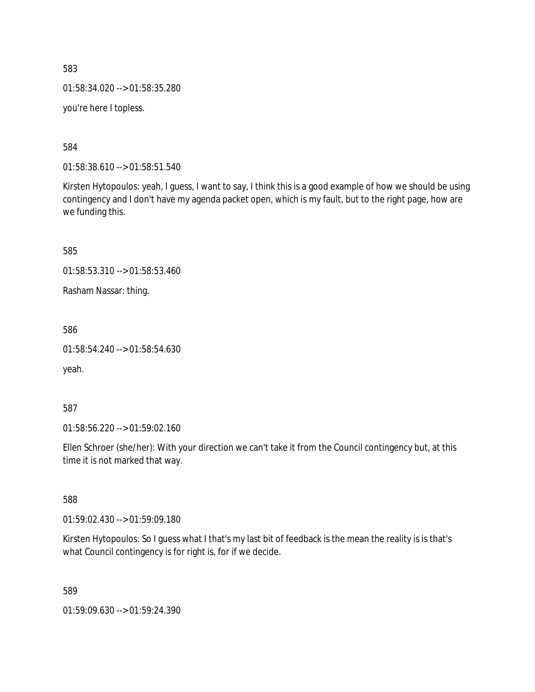01:58:34.020 --> 01:58:35.280

you're here I topless.

584

01:58:38.610 --> 01:58:51.540

Kirsten Hytopoulos: yeah, I guess, I want to say, I think this is a good example of how we should be using contingency and I don't have my agenda packet open, which is my fault, but to the right page, how are we funding this.

585

01:58:53.310 --> 01:58:53.460

Rasham Nassar: thing.

586

01:58:54.240 --> 01:58:54.630

yeah.

587

01:58:56.220 --> 01:59:02.160

Ellen Schroer (she/her): With your direction we can't take it from the Council contingency but, at this time it is not marked that way.

588

01:59:02.430 --> 01:59:09.180

Kirsten Hytopoulos: So I guess what I that's my last bit of feedback is the mean the reality is is that's what Council contingency is for right is, for if we decide.

589

01:59:09.630 --> 01:59:24.390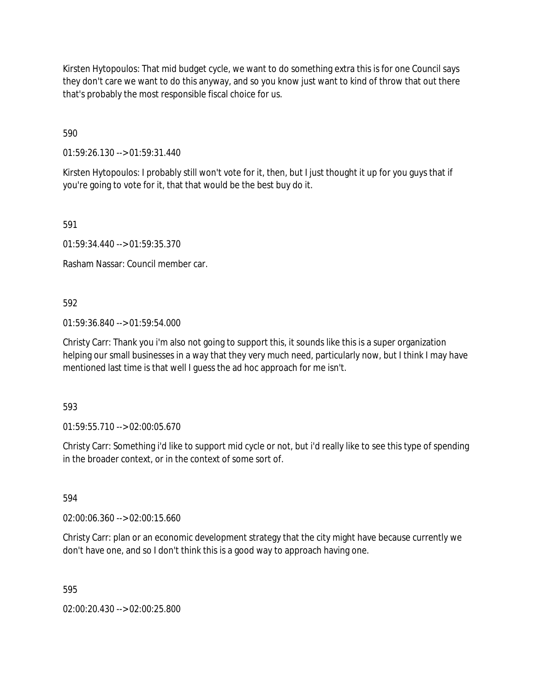Kirsten Hytopoulos: That mid budget cycle, we want to do something extra this is for one Council says they don't care we want to do this anyway, and so you know just want to kind of throw that out there that's probably the most responsible fiscal choice for us.

590

01:59:26.130 --> 01:59:31.440

Kirsten Hytopoulos: I probably still won't vote for it, then, but I just thought it up for you guys that if you're going to vote for it, that that would be the best buy do it.

591

01:59:34.440 --> 01:59:35.370

Rasham Nassar: Council member car.

592

01:59:36.840 --> 01:59:54.000

Christy Carr: Thank you i'm also not going to support this, it sounds like this is a super organization helping our small businesses in a way that they very much need, particularly now, but I think I may have mentioned last time is that well I guess the ad hoc approach for me isn't.

593

01:59:55.710 --> 02:00:05.670

Christy Carr: Something i'd like to support mid cycle or not, but i'd really like to see this type of spending in the broader context, or in the context of some sort of.

594

02:00:06.360 --> 02:00:15.660

Christy Carr: plan or an economic development strategy that the city might have because currently we don't have one, and so I don't think this is a good way to approach having one.

595

02:00:20.430 --> 02:00:25.800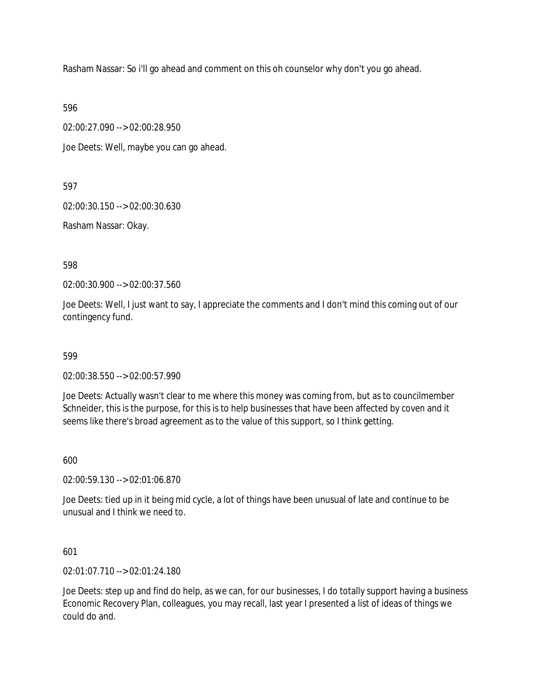Rasham Nassar: So i'll go ahead and comment on this oh counselor why don't you go ahead.

596

02:00:27.090 --> 02:00:28.950

Joe Deets: Well, maybe you can go ahead.

597

02:00:30.150 --> 02:00:30.630

Rasham Nassar: Okay.

598

02:00:30.900 --> 02:00:37.560

Joe Deets: Well, I just want to say, I appreciate the comments and I don't mind this coming out of our contingency fund.

599

02:00:38.550 --> 02:00:57.990

Joe Deets: Actually wasn't clear to me where this money was coming from, but as to councilmember Schneider, this is the purpose, for this is to help businesses that have been affected by coven and it seems like there's broad agreement as to the value of this support, so I think getting.

600

02:00:59.130 --> 02:01:06.870

Joe Deets: tied up in it being mid cycle, a lot of things have been unusual of late and continue to be unusual and I think we need to.

601

02:01:07.710 --> 02:01:24.180

Joe Deets: step up and find do help, as we can, for our businesses, I do totally support having a business Economic Recovery Plan, colleagues, you may recall, last year I presented a list of ideas of things we could do and.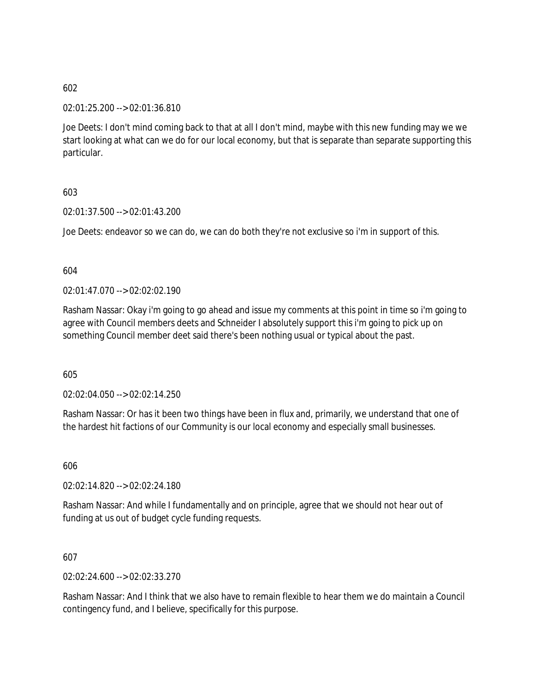02:01:25.200 --> 02:01:36.810

Joe Deets: I don't mind coming back to that at all I don't mind, maybe with this new funding may we we start looking at what can we do for our local economy, but that is separate than separate supporting this particular.

603

02:01:37.500 --> 02:01:43.200

Joe Deets: endeavor so we can do, we can do both they're not exclusive so i'm in support of this.

604

02:01:47.070 --> 02:02:02.190

Rasham Nassar: Okay i'm going to go ahead and issue my comments at this point in time so i'm going to agree with Council members deets and Schneider I absolutely support this i'm going to pick up on something Council member deet said there's been nothing usual or typical about the past.

605

02:02:04.050 --> 02:02:14.250

Rasham Nassar: Or has it been two things have been in flux and, primarily, we understand that one of the hardest hit factions of our Community is our local economy and especially small businesses.

606

02:02:14.820 --> 02:02:24.180

Rasham Nassar: And while I fundamentally and on principle, agree that we should not hear out of funding at us out of budget cycle funding requests.

607

02:02:24.600 --> 02:02:33.270

Rasham Nassar: And I think that we also have to remain flexible to hear them we do maintain a Council contingency fund, and I believe, specifically for this purpose.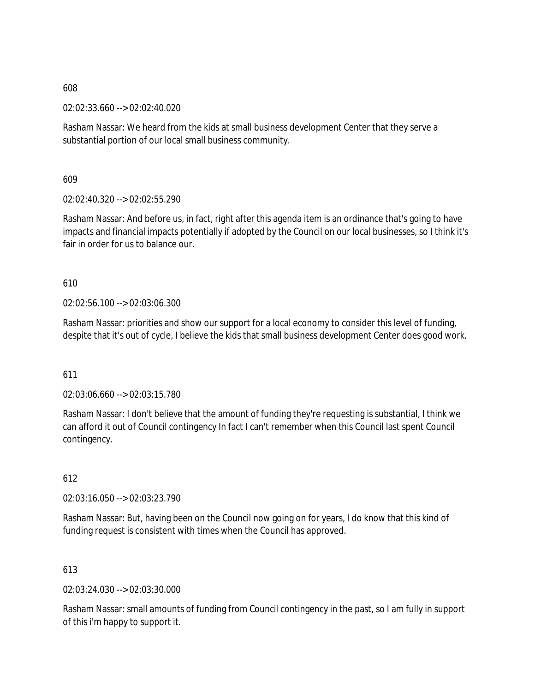02:02:33.660 --> 02:02:40.020

Rasham Nassar: We heard from the kids at small business development Center that they serve a substantial portion of our local small business community.

609

02:02:40.320 --> 02:02:55.290

Rasham Nassar: And before us, in fact, right after this agenda item is an ordinance that's going to have impacts and financial impacts potentially if adopted by the Council on our local businesses, so I think it's fair in order for us to balance our.

## 610

02:02:56.100 --> 02:03:06.300

Rasham Nassar: priorities and show our support for a local economy to consider this level of funding, despite that it's out of cycle, I believe the kids that small business development Center does good work.

#### 611

02:03:06.660 --> 02:03:15.780

Rasham Nassar: I don't believe that the amount of funding they're requesting is substantial, I think we can afford it out of Council contingency In fact I can't remember when this Council last spent Council contingency.

#### 612

02:03:16.050 --> 02:03:23.790

Rasham Nassar: But, having been on the Council now going on for years, I do know that this kind of funding request is consistent with times when the Council has approved.

#### 613

02:03:24.030 --> 02:03:30.000

Rasham Nassar: small amounts of funding from Council contingency in the past, so I am fully in support of this i'm happy to support it.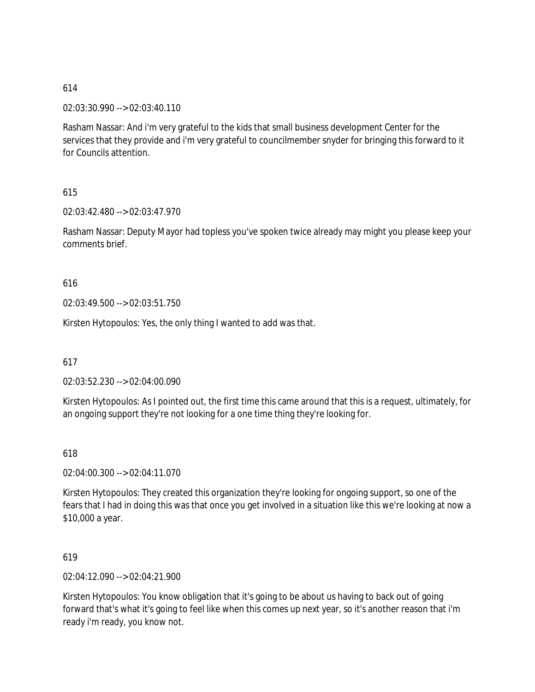02:03:30.990 --> 02:03:40.110

Rasham Nassar: And i'm very grateful to the kids that small business development Center for the services that they provide and i'm very grateful to councilmember snyder for bringing this forward to it for Councils attention.

615

02:03:42.480 --> 02:03:47.970

Rasham Nassar: Deputy Mayor had topless you've spoken twice already may might you please keep your comments brief.

616

02:03:49.500 --> 02:03:51.750

Kirsten Hytopoulos: Yes, the only thing I wanted to add was that.

617

02:03:52.230 --> 02:04:00.090

Kirsten Hytopoulos: As I pointed out, the first time this came around that this is a request, ultimately, for an ongoing support they're not looking for a one time thing they're looking for.

618

02:04:00.300 --> 02:04:11.070

Kirsten Hytopoulos: They created this organization they're looking for ongoing support, so one of the fears that I had in doing this was that once you get involved in a situation like this we're looking at now a \$10,000 a year.

619

02:04:12.090 --> 02:04:21.900

Kirsten Hytopoulos: You know obligation that it's going to be about us having to back out of going forward that's what it's going to feel like when this comes up next year, so it's another reason that i'm ready i'm ready, you know not.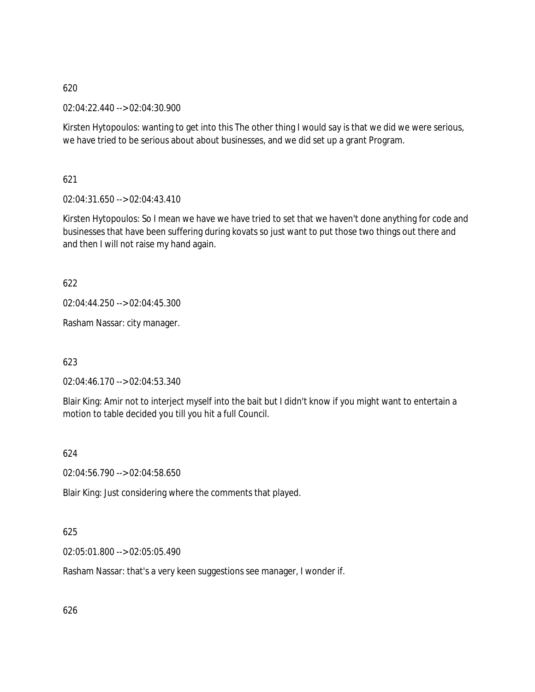02:04:22.440 --> 02:04:30.900

Kirsten Hytopoulos: wanting to get into this The other thing I would say is that we did we were serious, we have tried to be serious about about businesses, and we did set up a grant Program.

621

 $02:04:31.650 \rightarrow 02:04:43.410$ 

Kirsten Hytopoulos: So I mean we have we have tried to set that we haven't done anything for code and businesses that have been suffering during kovats so just want to put those two things out there and and then I will not raise my hand again.

622

02:04:44.250 --> 02:04:45.300

Rasham Nassar: city manager.

623

02:04:46.170 --> 02:04:53.340

Blair King: Amir not to interject myself into the bait but I didn't know if you might want to entertain a motion to table decided you till you hit a full Council.

624

02:04:56.790 --> 02:04:58.650

Blair King: Just considering where the comments that played.

# 625

02:05:01.800 --> 02:05:05.490

Rasham Nassar: that's a very keen suggestions see manager, I wonder if.

626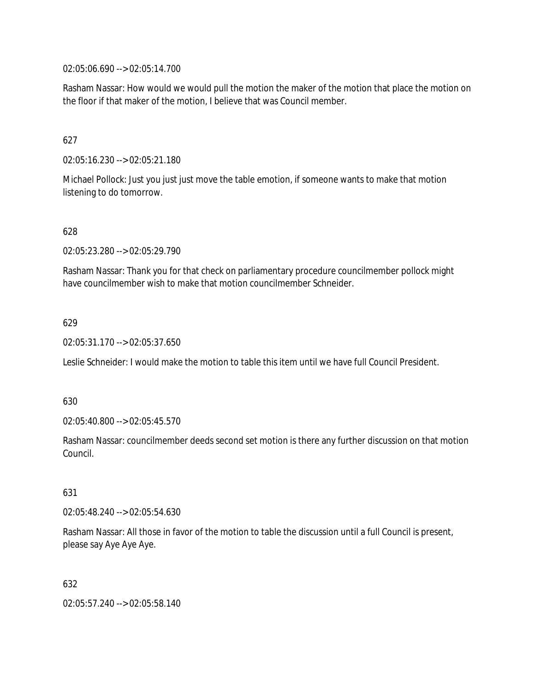02:05:06.690 --> 02:05:14.700

Rasham Nassar: How would we would pull the motion the maker of the motion that place the motion on the floor if that maker of the motion, I believe that was Council member.

## 627

02:05:16.230 --> 02:05:21.180

Michael Pollock: Just you just just move the table emotion, if someone wants to make that motion listening to do tomorrow.

#### 628

02:05:23.280 --> 02:05:29.790

Rasham Nassar: Thank you for that check on parliamentary procedure councilmember pollock might have councilmember wish to make that motion councilmember Schneider.

#### 629

02:05:31.170 --> 02:05:37.650

Leslie Schneider: I would make the motion to table this item until we have full Council President.

#### 630

02:05:40.800 --> 02:05:45.570

Rasham Nassar: councilmember deeds second set motion is there any further discussion on that motion Council.

#### 631

02:05:48.240 --> 02:05:54.630

Rasham Nassar: All those in favor of the motion to table the discussion until a full Council is present, please say Aye Aye Aye.

#### 632

02:05:57.240 --> 02:05:58.140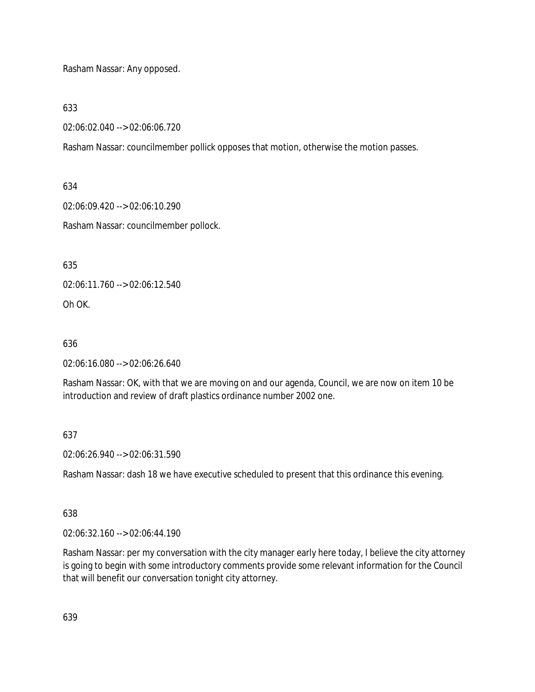Rasham Nassar: Any opposed.

633

02:06:02.040 --> 02:06:06.720

Rasham Nassar: councilmember pollick opposes that motion, otherwise the motion passes.

634

02:06:09.420 --> 02:06:10.290

Rasham Nassar: councilmember pollock.

635

02:06:11.760 --> 02:06:12.540

Oh OK.

636

02:06:16.080 --> 02:06:26.640

Rasham Nassar: OK, with that we are moving on and our agenda, Council, we are now on item 10 be introduction and review of draft plastics ordinance number 2002 one.

637

02:06:26.940 --> 02:06:31.590

Rasham Nassar: dash 18 we have executive scheduled to present that this ordinance this evening.

638

02:06:32.160 --> 02:06:44.190

Rasham Nassar: per my conversation with the city manager early here today, I believe the city attorney is going to begin with some introductory comments provide some relevant information for the Council that will benefit our conversation tonight city attorney.

639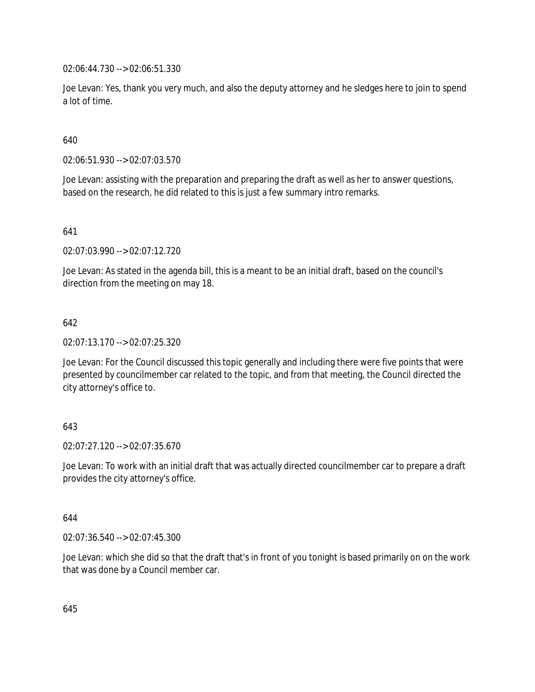02:06:44.730 --> 02:06:51.330

Joe Levan: Yes, thank you very much, and also the deputy attorney and he sledges here to join to spend a lot of time.

640

02:06:51.930 --> 02:07:03.570

Joe Levan: assisting with the preparation and preparing the draft as well as her to answer questions, based on the research, he did related to this is just a few summary intro remarks.

641

02:07:03.990 --> 02:07:12.720

Joe Levan: As stated in the agenda bill, this is a meant to be an initial draft, based on the council's direction from the meeting on may 18.

## 642

02:07:13.170 --> 02:07:25.320

Joe Levan: For the Council discussed this topic generally and including there were five points that were presented by councilmember car related to the topic, and from that meeting, the Council directed the city attorney's office to.

# 643

02:07:27.120 --> 02:07:35.670

Joe Levan: To work with an initial draft that was actually directed councilmember car to prepare a draft provides the city attorney's office.

#### 644

02:07:36.540 --> 02:07:45.300

Joe Levan: which she did so that the draft that's in front of you tonight is based primarily on on the work that was done by a Council member car.

645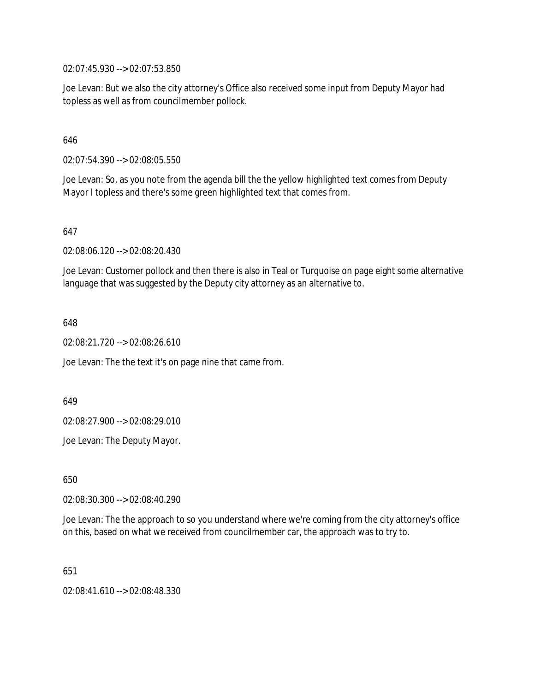02:07:45.930 --> 02:07:53.850

Joe Levan: But we also the city attorney's Office also received some input from Deputy Mayor had topless as well as from councilmember pollock.

#### 646

02:07:54.390 --> 02:08:05.550

Joe Levan: So, as you note from the agenda bill the the yellow highlighted text comes from Deputy Mayor I topless and there's some green highlighted text that comes from.

#### 647

02:08:06.120 --> 02:08:20.430

Joe Levan: Customer pollock and then there is also in Teal or Turquoise on page eight some alternative language that was suggested by the Deputy city attorney as an alternative to.

648

02:08:21.720 --> 02:08:26.610

Joe Levan: The the text it's on page nine that came from.

649

02:08:27.900 --> 02:08:29.010

Joe Levan: The Deputy Mayor.

650

02:08:30.300 --> 02:08:40.290

Joe Levan: The the approach to so you understand where we're coming from the city attorney's office on this, based on what we received from councilmember car, the approach was to try to.

651

02:08:41.610 --> 02:08:48.330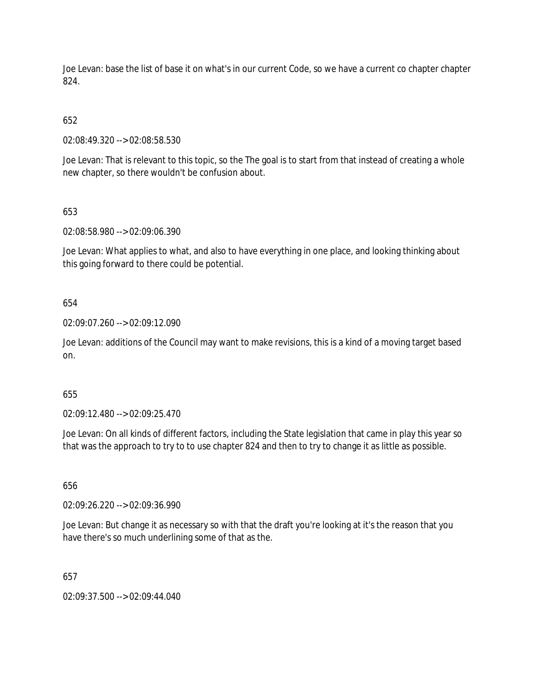Joe Levan: base the list of base it on what's in our current Code, so we have a current co chapter chapter 824.

# 652

02:08:49.320 --> 02:08:58.530

Joe Levan: That is relevant to this topic, so the The goal is to start from that instead of creating a whole new chapter, so there wouldn't be confusion about.

# 653

02:08:58.980 --> 02:09:06.390

Joe Levan: What applies to what, and also to have everything in one place, and looking thinking about this going forward to there could be potential.

# 654

02:09:07.260 --> 02:09:12.090

Joe Levan: additions of the Council may want to make revisions, this is a kind of a moving target based on.

# 655

02:09:12.480 --> 02:09:25.470

Joe Levan: On all kinds of different factors, including the State legislation that came in play this year so that was the approach to try to to use chapter 824 and then to try to change it as little as possible.

# 656

02:09:26.220 --> 02:09:36.990

Joe Levan: But change it as necessary so with that the draft you're looking at it's the reason that you have there's so much underlining some of that as the.

# 657

02:09:37.500 --> 02:09:44.040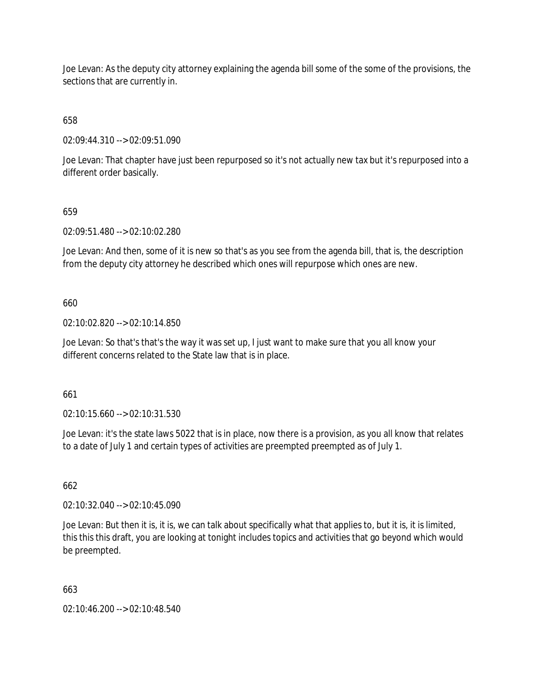Joe Levan: As the deputy city attorney explaining the agenda bill some of the some of the provisions, the sections that are currently in.

658

02:09:44.310 --> 02:09:51.090

Joe Levan: That chapter have just been repurposed so it's not actually new tax but it's repurposed into a different order basically.

## 659

02:09:51.480 --> 02:10:02.280

Joe Levan: And then, some of it is new so that's as you see from the agenda bill, that is, the description from the deputy city attorney he described which ones will repurpose which ones are new.

## 660

02:10:02.820 --> 02:10:14.850

Joe Levan: So that's that's the way it was set up, I just want to make sure that you all know your different concerns related to the State law that is in place.

661

02:10:15.660 --> 02:10:31.530

Joe Levan: it's the state laws 5022 that is in place, now there is a provision, as you all know that relates to a date of July 1 and certain types of activities are preempted preempted as of July 1.

### 662

02:10:32.040 --> 02:10:45.090

Joe Levan: But then it is, it is, we can talk about specifically what that applies to, but it is, it is limited, this this this draft, you are looking at tonight includes topics and activities that go beyond which would be preempted.

# 663

02:10:46.200 --> 02:10:48.540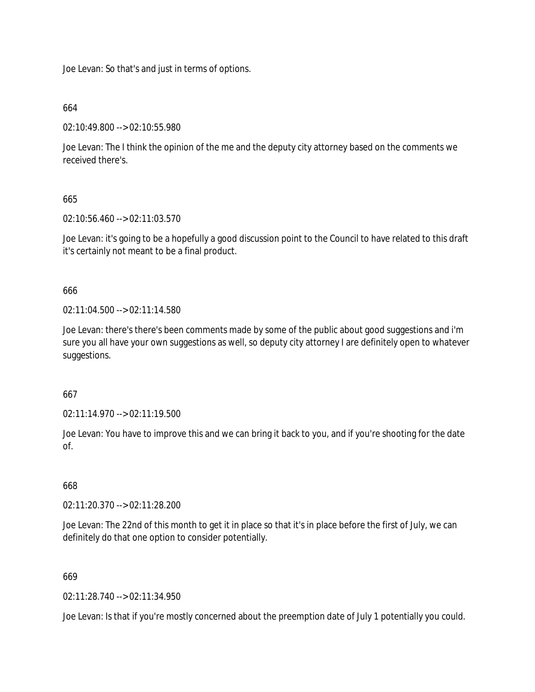Joe Levan: So that's and just in terms of options.

## 664

02:10:49.800 --> 02:10:55.980

Joe Levan: The I think the opinion of the me and the deputy city attorney based on the comments we received there's.

# 665

02:10:56.460 --> 02:11:03.570

Joe Levan: it's going to be a hopefully a good discussion point to the Council to have related to this draft it's certainly not meant to be a final product.

## 666

02:11:04.500 --> 02:11:14.580

Joe Levan: there's there's been comments made by some of the public about good suggestions and i'm sure you all have your own suggestions as well, so deputy city attorney I are definitely open to whatever suggestions.

#### 667

02:11:14.970 --> 02:11:19.500

Joe Levan: You have to improve this and we can bring it back to you, and if you're shooting for the date of.

# 668

02:11:20.370 --> 02:11:28.200

Joe Levan: The 22nd of this month to get it in place so that it's in place before the first of July, we can definitely do that one option to consider potentially.

#### 669

02:11:28.740 --> 02:11:34.950

Joe Levan: Is that if you're mostly concerned about the preemption date of July 1 potentially you could.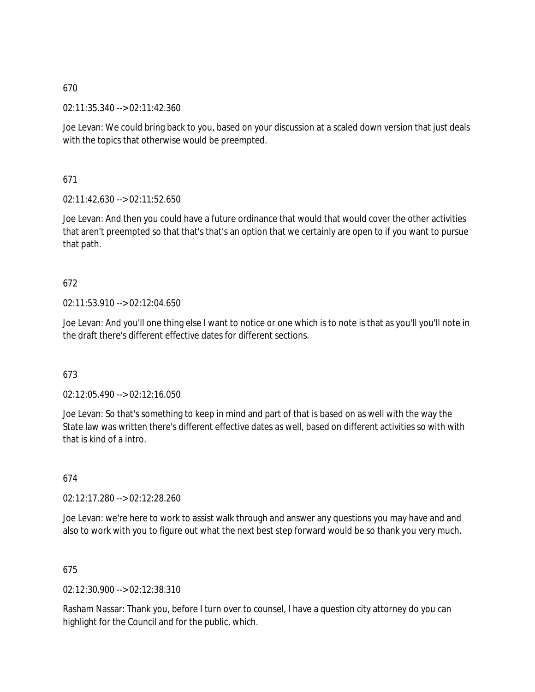02:11:35.340 --> 02:11:42.360

Joe Levan: We could bring back to you, based on your discussion at a scaled down version that just deals with the topics that otherwise would be preempted.

671

02:11:42.630 --> 02:11:52.650

Joe Levan: And then you could have a future ordinance that would that would cover the other activities that aren't preempted so that that's that's an option that we certainly are open to if you want to pursue that path.

## 672

02:11:53.910 --> 02:12:04.650

Joe Levan: And you'll one thing else I want to notice or one which is to note is that as you'll you'll note in the draft there's different effective dates for different sections.

#### 673

02:12:05.490 --> 02:12:16.050

Joe Levan: So that's something to keep in mind and part of that is based on as well with the way the State law was written there's different effective dates as well, based on different activities so with with that is kind of a intro.

#### 674

02:12:17.280 --> 02:12:28.260

Joe Levan: we're here to work to assist walk through and answer any questions you may have and and also to work with you to figure out what the next best step forward would be so thank you very much.

#### 675

02:12:30.900 --> 02:12:38.310

Rasham Nassar: Thank you, before I turn over to counsel, I have a question city attorney do you can highlight for the Council and for the public, which.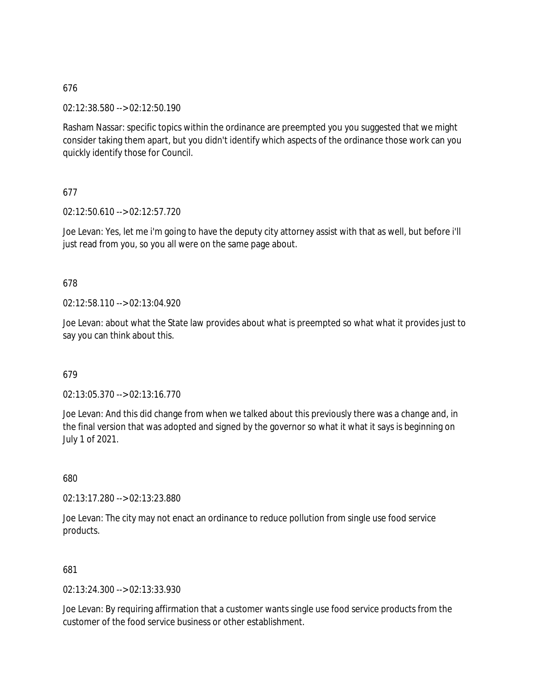02:12:38.580 --> 02:12:50.190

Rasham Nassar: specific topics within the ordinance are preempted you you suggested that we might consider taking them apart, but you didn't identify which aspects of the ordinance those work can you quickly identify those for Council.

## 677

02:12:50.610 --> 02:12:57.720

Joe Levan: Yes, let me i'm going to have the deputy city attorney assist with that as well, but before i'll just read from you, so you all were on the same page about.

## 678

02:12:58.110 --> 02:13:04.920

Joe Levan: about what the State law provides about what is preempted so what what it provides just to say you can think about this.

## 679

02:13:05.370 --> 02:13:16.770

Joe Levan: And this did change from when we talked about this previously there was a change and, in the final version that was adopted and signed by the governor so what it what it says is beginning on July 1 of 2021.

680

02:13:17.280 --> 02:13:23.880

Joe Levan: The city may not enact an ordinance to reduce pollution from single use food service products.

## 681

02:13:24.300 --> 02:13:33.930

Joe Levan: By requiring affirmation that a customer wants single use food service products from the customer of the food service business or other establishment.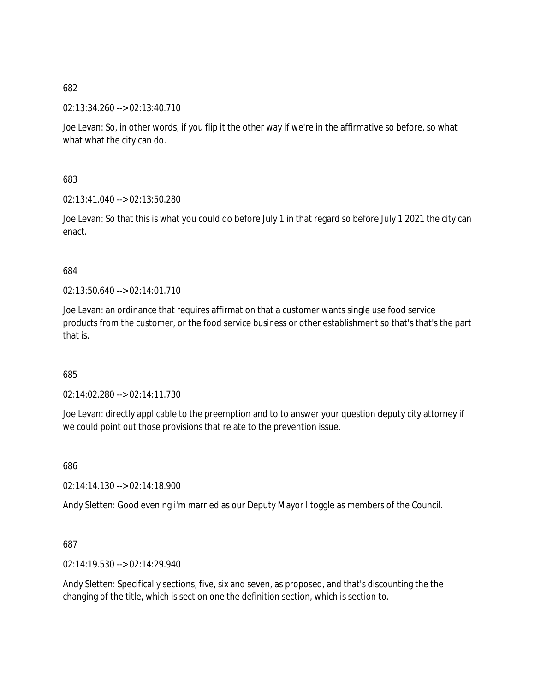02:13:34.260 --> 02:13:40.710

Joe Levan: So, in other words, if you flip it the other way if we're in the affirmative so before, so what what what the city can do.

683

02:13:41.040 --> 02:13:50.280

Joe Levan: So that this is what you could do before July 1 in that regard so before July 1 2021 the city can enact.

684

02:13:50.640 --> 02:14:01.710

Joe Levan: an ordinance that requires affirmation that a customer wants single use food service products from the customer, or the food service business or other establishment so that's that's the part that is.

685

02:14:02.280 --> 02:14:11.730

Joe Levan: directly applicable to the preemption and to to answer your question deputy city attorney if we could point out those provisions that relate to the prevention issue.

686

02:14:14.130 --> 02:14:18.900

Andy Sletten: Good evening i'm married as our Deputy Mayor I toggle as members of the Council.

687

02:14:19.530 --> 02:14:29.940

Andy Sletten: Specifically sections, five, six and seven, as proposed, and that's discounting the the changing of the title, which is section one the definition section, which is section to.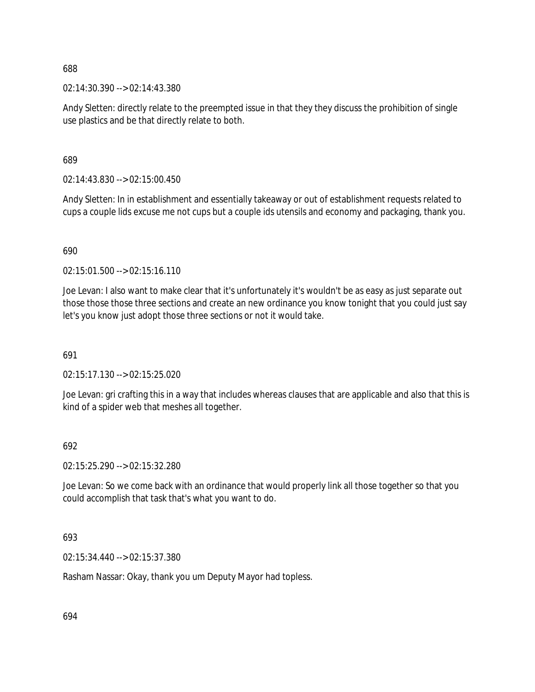02:14:30.390 --> 02:14:43.380

Andy Sletten: directly relate to the preempted issue in that they they discuss the prohibition of single use plastics and be that directly relate to both.

689

02:14:43.830 --> 02:15:00.450

Andy Sletten: In in establishment and essentially takeaway or out of establishment requests related to cups a couple lids excuse me not cups but a couple ids utensils and economy and packaging, thank you.

690

02:15:01.500 --> 02:15:16.110

Joe Levan: I also want to make clear that it's unfortunately it's wouldn't be as easy as just separate out those those those three sections and create an new ordinance you know tonight that you could just say let's you know just adopt those three sections or not it would take.

691

02:15:17.130 --> 02:15:25.020

Joe Levan: gri crafting this in a way that includes whereas clauses that are applicable and also that this is kind of a spider web that meshes all together.

#### 692

02:15:25.290 --> 02:15:32.280

Joe Levan: So we come back with an ordinance that would properly link all those together so that you could accomplish that task that's what you want to do.

#### 693

02:15:34.440 --> 02:15:37.380

Rasham Nassar: Okay, thank you um Deputy Mayor had topless.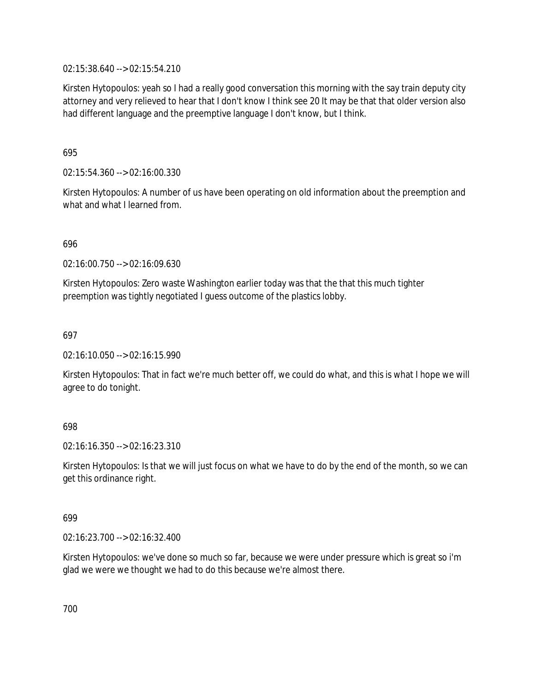02:15:38.640 --> 02:15:54.210

Kirsten Hytopoulos: yeah so I had a really good conversation this morning with the say train deputy city attorney and very relieved to hear that I don't know I think see 20 It may be that that older version also had different language and the preemptive language I don't know, but I think.

695

02:15:54.360 --> 02:16:00.330

Kirsten Hytopoulos: A number of us have been operating on old information about the preemption and what and what I learned from.

696

02:16:00.750 --> 02:16:09.630

Kirsten Hytopoulos: Zero waste Washington earlier today was that the that this much tighter preemption was tightly negotiated I guess outcome of the plastics lobby.

697

02:16:10.050 --> 02:16:15.990

Kirsten Hytopoulos: That in fact we're much better off, we could do what, and this is what I hope we will agree to do tonight.

## 698

02:16:16.350 --> 02:16:23.310

Kirsten Hytopoulos: Is that we will just focus on what we have to do by the end of the month, so we can get this ordinance right.

699

02:16:23.700 --> 02:16:32.400

Kirsten Hytopoulos: we've done so much so far, because we were under pressure which is great so i'm glad we were we thought we had to do this because we're almost there.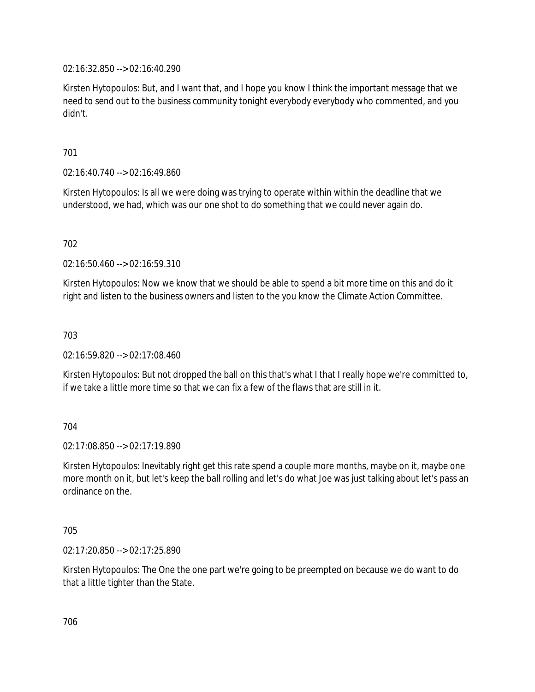02:16:32.850 --> 02:16:40.290

Kirsten Hytopoulos: But, and I want that, and I hope you know I think the important message that we need to send out to the business community tonight everybody everybody who commented, and you didn't.

701

02:16:40.740 --> 02:16:49.860

Kirsten Hytopoulos: Is all we were doing was trying to operate within within the deadline that we understood, we had, which was our one shot to do something that we could never again do.

702

02:16:50.460 --> 02:16:59.310

Kirsten Hytopoulos: Now we know that we should be able to spend a bit more time on this and do it right and listen to the business owners and listen to the you know the Climate Action Committee.

703

02:16:59.820 --> 02:17:08.460

Kirsten Hytopoulos: But not dropped the ball on this that's what I that I really hope we're committed to, if we take a little more time so that we can fix a few of the flaws that are still in it.

704

02:17:08.850 --> 02:17:19.890

Kirsten Hytopoulos: Inevitably right get this rate spend a couple more months, maybe on it, maybe one more month on it, but let's keep the ball rolling and let's do what Joe was just talking about let's pass an ordinance on the.

705

02:17:20.850 --> 02:17:25.890

Kirsten Hytopoulos: The One the one part we're going to be preempted on because we do want to do that a little tighter than the State.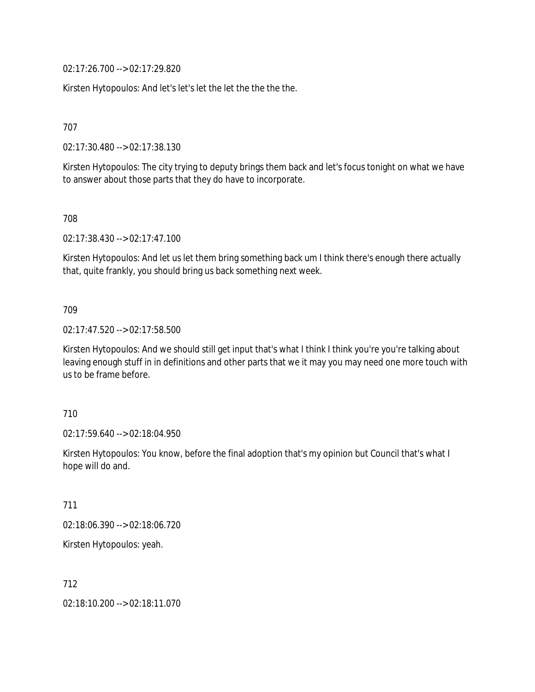02:17:26.700 --> 02:17:29.820

Kirsten Hytopoulos: And let's let's let the let the the the the.

707

02:17:30.480 --> 02:17:38.130

Kirsten Hytopoulos: The city trying to deputy brings them back and let's focus tonight on what we have to answer about those parts that they do have to incorporate.

708

02:17:38.430 --> 02:17:47.100

Kirsten Hytopoulos: And let us let them bring something back um I think there's enough there actually that, quite frankly, you should bring us back something next week.

709

02:17:47.520 --> 02:17:58.500

Kirsten Hytopoulos: And we should still get input that's what I think I think you're you're talking about leaving enough stuff in in definitions and other parts that we it may you may need one more touch with us to be frame before.

710

02:17:59.640 --> 02:18:04.950

Kirsten Hytopoulos: You know, before the final adoption that's my opinion but Council that's what I hope will do and.

711

02:18:06.390 --> 02:18:06.720

Kirsten Hytopoulos: yeah.

712

02:18:10.200 --> 02:18:11.070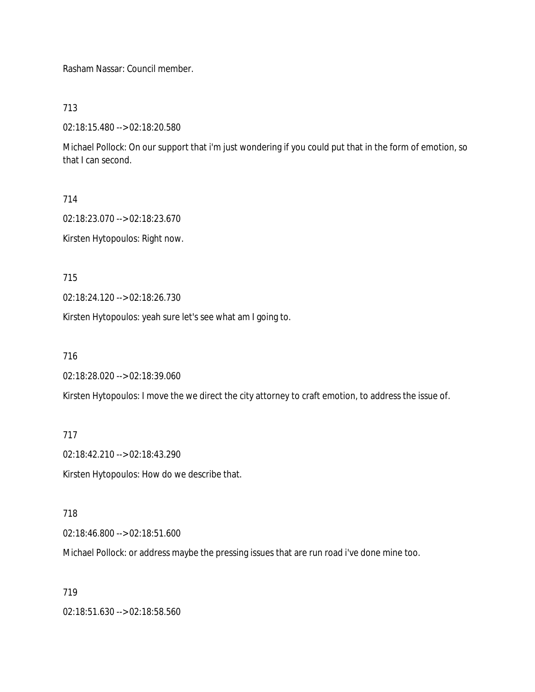Rasham Nassar: Council member.

713

02:18:15.480 --> 02:18:20.580

Michael Pollock: On our support that i'm just wondering if you could put that in the form of emotion, so that I can second.

714

02:18:23.070 --> 02:18:23.670

Kirsten Hytopoulos: Right now.

715

02:18:24.120 --> 02:18:26.730

Kirsten Hytopoulos: yeah sure let's see what am I going to.

716

02:18:28.020 --> 02:18:39.060

Kirsten Hytopoulos: I move the we direct the city attorney to craft emotion, to address the issue of.

717

02:18:42.210 --> 02:18:43.290

Kirsten Hytopoulos: How do we describe that.

718

02:18:46.800 --> 02:18:51.600

Michael Pollock: or address maybe the pressing issues that are run road i've done mine too.

719

02:18:51.630 --> 02:18:58.560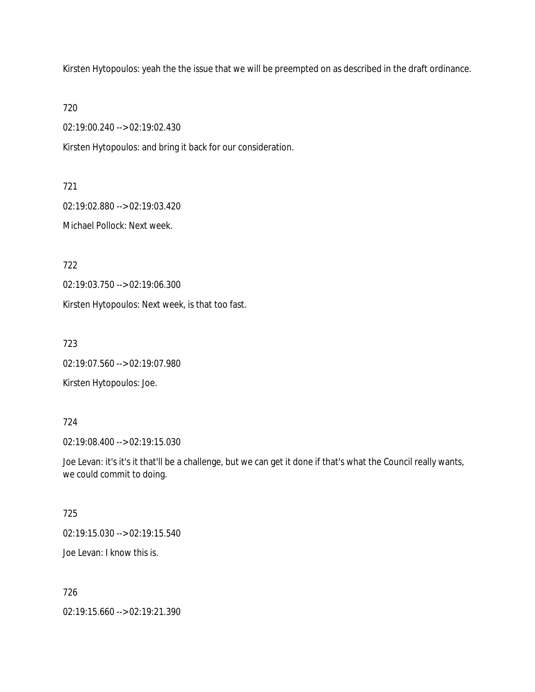Kirsten Hytopoulos: yeah the the issue that we will be preempted on as described in the draft ordinance.

720

02:19:00.240 --> 02:19:02.430

Kirsten Hytopoulos: and bring it back for our consideration.

721

02:19:02.880 --> 02:19:03.420

Michael Pollock: Next week.

722

02:19:03.750 --> 02:19:06.300

Kirsten Hytopoulos: Next week, is that too fast.

723

02:19:07.560 --> 02:19:07.980

Kirsten Hytopoulos: Joe.

## 724

02:19:08.400 --> 02:19:15.030

Joe Levan: it's it's it that'll be a challenge, but we can get it done if that's what the Council really wants, we could commit to doing.

## 725

02:19:15.030 --> 02:19:15.540

Joe Levan: I know this is.

## 726

02:19:15.660 --> 02:19:21.390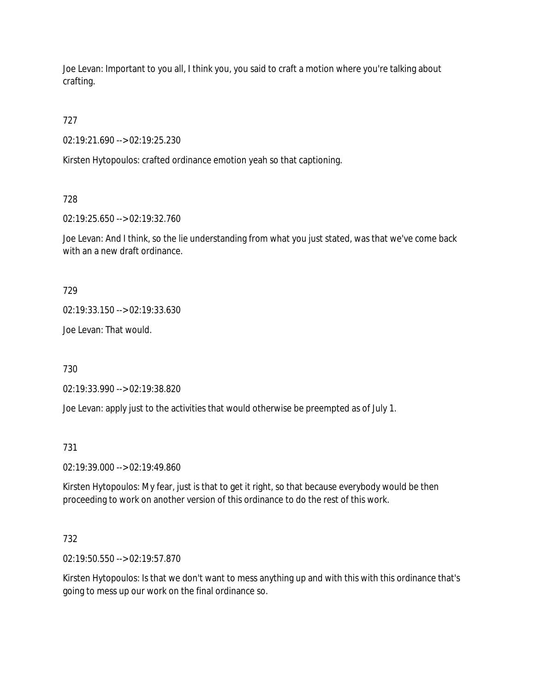Joe Levan: Important to you all, I think you, you said to craft a motion where you're talking about crafting.

727

02:19:21.690 --> 02:19:25.230

Kirsten Hytopoulos: crafted ordinance emotion yeah so that captioning.

728

02:19:25.650 --> 02:19:32.760

Joe Levan: And I think, so the lie understanding from what you just stated, was that we've come back with an a new draft ordinance.

729

02:19:33.150 --> 02:19:33.630

Joe Levan: That would.

730

02:19:33.990 --> 02:19:38.820

Joe Levan: apply just to the activities that would otherwise be preempted as of July 1.

731

02:19:39.000 --> 02:19:49.860

Kirsten Hytopoulos: My fear, just is that to get it right, so that because everybody would be then proceeding to work on another version of this ordinance to do the rest of this work.

732

02:19:50.550 --> 02:19:57.870

Kirsten Hytopoulos: Is that we don't want to mess anything up and with this with this ordinance that's going to mess up our work on the final ordinance so.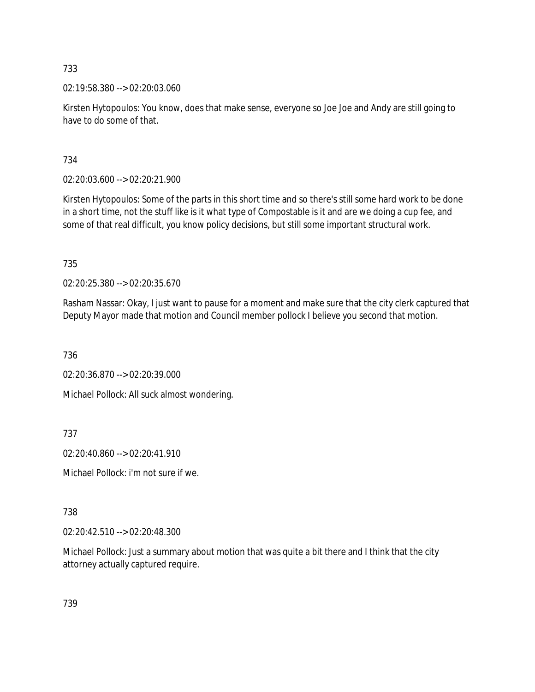02:19:58.380 --> 02:20:03.060

Kirsten Hytopoulos: You know, does that make sense, everyone so Joe Joe and Andy are still going to have to do some of that.

734

02:20:03.600 --> 02:20:21.900

Kirsten Hytopoulos: Some of the parts in this short time and so there's still some hard work to be done in a short time, not the stuff like is it what type of Compostable is it and are we doing a cup fee, and some of that real difficult, you know policy decisions, but still some important structural work.

735

02:20:25.380 --> 02:20:35.670

Rasham Nassar: Okay, I just want to pause for a moment and make sure that the city clerk captured that Deputy Mayor made that motion and Council member pollock I believe you second that motion.

736

02:20:36.870 --> 02:20:39.000

Michael Pollock: All suck almost wondering.

737

02:20:40.860 --> 02:20:41.910

Michael Pollock: i'm not sure if we.

# 738

02:20:42.510 --> 02:20:48.300

Michael Pollock: Just a summary about motion that was quite a bit there and I think that the city attorney actually captured require.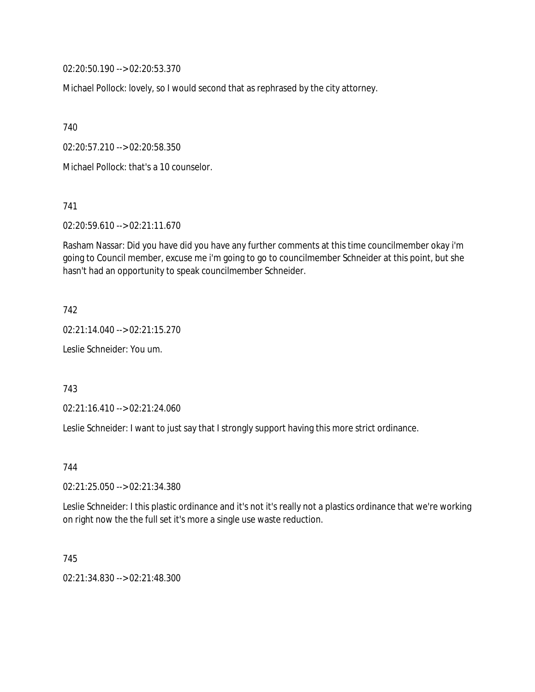02:20:50.190 --> 02:20:53.370

Michael Pollock: lovely, so I would second that as rephrased by the city attorney.

740

02:20:57.210 --> 02:20:58.350

Michael Pollock: that's a 10 counselor.

741

02:20:59.610 --> 02:21:11.670

Rasham Nassar: Did you have did you have any further comments at this time councilmember okay i'm going to Council member, excuse me i'm going to go to councilmember Schneider at this point, but she hasn't had an opportunity to speak councilmember Schneider.

742

02:21:14.040 --> 02:21:15.270

Leslie Schneider: You um.

743

02:21:16.410 --> 02:21:24.060

Leslie Schneider: I want to just say that I strongly support having this more strict ordinance.

744

02:21:25.050 --> 02:21:34.380

Leslie Schneider: I this plastic ordinance and it's not it's really not a plastics ordinance that we're working on right now the the full set it's more a single use waste reduction.

745

02:21:34.830 --> 02:21:48.300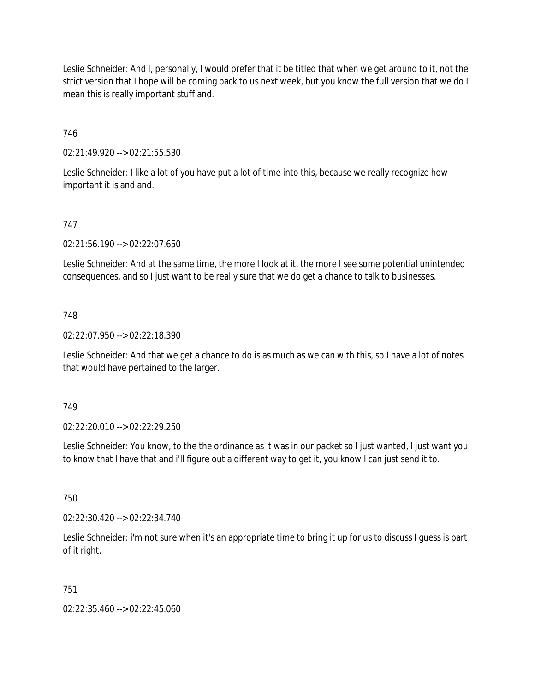Leslie Schneider: And I, personally, I would prefer that it be titled that when we get around to it, not the strict version that I hope will be coming back to us next week, but you know the full version that we do I mean this is really important stuff and.

## 746

02:21:49.920 --> 02:21:55.530

Leslie Schneider: I like a lot of you have put a lot of time into this, because we really recognize how important it is and and.

## 747

02:21:56.190 --> 02:22:07.650

Leslie Schneider: And at the same time, the more I look at it, the more I see some potential unintended consequences, and so I just want to be really sure that we do get a chance to talk to businesses.

## 748

02:22:07.950 --> 02:22:18.390

Leslie Schneider: And that we get a chance to do is as much as we can with this, so I have a lot of notes that would have pertained to the larger.

## 749

02:22:20.010 --> 02:22:29.250

Leslie Schneider: You know, to the the ordinance as it was in our packet so I just wanted, I just want you to know that I have that and i'll figure out a different way to get it, you know I can just send it to.

750

02:22:30.420 --> 02:22:34.740

Leslie Schneider: i'm not sure when it's an appropriate time to bring it up for us to discuss I guess is part of it right.

## 751

02:22:35.460 --> 02:22:45.060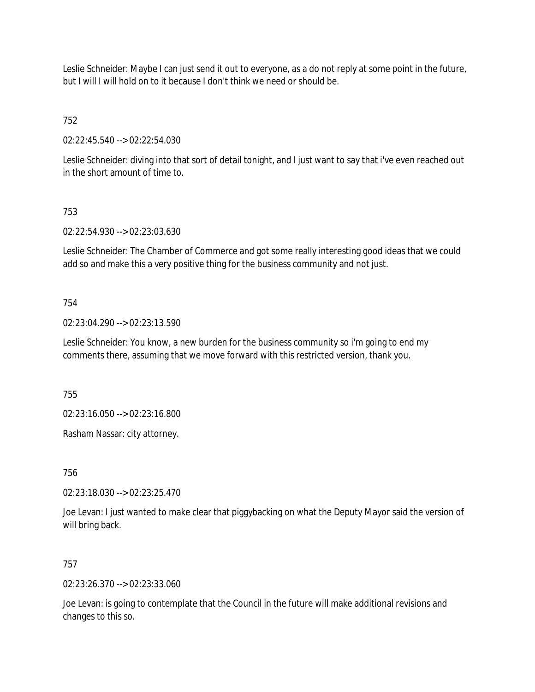Leslie Schneider: Maybe I can just send it out to everyone, as a do not reply at some point in the future, but I will I will hold on to it because I don't think we need or should be.

752

02:22:45.540 --> 02:22:54.030

Leslie Schneider: diving into that sort of detail tonight, and I just want to say that i've even reached out in the short amount of time to.

## 753

02:22:54.930 --> 02:23:03.630

Leslie Schneider: The Chamber of Commerce and got some really interesting good ideas that we could add so and make this a very positive thing for the business community and not just.

## 754

02:23:04.290 --> 02:23:13.590

Leslie Schneider: You know, a new burden for the business community so i'm going to end my comments there, assuming that we move forward with this restricted version, thank you.

755

02:23:16.050 --> 02:23:16.800

Rasham Nassar: city attorney.

756

02:23:18.030 --> 02:23:25.470

Joe Levan: I just wanted to make clear that piggybacking on what the Deputy Mayor said the version of will bring back.

## 757

02:23:26.370 --> 02:23:33.060

Joe Levan: is going to contemplate that the Council in the future will make additional revisions and changes to this so.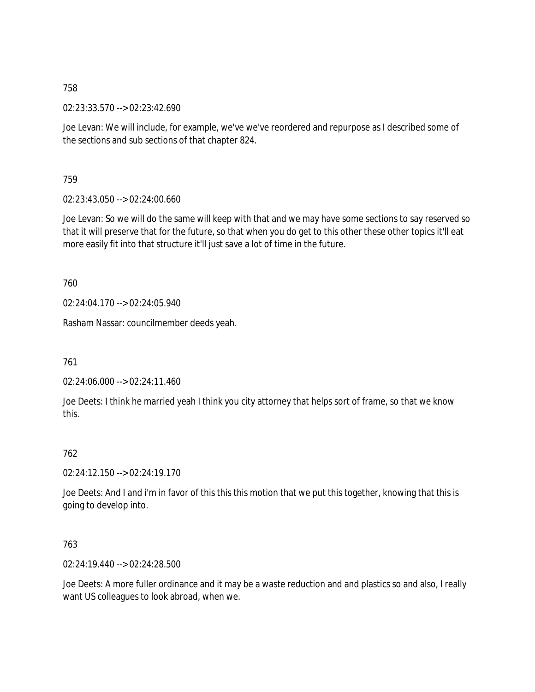02:23:33.570 --> 02:23:42.690

Joe Levan: We will include, for example, we've we've reordered and repurpose as I described some of the sections and sub sections of that chapter 824.

759

02:23:43.050 --> 02:24:00.660

Joe Levan: So we will do the same will keep with that and we may have some sections to say reserved so that it will preserve that for the future, so that when you do get to this other these other topics it'll eat more easily fit into that structure it'll just save a lot of time in the future.

760

02:24:04.170 --> 02:24:05.940

Rasham Nassar: councilmember deeds yeah.

761

02:24:06.000 --> 02:24:11.460

Joe Deets: I think he married yeah I think you city attorney that helps sort of frame, so that we know this.

# 762

02:24:12.150 --> 02:24:19.170

Joe Deets: And I and i'm in favor of this this this motion that we put this together, knowing that this is going to develop into.

763

02:24:19.440 --> 02:24:28.500

Joe Deets: A more fuller ordinance and it may be a waste reduction and and plastics so and also, I really want US colleagues to look abroad, when we.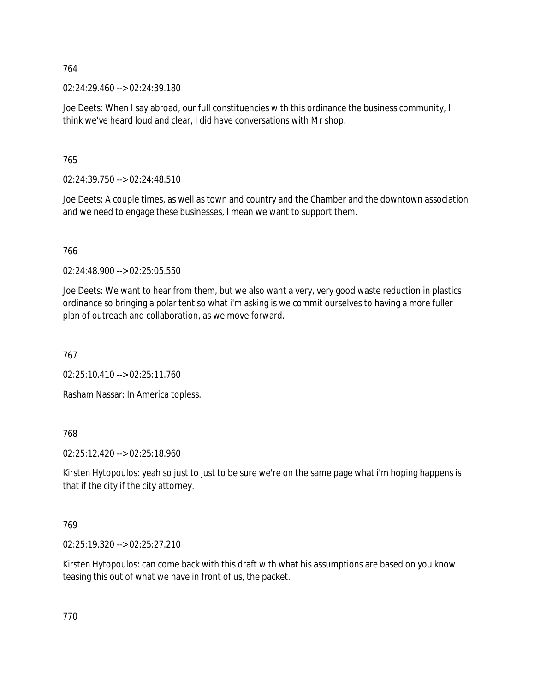02:24:29.460 --> 02:24:39.180

Joe Deets: When I say abroad, our full constituencies with this ordinance the business community, I think we've heard loud and clear, I did have conversations with Mr shop.

765

02:24:39.750 --> 02:24:48.510

Joe Deets: A couple times, as well as town and country and the Chamber and the downtown association and we need to engage these businesses, I mean we want to support them.

766

02:24:48.900 --> 02:25:05.550

Joe Deets: We want to hear from them, but we also want a very, very good waste reduction in plastics ordinance so bringing a polar tent so what i'm asking is we commit ourselves to having a more fuller plan of outreach and collaboration, as we move forward.

767

02:25:10.410 --> 02:25:11.760

Rasham Nassar: In America topless.

768

02:25:12.420 --> 02:25:18.960

Kirsten Hytopoulos: yeah so just to just to be sure we're on the same page what i'm hoping happens is that if the city if the city attorney.

769

02:25:19.320 --> 02:25:27.210

Kirsten Hytopoulos: can come back with this draft with what his assumptions are based on you know teasing this out of what we have in front of us, the packet.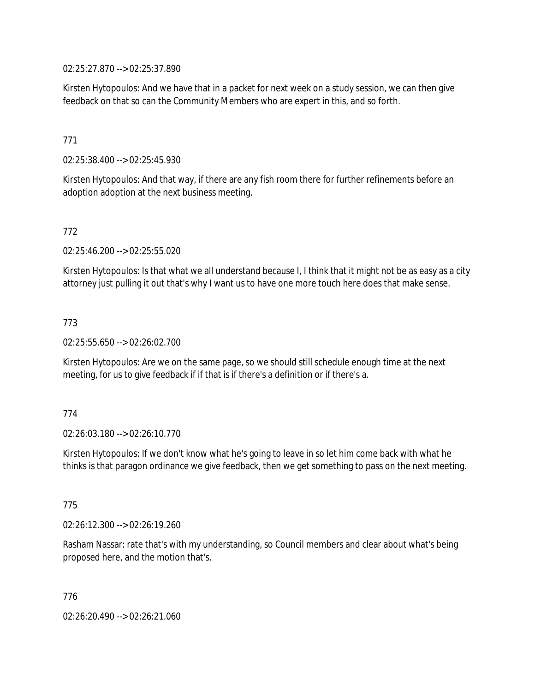02:25:27.870 --> 02:25:37.890

Kirsten Hytopoulos: And we have that in a packet for next week on a study session, we can then give feedback on that so can the Community Members who are expert in this, and so forth.

## 771

02:25:38.400 --> 02:25:45.930

Kirsten Hytopoulos: And that way, if there are any fish room there for further refinements before an adoption adoption at the next business meeting.

## 772

02:25:46.200 --> 02:25:55.020

Kirsten Hytopoulos: Is that what we all understand because I, I think that it might not be as easy as a city attorney just pulling it out that's why I want us to have one more touch here does that make sense.

#### 773

02:25:55.650 --> 02:26:02.700

Kirsten Hytopoulos: Are we on the same page, so we should still schedule enough time at the next meeting, for us to give feedback if if that is if there's a definition or if there's a.

## 774

02:26:03.180 --> 02:26:10.770

Kirsten Hytopoulos: If we don't know what he's going to leave in so let him come back with what he thinks is that paragon ordinance we give feedback, then we get something to pass on the next meeting.

#### 775

02:26:12.300 --> 02:26:19.260

Rasham Nassar: rate that's with my understanding, so Council members and clear about what's being proposed here, and the motion that's.

776 02:26:20.490 --> 02:26:21.060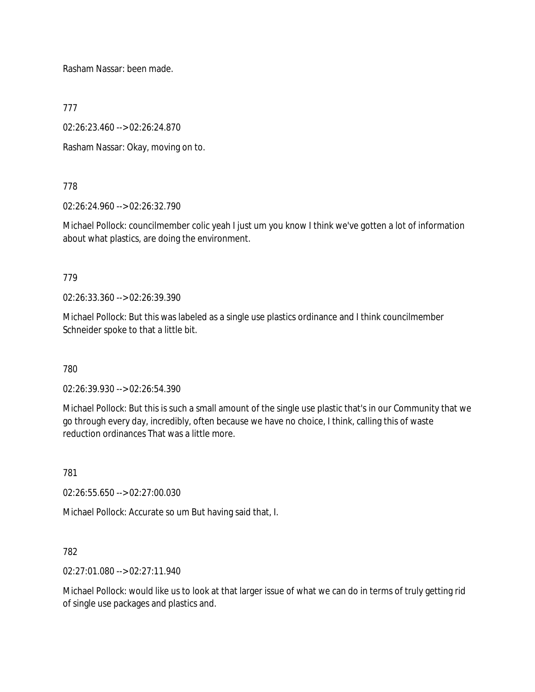Rasham Nassar: been made.

777

02:26:23.460 --> 02:26:24.870

Rasham Nassar: Okay, moving on to.

778

02:26:24.960 --> 02:26:32.790

Michael Pollock: councilmember colic yeah I just um you know I think we've gotten a lot of information about what plastics, are doing the environment.

779

02:26:33.360 --> 02:26:39.390

Michael Pollock: But this was labeled as a single use plastics ordinance and I think councilmember Schneider spoke to that a little bit.

780

02:26:39.930 --> 02:26:54.390

Michael Pollock: But this is such a small amount of the single use plastic that's in our Community that we go through every day, incredibly, often because we have no choice, I think, calling this of waste reduction ordinances That was a little more.

781

02:26:55.650 --> 02:27:00.030

Michael Pollock: Accurate so um But having said that, I.

782

02:27:01.080 --> 02:27:11.940

Michael Pollock: would like us to look at that larger issue of what we can do in terms of truly getting rid of single use packages and plastics and.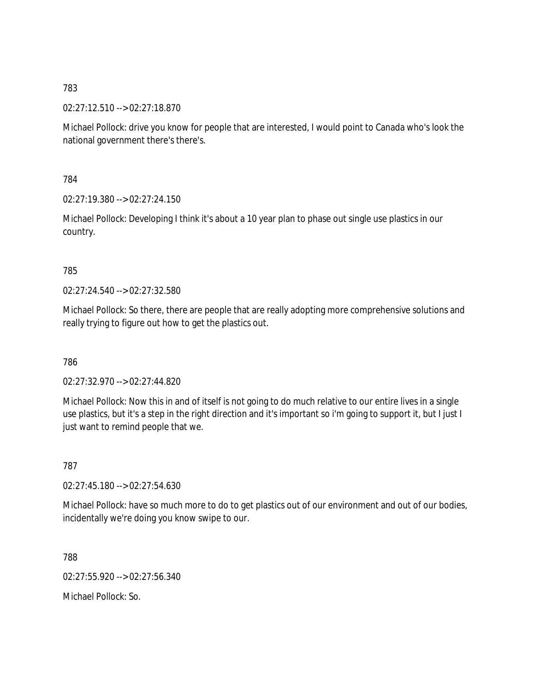02:27:12.510 --> 02:27:18.870

Michael Pollock: drive you know for people that are interested, I would point to Canada who's look the national government there's there's.

784

02:27:19.380 --> 02:27:24.150

Michael Pollock: Developing I think it's about a 10 year plan to phase out single use plastics in our country.

## 785

02:27:24.540 --> 02:27:32.580

Michael Pollock: So there, there are people that are really adopting more comprehensive solutions and really trying to figure out how to get the plastics out.

786

02:27:32.970 --> 02:27:44.820

Michael Pollock: Now this in and of itself is not going to do much relative to our entire lives in a single use plastics, but it's a step in the right direction and it's important so i'm going to support it, but I just I just want to remind people that we.

787

02:27:45.180 --> 02:27:54.630

Michael Pollock: have so much more to do to get plastics out of our environment and out of our bodies, incidentally we're doing you know swipe to our.

788

02:27:55.920 --> 02:27:56.340

Michael Pollock: So.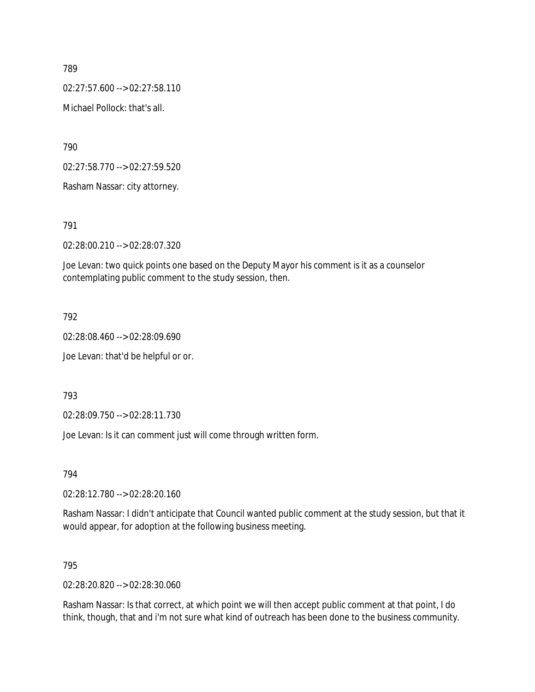02:27:57.600 --> 02:27:58.110

Michael Pollock: that's all.

790

02:27:58.770 --> 02:27:59.520

Rasham Nassar: city attorney.

791

02:28:00.210 --> 02:28:07.320

Joe Levan: two quick points one based on the Deputy Mayor his comment is it as a counselor contemplating public comment to the study session, then.

792

02:28:08.460 --> 02:28:09.690

Joe Levan: that'd be helpful or or.

793

02:28:09.750 --> 02:28:11.730

Joe Levan: Is it can comment just will come through written form.

794

02:28:12.780 --> 02:28:20.160

Rasham Nassar: I didn't anticipate that Council wanted public comment at the study session, but that it would appear, for adoption at the following business meeting.

795

02:28:20.820 --> 02:28:30.060

Rasham Nassar: Is that correct, at which point we will then accept public comment at that point, I do think, though, that and i'm not sure what kind of outreach has been done to the business community.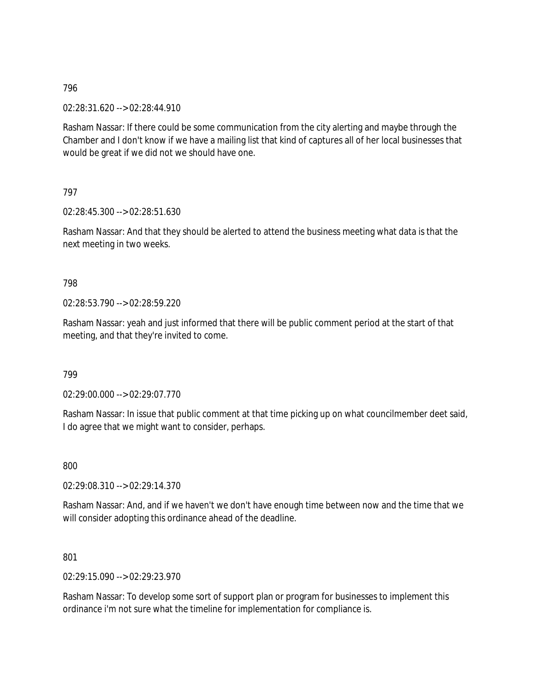02:28:31.620 --> 02:28:44.910

Rasham Nassar: If there could be some communication from the city alerting and maybe through the Chamber and I don't know if we have a mailing list that kind of captures all of her local businesses that would be great if we did not we should have one.

797

02:28:45.300 --> 02:28:51.630

Rasham Nassar: And that they should be alerted to attend the business meeting what data is that the next meeting in two weeks.

## 798

02:28:53.790 --> 02:28:59.220

Rasham Nassar: yeah and just informed that there will be public comment period at the start of that meeting, and that they're invited to come.

799

02:29:00.000 --> 02:29:07.770

Rasham Nassar: In issue that public comment at that time picking up on what councilmember deet said, I do agree that we might want to consider, perhaps.

800

02:29:08.310 --> 02:29:14.370

Rasham Nassar: And, and if we haven't we don't have enough time between now and the time that we will consider adopting this ordinance ahead of the deadline.

801

02:29:15.090 --> 02:29:23.970

Rasham Nassar: To develop some sort of support plan or program for businesses to implement this ordinance i'm not sure what the timeline for implementation for compliance is.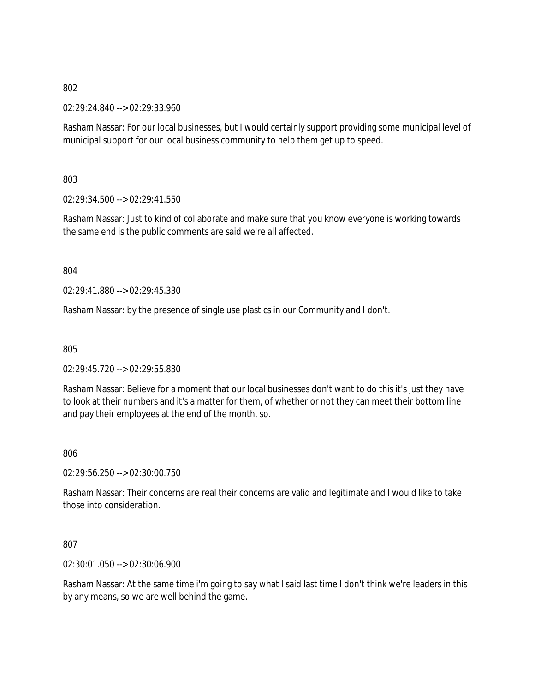02:29:24.840 --> 02:29:33.960

Rasham Nassar: For our local businesses, but I would certainly support providing some municipal level of municipal support for our local business community to help them get up to speed.

803

02:29:34.500 --> 02:29:41.550

Rasham Nassar: Just to kind of collaborate and make sure that you know everyone is working towards the same end is the public comments are said we're all affected.

804

 $02.29.41.880 -5.02.29.45.330$ 

Rasham Nassar: by the presence of single use plastics in our Community and I don't.

805

02:29:45.720 --> 02:29:55.830

Rasham Nassar: Believe for a moment that our local businesses don't want to do this it's just they have to look at their numbers and it's a matter for them, of whether or not they can meet their bottom line and pay their employees at the end of the month, so.

806

02:29:56.250 --> 02:30:00.750

Rasham Nassar: Their concerns are real their concerns are valid and legitimate and I would like to take those into consideration.

807

02:30:01.050 --> 02:30:06.900

Rasham Nassar: At the same time i'm going to say what I said last time I don't think we're leaders in this by any means, so we are well behind the game.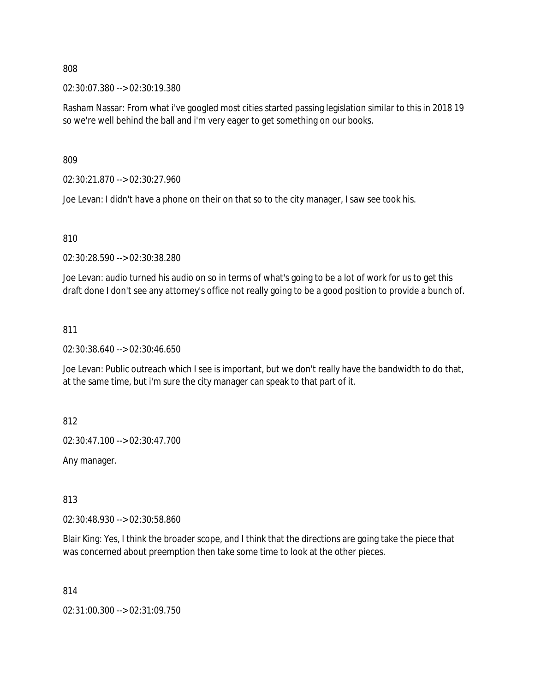02:30:07.380 --> 02:30:19.380

Rasham Nassar: From what i've googled most cities started passing legislation similar to this in 2018 19 so we're well behind the ball and i'm very eager to get something on our books.

809

02:30:21.870 --> 02:30:27.960

Joe Levan: I didn't have a phone on their on that so to the city manager, I saw see took his.

810

02:30:28.590 --> 02:30:38.280

Joe Levan: audio turned his audio on so in terms of what's going to be a lot of work for us to get this draft done I don't see any attorney's office not really going to be a good position to provide a bunch of.

#### 811

02:30:38.640 --> 02:30:46.650

Joe Levan: Public outreach which I see is important, but we don't really have the bandwidth to do that, at the same time, but i'm sure the city manager can speak to that part of it.

812

02:30:47.100 --> 02:30:47.700

Any manager.

813

02:30:48.930 --> 02:30:58.860

Blair King: Yes, I think the broader scope, and I think that the directions are going take the piece that was concerned about preemption then take some time to look at the other pieces.

814

02:31:00.300 --> 02:31:09.750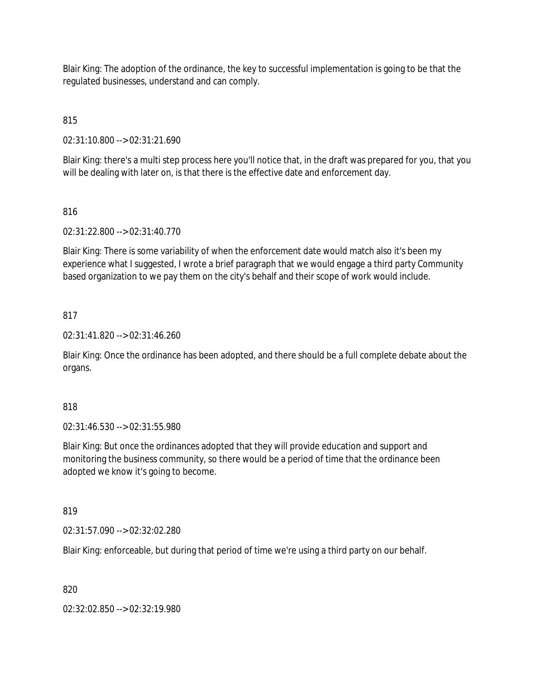Blair King: The adoption of the ordinance, the key to successful implementation is going to be that the regulated businesses, understand and can comply.

815

02:31:10.800 --> 02:31:21.690

Blair King: there's a multi step process here you'll notice that, in the draft was prepared for you, that you will be dealing with later on, is that there is the effective date and enforcement day.

# 816

02:31:22.800 --> 02:31:40.770

Blair King: There is some variability of when the enforcement date would match also it's been my experience what I suggested, I wrote a brief paragraph that we would engage a third party Community based organization to we pay them on the city's behalf and their scope of work would include.

## 817

02:31:41.820 --> 02:31:46.260

Blair King: Once the ordinance has been adopted, and there should be a full complete debate about the organs.

## 818

02:31:46.530 --> 02:31:55.980

Blair King: But once the ordinances adopted that they will provide education and support and monitoring the business community, so there would be a period of time that the ordinance been adopted we know it's going to become.

## 819

02:31:57.090 --> 02:32:02.280

Blair King: enforceable, but during that period of time we're using a third party on our behalf.

## 820

02:32:02.850 --> 02:32:19.980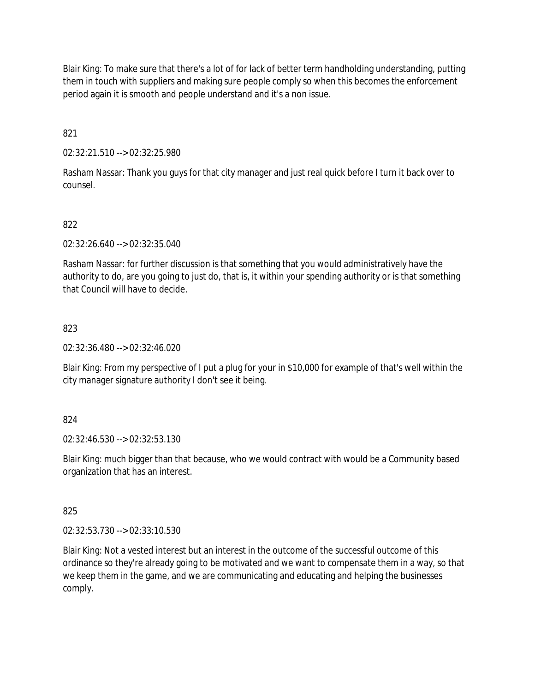Blair King: To make sure that there's a lot of for lack of better term handholding understanding, putting them in touch with suppliers and making sure people comply so when this becomes the enforcement period again it is smooth and people understand and it's a non issue.

821

02:32:21.510 --> 02:32:25.980

Rasham Nassar: Thank you guys for that city manager and just real quick before I turn it back over to counsel.

## 822

02:32:26.640 --> 02:32:35.040

Rasham Nassar: for further discussion is that something that you would administratively have the authority to do, are you going to just do, that is, it within your spending authority or is that something that Council will have to decide.

## 823

02:32:36.480 --> 02:32:46.020

Blair King: From my perspective of I put a plug for your in \$10,000 for example of that's well within the city manager signature authority I don't see it being.

## 824

02:32:46.530 --> 02:32:53.130

Blair King: much bigger than that because, who we would contract with would be a Community based organization that has an interest.

825

02:32:53.730 --> 02:33:10.530

Blair King: Not a vested interest but an interest in the outcome of the successful outcome of this ordinance so they're already going to be motivated and we want to compensate them in a way, so that we keep them in the game, and we are communicating and educating and helping the businesses comply.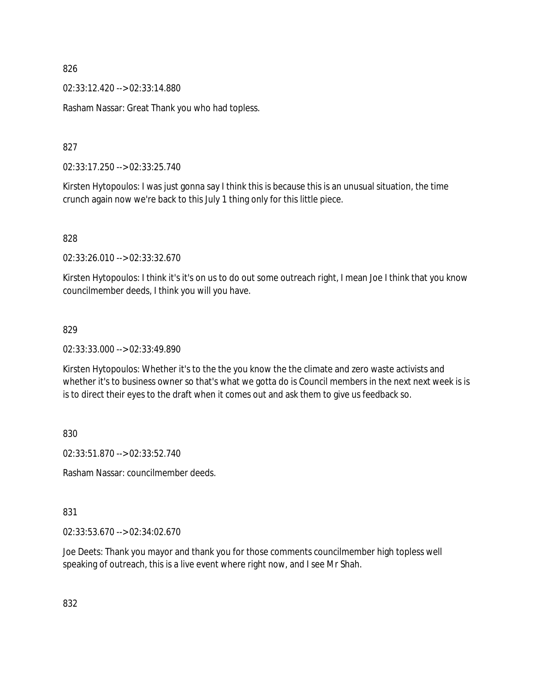02:33:12.420 --> 02:33:14.880

Rasham Nassar: Great Thank you who had topless.

827

02:33:17.250 --> 02:33:25.740

Kirsten Hytopoulos: I was just gonna say I think this is because this is an unusual situation, the time crunch again now we're back to this July 1 thing only for this little piece.

828

02:33:26.010 --> 02:33:32.670

Kirsten Hytopoulos: I think it's it's on us to do out some outreach right, I mean Joe I think that you know councilmember deeds, I think you will you have.

#### 829

02:33:33.000 --> 02:33:49.890

Kirsten Hytopoulos: Whether it's to the the you know the the climate and zero waste activists and whether it's to business owner so that's what we gotta do is Council members in the next next week is is is to direct their eyes to the draft when it comes out and ask them to give us feedback so.

830

02:33:51.870 --> 02:33:52.740

Rasham Nassar: councilmember deeds.

#### 831

02:33:53.670 --> 02:34:02.670

Joe Deets: Thank you mayor and thank you for those comments councilmember high topless well speaking of outreach, this is a live event where right now, and I see Mr Shah.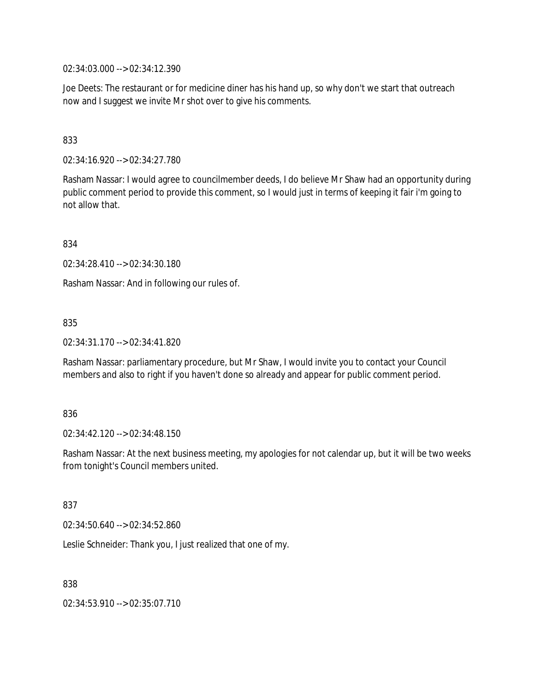02:34:03.000 --> 02:34:12.390

Joe Deets: The restaurant or for medicine diner has his hand up, so why don't we start that outreach now and I suggest we invite Mr shot over to give his comments.

## 833

02:34:16.920 --> 02:34:27.780

Rasham Nassar: I would agree to councilmember deeds, I do believe Mr Shaw had an opportunity during public comment period to provide this comment, so I would just in terms of keeping it fair i'm going to not allow that.

834

02:34:28.410 --> 02:34:30.180

Rasham Nassar: And in following our rules of.

835

02:34:31.170 --> 02:34:41.820

Rasham Nassar: parliamentary procedure, but Mr Shaw, I would invite you to contact your Council members and also to right if you haven't done so already and appear for public comment period.

#### 836

02:34:42.120 --> 02:34:48.150

Rasham Nassar: At the next business meeting, my apologies for not calendar up, but it will be two weeks from tonight's Council members united.

837

02:34:50.640 --> 02:34:52.860

Leslie Schneider: Thank you, I just realized that one of my.

838

02:34:53.910 --> 02:35:07.710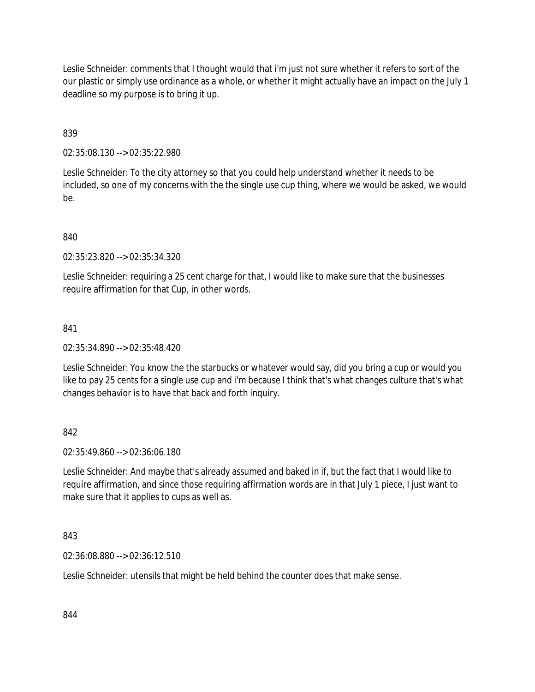Leslie Schneider: comments that I thought would that i'm just not sure whether it refers to sort of the our plastic or simply use ordinance as a whole, or whether it might actually have an impact on the July 1 deadline so my purpose is to bring it up.

839

02:35:08.130 --> 02:35:22.980

Leslie Schneider: To the city attorney so that you could help understand whether it needs to be included, so one of my concerns with the the single use cup thing, where we would be asked, we would be.

840

02:35:23.820 --> 02:35:34.320

Leslie Schneider: requiring a 25 cent charge for that, I would like to make sure that the businesses require affirmation for that Cup, in other words.

841

02:35:34.890 --> 02:35:48.420

Leslie Schneider: You know the the starbucks or whatever would say, did you bring a cup or would you like to pay 25 cents for a single use cup and i'm because I think that's what changes culture that's what changes behavior is to have that back and forth inquiry.

842

02:35:49.860 --> 02:36:06.180

Leslie Schneider: And maybe that's already assumed and baked in if, but the fact that I would like to require affirmation, and since those requiring affirmation words are in that July 1 piece, I just want to make sure that it applies to cups as well as.

843

02:36:08.880 --> 02:36:12.510

Leslie Schneider: utensils that might be held behind the counter does that make sense.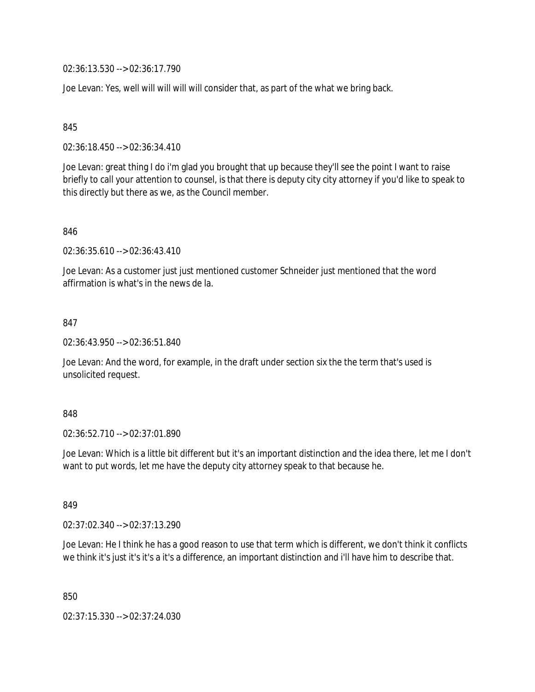02:36:13.530 --> 02:36:17.790

Joe Levan: Yes, well will will will will consider that, as part of the what we bring back.

845

02:36:18.450 --> 02:36:34.410

Joe Levan: great thing I do i'm glad you brought that up because they'll see the point I want to raise briefly to call your attention to counsel, is that there is deputy city city attorney if you'd like to speak to this directly but there as we, as the Council member.

846

02:36:35.610 --> 02:36:43.410

Joe Levan: As a customer just just mentioned customer Schneider just mentioned that the word affirmation is what's in the news de la.

847

02:36:43.950 --> 02:36:51.840

Joe Levan: And the word, for example, in the draft under section six the the term that's used is unsolicited request.

848

02:36:52.710 --> 02:37:01.890

Joe Levan: Which is a little bit different but it's an important distinction and the idea there, let me I don't want to put words, let me have the deputy city attorney speak to that because he.

849

02:37:02.340 --> 02:37:13.290

Joe Levan: He I think he has a good reason to use that term which is different, we don't think it conflicts we think it's just it's it's a it's a difference, an important distinction and i'll have him to describe that.

850

02:37:15.330 --> 02:37:24.030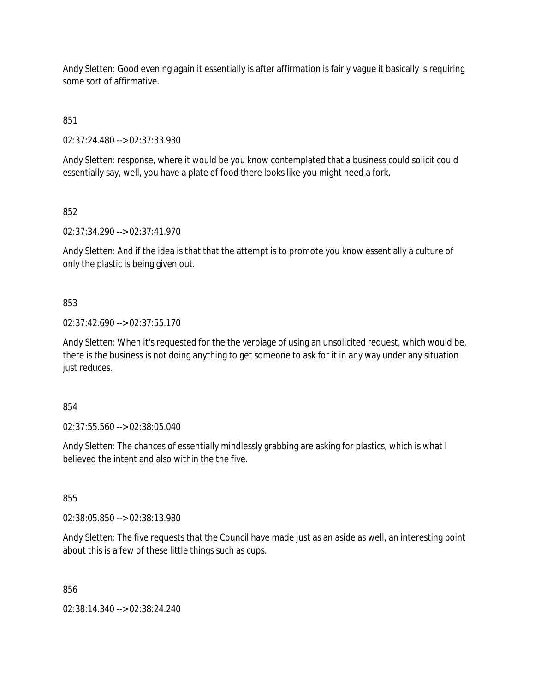Andy Sletten: Good evening again it essentially is after affirmation is fairly vague it basically is requiring some sort of affirmative.

851

02:37:24.480 --> 02:37:33.930

Andy Sletten: response, where it would be you know contemplated that a business could solicit could essentially say, well, you have a plate of food there looks like you might need a fork.

852

02:37:34.290 --> 02:37:41.970

Andy Sletten: And if the idea is that that the attempt is to promote you know essentially a culture of only the plastic is being given out.

853

02:37:42.690 --> 02:37:55.170

Andy Sletten: When it's requested for the the verbiage of using an unsolicited request, which would be, there is the business is not doing anything to get someone to ask for it in any way under any situation just reduces.

854

02:37:55.560 --> 02:38:05.040

Andy Sletten: The chances of essentially mindlessly grabbing are asking for plastics, which is what I believed the intent and also within the the five.

855

02:38:05.850 --> 02:38:13.980

Andy Sletten: The five requests that the Council have made just as an aside as well, an interesting point about this is a few of these little things such as cups.

856

02:38:14.340 --> 02:38:24.240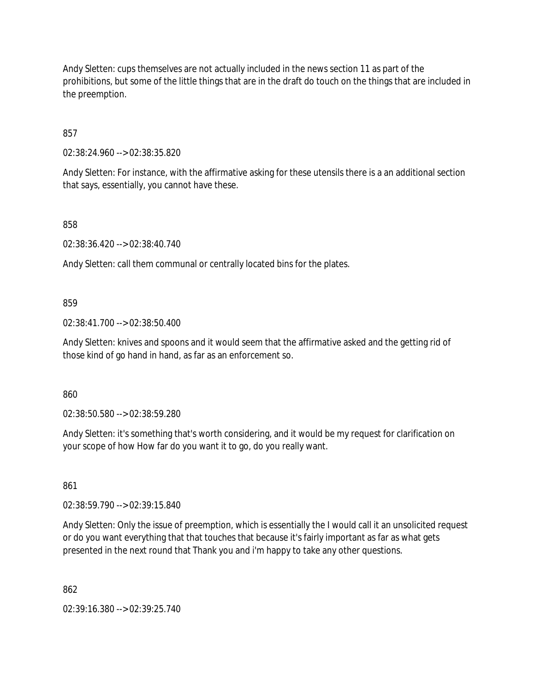Andy Sletten: cups themselves are not actually included in the news section 11 as part of the prohibitions, but some of the little things that are in the draft do touch on the things that are included in the preemption.

857

02:38:24.960 --> 02:38:35.820

Andy Sletten: For instance, with the affirmative asking for these utensils there is a an additional section that says, essentially, you cannot have these.

858

02:38:36.420 --> 02:38:40.740

Andy Sletten: call them communal or centrally located bins for the plates.

859

02:38:41.700 --> 02:38:50.400

Andy Sletten: knives and spoons and it would seem that the affirmative asked and the getting rid of those kind of go hand in hand, as far as an enforcement so.

860

02:38:50.580 --> 02:38:59.280

Andy Sletten: it's something that's worth considering, and it would be my request for clarification on your scope of how How far do you want it to go, do you really want.

861

02:38:59.790 --> 02:39:15.840

Andy Sletten: Only the issue of preemption, which is essentially the I would call it an unsolicited request or do you want everything that that touches that because it's fairly important as far as what gets presented in the next round that Thank you and i'm happy to take any other questions.

862

02:39:16.380 --> 02:39:25.740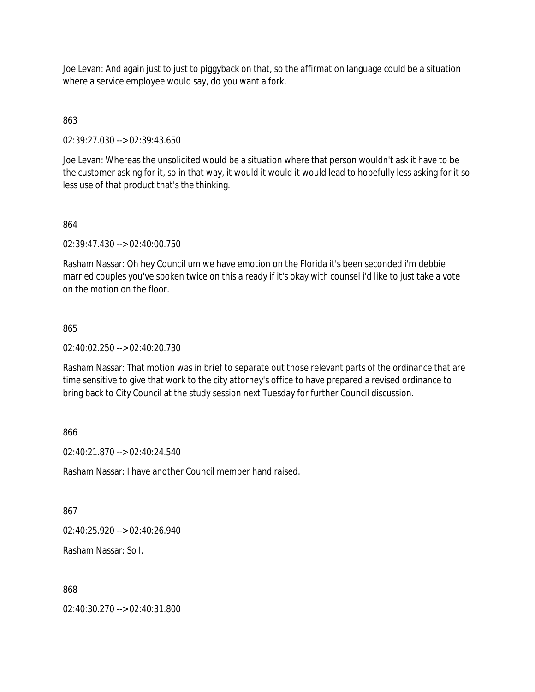Joe Levan: And again just to just to piggyback on that, so the affirmation language could be a situation where a service employee would say, do you want a fork.

## 863

02:39:27.030 --> 02:39:43.650

Joe Levan: Whereas the unsolicited would be a situation where that person wouldn't ask it have to be the customer asking for it, so in that way, it would it would it would lead to hopefully less asking for it so less use of that product that's the thinking.

## 864

02:39:47.430 --> 02:40:00.750

Rasham Nassar: Oh hey Council um we have emotion on the Florida it's been seconded i'm debbie married couples you've spoken twice on this already if it's okay with counsel i'd like to just take a vote on the motion on the floor.

## 865

02:40:02.250 --> 02:40:20.730

Rasham Nassar: That motion was in brief to separate out those relevant parts of the ordinance that are time sensitive to give that work to the city attorney's office to have prepared a revised ordinance to bring back to City Council at the study session next Tuesday for further Council discussion.

# 866

02:40:21.870 --> 02:40:24.540

Rasham Nassar: I have another Council member hand raised.

# 867

02:40:25.920 --> 02:40:26.940

Rasham Nassar: So I.

## 868

02:40:30.270 --> 02:40:31.800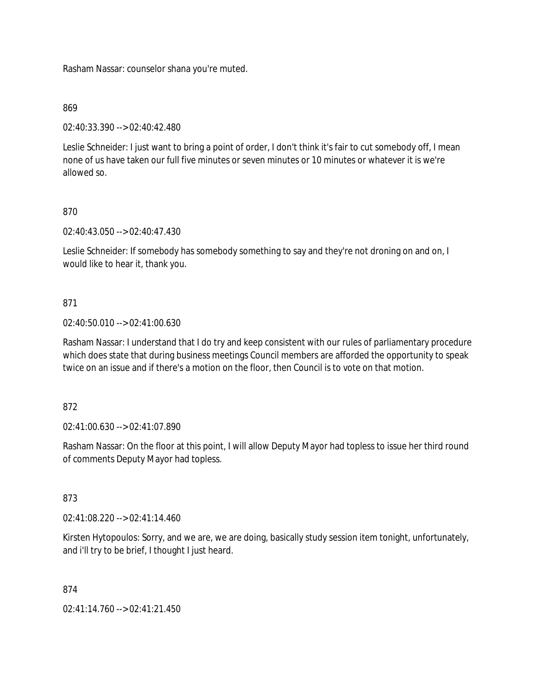Rasham Nassar: counselor shana you're muted.

## 869

02:40:33.390 --> 02:40:42.480

Leslie Schneider: I just want to bring a point of order, I don't think it's fair to cut somebody off, I mean none of us have taken our full five minutes or seven minutes or 10 minutes or whatever it is we're allowed so.

# 870

02:40:43.050 --> 02:40:47.430

Leslie Schneider: If somebody has somebody something to say and they're not droning on and on, I would like to hear it, thank you.

## 871

02:40:50.010 --> 02:41:00.630

Rasham Nassar: I understand that I do try and keep consistent with our rules of parliamentary procedure which does state that during business meetings Council members are afforded the opportunity to speak twice on an issue and if there's a motion on the floor, then Council is to vote on that motion.

## 872

02:41:00.630 --> 02:41:07.890

Rasham Nassar: On the floor at this point, I will allow Deputy Mayor had topless to issue her third round of comments Deputy Mayor had topless.

# 873

02:41:08.220 --> 02:41:14.460

Kirsten Hytopoulos: Sorry, and we are, we are doing, basically study session item tonight, unfortunately, and i'll try to be brief, I thought I just heard.

## 874

 $02:41:14.760 \rightarrow 02:41:21.450$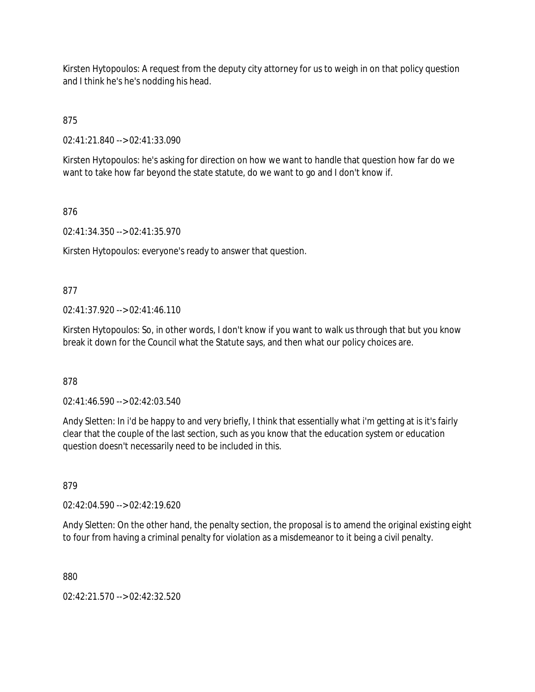Kirsten Hytopoulos: A request from the deputy city attorney for us to weigh in on that policy question and I think he's he's nodding his head.

875

02:41:21.840 --> 02:41:33.090

Kirsten Hytopoulos: he's asking for direction on how we want to handle that question how far do we want to take how far beyond the state statute, do we want to go and I don't know if.

# 876

02:41:34.350 --> 02:41:35.970

Kirsten Hytopoulos: everyone's ready to answer that question.

# 877

02:41:37.920 --> 02:41:46.110

Kirsten Hytopoulos: So, in other words, I don't know if you want to walk us through that but you know break it down for the Council what the Statute says, and then what our policy choices are.

# 878

02:41:46.590 --> 02:42:03.540

Andy Sletten: In i'd be happy to and very briefly, I think that essentially what i'm getting at is it's fairly clear that the couple of the last section, such as you know that the education system or education question doesn't necessarily need to be included in this.

# 879

02:42:04.590 --> 02:42:19.620

Andy Sletten: On the other hand, the penalty section, the proposal is to amend the original existing eight to four from having a criminal penalty for violation as a misdemeanor to it being a civil penalty.

880

02:42:21.570 --> 02:42:32.520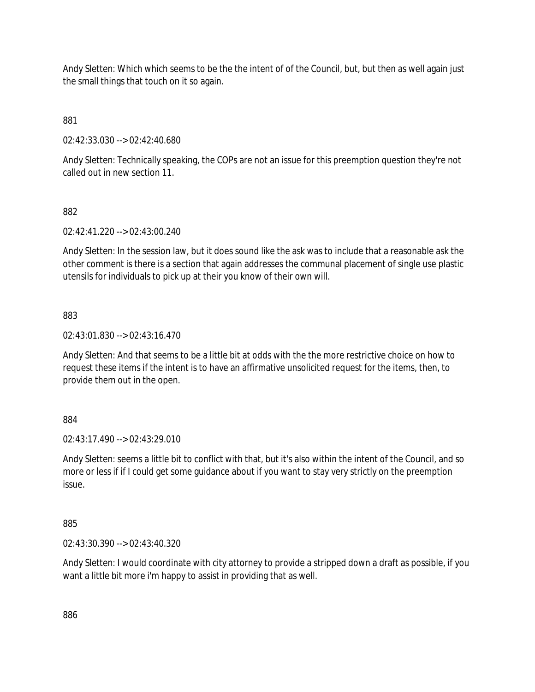Andy Sletten: Which which seems to be the the intent of of the Council, but, but then as well again just the small things that touch on it so again.

881

02:42:33.030 --> 02:42:40.680

Andy Sletten: Technically speaking, the COPs are not an issue for this preemption question they're not called out in new section 11.

882

02:42:41.220 --> 02:43:00.240

Andy Sletten: In the session law, but it does sound like the ask was to include that a reasonable ask the other comment is there is a section that again addresses the communal placement of single use plastic utensils for individuals to pick up at their you know of their own will.

883

02:43:01.830 --> 02:43:16.470

Andy Sletten: And that seems to be a little bit at odds with the the more restrictive choice on how to request these items if the intent is to have an affirmative unsolicited request for the items, then, to provide them out in the open.

884

02:43:17.490 --> 02:43:29.010

Andy Sletten: seems a little bit to conflict with that, but it's also within the intent of the Council, and so more or less if if I could get some guidance about if you want to stay very strictly on the preemption issue.

885

02:43:30.390 --> 02:43:40.320

Andy Sletten: I would coordinate with city attorney to provide a stripped down a draft as possible, if you want a little bit more i'm happy to assist in providing that as well.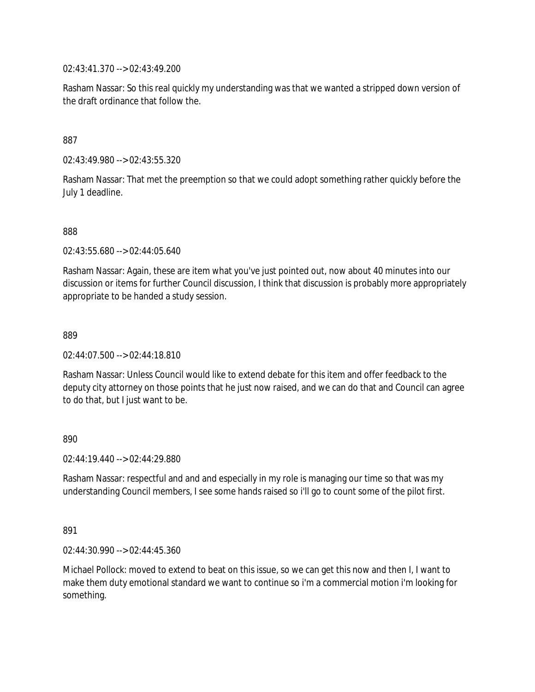02:43:41.370 --> 02:43:49.200

Rasham Nassar: So this real quickly my understanding was that we wanted a stripped down version of the draft ordinance that follow the.

## 887

02:43:49.980 --> 02:43:55.320

Rasham Nassar: That met the preemption so that we could adopt something rather quickly before the July 1 deadline.

888

02:43:55.680 --> 02:44:05.640

Rasham Nassar: Again, these are item what you've just pointed out, now about 40 minutes into our discussion or items for further Council discussion, I think that discussion is probably more appropriately appropriate to be handed a study session.

889

02:44:07.500 --> 02:44:18.810

Rasham Nassar: Unless Council would like to extend debate for this item and offer feedback to the deputy city attorney on those points that he just now raised, and we can do that and Council can agree to do that, but I just want to be.

## 890

02:44:19.440 --> 02:44:29.880

Rasham Nassar: respectful and and and especially in my role is managing our time so that was my understanding Council members, I see some hands raised so i'll go to count some of the pilot first.

#### 891

02:44:30.990 --> 02:44:45.360

Michael Pollock: moved to extend to beat on this issue, so we can get this now and then I, I want to make them duty emotional standard we want to continue so i'm a commercial motion i'm looking for something.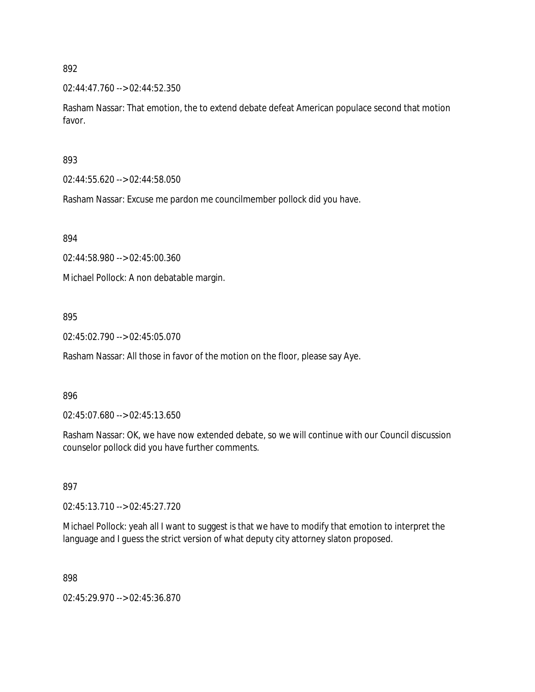$02:44:47.760 \rightarrow 02:44:52.350$ 

Rasham Nassar: That emotion, the to extend debate defeat American populace second that motion favor.

## 893

02:44:55.620 --> 02:44:58.050

Rasham Nassar: Excuse me pardon me councilmember pollock did you have.

894

02:44:58.980 --> 02:45:00.360

Michael Pollock: A non debatable margin.

## 895

02:45:02.790 --> 02:45:05.070

Rasham Nassar: All those in favor of the motion on the floor, please say Aye.

#### 896

02:45:07.680 --> 02:45:13.650

Rasham Nassar: OK, we have now extended debate, so we will continue with our Council discussion counselor pollock did you have further comments.

#### 897

02:45:13.710 --> 02:45:27.720

Michael Pollock: yeah all I want to suggest is that we have to modify that emotion to interpret the language and I guess the strict version of what deputy city attorney slaton proposed.

898

02:45:29.970 --> 02:45:36.870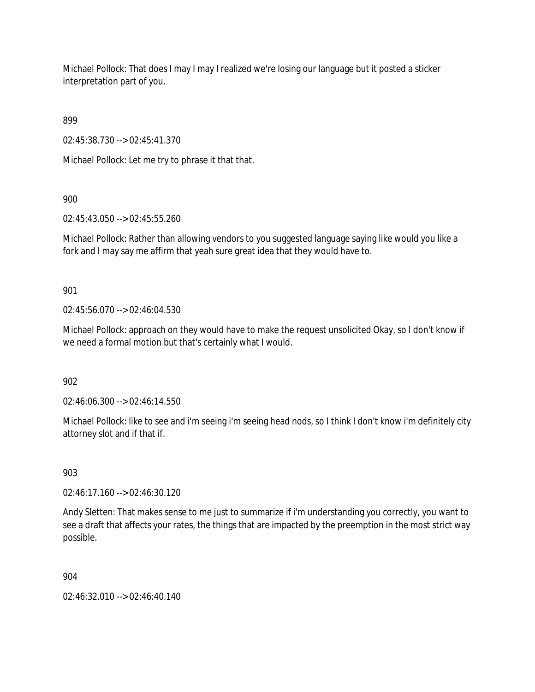Michael Pollock: That does I may I may I realized we're losing our language but it posted a sticker interpretation part of you.

899

02:45:38.730 --> 02:45:41.370

Michael Pollock: Let me try to phrase it that that.

900

02:45:43.050 --> 02:45:55.260

Michael Pollock: Rather than allowing vendors to you suggested language saying like would you like a fork and I may say me affirm that yeah sure great idea that they would have to.

901

02:45:56.070 --> 02:46:04.530

Michael Pollock: approach on they would have to make the request unsolicited Okay, so I don't know if we need a formal motion but that's certainly what I would.

902

02:46:06.300 --> 02:46:14.550

Michael Pollock: like to see and i'm seeing i'm seeing head nods, so I think I don't know i'm definitely city attorney slot and if that if.

903

02:46:17.160 --> 02:46:30.120

Andy Sletten: That makes sense to me just to summarize if i'm understanding you correctly, you want to see a draft that affects your rates, the things that are impacted by the preemption in the most strict way possible.

904

02:46:32.010 --> 02:46:40.140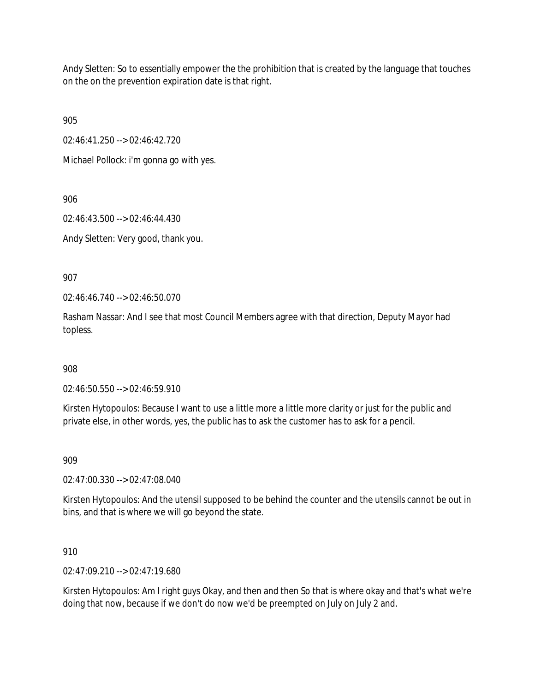Andy Sletten: So to essentially empower the the prohibition that is created by the language that touches on the on the prevention expiration date is that right.

905

02:46:41.250 --> 02:46:42.720

Michael Pollock: i'm gonna go with yes.

906

02:46:43.500 --> 02:46:44.430

Andy Sletten: Very good, thank you.

907

02:46:46.740 --> 02:46:50.070

Rasham Nassar: And I see that most Council Members agree with that direction, Deputy Mayor had topless.

908

02:46:50.550 --> 02:46:59.910

Kirsten Hytopoulos: Because I want to use a little more a little more clarity or just for the public and private else, in other words, yes, the public has to ask the customer has to ask for a pencil.

909

02:47:00.330 --> 02:47:08.040

Kirsten Hytopoulos: And the utensil supposed to be behind the counter and the utensils cannot be out in bins, and that is where we will go beyond the state.

910

02:47:09.210 --> 02:47:19.680

Kirsten Hytopoulos: Am I right guys Okay, and then and then So that is where okay and that's what we're doing that now, because if we don't do now we'd be preempted on July on July 2 and.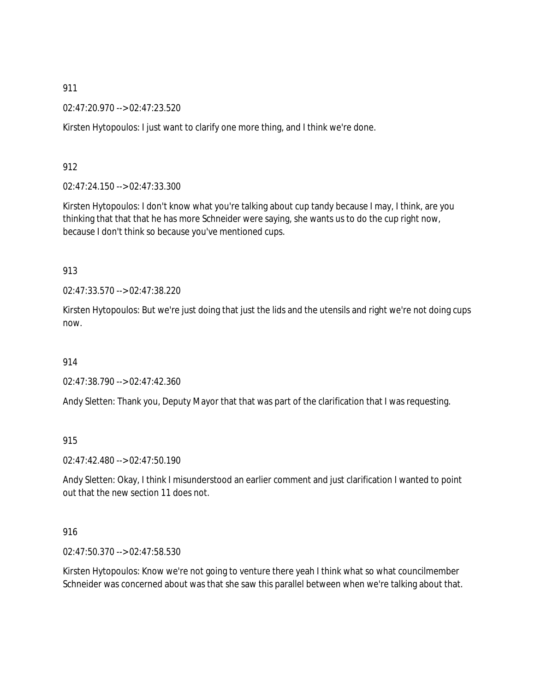02:47:20.970 --> 02:47:23.520

Kirsten Hytopoulos: I just want to clarify one more thing, and I think we're done.

912

02:47:24.150 --> 02:47:33.300

Kirsten Hytopoulos: I don't know what you're talking about cup tandy because I may, I think, are you thinking that that that he has more Schneider were saying, she wants us to do the cup right now, because I don't think so because you've mentioned cups.

913

02:47:33.570 --> 02:47:38.220

Kirsten Hytopoulos: But we're just doing that just the lids and the utensils and right we're not doing cups now.

914

02:47:38.790 --> 02:47:42.360

Andy Sletten: Thank you, Deputy Mayor that that was part of the clarification that I was requesting.

915

02:47:42.480 --> 02:47:50.190

Andy Sletten: Okay, I think I misunderstood an earlier comment and just clarification I wanted to point out that the new section 11 does not.

916

02:47:50.370 --> 02:47:58.530

Kirsten Hytopoulos: Know we're not going to venture there yeah I think what so what councilmember Schneider was concerned about was that she saw this parallel between when we're talking about that.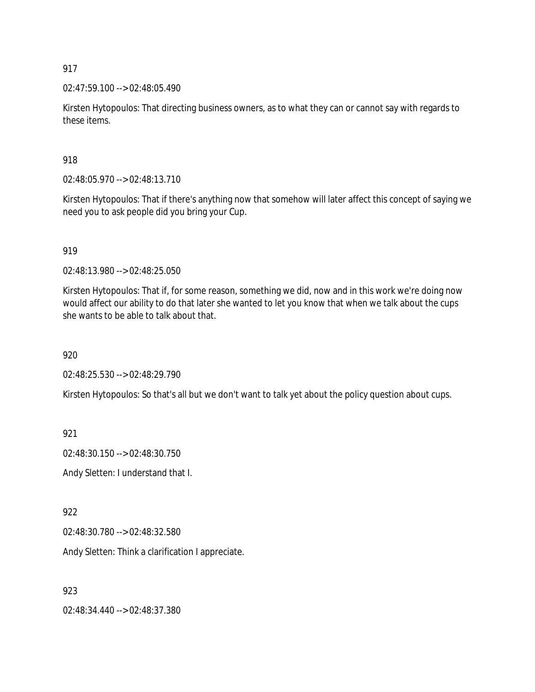02:47:59.100 --> 02:48:05.490

Kirsten Hytopoulos: That directing business owners, as to what they can or cannot say with regards to these items.

918

02:48:05.970 --> 02:48:13.710

Kirsten Hytopoulos: That if there's anything now that somehow will later affect this concept of saying we need you to ask people did you bring your Cup.

919

02:48:13.980 --> 02:48:25.050

Kirsten Hytopoulos: That if, for some reason, something we did, now and in this work we're doing now would affect our ability to do that later she wanted to let you know that when we talk about the cups she wants to be able to talk about that.

920

02:48:25.530 --> 02:48:29.790

Kirsten Hytopoulos: So that's all but we don't want to talk yet about the policy question about cups.

921

02:48:30.150 --> 02:48:30.750

Andy Sletten: I understand that I.

922

02:48:30.780 --> 02:48:32.580

Andy Sletten: Think a clarification I appreciate.

923

02:48:34.440 --> 02:48:37.380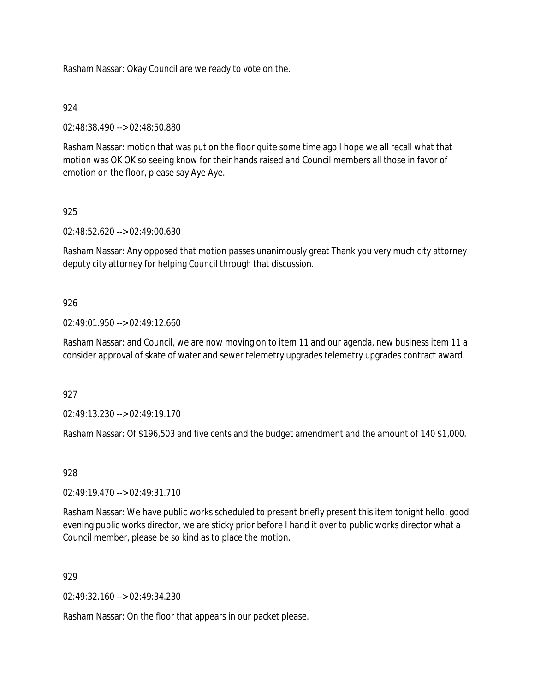Rasham Nassar: Okay Council are we ready to vote on the.

## 924

02:48:38.490 --> 02:48:50.880

Rasham Nassar: motion that was put on the floor quite some time ago I hope we all recall what that motion was OK OK so seeing know for their hands raised and Council members all those in favor of emotion on the floor, please say Aye Aye.

## 925

02:48:52.620 --> 02:49:00.630

Rasham Nassar: Any opposed that motion passes unanimously great Thank you very much city attorney deputy city attorney for helping Council through that discussion.

## 926

02:49:01.950 --> 02:49:12.660

Rasham Nassar: and Council, we are now moving on to item 11 and our agenda, new business item 11 a consider approval of skate of water and sewer telemetry upgrades telemetry upgrades contract award.

## 927

02:49:13.230 --> 02:49:19.170

Rasham Nassar: Of \$196,503 and five cents and the budget amendment and the amount of 140 \$1,000.

## 928

02:49:19.470 --> 02:49:31.710

Rasham Nassar: We have public works scheduled to present briefly present this item tonight hello, good evening public works director, we are sticky prior before I hand it over to public works director what a Council member, please be so kind as to place the motion.

## 929

02:49:32.160 --> 02:49:34.230

Rasham Nassar: On the floor that appears in our packet please.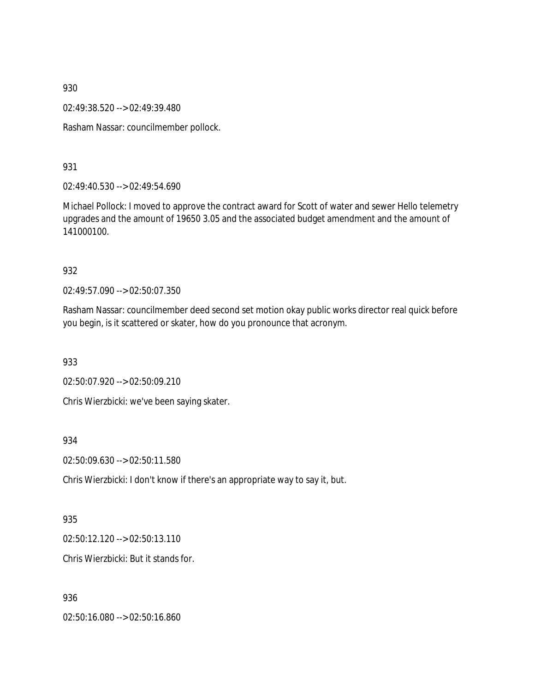02:49:38.520 --> 02:49:39.480

Rasham Nassar: councilmember pollock.

931

02:49:40.530 --> 02:49:54.690

Michael Pollock: I moved to approve the contract award for Scott of water and sewer Hello telemetry upgrades and the amount of 19650 3.05 and the associated budget amendment and the amount of 141000100.

#### 932

02:49:57.090 --> 02:50:07.350

Rasham Nassar: councilmember deed second set motion okay public works director real quick before you begin, is it scattered or skater, how do you pronounce that acronym.

933

02:50:07.920 --> 02:50:09.210

Chris Wierzbicki: we've been saying skater.

934

02:50:09.630 --> 02:50:11.580

Chris Wierzbicki: I don't know if there's an appropriate way to say it, but.

## 935

02:50:12.120 --> 02:50:13.110

Chris Wierzbicki: But it stands for.

## 936

02:50:16.080 --> 02:50:16.860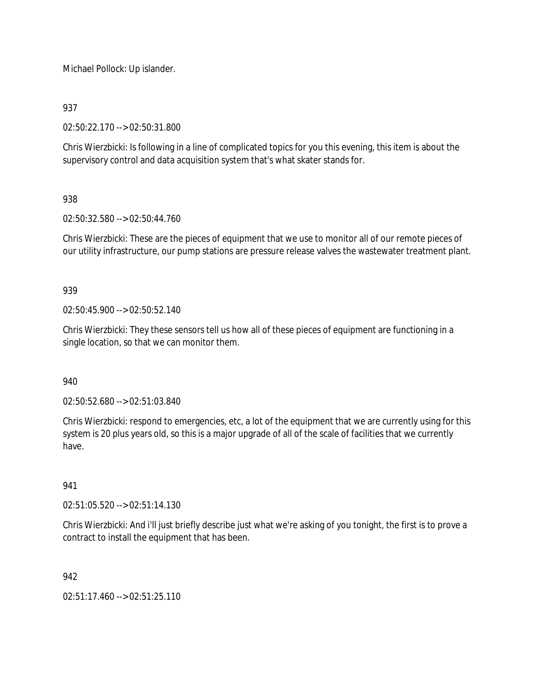Michael Pollock: Up islander.

937

02:50:22.170 --> 02:50:31.800

Chris Wierzbicki: Is following in a line of complicated topics for you this evening, this item is about the supervisory control and data acquisition system that's what skater stands for.

# 938

02:50:32.580 --> 02:50:44.760

Chris Wierzbicki: These are the pieces of equipment that we use to monitor all of our remote pieces of our utility infrastructure, our pump stations are pressure release valves the wastewater treatment plant.

939

02:50:45.900 --> 02:50:52.140

Chris Wierzbicki: They these sensors tell us how all of these pieces of equipment are functioning in a single location, so that we can monitor them.

940

02:50:52.680 --> 02:51:03.840

Chris Wierzbicki: respond to emergencies, etc, a lot of the equipment that we are currently using for this system is 20 plus years old, so this is a major upgrade of all of the scale of facilities that we currently have.

## 941

02:51:05.520 --> 02:51:14.130

Chris Wierzbicki: And i'll just briefly describe just what we're asking of you tonight, the first is to prove a contract to install the equipment that has been.

942

02:51:17.460 --> 02:51:25.110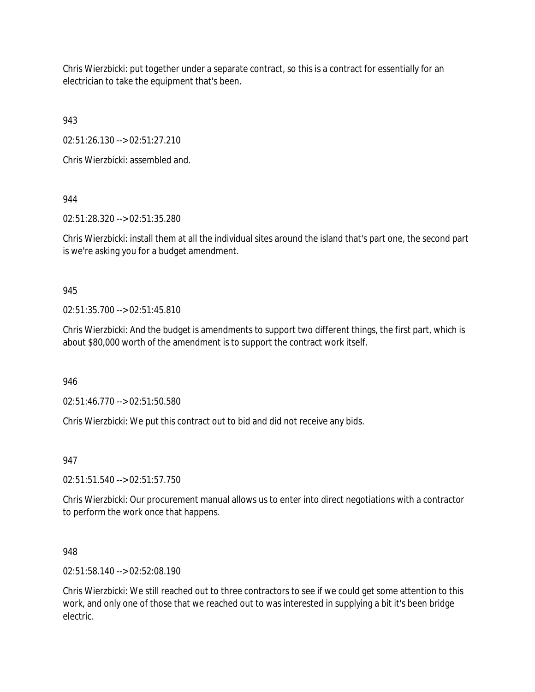Chris Wierzbicki: put together under a separate contract, so this is a contract for essentially for an electrician to take the equipment that's been.

943

02:51:26.130 --> 02:51:27.210

Chris Wierzbicki: assembled and.

944

02:51:28.320 --> 02:51:35.280

Chris Wierzbicki: install them at all the individual sites around the island that's part one, the second part is we're asking you for a budget amendment.

945

02:51:35.700 --> 02:51:45.810

Chris Wierzbicki: And the budget is amendments to support two different things, the first part, which is about \$80,000 worth of the amendment is to support the contract work itself.

946

02:51:46.770 --> 02:51:50.580

Chris Wierzbicki: We put this contract out to bid and did not receive any bids.

947

02:51:51.540 --> 02:51:57.750

Chris Wierzbicki: Our procurement manual allows us to enter into direct negotiations with a contractor to perform the work once that happens.

948

02:51:58.140 --> 02:52:08.190

Chris Wierzbicki: We still reached out to three contractors to see if we could get some attention to this work, and only one of those that we reached out to was interested in supplying a bit it's been bridge electric.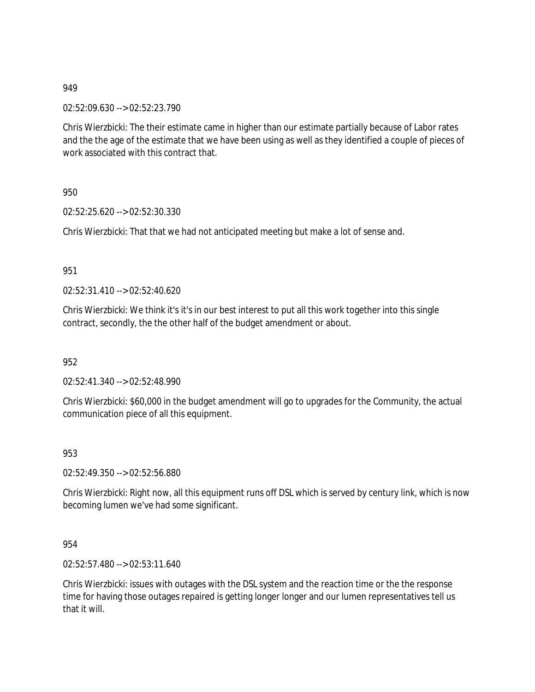02:52:09.630 --> 02:52:23.790

Chris Wierzbicki: The their estimate came in higher than our estimate partially because of Labor rates and the the age of the estimate that we have been using as well as they identified a couple of pieces of work associated with this contract that.

950

02:52:25.620 --> 02:52:30.330

Chris Wierzbicki: That that we had not anticipated meeting but make a lot of sense and.

951

02:52:31.410 --> 02:52:40.620

Chris Wierzbicki: We think it's it's in our best interest to put all this work together into this single contract, secondly, the the other half of the budget amendment or about.

952

02:52:41.340 --> 02:52:48.990

Chris Wierzbicki: \$60,000 in the budget amendment will go to upgrades for the Community, the actual communication piece of all this equipment.

953

02:52:49.350 --> 02:52:56.880

Chris Wierzbicki: Right now, all this equipment runs off DSL which is served by century link, which is now becoming lumen we've had some significant.

954

02:52:57.480 --> 02:53:11.640

Chris Wierzbicki: issues with outages with the DSL system and the reaction time or the the response time for having those outages repaired is getting longer longer and our lumen representatives tell us that it will.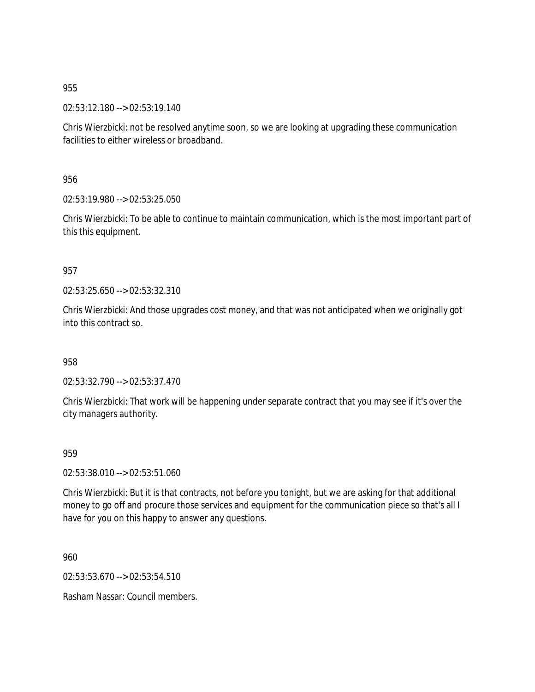02:53:12.180 --> 02:53:19.140

Chris Wierzbicki: not be resolved anytime soon, so we are looking at upgrading these communication facilities to either wireless or broadband.

956

02:53:19.980 --> 02:53:25.050

Chris Wierzbicki: To be able to continue to maintain communication, which is the most important part of this this equipment.

## 957

02:53:25.650 --> 02:53:32.310

Chris Wierzbicki: And those upgrades cost money, and that was not anticipated when we originally got into this contract so.

958

02:53:32.790 --> 02:53:37.470

Chris Wierzbicki: That work will be happening under separate contract that you may see if it's over the city managers authority.

## 959

02:53:38.010 --> 02:53:51.060

Chris Wierzbicki: But it is that contracts, not before you tonight, but we are asking for that additional money to go off and procure those services and equipment for the communication piece so that's all I have for you on this happy to answer any questions.

960

02:53:53.670 --> 02:53:54.510

Rasham Nassar: Council members.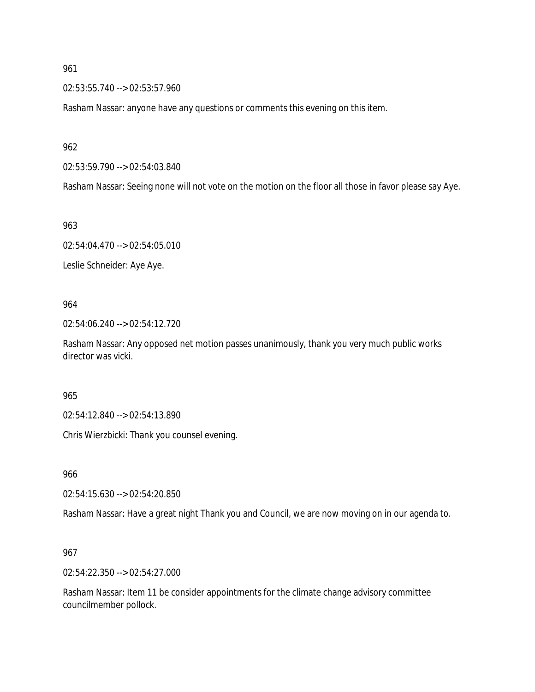02:53:55.740 --> 02:53:57.960

Rasham Nassar: anyone have any questions or comments this evening on this item.

962

02:53:59.790 --> 02:54:03.840

Rasham Nassar: Seeing none will not vote on the motion on the floor all those in favor please say Aye.

963

02:54:04.470 --> 02:54:05.010

Leslie Schneider: Aye Aye.

964

02:54:06.240 --> 02:54:12.720

Rasham Nassar: Any opposed net motion passes unanimously, thank you very much public works director was vicki.

965

02:54:12.840 --> 02:54:13.890

Chris Wierzbicki: Thank you counsel evening.

966

02:54:15.630 --> 02:54:20.850

Rasham Nassar: Have a great night Thank you and Council, we are now moving on in our agenda to.

967

02:54:22.350 --> 02:54:27.000

Rasham Nassar: Item 11 be consider appointments for the climate change advisory committee councilmember pollock.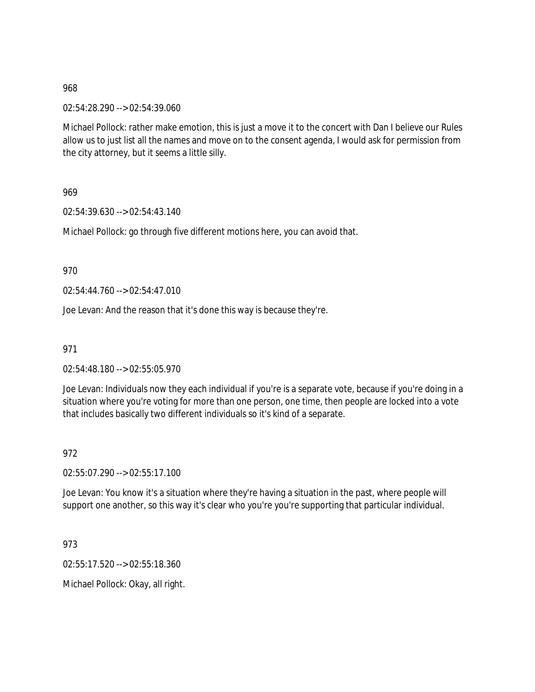02:54:28.290 --> 02:54:39.060

Michael Pollock: rather make emotion, this is just a move it to the concert with Dan I believe our Rules allow us to just list all the names and move on to the consent agenda, I would ask for permission from the city attorney, but it seems a little silly.

969

02:54:39.630 --> 02:54:43.140

Michael Pollock: go through five different motions here, you can avoid that.

970

02:54:44.760 --> 02:54:47.010

Joe Levan: And the reason that it's done this way is because they're.

971

02:54:48.180 --> 02:55:05.970

Joe Levan: Individuals now they each individual if you're is a separate vote, because if you're doing in a situation where you're voting for more than one person, one time, then people are locked into a vote that includes basically two different individuals so it's kind of a separate.

972

02:55:07.290 --> 02:55:17.100

Joe Levan: You know it's a situation where they're having a situation in the past, where people will support one another, so this way it's clear who you're you're supporting that particular individual.

973

02:55:17.520 --> 02:55:18.360

Michael Pollock: Okay, all right.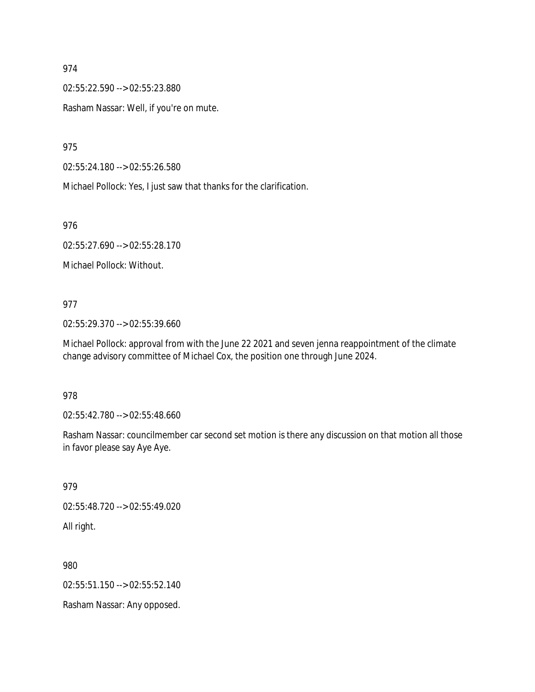02:55:22.590 --> 02:55:23.880

Rasham Nassar: Well, if you're on mute.

975

02:55:24.180 --> 02:55:26.580

Michael Pollock: Yes, I just saw that thanks for the clarification.

976

02:55:27.690 --> 02:55:28.170

Michael Pollock: Without.

#### 977

02:55:29.370 --> 02:55:39.660

Michael Pollock: approval from with the June 22 2021 and seven jenna reappointment of the climate change advisory committee of Michael Cox, the position one through June 2024.

#### 978

02:55:42.780 --> 02:55:48.660

Rasham Nassar: councilmember car second set motion is there any discussion on that motion all those in favor please say Aye Aye.

979 02:55:48.720 --> 02:55:49.020 All right.

980 02:55:51.150 --> 02:55:52.140

Rasham Nassar: Any opposed.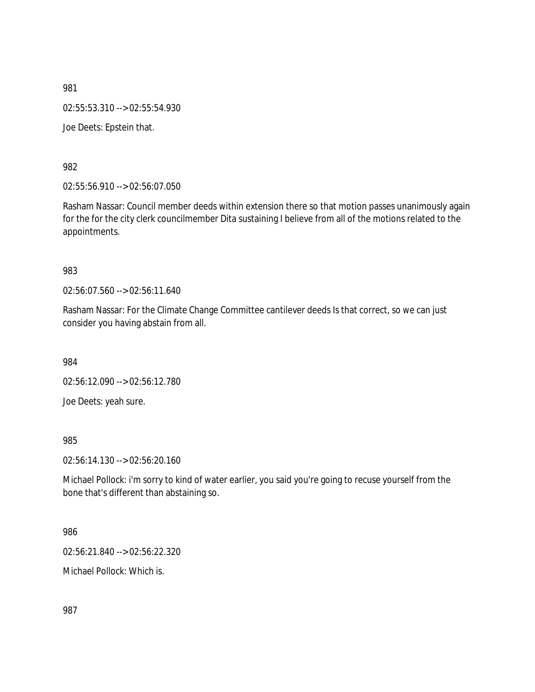981 02:55:53.310 --> 02:55:54.930 Joe Deets: Epstein that.

982

02:55:56.910 --> 02:56:07.050

Rasham Nassar: Council member deeds within extension there so that motion passes unanimously again for the for the city clerk councilmember Dita sustaining I believe from all of the motions related to the appointments.

983

02:56:07.560 --> 02:56:11.640

Rasham Nassar: For the Climate Change Committee cantilever deeds Is that correct, so we can just consider you having abstain from all.

984

02:56:12.090 --> 02:56:12.780

Joe Deets: yeah sure.

985

02:56:14.130 --> 02:56:20.160

Michael Pollock: i'm sorry to kind of water earlier, you said you're going to recuse yourself from the bone that's different than abstaining so.

986

02:56:21.840 --> 02:56:22.320

Michael Pollock: Which is.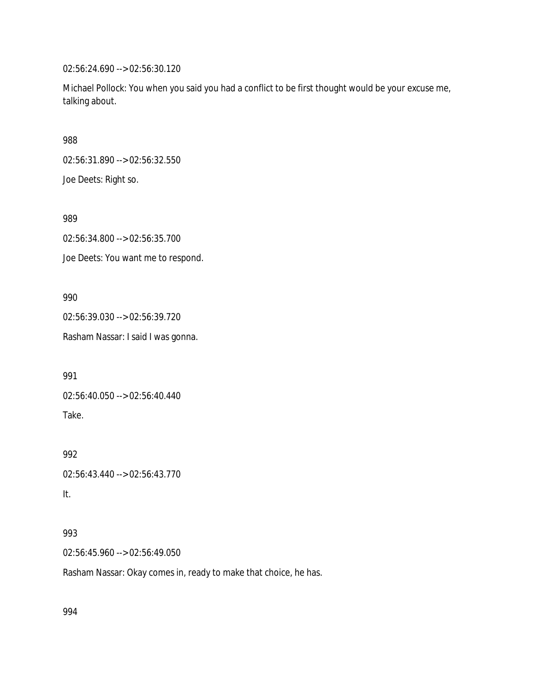02:56:24.690 --> 02:56:30.120

Michael Pollock: You when you said you had a conflict to be first thought would be your excuse me, talking about.

988

02:56:31.890 --> 02:56:32.550

Joe Deets: Right so.

989

02:56:34.800 --> 02:56:35.700

Joe Deets: You want me to respond.

990

02:56:39.030 --> 02:56:39.720

Rasham Nassar: I said I was gonna.

991

02:56:40.050 --> 02:56:40.440 Take.

992

02:56:43.440 --> 02:56:43.770

It.

# 993

02:56:45.960 --> 02:56:49.050

Rasham Nassar: Okay comes in, ready to make that choice, he has.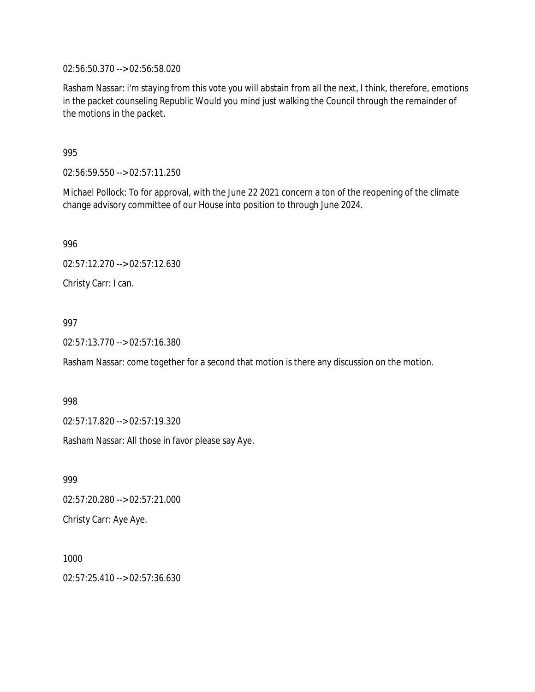02:56:50.370 --> 02:56:58.020

Rasham Nassar: i'm staying from this vote you will abstain from all the next, I think, therefore, emotions in the packet counseling Republic Would you mind just walking the Council through the remainder of the motions in the packet.

995

02:56:59.550 --> 02:57:11.250

Michael Pollock: To for approval, with the June 22 2021 concern a ton of the reopening of the climate change advisory committee of our House into position to through June 2024.

996

02:57:12.270 --> 02:57:12.630

Christy Carr: I can.

997

02:57:13.770 --> 02:57:16.380

Rasham Nassar: come together for a second that motion is there any discussion on the motion.

998

02:57:17.820 --> 02:57:19.320

Rasham Nassar: All those in favor please say Aye.

999 02:57:20.280 --> 02:57:21.000 Christy Carr: Aye Aye.

1000 02:57:25.410 --> 02:57:36.630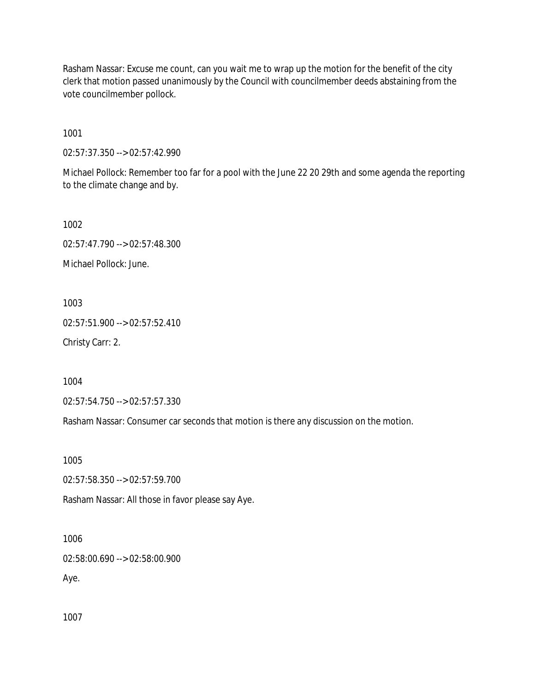Rasham Nassar: Excuse me count, can you wait me to wrap up the motion for the benefit of the city clerk that motion passed unanimously by the Council with councilmember deeds abstaining from the vote councilmember pollock.

1001

02:57:37.350 --> 02:57:42.990

Michael Pollock: Remember too far for a pool with the June 22 20 29th and some agenda the reporting to the climate change and by.

1002

02:57:47.790 --> 02:57:48.300

Michael Pollock: June.

1003

02:57:51.900 --> 02:57:52.410

Christy Carr: 2.

1004

02:57:54.750 --> 02:57:57.330

Rasham Nassar: Consumer car seconds that motion is there any discussion on the motion.

1005

02:57:58.350 --> 02:57:59.700

Rasham Nassar: All those in favor please say Aye.

1006

02:58:00.690 --> 02:58:00.900

Aye.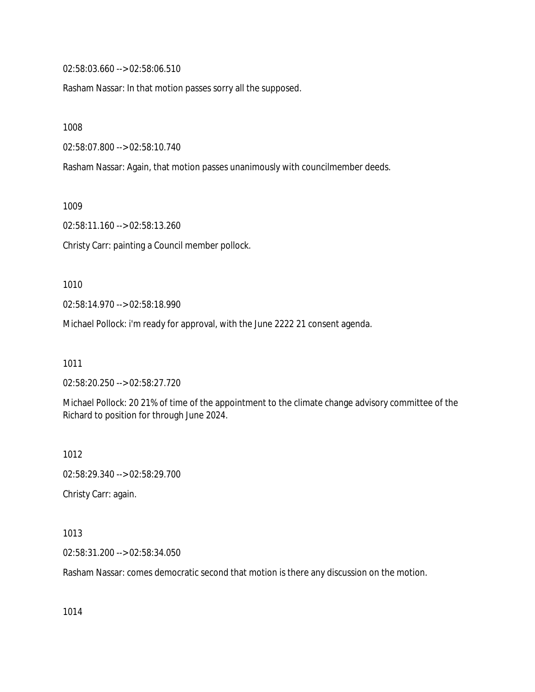02:58:03.660 --> 02:58:06.510

Rasham Nassar: In that motion passes sorry all the supposed.

1008

02:58:07.800 --> 02:58:10.740

Rasham Nassar: Again, that motion passes unanimously with councilmember deeds.

1009

02:58:11.160 --> 02:58:13.260

Christy Carr: painting a Council member pollock.

1010

02:58:14.970 --> 02:58:18.990

Michael Pollock: i'm ready for approval, with the June 2222 21 consent agenda.

1011

02:58:20.250 --> 02:58:27.720

Michael Pollock: 20 21% of time of the appointment to the climate change advisory committee of the Richard to position for through June 2024.

1012

02:58:29.340 --> 02:58:29.700

Christy Carr: again.

1013

02:58:31.200 --> 02:58:34.050

Rasham Nassar: comes democratic second that motion is there any discussion on the motion.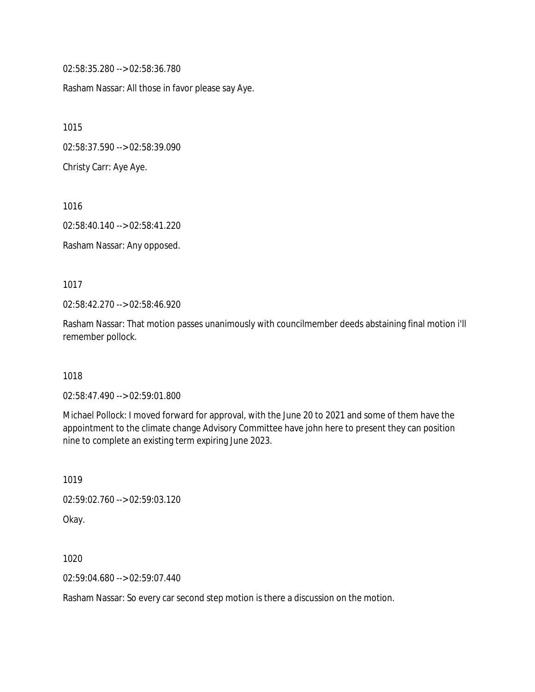02:58:35.280 --> 02:58:36.780

Rasham Nassar: All those in favor please say Aye.

1015

02:58:37.590 --> 02:58:39.090

Christy Carr: Aye Aye.

1016

02:58:40.140 --> 02:58:41.220

Rasham Nassar: Any opposed.

1017

02:58:42.270 --> 02:58:46.920

Rasham Nassar: That motion passes unanimously with councilmember deeds abstaining final motion i'll remember pollock.

1018

02:58:47.490 --> 02:59:01.800

Michael Pollock: I moved forward for approval, with the June 20 to 2021 and some of them have the appointment to the climate change Advisory Committee have john here to present they can position nine to complete an existing term expiring June 2023.

1019

02:59:02.760 --> 02:59:03.120

Okay.

1020

02:59:04.680 --> 02:59:07.440

Rasham Nassar: So every car second step motion is there a discussion on the motion.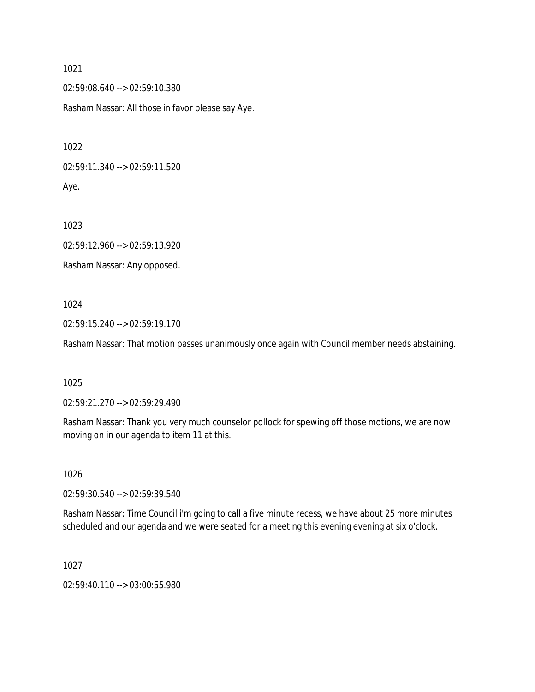02:59:08.640 --> 02:59:10.380

Rasham Nassar: All those in favor please say Aye.

1022

02:59:11.340 --> 02:59:11.520 Aye.

1023

02:59:12.960 --> 02:59:13.920

Rasham Nassar: Any opposed.

1024

02:59:15.240 --> 02:59:19.170

Rasham Nassar: That motion passes unanimously once again with Council member needs abstaining.

1025

02:59:21.270 --> 02:59:29.490

Rasham Nassar: Thank you very much counselor pollock for spewing off those motions, we are now moving on in our agenda to item 11 at this.

1026

02:59:30.540 --> 02:59:39.540

Rasham Nassar: Time Council i'm going to call a five minute recess, we have about 25 more minutes scheduled and our agenda and we were seated for a meeting this evening evening at six o'clock.

1027

02:59:40.110 --> 03:00:55.980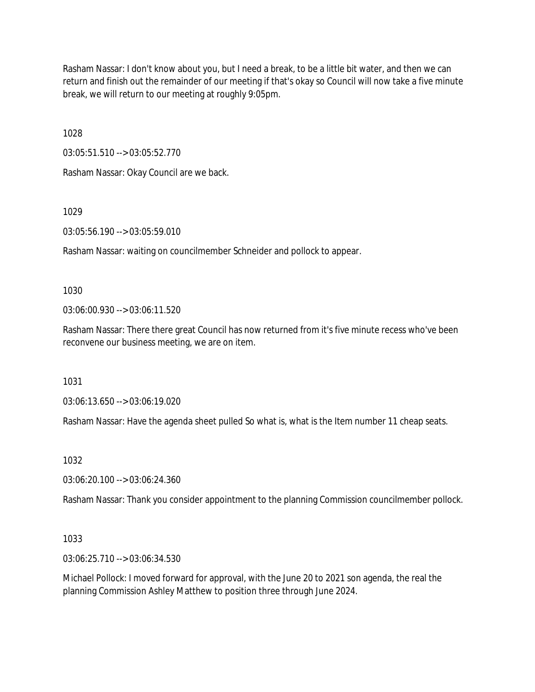Rasham Nassar: I don't know about you, but I need a break, to be a little bit water, and then we can return and finish out the remainder of our meeting if that's okay so Council will now take a five minute break, we will return to our meeting at roughly 9:05pm.

1028

03:05:51.510 --> 03:05:52.770

Rasham Nassar: Okay Council are we back.

1029

03:05:56.190 --> 03:05:59.010

Rasham Nassar: waiting on councilmember Schneider and pollock to appear.

1030

03:06:00.930 --> 03:06:11.520

Rasham Nassar: There there great Council has now returned from it's five minute recess who've been reconvene our business meeting, we are on item.

1031

03:06:13.650 --> 03:06:19.020

Rasham Nassar: Have the agenda sheet pulled So what is, what is the Item number 11 cheap seats.

1032

03:06:20.100 --> 03:06:24.360

Rasham Nassar: Thank you consider appointment to the planning Commission councilmember pollock.

1033

03:06:25.710 --> 03:06:34.530

Michael Pollock: I moved forward for approval, with the June 20 to 2021 son agenda, the real the planning Commission Ashley Matthew to position three through June 2024.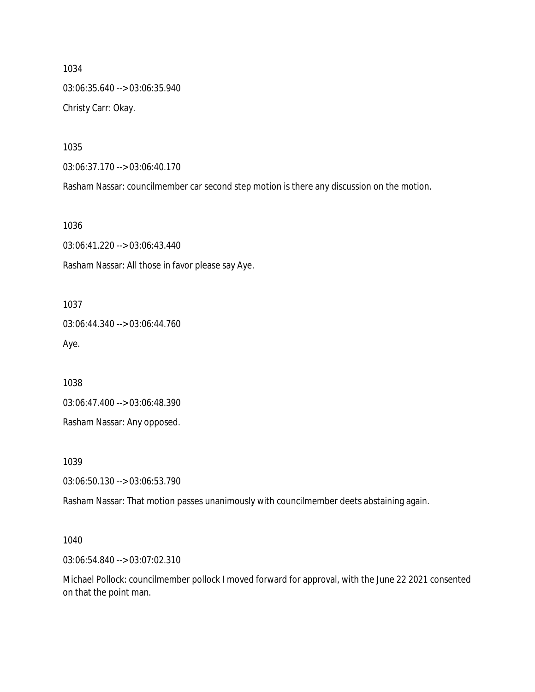1034 03:06:35.640 --> 03:06:35.940 Christy Carr: Okay.

1035

03:06:37.170 --> 03:06:40.170

Rasham Nassar: councilmember car second step motion is there any discussion on the motion.

1036

03:06:41.220 --> 03:06:43.440 Rasham Nassar: All those in favor please say Aye.

1037

03:06:44.340 --> 03:06:44.760 Aye.

1038

03:06:47.400 --> 03:06:48.390

Rasham Nassar: Any opposed.

1039

03:06:50.130 --> 03:06:53.790

Rasham Nassar: That motion passes unanimously with councilmember deets abstaining again.

1040

03:06:54.840 --> 03:07:02.310

Michael Pollock: councilmember pollock I moved forward for approval, with the June 22 2021 consented on that the point man.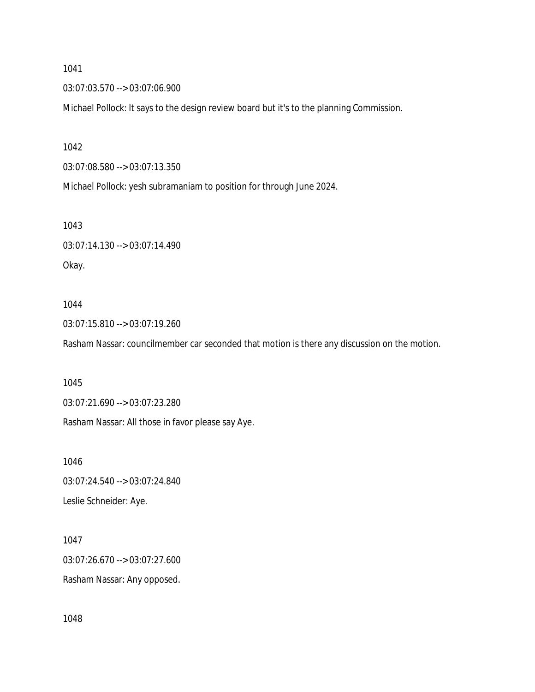03:07:03.570 --> 03:07:06.900

Michael Pollock: It says to the design review board but it's to the planning Commission.

1042

03:07:08.580 --> 03:07:13.350

Michael Pollock: yesh subramaniam to position for through June 2024.

1043

03:07:14.130 --> 03:07:14.490 Okay.

#### 1044

03:07:15.810 --> 03:07:19.260

Rasham Nassar: councilmember car seconded that motion is there any discussion on the motion.

1045

03:07:21.690 --> 03:07:23.280

Rasham Nassar: All those in favor please say Aye.

1046 03:07:24.540 --> 03:07:24.840 Leslie Schneider: Aye.

1047 03:07:26.670 --> 03:07:27.600 Rasham Nassar: Any opposed.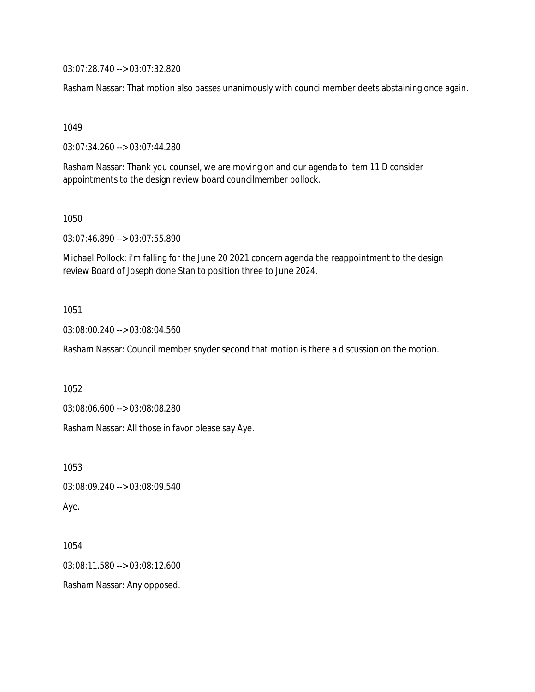03:07:28.740 --> 03:07:32.820

Rasham Nassar: That motion also passes unanimously with councilmember deets abstaining once again.

1049

03:07:34.260 --> 03:07:44.280

Rasham Nassar: Thank you counsel, we are moving on and our agenda to item 11 D consider appointments to the design review board councilmember pollock.

1050

03:07:46.890 --> 03:07:55.890

Michael Pollock: i'm falling for the June 20 2021 concern agenda the reappointment to the design review Board of Joseph done Stan to position three to June 2024.

1051

03:08:00.240 --> 03:08:04.560

Rasham Nassar: Council member snyder second that motion is there a discussion on the motion.

1052

03:08:06.600 --> 03:08:08.280

Rasham Nassar: All those in favor please say Aye.

1053

03:08:09.240 --> 03:08:09.540

Aye.

1054 03:08:11.580 --> 03:08:12.600 Rasham Nassar: Any opposed.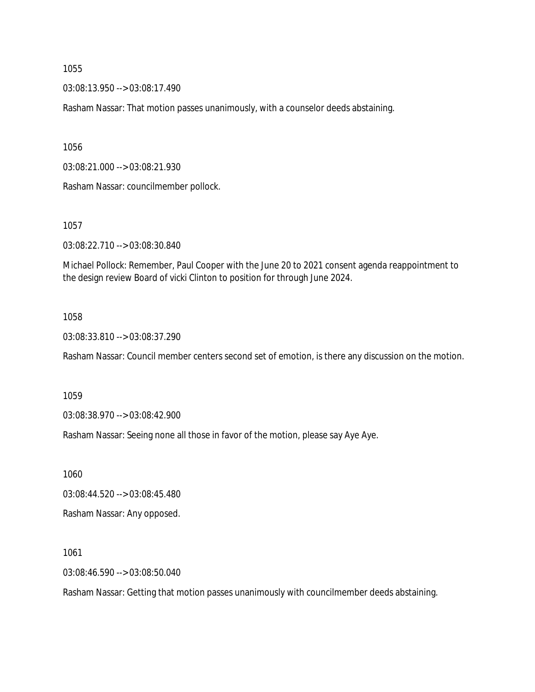03:08:13.950 --> 03:08:17.490

Rasham Nassar: That motion passes unanimously, with a counselor deeds abstaining.

1056

03:08:21.000 --> 03:08:21.930

Rasham Nassar: councilmember pollock.

1057

03:08:22.710 --> 03:08:30.840

Michael Pollock: Remember, Paul Cooper with the June 20 to 2021 consent agenda reappointment to the design review Board of vicki Clinton to position for through June 2024.

#### 1058

03:08:33.810 --> 03:08:37.290

Rasham Nassar: Council member centers second set of emotion, is there any discussion on the motion.

1059

03:08:38.970 --> 03:08:42.900

Rasham Nassar: Seeing none all those in favor of the motion, please say Aye Aye.

1060

03:08:44.520 --> 03:08:45.480

Rasham Nassar: Any opposed.

1061

03:08:46.590 --> 03:08:50.040

Rasham Nassar: Getting that motion passes unanimously with councilmember deeds abstaining.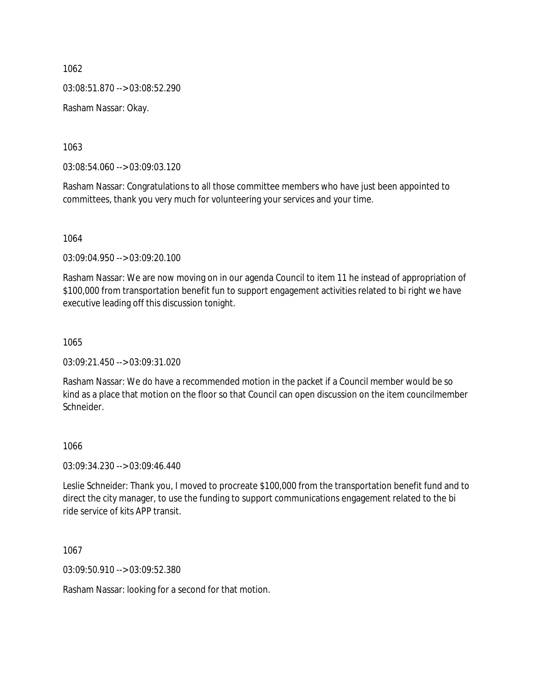1062 03:08:51.870 --> 03:08:52.290 Rasham Nassar: Okay.

1063

03:08:54.060 --> 03:09:03.120

Rasham Nassar: Congratulations to all those committee members who have just been appointed to committees, thank you very much for volunteering your services and your time.

1064

03:09:04.950 --> 03:09:20.100

Rasham Nassar: We are now moving on in our agenda Council to item 11 he instead of appropriation of \$100,000 from transportation benefit fun to support engagement activities related to bi right we have executive leading off this discussion tonight.

1065

03:09:21.450 --> 03:09:31.020

Rasham Nassar: We do have a recommended motion in the packet if a Council member would be so kind as a place that motion on the floor so that Council can open discussion on the item councilmember Schneider.

#### 1066

03:09:34.230 --> 03:09:46.440

Leslie Schneider: Thank you, I moved to procreate \$100,000 from the transportation benefit fund and to direct the city manager, to use the funding to support communications engagement related to the bi ride service of kits APP transit.

1067

03:09:50.910 --> 03:09:52.380

Rasham Nassar: looking for a second for that motion.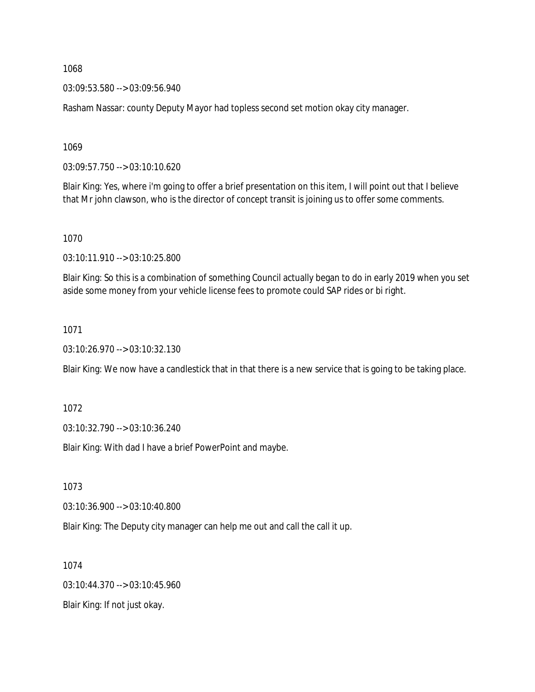03:09:53.580 --> 03:09:56.940

Rasham Nassar: county Deputy Mayor had topless second set motion okay city manager.

1069

03:09:57.750 --> 03:10:10.620

Blair King: Yes, where i'm going to offer a brief presentation on this item, I will point out that I believe that Mr john clawson, who is the director of concept transit is joining us to offer some comments.

1070

03:10:11.910 --> 03:10:25.800

Blair King: So this is a combination of something Council actually began to do in early 2019 when you set aside some money from your vehicle license fees to promote could SAP rides or bi right.

1071

03:10:26.970 --> 03:10:32.130

Blair King: We now have a candlestick that in that there is a new service that is going to be taking place.

1072

03:10:32.790 --> 03:10:36.240

Blair King: With dad I have a brief PowerPoint and maybe.

1073

03:10:36.900 --> 03:10:40.800

Blair King: The Deputy city manager can help me out and call the call it up.

1074

03:10:44.370 --> 03:10:45.960

Blair King: If not just okay.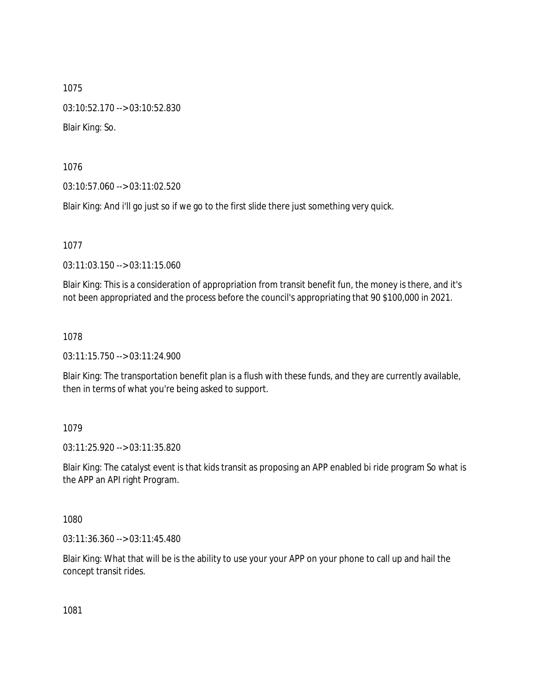1075 03:10:52.170 --> 03:10:52.830 Blair King: So.

1076

03:10:57.060 --> 03:11:02.520

Blair King: And i'll go just so if we go to the first slide there just something very quick.

1077

03:11:03.150 --> 03:11:15.060

Blair King: This is a consideration of appropriation from transit benefit fun, the money is there, and it's not been appropriated and the process before the council's appropriating that 90 \$100,000 in 2021.

1078

03:11:15.750 --> 03:11:24.900

Blair King: The transportation benefit plan is a flush with these funds, and they are currently available, then in terms of what you're being asked to support.

## 1079

03:11:25.920 --> 03:11:35.820

Blair King: The catalyst event is that kids transit as proposing an APP enabled bi ride program So what is the APP an API right Program.

1080

03:11:36.360 --> 03:11:45.480

Blair King: What that will be is the ability to use your your APP on your phone to call up and hail the concept transit rides.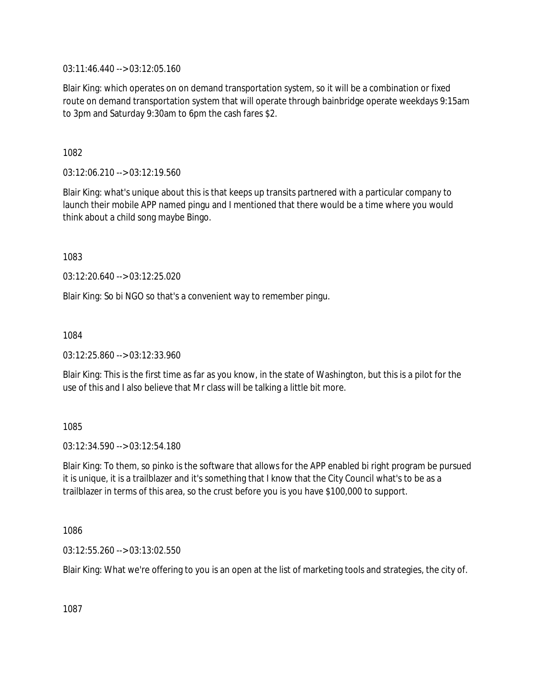03:11:46.440 --> 03:12:05.160

Blair King: which operates on on demand transportation system, so it will be a combination or fixed route on demand transportation system that will operate through bainbridge operate weekdays 9:15am to 3pm and Saturday 9:30am to 6pm the cash fares \$2.

1082

03:12:06.210 --> 03:12:19.560

Blair King: what's unique about this is that keeps up transits partnered with a particular company to launch their mobile APP named pingu and I mentioned that there would be a time where you would think about a child song maybe Bingo.

1083

03:12:20.640 --> 03:12:25.020

Blair King: So bi NGO so that's a convenient way to remember pingu.

1084

03:12:25.860 --> 03:12:33.960

Blair King: This is the first time as far as you know, in the state of Washington, but this is a pilot for the use of this and I also believe that Mr class will be talking a little bit more.

1085

03:12:34.590 --> 03:12:54.180

Blair King: To them, so pinko is the software that allows for the APP enabled bi right program be pursued it is unique, it is a trailblazer and it's something that I know that the City Council what's to be as a trailblazer in terms of this area, so the crust before you is you have \$100,000 to support.

1086

03:12:55.260 --> 03:13:02.550

Blair King: What we're offering to you is an open at the list of marketing tools and strategies, the city of.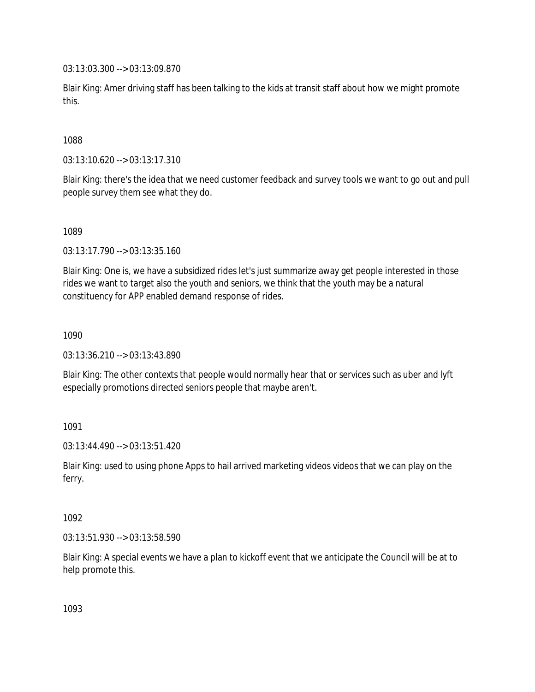03:13:03.300 --> 03:13:09.870

Blair King: Amer driving staff has been talking to the kids at transit staff about how we might promote this.

1088

03:13:10.620 --> 03:13:17.310

Blair King: there's the idea that we need customer feedback and survey tools we want to go out and pull people survey them see what they do.

1089

03:13:17.790 --> 03:13:35.160

Blair King: One is, we have a subsidized rides let's just summarize away get people interested in those rides we want to target also the youth and seniors, we think that the youth may be a natural constituency for APP enabled demand response of rides.

1090

03:13:36.210 --> 03:13:43.890

Blair King: The other contexts that people would normally hear that or services such as uber and lyft especially promotions directed seniors people that maybe aren't.

1091

03:13:44.490 --> 03:13:51.420

Blair King: used to using phone Apps to hail arrived marketing videos videos that we can play on the ferry.

1092

03:13:51.930 --> 03:13:58.590

Blair King: A special events we have a plan to kickoff event that we anticipate the Council will be at to help promote this.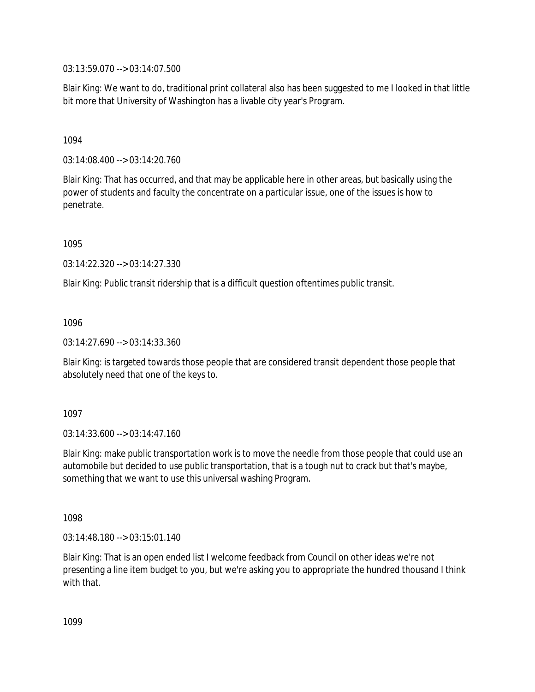03:13:59.070 --> 03:14:07.500

Blair King: We want to do, traditional print collateral also has been suggested to me I looked in that little bit more that University of Washington has a livable city year's Program.

## 1094

03:14:08.400 --> 03:14:20.760

Blair King: That has occurred, and that may be applicable here in other areas, but basically using the power of students and faculty the concentrate on a particular issue, one of the issues is how to penetrate.

1095

03:14:22.320 --> 03:14:27.330

Blair King: Public transit ridership that is a difficult question oftentimes public transit.

1096

03:14:27.690 --> 03:14:33.360

Blair King: is targeted towards those people that are considered transit dependent those people that absolutely need that one of the keys to.

1097

03:14:33.600 --> 03:14:47.160

Blair King: make public transportation work is to move the needle from those people that could use an automobile but decided to use public transportation, that is a tough nut to crack but that's maybe, something that we want to use this universal washing Program.

1098

03:14:48.180 --> 03:15:01.140

Blair King: That is an open ended list I welcome feedback from Council on other ideas we're not presenting a line item budget to you, but we're asking you to appropriate the hundred thousand I think with that.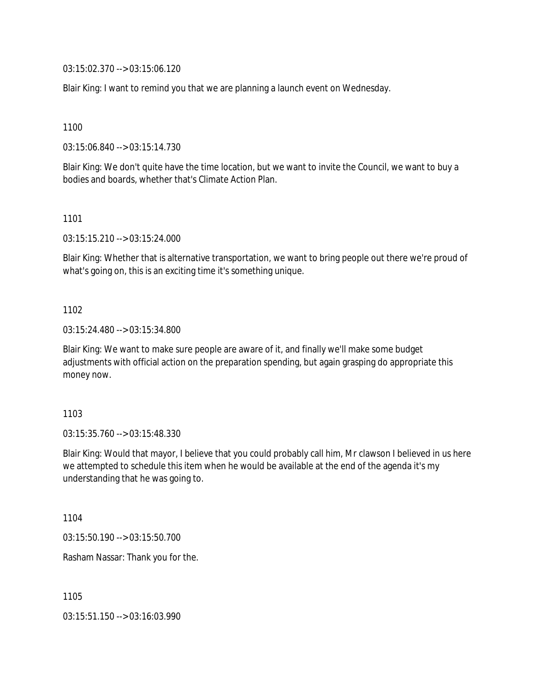03:15:02.370 --> 03:15:06.120

Blair King: I want to remind you that we are planning a launch event on Wednesday.

1100

03:15:06.840 --> 03:15:14.730

Blair King: We don't quite have the time location, but we want to invite the Council, we want to buy a bodies and boards, whether that's Climate Action Plan.

1101

03:15:15.210 --> 03:15:24.000

Blair King: Whether that is alternative transportation, we want to bring people out there we're proud of what's going on, this is an exciting time it's something unique.

1102

03:15:24.480 --> 03:15:34.800

Blair King: We want to make sure people are aware of it, and finally we'll make some budget adjustments with official action on the preparation spending, but again grasping do appropriate this money now.

1103

03:15:35.760 --> 03:15:48.330

Blair King: Would that mayor, I believe that you could probably call him, Mr clawson I believed in us here we attempted to schedule this item when he would be available at the end of the agenda it's my understanding that he was going to.

1104

03:15:50.190 --> 03:15:50.700

Rasham Nassar: Thank you for the.

1105

03:15:51.150 --> 03:16:03.990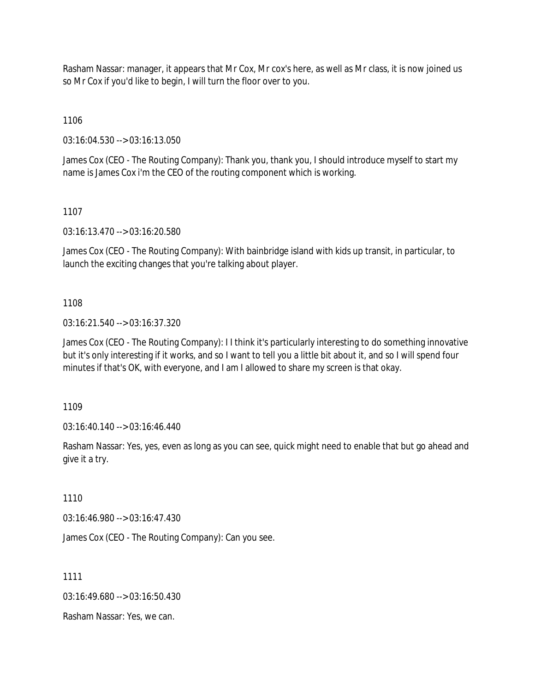Rasham Nassar: manager, it appears that Mr Cox, Mr cox's here, as well as Mr class, it is now joined us so Mr Cox if you'd like to begin, I will turn the floor over to you.

1106

03:16:04.530 --> 03:16:13.050

James Cox (CEO - The Routing Company): Thank you, thank you, I should introduce myself to start my name is James Cox i'm the CEO of the routing component which is working.

1107

03:16:13.470 --> 03:16:20.580

James Cox (CEO - The Routing Company): With bainbridge island with kids up transit, in particular, to launch the exciting changes that you're talking about player.

## 1108

03:16:21.540 --> 03:16:37.320

James Cox (CEO - The Routing Company): I I think it's particularly interesting to do something innovative but it's only interesting if it works, and so I want to tell you a little bit about it, and so I will spend four minutes if that's OK, with everyone, and I am I allowed to share my screen is that okay.

1109

03:16:40.140 --> 03:16:46.440

Rasham Nassar: Yes, yes, even as long as you can see, quick might need to enable that but go ahead and give it a try.

1110

03:16:46.980 --> 03:16:47.430

James Cox (CEO - The Routing Company): Can you see.

1111

03:16:49.680 --> 03:16:50.430

Rasham Nassar: Yes, we can.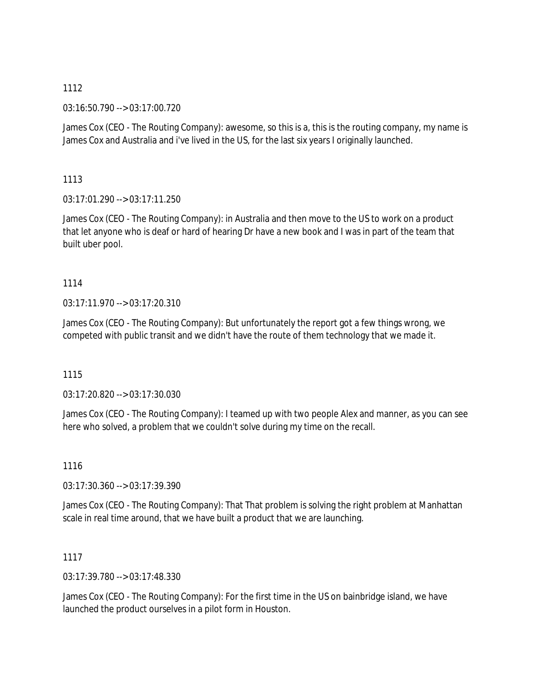03:16:50.790 --> 03:17:00.720

James Cox (CEO - The Routing Company): awesome, so this is a, this is the routing company, my name is James Cox and Australia and i've lived in the US, for the last six years I originally launched.

## 1113

 $03:17:01.290 \rightarrow 03:17:11.250$ 

James Cox (CEO - The Routing Company): in Australia and then move to the US to work on a product that let anyone who is deaf or hard of hearing Dr have a new book and I was in part of the team that built uber pool.

## 1114

03:17:11.970 --> 03:17:20.310

James Cox (CEO - The Routing Company): But unfortunately the report got a few things wrong, we competed with public transit and we didn't have the route of them technology that we made it.

## 1115

03:17:20.820 --> 03:17:30.030

James Cox (CEO - The Routing Company): I teamed up with two people Alex and manner, as you can see here who solved, a problem that we couldn't solve during my time on the recall.

## 1116

03:17:30.360 --> 03:17:39.390

James Cox (CEO - The Routing Company): That That problem is solving the right problem at Manhattan scale in real time around, that we have built a product that we are launching.

## 1117

03:17:39.780 --> 03:17:48.330

James Cox (CEO - The Routing Company): For the first time in the US on bainbridge island, we have launched the product ourselves in a pilot form in Houston.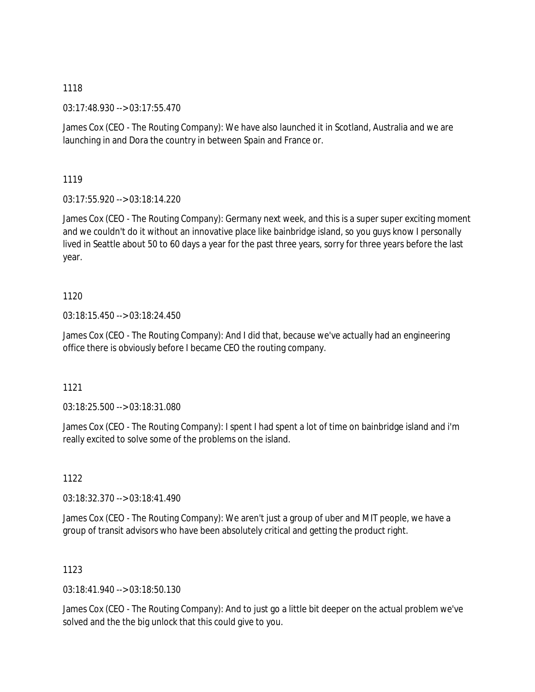03:17:48.930 --> 03:17:55.470

James Cox (CEO - The Routing Company): We have also launched it in Scotland, Australia and we are launching in and Dora the country in between Spain and France or.

1119

03:17:55.920 --> 03:18:14.220

James Cox (CEO - The Routing Company): Germany next week, and this is a super super exciting moment and we couldn't do it without an innovative place like bainbridge island, so you guys know I personally lived in Seattle about 50 to 60 days a year for the past three years, sorry for three years before the last year.

1120

03:18:15.450 --> 03:18:24.450

James Cox (CEO - The Routing Company): And I did that, because we've actually had an engineering office there is obviously before I became CEO the routing company.

1121

03:18:25.500 --> 03:18:31.080

James Cox (CEO - The Routing Company): I spent I had spent a lot of time on bainbridge island and i'm really excited to solve some of the problems on the island.

1122

03:18:32.370 --> 03:18:41.490

James Cox (CEO - The Routing Company): We aren't just a group of uber and MIT people, we have a group of transit advisors who have been absolutely critical and getting the product right.

1123

03:18:41.940 --> 03:18:50.130

James Cox (CEO - The Routing Company): And to just go a little bit deeper on the actual problem we've solved and the the big unlock that this could give to you.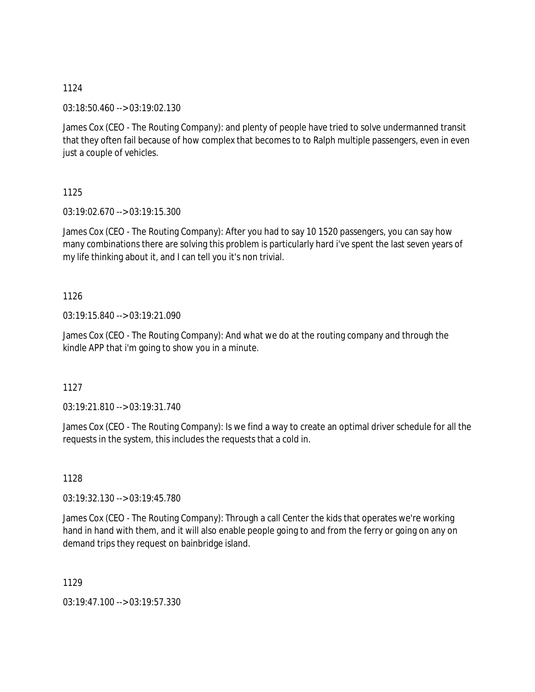03:18:50.460 --> 03:19:02.130

James Cox (CEO - The Routing Company): and plenty of people have tried to solve undermanned transit that they often fail because of how complex that becomes to to Ralph multiple passengers, even in even just a couple of vehicles.

1125

03:19:02.670 --> 03:19:15.300

James Cox (CEO - The Routing Company): After you had to say 10 1520 passengers, you can say how many combinations there are solving this problem is particularly hard i've spent the last seven years of my life thinking about it, and I can tell you it's non trivial.

## 1126

03:19:15.840 --> 03:19:21.090

James Cox (CEO - The Routing Company): And what we do at the routing company and through the kindle APP that i'm going to show you in a minute.

## 1127

03:19:21.810 --> 03:19:31.740

James Cox (CEO - The Routing Company): Is we find a way to create an optimal driver schedule for all the requests in the system, this includes the requests that a cold in.

## 1128

03:19:32.130 --> 03:19:45.780

James Cox (CEO - The Routing Company): Through a call Center the kids that operates we're working hand in hand with them, and it will also enable people going to and from the ferry or going on any on demand trips they request on bainbridge island.

1129

03:19:47.100 --> 03:19:57.330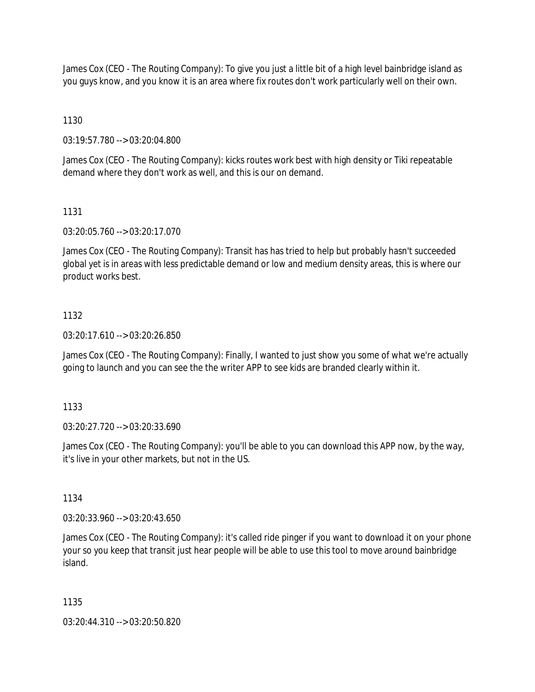James Cox (CEO - The Routing Company): To give you just a little bit of a high level bainbridge island as you guys know, and you know it is an area where fix routes don't work particularly well on their own.

1130

03:19:57.780 --> 03:20:04.800

James Cox (CEO - The Routing Company): kicks routes work best with high density or Tiki repeatable demand where they don't work as well, and this is our on demand.

### 1131

03:20:05.760 --> 03:20:17.070

James Cox (CEO - The Routing Company): Transit has has tried to help but probably hasn't succeeded global yet is in areas with less predictable demand or low and medium density areas, this is where our product works best.

### 1132

03:20:17.610 --> 03:20:26.850

James Cox (CEO - The Routing Company): Finally, I wanted to just show you some of what we're actually going to launch and you can see the the writer APP to see kids are branded clearly within it.

1133

03:20:27.720 --> 03:20:33.690

James Cox (CEO - The Routing Company): you'll be able to you can download this APP now, by the way, it's live in your other markets, but not in the US.

1134

03:20:33.960 --> 03:20:43.650

James Cox (CEO - The Routing Company): it's called ride pinger if you want to download it on your phone your so you keep that transit just hear people will be able to use this tool to move around bainbridge island.

1135

03:20:44.310 --> 03:20:50.820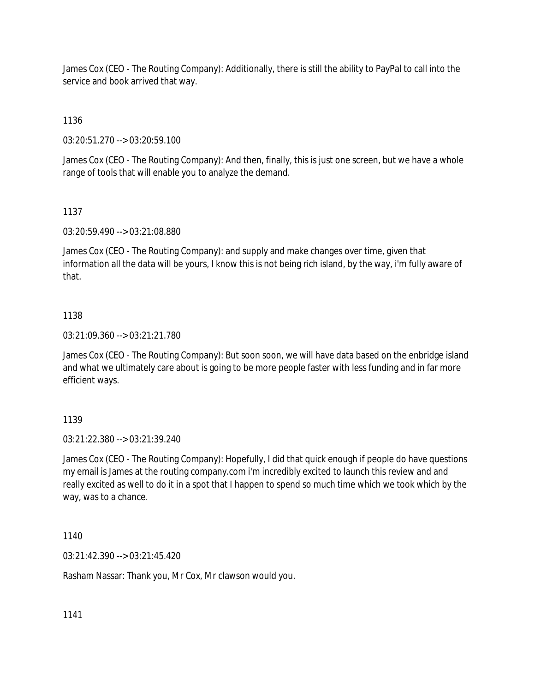James Cox (CEO - The Routing Company): Additionally, there is still the ability to PayPal to call into the service and book arrived that way.

1136

03:20:51.270 --> 03:20:59.100

James Cox (CEO - The Routing Company): And then, finally, this is just one screen, but we have a whole range of tools that will enable you to analyze the demand.

### 1137

03:20:59.490 --> 03:21:08.880

James Cox (CEO - The Routing Company): and supply and make changes over time, given that information all the data will be yours, I know this is not being rich island, by the way, i'm fully aware of that.

### 1138

03:21:09.360 --> 03:21:21.780

James Cox (CEO - The Routing Company): But soon soon, we will have data based on the enbridge island and what we ultimately care about is going to be more people faster with less funding and in far more efficient ways.

# 1139

03:21:22.380 --> 03:21:39.240

James Cox (CEO - The Routing Company): Hopefully, I did that quick enough if people do have questions my email is James at the routing company.com i'm incredibly excited to launch this review and and really excited as well to do it in a spot that I happen to spend so much time which we took which by the way, was to a chance.

1140

03:21:42.390 --> 03:21:45.420

Rasham Nassar: Thank you, Mr Cox, Mr clawson would you.

1141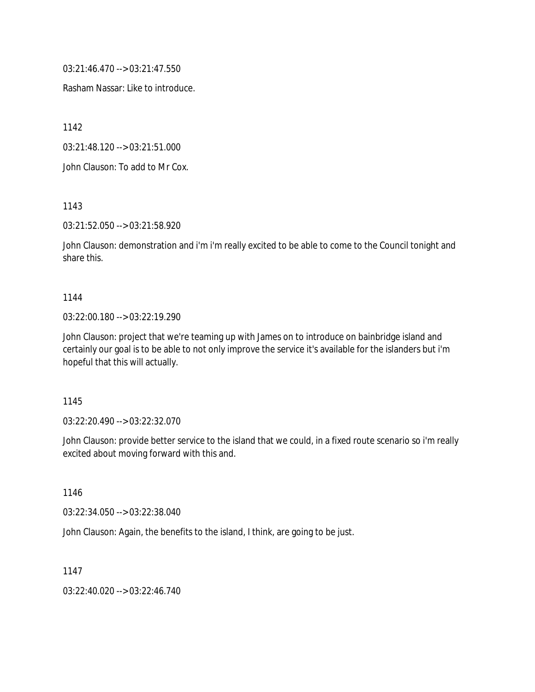03:21:46.470 --> 03:21:47.550

Rasham Nassar: Like to introduce.

1142

03:21:48.120 --> 03:21:51.000

John Clauson: To add to Mr Cox.

1143

03:21:52.050 --> 03:21:58.920

John Clauson: demonstration and i'm i'm really excited to be able to come to the Council tonight and share this.

#### 1144

#### 03:22:00.180 --> 03:22:19.290

John Clauson: project that we're teaming up with James on to introduce on bainbridge island and certainly our goal is to be able to not only improve the service it's available for the islanders but i'm hopeful that this will actually.

1145

03:22:20.490 --> 03:22:32.070

John Clauson: provide better service to the island that we could, in a fixed route scenario so i'm really excited about moving forward with this and.

1146

03:22:34.050 --> 03:22:38.040

John Clauson: Again, the benefits to the island, I think, are going to be just.

1147

03:22:40.020 --> 03:22:46.740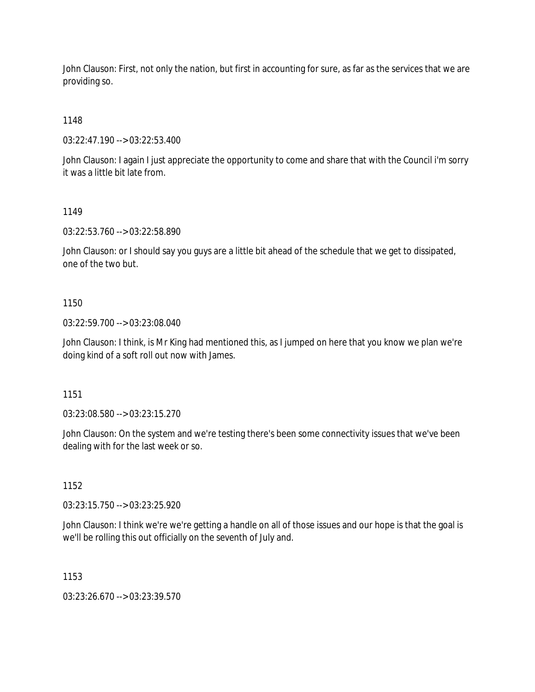John Clauson: First, not only the nation, but first in accounting for sure, as far as the services that we are providing so.

1148

03:22:47.190 --> 03:22:53.400

John Clauson: I again I just appreciate the opportunity to come and share that with the Council i'm sorry it was a little bit late from.

### 1149

03:22:53.760 --> 03:22:58.890

John Clauson: or I should say you guys are a little bit ahead of the schedule that we get to dissipated, one of the two but.

### 1150

03:22:59.700 --> 03:23:08.040

John Clauson: I think, is Mr King had mentioned this, as I jumped on here that you know we plan we're doing kind of a soft roll out now with James.

1151

03:23:08.580 --> 03:23:15.270

John Clauson: On the system and we're testing there's been some connectivity issues that we've been dealing with for the last week or so.

1152

03:23:15.750 --> 03:23:25.920

John Clauson: I think we're we're getting a handle on all of those issues and our hope is that the goal is we'll be rolling this out officially on the seventh of July and.

1153

03:23:26.670 --> 03:23:39.570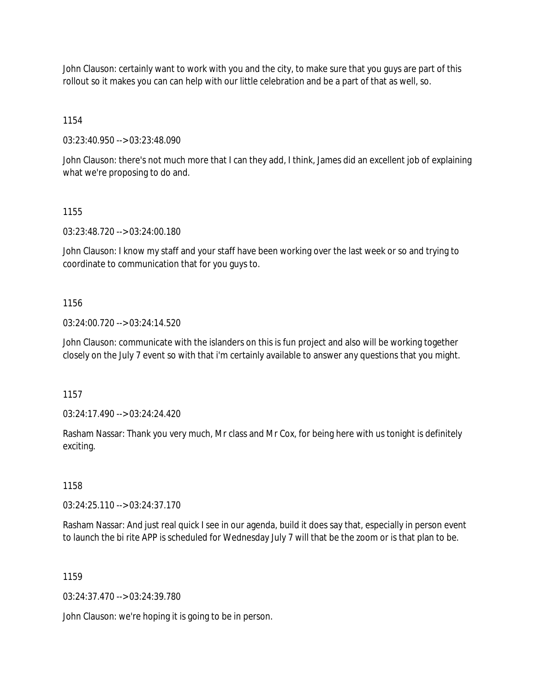John Clauson: certainly want to work with you and the city, to make sure that you guys are part of this rollout so it makes you can can help with our little celebration and be a part of that as well, so.

1154

03:23:40.950 --> 03:23:48.090

John Clauson: there's not much more that I can they add, I think, James did an excellent job of explaining what we're proposing to do and.

1155

03:23:48.720 --> 03:24:00.180

John Clauson: I know my staff and your staff have been working over the last week or so and trying to coordinate to communication that for you guys to.

1156

03:24:00.720 --> 03:24:14.520

John Clauson: communicate with the islanders on this is fun project and also will be working together closely on the July 7 event so with that i'm certainly available to answer any questions that you might.

1157

03:24:17.490 --> 03:24:24.420

Rasham Nassar: Thank you very much, Mr class and Mr Cox, for being here with us tonight is definitely exciting.

1158

03:24:25.110 --> 03:24:37.170

Rasham Nassar: And just real quick I see in our agenda, build it does say that, especially in person event to launch the bi rite APP is scheduled for Wednesday July 7 will that be the zoom or is that plan to be.

1159

03:24:37.470 --> 03:24:39.780

John Clauson: we're hoping it is going to be in person.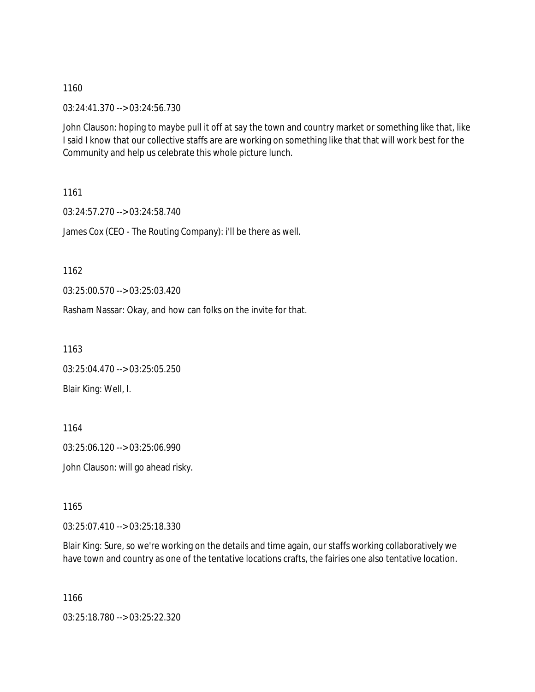03:24:41.370 --> 03:24:56.730

John Clauson: hoping to maybe pull it off at say the town and country market or something like that, like I said I know that our collective staffs are are working on something like that that will work best for the Community and help us celebrate this whole picture lunch.

1161

03:24:57.270 --> 03:24:58.740 James Cox (CEO - The Routing Company): i'll be there as well.

1162

03:25:00.570 --> 03:25:03.420

Rasham Nassar: Okay, and how can folks on the invite for that.

1163

03:25:04.470 --> 03:25:05.250 Blair King: Well, I.

1164

03:25:06.120 --> 03:25:06.990

John Clauson: will go ahead risky.

1165

03:25:07.410 --> 03:25:18.330

Blair King: Sure, so we're working on the details and time again, our staffs working collaboratively we have town and country as one of the tentative locations crafts, the fairies one also tentative location.

1166

03:25:18.780 --> 03:25:22.320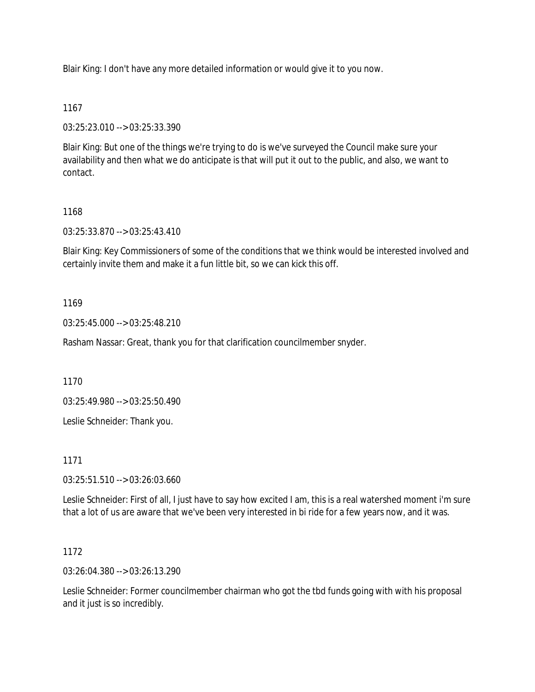Blair King: I don't have any more detailed information or would give it to you now.

### 1167

03:25:23.010 --> 03:25:33.390

Blair King: But one of the things we're trying to do is we've surveyed the Council make sure your availability and then what we do anticipate is that will put it out to the public, and also, we want to contact.

### 1168

03:25:33.870 --> 03:25:43.410

Blair King: Key Commissioners of some of the conditions that we think would be interested involved and certainly invite them and make it a fun little bit, so we can kick this off.

### 1169

03:25:45.000 --> 03:25:48.210

Rasham Nassar: Great, thank you for that clarification councilmember snyder.

1170

03:25:49.980 --> 03:25:50.490

Leslie Schneider: Thank you.

1171

03:25:51.510 --> 03:26:03.660

Leslie Schneider: First of all, I just have to say how excited I am, this is a real watershed moment i'm sure that a lot of us are aware that we've been very interested in bi ride for a few years now, and it was.

### 1172

03:26:04.380 --> 03:26:13.290

Leslie Schneider: Former councilmember chairman who got the tbd funds going with with his proposal and it just is so incredibly.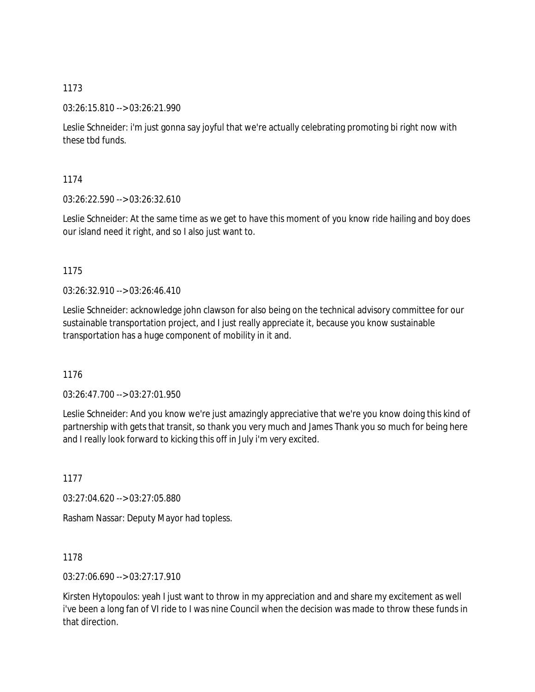03:26:15.810 --> 03:26:21.990

Leslie Schneider: i'm just gonna say joyful that we're actually celebrating promoting bi right now with these tbd funds.

1174

03:26:22.590 --> 03:26:32.610

Leslie Schneider: At the same time as we get to have this moment of you know ride hailing and boy does our island need it right, and so I also just want to.

1175

03:26:32.910 --> 03:26:46.410

Leslie Schneider: acknowledge john clawson for also being on the technical advisory committee for our sustainable transportation project, and I just really appreciate it, because you know sustainable transportation has a huge component of mobility in it and.

1176

03:26:47.700 --> 03:27:01.950

Leslie Schneider: And you know we're just amazingly appreciative that we're you know doing this kind of partnership with gets that transit, so thank you very much and James Thank you so much for being here and I really look forward to kicking this off in July i'm very excited.

1177

03:27:04.620 --> 03:27:05.880

Rasham Nassar: Deputy Mayor had topless.

1178

03:27:06.690 --> 03:27:17.910

Kirsten Hytopoulos: yeah I just want to throw in my appreciation and and share my excitement as well i've been a long fan of VI ride to I was nine Council when the decision was made to throw these funds in that direction.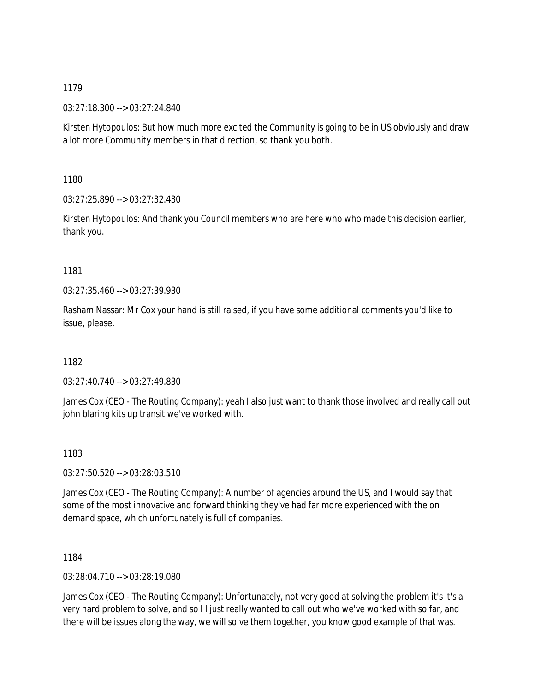03:27:18.300 --> 03:27:24.840

Kirsten Hytopoulos: But how much more excited the Community is going to be in US obviously and draw a lot more Community members in that direction, so thank you both.

1180

03:27:25.890 --> 03:27:32.430

Kirsten Hytopoulos: And thank you Council members who are here who who made this decision earlier, thank you.

### 1181

03:27:35.460 --> 03:27:39.930

Rasham Nassar: Mr Cox your hand is still raised, if you have some additional comments you'd like to issue, please.

# 1182

03:27:40.740 --> 03:27:49.830

James Cox (CEO - The Routing Company): yeah I also just want to thank those involved and really call out john blaring kits up transit we've worked with.

# 1183

03:27:50.520 --> 03:28:03.510

James Cox (CEO - The Routing Company): A number of agencies around the US, and I would say that some of the most innovative and forward thinking they've had far more experienced with the on demand space, which unfortunately is full of companies.

1184

03:28:04.710 --> 03:28:19.080

James Cox (CEO - The Routing Company): Unfortunately, not very good at solving the problem it's it's a very hard problem to solve, and so I I just really wanted to call out who we've worked with so far, and there will be issues along the way, we will solve them together, you know good example of that was.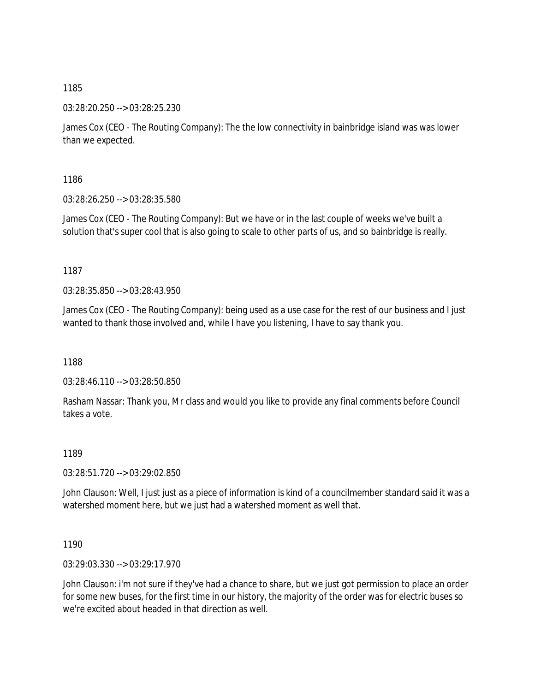03:28:20.250 --> 03:28:25.230

James Cox (CEO - The Routing Company): The the low connectivity in bainbridge island was was lower than we expected.

1186

03:28:26.250 --> 03:28:35.580

James Cox (CEO - The Routing Company): But we have or in the last couple of weeks we've built a solution that's super cool that is also going to scale to other parts of us, and so bainbridge is really.

1187

03:28:35.850 --> 03:28:43.950

James Cox (CEO - The Routing Company): being used as a use case for the rest of our business and I just wanted to thank those involved and, while I have you listening, I have to say thank you.

1188

03:28:46.110 --> 03:28:50.850

Rasham Nassar: Thank you, Mr class and would you like to provide any final comments before Council takes a vote.

1189

03:28:51.720 --> 03:29:02.850

John Clauson: Well, I just just as a piece of information is kind of a councilmember standard said it was a watershed moment here, but we just had a watershed moment as well that.

1190

03:29:03.330 --> 03:29:17.970

John Clauson: i'm not sure if they've had a chance to share, but we just got permission to place an order for some new buses, for the first time in our history, the majority of the order was for electric buses so we're excited about headed in that direction as well.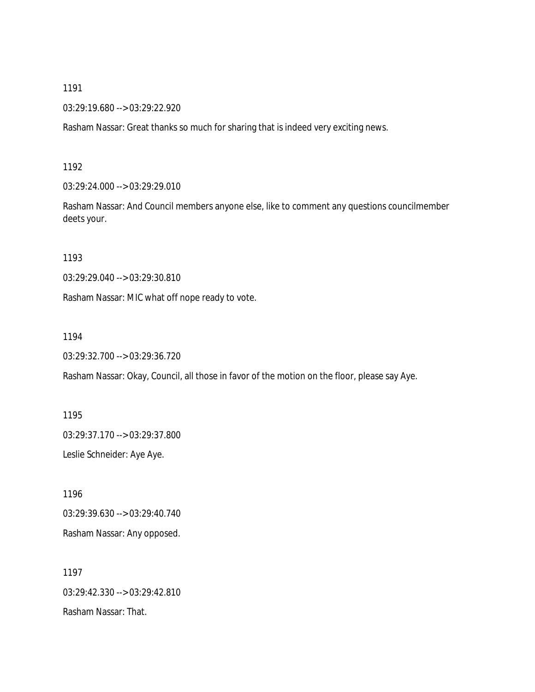03:29:19.680 --> 03:29:22.920

Rasham Nassar: Great thanks so much for sharing that is indeed very exciting news.

1192

03:29:24.000 --> 03:29:29.010

Rasham Nassar: And Council members anyone else, like to comment any questions councilmember deets your.

1193

03:29:29.040 --> 03:29:30.810

Rasham Nassar: MIC what off nope ready to vote.

1194

```
03:29:32.700 --> 03:29:36.720
```
Rasham Nassar: Okay, Council, all those in favor of the motion on the floor, please say Aye.

1195 03:29:37.170 --> 03:29:37.800 Leslie Schneider: Aye Aye.

1196 03:29:39.630 --> 03:29:40.740 Rasham Nassar: Any opposed.

1197 03:29:42.330 --> 03:29:42.810 Rasham Nassar: That.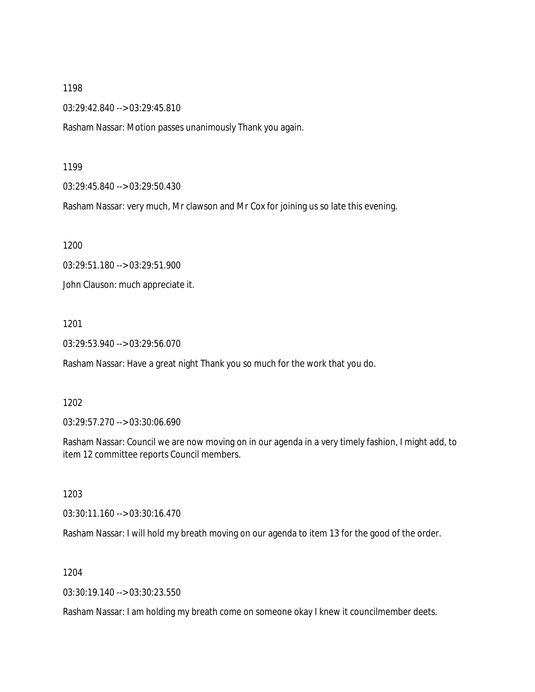03:29:42.840 --> 03:29:45.810

Rasham Nassar: Motion passes unanimously Thank you again.

1199

03:29:45.840 --> 03:29:50.430

Rasham Nassar: very much, Mr clawson and Mr Cox for joining us so late this evening.

1200

03:29:51.180 --> 03:29:51.900

John Clauson: much appreciate it.

1201

03:29:53.940 --> 03:29:56.070

Rasham Nassar: Have a great night Thank you so much for the work that you do.

1202

03:29:57.270 --> 03:30:06.690

Rasham Nassar: Council we are now moving on in our agenda in a very timely fashion, I might add, to item 12 committee reports Council members.

1203

03:30:11.160 --> 03:30:16.470

Rasham Nassar: I will hold my breath moving on our agenda to item 13 for the good of the order.

1204

03:30:19.140 --> 03:30:23.550

Rasham Nassar: I am holding my breath come on someone okay I knew it councilmember deets.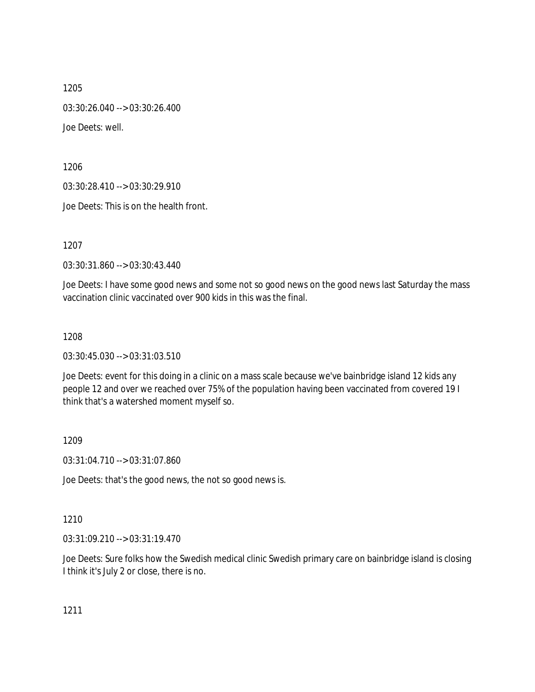1205 03:30:26.040 --> 03:30:26.400 Joe Deets: well.

1206

03:30:28.410 --> 03:30:29.910

Joe Deets: This is on the health front.

1207

03:30:31.860 --> 03:30:43.440

Joe Deets: I have some good news and some not so good news on the good news last Saturday the mass vaccination clinic vaccinated over 900 kids in this was the final.

1208

03:30:45.030 --> 03:31:03.510

Joe Deets: event for this doing in a clinic on a mass scale because we've bainbridge island 12 kids any people 12 and over we reached over 75% of the population having been vaccinated from covered 19 I think that's a watershed moment myself so.

1209

03:31:04.710 --> 03:31:07.860

Joe Deets: that's the good news, the not so good news is.

1210

03:31:09.210 --> 03:31:19.470

Joe Deets: Sure folks how the Swedish medical clinic Swedish primary care on bainbridge island is closing I think it's July 2 or close, there is no.

1211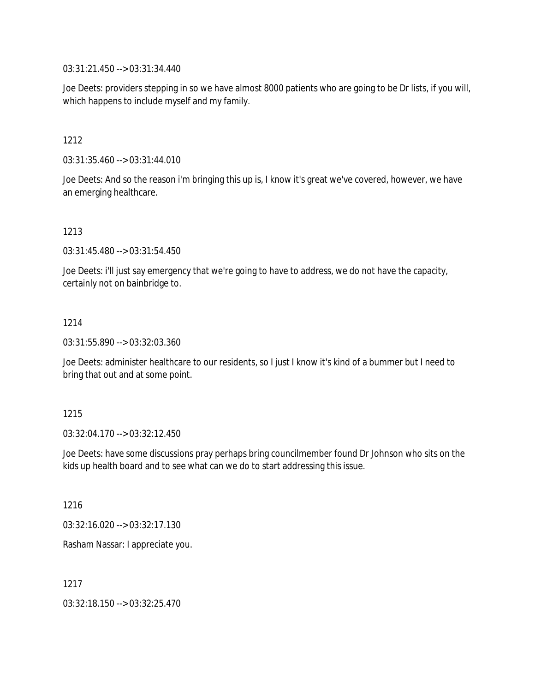03:31:21.450 --> 03:31:34.440

Joe Deets: providers stepping in so we have almost 8000 patients who are going to be Dr lists, if you will, which happens to include myself and my family.

1212

03:31:35.460 --> 03:31:44.010

Joe Deets: And so the reason i'm bringing this up is, I know it's great we've covered, however, we have an emerging healthcare.

1213

03:31:45.480 --> 03:31:54.450

Joe Deets: i'll just say emergency that we're going to have to address, we do not have the capacity, certainly not on bainbridge to.

1214

03:31:55.890 --> 03:32:03.360

Joe Deets: administer healthcare to our residents, so I just I know it's kind of a bummer but I need to bring that out and at some point.

1215

03:32:04.170 --> 03:32:12.450

Joe Deets: have some discussions pray perhaps bring councilmember found Dr Johnson who sits on the kids up health board and to see what can we do to start addressing this issue.

1216

03:32:16.020 --> 03:32:17.130

Rasham Nassar: I appreciate you.

1217

03:32:18.150 --> 03:32:25.470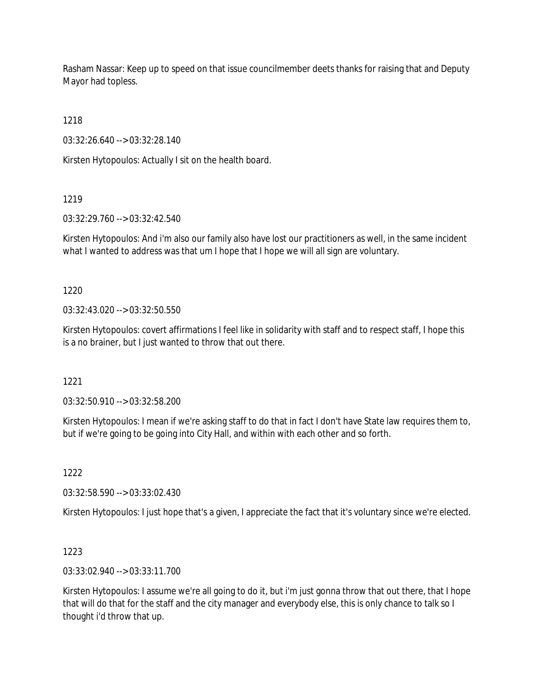Rasham Nassar: Keep up to speed on that issue councilmember deets thanks for raising that and Deputy Mayor had topless.

1218

03:32:26.640 --> 03:32:28.140

Kirsten Hytopoulos: Actually I sit on the health board.

1219

03:32:29.760 --> 03:32:42.540

Kirsten Hytopoulos: And i'm also our family also have lost our practitioners as well, in the same incident what I wanted to address was that um I hope that I hope we will all sign are voluntary.

1220

03:32:43.020 --> 03:32:50.550

Kirsten Hytopoulos: covert affirmations I feel like in solidarity with staff and to respect staff, I hope this is a no brainer, but I just wanted to throw that out there.

1221

03:32:50.910 --> 03:32:58.200

Kirsten Hytopoulos: I mean if we're asking staff to do that in fact I don't have State law requires them to, but if we're going to be going into City Hall, and within with each other and so forth.

1222

03:32:58.590 --> 03:33:02.430

Kirsten Hytopoulos: I just hope that's a given, I appreciate the fact that it's voluntary since we're elected.

1223

03:33:02.940 --> 03:33:11.700

Kirsten Hytopoulos: I assume we're all going to do it, but i'm just gonna throw that out there, that I hope that will do that for the staff and the city manager and everybody else, this is only chance to talk so I thought i'd throw that up.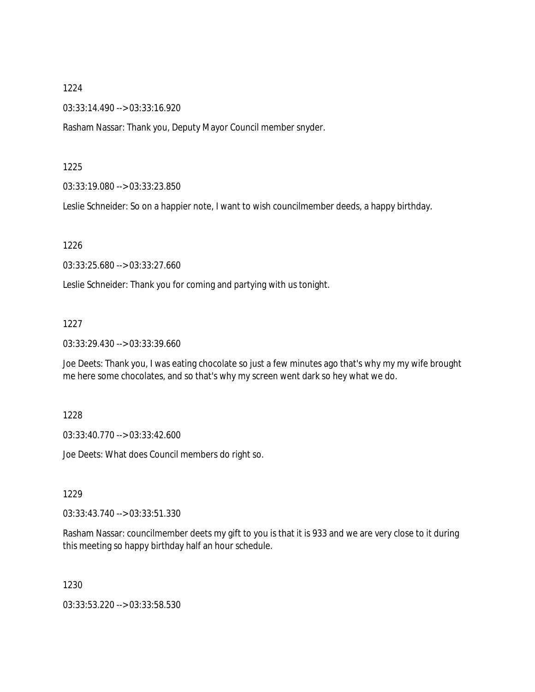03:33:14.490 --> 03:33:16.920

Rasham Nassar: Thank you, Deputy Mayor Council member snyder.

#### 1225

03:33:19.080 --> 03:33:23.850

Leslie Schneider: So on a happier note, I want to wish councilmember deeds, a happy birthday.

#### 1226

03:33:25.680 --> 03:33:27.660

Leslie Schneider: Thank you for coming and partying with us tonight.

### 1227

03:33:29.430 --> 03:33:39.660

Joe Deets: Thank you, I was eating chocolate so just a few minutes ago that's why my my wife brought me here some chocolates, and so that's why my screen went dark so hey what we do.

### 1228

03:33:40.770 --> 03:33:42.600

Joe Deets: What does Council members do right so.

### 1229

03:33:43.740 --> 03:33:51.330

Rasham Nassar: councilmember deets my gift to you is that it is 933 and we are very close to it during this meeting so happy birthday half an hour schedule.

1230

03:33:53.220 --> 03:33:58.530